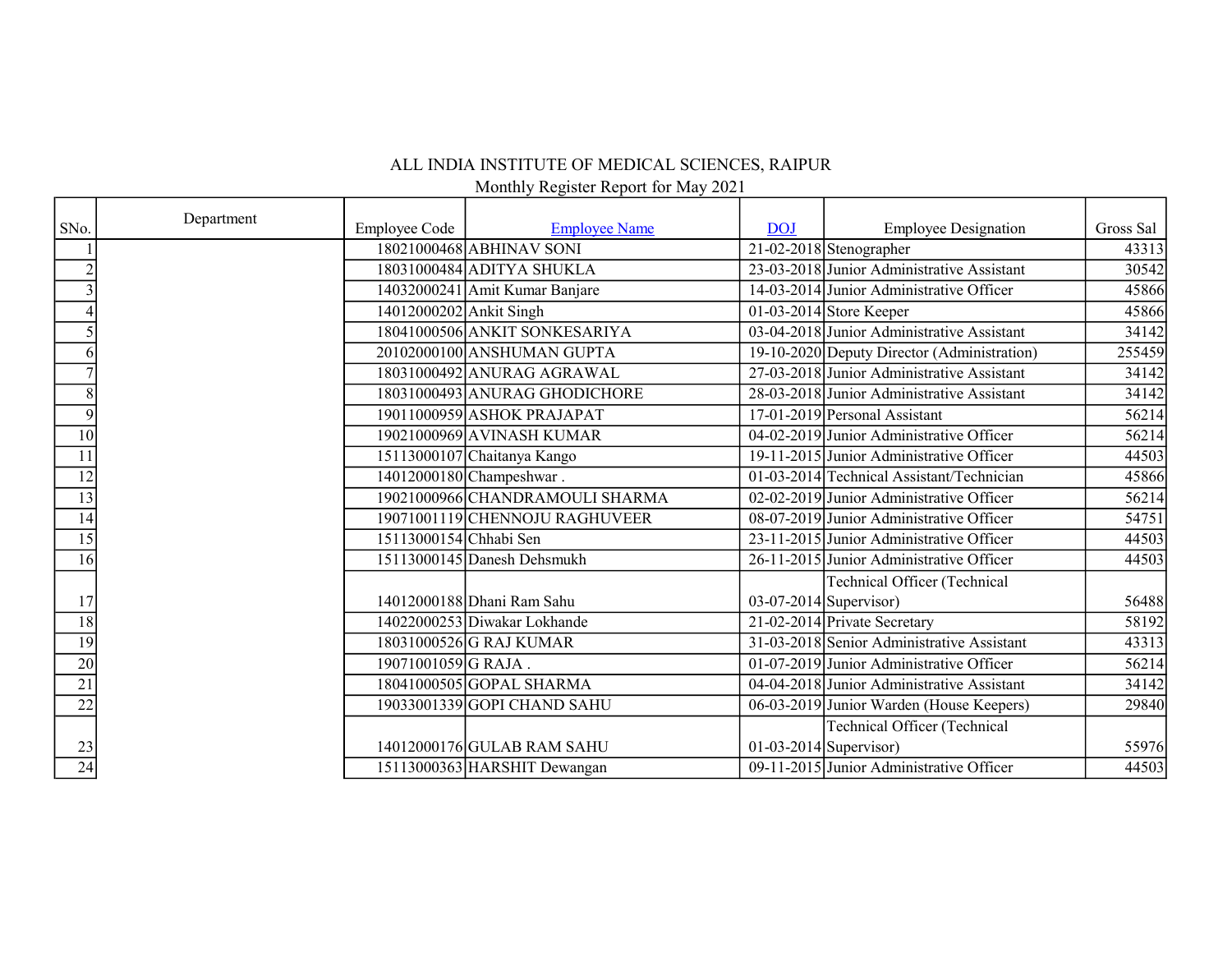## ALL INDIA INSTITUTE OF MEDICAL SCIENCES, RAIPUR

Monthly Register Report for May 2021

|                 | Department |                         |                                 |                          |                                             |           |
|-----------------|------------|-------------------------|---------------------------------|--------------------------|---------------------------------------------|-----------|
| SNo.            |            | <b>Employee Code</b>    | <b>Employee Name</b>            | <b>DOJ</b>               | <b>Employee Designation</b>                 | Gross Sal |
|                 |            |                         | 18021000468 ABHINAV SONI        |                          | $\boxed{21-02-2018}$ Stenographer           | 43313     |
|                 |            |                         | 18031000484 ADITYA SHUKLA       |                          | 23-03-2018 Junior Administrative Assistant  | 30542     |
|                 |            |                         | 14032000241 Amit Kumar Banjare  |                          | 14-03-2014 Junior Administrative Officer    | 45866     |
|                 |            | 14012000202 Ankit Singh |                                 |                          | 01-03-2014 Store Keeper                     | 45866     |
|                 |            |                         | 18041000506 ANKIT SONKESARIYA   |                          | 03-04-2018 Junior Administrative Assistant  | 34142     |
|                 |            |                         | 20102000100 ANSHUMAN GUPTA      |                          | 19-10-2020 Deputy Director (Administration) | 255459    |
|                 |            |                         | 18031000492 ANURAG AGRAWAL      |                          | 27-03-2018 Junior Administrative Assistant  | 34142     |
| 8               |            |                         | 18031000493 ANURAG GHODICHORE   |                          | 28-03-2018 Junior Administrative Assistant  | 34142     |
| 9               |            |                         | 19011000959 ASHOK PRAJAPAT      |                          | 17-01-2019 Personal Assistant               | 56214     |
| $\overline{10}$ |            |                         | 19021000969 AVINASH KUMAR       |                          | 04-02-2019 Junior Administrative Officer    | 56214     |
| 11              |            |                         | 15113000107 Chaitanya Kango     |                          | 19-11-2015 Junior Administrative Officer    | 44503     |
| $\overline{12}$ |            |                         | 14012000180 Champeshwar.        |                          | 01-03-2014 Technical Assistant/Technician   | 45866     |
| 13              |            |                         | 19021000966 CHANDRAMOULI SHARMA |                          | 02-02-2019 Junior Administrative Officer    | 56214     |
| 14              |            |                         | 19071001119 CHENNOJU RAGHUVEER  |                          | 08-07-2019 Junior Administrative Officer    | 54751     |
| 15              |            | 15113000154 Chhabi Sen  |                                 |                          | 23-11-2015 Junior Administrative Officer    | 44503     |
| 16              |            |                         | 15113000145 Danesh Dehsmukh     |                          | 26-11-2015 Junior Administrative Officer    | 44503     |
|                 |            |                         |                                 |                          | <b>Technical Officer (Technical</b>         |           |
| 17              |            |                         | 14012000188 Dhani Ram Sahu      | $03-07-2014$ Supervisor) |                                             | 56488     |
| 18              |            |                         | 14022000253 Diwakar Lokhande    |                          | 21-02-2014 Private Secretary                | 58192     |
| 19              |            |                         | 18031000526 G RAJ KUMAR         |                          | 31-03-2018 Senior Administrative Assistant  | 43313     |
| $\overline{20}$ |            | 19071001059 G RAJA.     |                                 |                          | 01-07-2019 Junior Administrative Officer    | 56214     |
| $\overline{21}$ |            |                         | 18041000505 GOPAL SHARMA        |                          | 04-04-2018 Junior Administrative Assistant  | 34142     |
| $\overline{22}$ |            |                         | 19033001339 GOPI CHAND SAHU     |                          | 06-03-2019 Junior Warden (House Keepers)    | 29840     |
|                 |            |                         |                                 |                          | <b>Technical Officer (Technical</b>         |           |
| 23              |            |                         | 14012000176 GULAB RAM SAHU      | $01-03-2014$ Supervisor) |                                             | 55976     |
| $\overline{24}$ |            |                         | 15113000363 HARSHIT Dewangan    |                          | 09-11-2015 Junior Administrative Officer    | 44503     |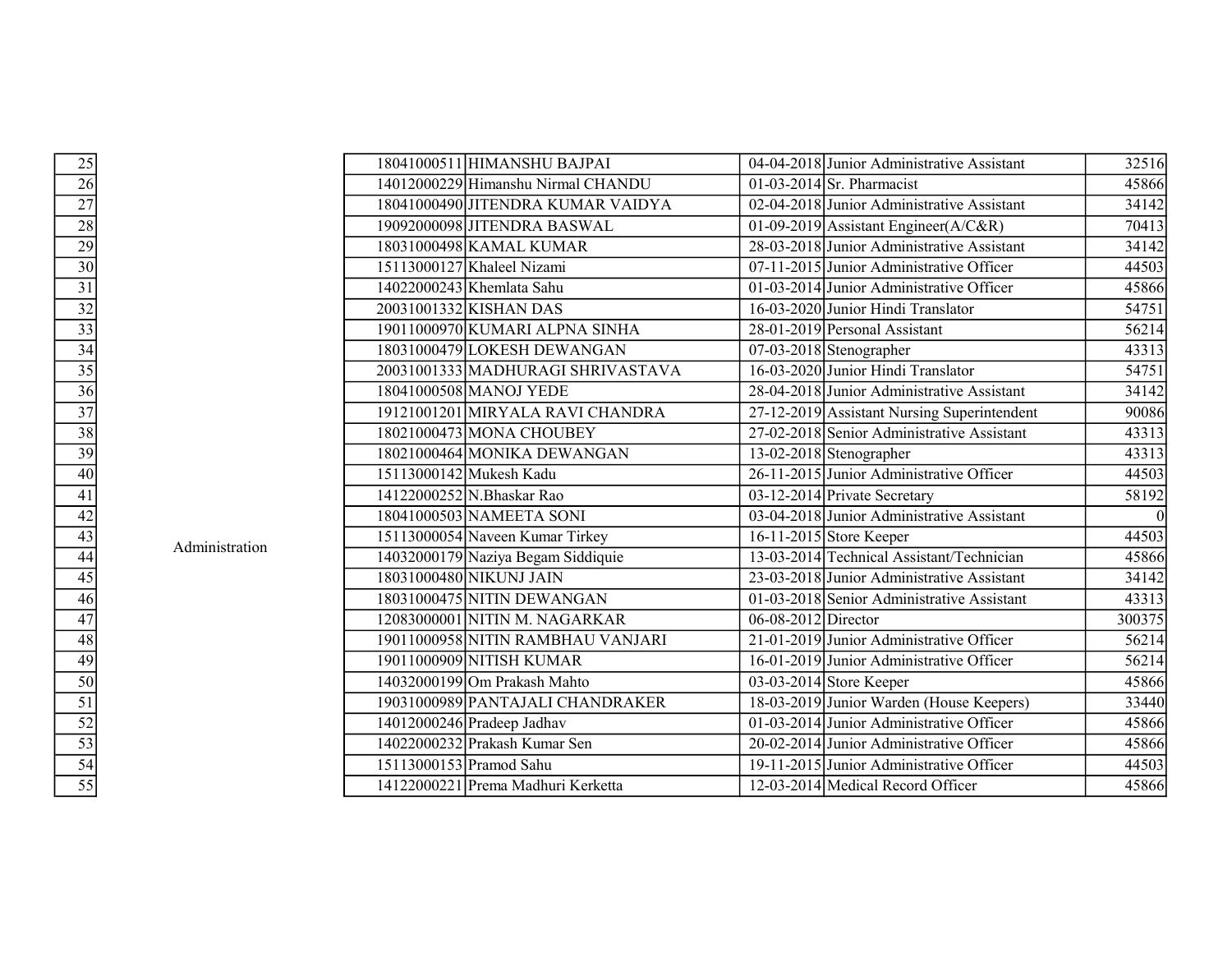|                                                                                                                                                                                                                                |                | 18041000511 HIMANSHU BAJPAI        |                       | 04-04-2018 Junior Administrative Assistant  | 32516  |
|--------------------------------------------------------------------------------------------------------------------------------------------------------------------------------------------------------------------------------|----------------|------------------------------------|-----------------------|---------------------------------------------|--------|
| 25 26 27 28 29 0 31 32 33 34 35 6 77 38 39 0 4 4 4 4 4 4 4 4 4 4 4 4 4 4 5 5 5 3 5 4 5 6 7 6 7 8 7 8 7 8 7 8 7 8 9 0 1 4 7 8 9 0 1 5 7 6 7 7 8 7 8 7 8 9 0 1 7 8 9 0 1 7 8 9 0 1 7 8 9 0 1 7 8 9 0 1 7 8 9 0 1 7 8 9 0 1 7 8 9 |                | 14012000229 Himanshu Nirmal CHANDU |                       | 01-03-2014 Sr. Pharmacist                   | 45866  |
|                                                                                                                                                                                                                                |                | 18041000490 JITENDRA KUMAR VAIDYA  |                       | 02-04-2018 Junior Administrative Assistant  | 34142  |
|                                                                                                                                                                                                                                |                | 19092000098 JITENDRA BASWAL        |                       | 01-09-2019 Assistant Engineer(A/C&R)        | 70413  |
|                                                                                                                                                                                                                                |                | 18031000498 KAMAL KUMAR            |                       | 28-03-2018 Junior Administrative Assistant  | 34142  |
|                                                                                                                                                                                                                                |                | 15113000127 Khaleel Nizami         |                       | $07-11-2015$ Junior Administrative Officer  | 44503  |
|                                                                                                                                                                                                                                |                | 14022000243 Khemlata Sahu          |                       | 01-03-2014 Junior Administrative Officer    | 45866  |
|                                                                                                                                                                                                                                |                | 20031001332 KISHAN DAS             |                       | 16-03-2020 Junior Hindi Translator          | 54751  |
|                                                                                                                                                                                                                                |                | 19011000970 KUMARI ALPNA SINHA     |                       | 28-01-2019 Personal Assistant               | 56214  |
|                                                                                                                                                                                                                                |                | 18031000479 LOKESH DEWANGAN        |                       | $07-03-2018$ Stenographer                   | 43313  |
|                                                                                                                                                                                                                                |                | 20031001333 MADHURAGI SHRIVASTAVA  |                       | 16-03-2020 Junior Hindi Translator          | 54751  |
|                                                                                                                                                                                                                                |                | 18041000508 MANOJ YEDE             |                       | 28-04-2018 Junior Administrative Assistant  | 34142  |
|                                                                                                                                                                                                                                |                | 19121001201 MIRYALA RAVI CHANDRA   |                       | 27-12-2019 Assistant Nursing Superintendent | 90086  |
|                                                                                                                                                                                                                                |                | 18021000473 MONA CHOUBEY           |                       | 27-02-2018 Senior Administrative Assistant  | 43313  |
|                                                                                                                                                                                                                                |                | 18021000464 MONIKA DEWANGAN        |                       | 13-02-2018 Stenographer                     | 43313  |
|                                                                                                                                                                                                                                |                | 15113000142 Mukesh Kadu            |                       | 26-11-2015 Junior Administrative Officer    | 44503  |
|                                                                                                                                                                                                                                |                | 14122000252 N.Bhaskar Rao          |                       | 03-12-2014 Private Secretary                | 58192  |
|                                                                                                                                                                                                                                |                | 18041000503 NAMEETA SONI           |                       | 03-04-2018 Junior Administrative Assistant  |        |
|                                                                                                                                                                                                                                | Administration | 15113000054 Naveen Kumar Tirkey    |                       | 16-11-2015 Store Keeper                     | 44503  |
|                                                                                                                                                                                                                                |                | 14032000179 Naziya Begam Siddiquie |                       | 13-03-2014 Technical Assistant/Technician   | 45866  |
|                                                                                                                                                                                                                                |                | 18031000480 NIKUNJ JAIN            |                       | 23-03-2018 Junior Administrative Assistant  | 34142  |
|                                                                                                                                                                                                                                |                | 18031000475 NITIN DEWANGAN         |                       | 01-03-2018 Senior Administrative Assistant  | 43313  |
|                                                                                                                                                                                                                                |                | 12083000001 NITIN M. NAGARKAR      | $06-08-2012$ Director |                                             | 300375 |
|                                                                                                                                                                                                                                |                | 19011000958 NITIN RAMBHAU VANJARI  |                       | 21-01-2019 Junior Administrative Officer    | 56214  |
|                                                                                                                                                                                                                                |                | 19011000909 NITISH KUMAR           |                       | 16-01-2019 Junior Administrative Officer    | 56214  |
|                                                                                                                                                                                                                                |                | 14032000199 Om Prakash Mahto       |                       | 03-03-2014 Store Keeper                     | 45866  |
|                                                                                                                                                                                                                                |                | 19031000989 PANTAJALI CHANDRAKER   |                       | 18-03-2019 Junior Warden (House Keepers)    | 33440  |
|                                                                                                                                                                                                                                |                | 14012000246 Pradeep Jadhav         |                       | 01-03-2014 Junior Administrative Officer    | 45866  |
|                                                                                                                                                                                                                                |                | 14022000232 Prakash Kumar Sen      |                       | 20-02-2014 Junior Administrative Officer    | 45866  |
|                                                                                                                                                                                                                                |                | 15113000153 Pramod Sahu            |                       | 19-11-2015 Junior Administrative Officer    | 44503  |
|                                                                                                                                                                                                                                |                | 14122000221 Prema Madhuri Kerketta |                       | 12-03-2014 Medical Record Officer           | 45866  |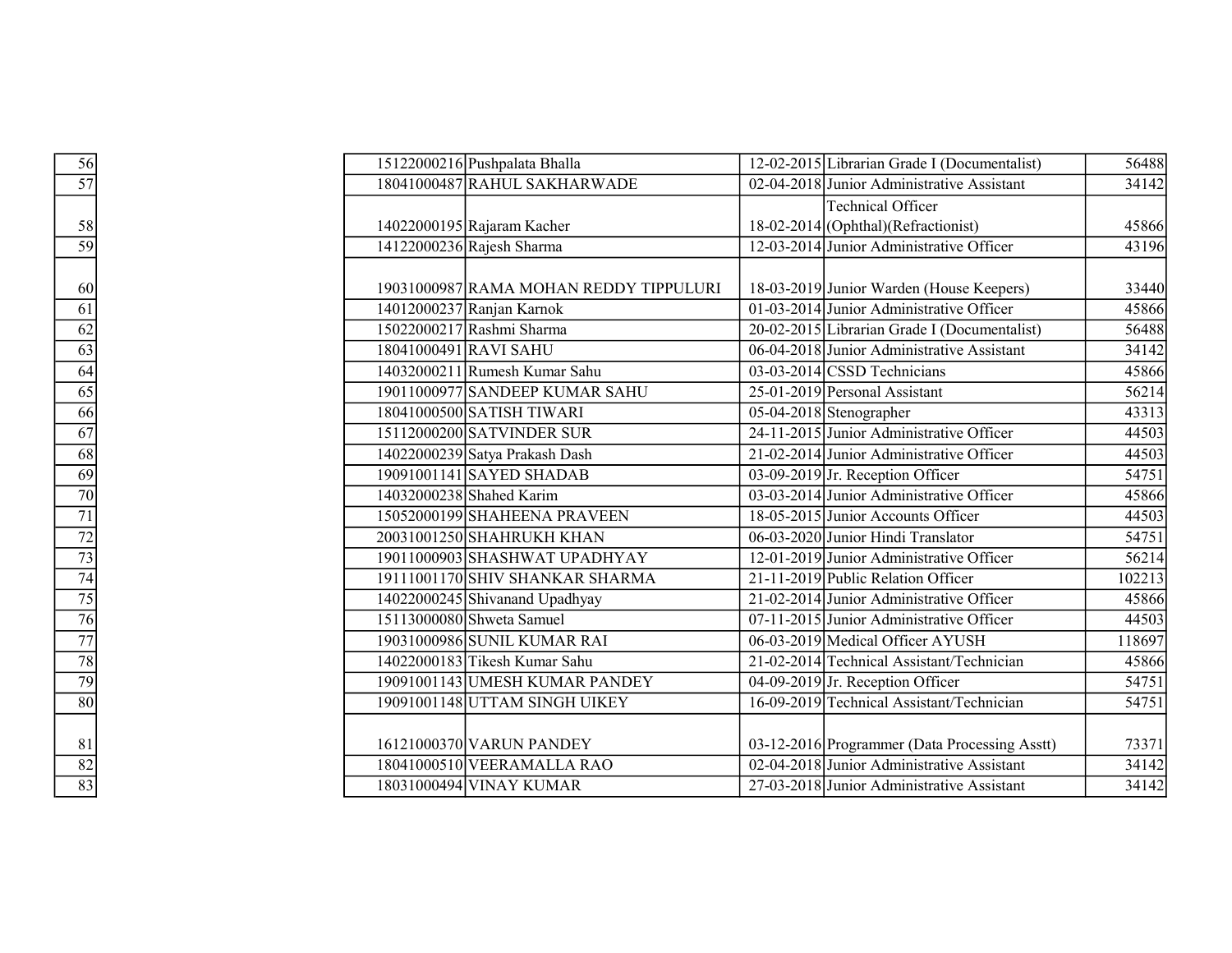| $\frac{56}{57}$ | 15122000216 Pushpalata Bhalla          | 12-02-2015 Librarian Grade I (Documentalist)  | 56488  |
|-----------------|----------------------------------------|-----------------------------------------------|--------|
|                 | 18041000487 RAHUL SAKHARWADE           | 02-04-2018 Junior Administrative Assistant    | 34142  |
|                 |                                        | Technical Officer                             |        |
|                 | 14022000195 Rajaram Kacher             | $18-02-2014$ (Ophthal) (Refractionist)        | 45866  |
| $\frac{58}{59}$ | 14122000236 Rajesh Sharma              | 12-03-2014 Junior Administrative Officer      | 43196  |
|                 |                                        |                                               |        |
|                 | 19031000987 RAMA MOHAN REDDY TIPPULURI | 18-03-2019 Junior Warden (House Keepers)      | 33440  |
|                 | 14012000237 Ranjan Karnok              | 01-03-2014 Junior Administrative Officer      | 45866  |
|                 | 15022000217 Rashmi Sharma              | 20-02-2015 Librarian Grade I (Documentalist)  | 56488  |
|                 | 18041000491 RAVI SAHU                  | 06-04-2018 Junior Administrative Assistant    | 34142  |
|                 | 14032000211 Rumesh Kumar Sahu          | 03-03-2014 CSSD Technicians                   | 45866  |
|                 | 19011000977 SANDEEP KUMAR SAHU         | 25-01-2019 Personal Assistant                 | 56214  |
|                 | 18041000500 SATISH TIWARI              | 05-04-2018 Stenographer                       | 43313  |
|                 | 15112000200 SATVINDER SUR              | 24-11-2015 Junior Administrative Officer      | 44503  |
|                 | 14022000239 Satya Prakash Dash         | 21-02-2014 Junior Administrative Officer      | 44503  |
|                 | 19091001141 SAYED SHADAB               | $03-09-2019$ Jr. Reception Officer            | 54751  |
|                 | 14032000238 Shahed Karim               | 03-03-2014 Junior Administrative Officer      | 45866  |
|                 | 15052000199 SHAHEENA PRAVEEN           | 18-05-2015 Junior Accounts Officer            | 44503  |
|                 | 20031001250 SHAHRUKH KHAN              | 06-03-2020 Junior Hindi Translator            | 54751  |
|                 | 19011000903 SHASHWAT UPADHYAY          | 12-01-2019 Junior Administrative Officer      | 56214  |
|                 | 19111001170 SHIV SHANKAR SHARMA        | 21-11-2019 Public Relation Officer            | 102213 |
|                 | 14022000245 Shivanand Upadhyay         | 21-02-2014 Junior Administrative Officer      | 45866  |
|                 | 15113000080 Shweta Samuel              | $07-11-2015$ Junior Administrative Officer    | 44503  |
|                 | 19031000986 SUNIL KUMAR RAI            | 06-03-2019 Medical Officer AYUSH              | 118697 |
|                 | 14022000183 Tikesh Kumar Sahu          | 21-02-2014 Technical Assistant/Technician     | 45866  |
|                 | 19091001143 UMESH KUMAR PANDEY         | $04-09-2019$ Jr. Reception Officer            | 54751  |
|                 | 19091001148 UTTAM SINGH UIKEY          | 16-09-2019 Technical Assistant/Technician     | 54751  |
|                 |                                        |                                               |        |
|                 | 16121000370 VARUN PANDEY               | 03-12-2016 Programmer (Data Processing Asstt) | 73371  |
| $\frac{81}{82}$ | 18041000510 VEERAMALLA RAO             | 02-04-2018 Junior Administrative Assistant    | 34142  |
|                 | 18031000494 VINAY KUMAR                | 27-03-2018 Junior Administrative Assistant    | 34142  |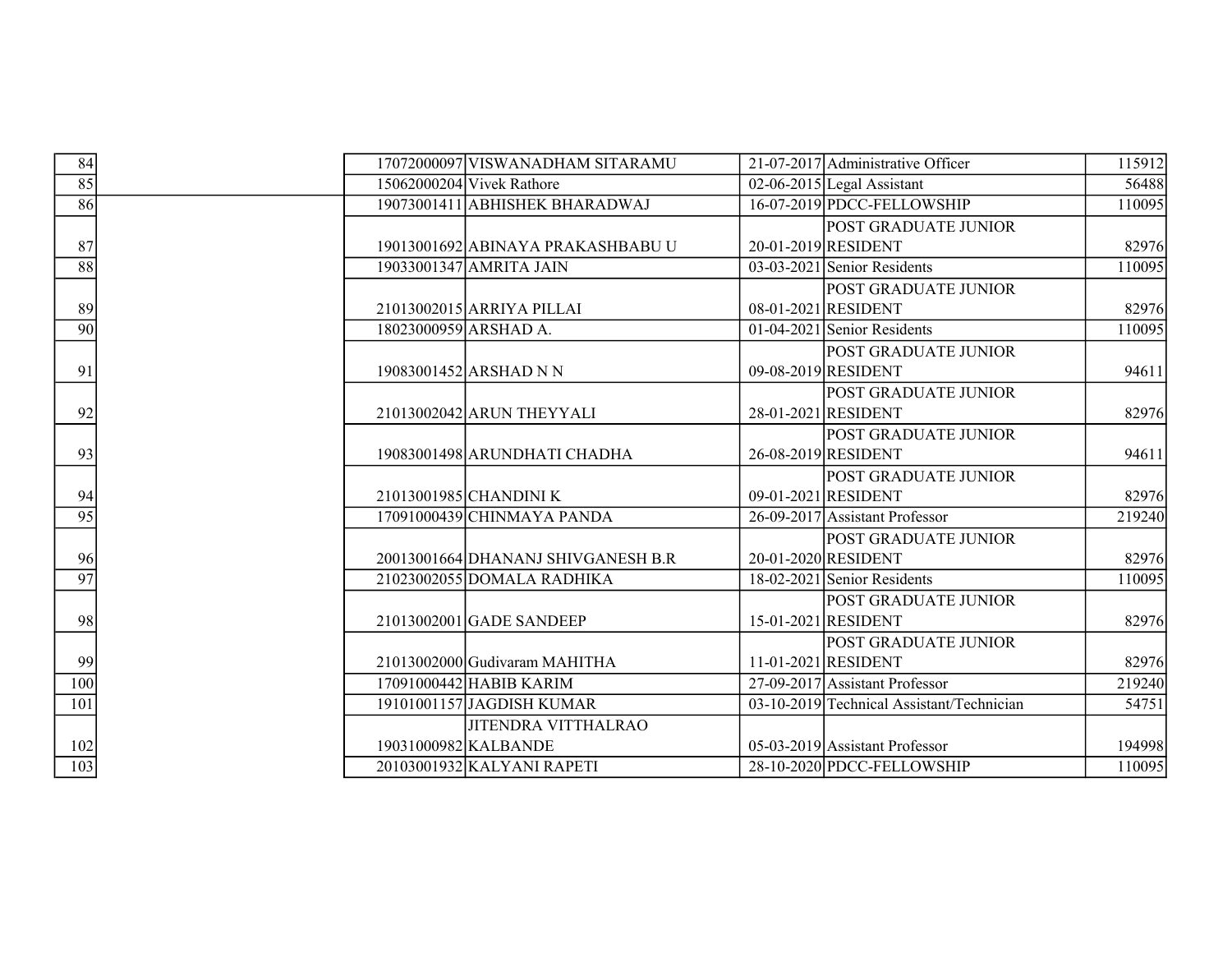| 84              | 17072000097 VISWANADHAM SITARAMU   | 21-07-2017 Administrative Officer         | 115912 |
|-----------------|------------------------------------|-------------------------------------------|--------|
| 85              | $15062000204$ Vivek Rathore        | $02-06-2015$ Legal Assistant              | 56488  |
| 86              | 19073001411 ABHISHEK BHARADWAJ     | 16-07-2019 PDCC-FELLOWSHIP                | 110095 |
|                 |                                    | <b>POST GRADUATE JUNIOR</b>               |        |
| 87              | 19013001692 ABINAYA PRAKASHBABU U  | 20-01-2019 RESIDENT                       | 82976  |
| 88              | 19033001347 AMRITA JAIN            | $03-03-2021$ Senior Residents             | 110095 |
|                 |                                    | POST GRADUATE JUNIOR                      |        |
| 89              | 21013002015 ARRIYA PILLAI          | 08-01-2021 RESIDENT                       | 82976  |
| 90              | 18023000959 ARSHAD A.              | $01-04-2021$ Senior Residents             | 110095 |
|                 |                                    | <b>POST GRADUATE JUNIOR</b>               |        |
| 91              | 19083001452 ARSHAD N N             | 09-08-2019 RESIDENT                       | 94611  |
|                 |                                    | <b>POST GRADUATE JUNIOR</b>               |        |
| 92              | 21013002042 ARUN THEYYALI          | 28-01-2021 RESIDENT                       | 82976  |
|                 |                                    | <b>POST GRADUATE JUNIOR</b>               |        |
| 93              | 19083001498 ARUNDHATI CHADHA       | 26-08-2019 RESIDENT                       | 94611  |
|                 |                                    | <b>POST GRADUATE JUNIOR</b>               |        |
| 94              | 21013001985 CHANDINI K             | 09-01-2021 RESIDENT                       | 82976  |
| $\overline{95}$ | 17091000439 CHINMAYA PANDA         | 26-09-2017 Assistant Professor            | 219240 |
|                 |                                    | POST GRADUATE JUNIOR                      |        |
| 96              | 20013001664 DHANANJ SHIVGANESH B.R | 20-01-2020 RESIDENT                       | 82976  |
| 97              | 21023002055 DOMALA RADHIKA         | 18-02-2021 Senior Residents               | 110095 |
|                 |                                    | <b>POST GRADUATE JUNIOR</b>               |        |
| 98              | 21013002001 GADE SANDEEP           | 15-01-2021 RESIDENT                       | 82976  |
|                 |                                    | <b>POST GRADUATE JUNIOR</b>               |        |
| 99              | 21013002000 Gudivaram MAHITHA      | 11-01-2021 RESIDENT                       | 82976  |
| 100             | 17091000442 HABIB KARIM            | 27-09-2017 Assistant Professor            | 219240 |
| 101             | 19101001157 JAGDISH KUMAR          | 03-10-2019 Technical Assistant/Technician | 54751  |
|                 | JITENDRA VITTHALRAO                |                                           |        |
| 102             | 19031000982 KALBANDE               | 05-03-2019 Assistant Professor            | 194998 |
| $\frac{103}{2}$ | 20103001932 KALYANI RAPETI         | 28-10-2020 PDCC-FELLOWSHIP                | 110095 |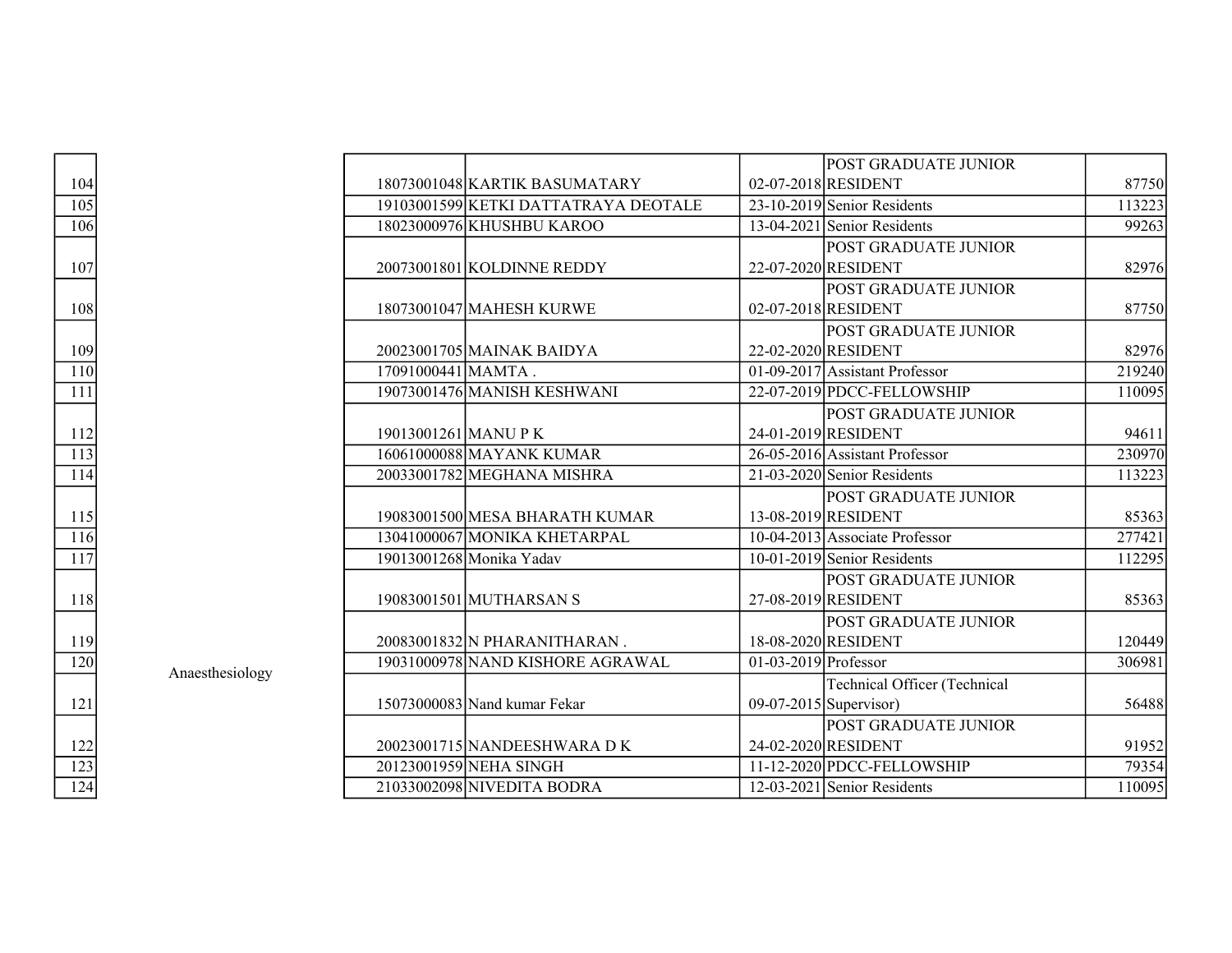|                   |                 |                      |                                      |                          | <b>POST GRADUATE JUNIOR</b>         |        |
|-------------------|-----------------|----------------------|--------------------------------------|--------------------------|-------------------------------------|--------|
| 104               |                 |                      | 18073001048 KARTIK BASUMATARY        |                          | 02-07-2018 RESIDENT                 | 87750  |
| 105               |                 |                      | 19103001599 KETKI DATTATRAYA DEOTALE |                          | 23-10-2019 Senior Residents         | 113223 |
| 106               |                 |                      | 18023000976 KHUSHBU KAROO            |                          | $13-04-2021$ Senior Residents       | 99263  |
|                   |                 |                      |                                      |                          | <b>POST GRADUATE JUNIOR</b>         |        |
| 107               |                 |                      | 20073001801 KOLDINNE REDDY           |                          | 22-07-2020 RESIDENT                 | 82976  |
|                   |                 |                      |                                      |                          | <b>POST GRADUATE JUNIOR</b>         |        |
| 108               |                 |                      | 18073001047 MAHESH KURWE             |                          | 02-07-2018 RESIDENT                 | 87750  |
|                   |                 |                      |                                      |                          | <b>POST GRADUATE JUNIOR</b>         |        |
| 109               |                 |                      | 20023001705 MAINAK BAIDYA            |                          | 22-02-2020 RESIDENT                 | 82976  |
| $\overline{110}$  |                 | $17091000441$ MAMTA. |                                      |                          | 01-09-2017 Assistant Professor      | 219240 |
| $\overline{111}$  |                 |                      | 19073001476 MANISH KESHWANI          |                          | 22-07-2019 PDCC-FELLOWSHIP          | 110095 |
|                   |                 |                      |                                      |                          | <b>POST GRADUATE JUNIOR</b>         |        |
| <u>112</u>        |                 | 19013001261 MANU P K |                                      |                          | 24-01-2019 RESIDENT                 | 94611  |
| $\overline{113}$  |                 |                      | 16061000088 MAYANK KUMAR             |                          | 26-05-2016 Assistant Professor      | 230970 |
| $\frac{114}{1}$   |                 |                      | 20033001782 MEGHANA MISHRA           |                          | 21-03-2020 Senior Residents         | 113223 |
|                   |                 |                      |                                      |                          | POST GRADUATE JUNIOR                |        |
| 115               |                 |                      | 19083001500 MESA BHARATH KUMAR       |                          | 13-08-2019 RESIDENT                 | 85363  |
| $\frac{116}{116}$ |                 |                      | 13041000067 MONIKA KHETARPAL         |                          | $10-04-2013$ Associate Professor    | 277421 |
| 117               |                 |                      | 19013001268 Monika Yadav             |                          | $10-01-2019$ Senior Residents       | 112295 |
|                   |                 |                      |                                      |                          | POST GRADUATE JUNIOR                |        |
| 118               |                 |                      | 19083001501 MUTHARSAN S              |                          | 27-08-2019 RESIDENT                 | 85363  |
|                   |                 |                      |                                      |                          | <b>POST GRADUATE JUNIOR</b>         |        |
| 119               |                 |                      | 20083001832 N PHARANITHARAN.         |                          | 18-08-2020 RESIDENT                 | 120449 |
| $\frac{120}{2}$   |                 |                      | 19031000978 NAND KISHORE AGRAWAL     | $01-03-2019$ Professor   |                                     | 306981 |
|                   | Anaesthesiology |                      |                                      |                          | <b>Technical Officer (Technical</b> |        |
| 121               |                 |                      | 15073000083 Nand kumar Fekar         | $09-07-2015$ Supervisor) |                                     | 56488  |
|                   |                 |                      |                                      |                          | POST GRADUATE JUNIOR                |        |
| $\frac{122}{1}$   |                 |                      | 20023001715 NANDEESHWARA DK          |                          | 24-02-2020 RESIDENT                 | 91952  |
| $\frac{123}{124}$ |                 |                      | 20123001959 NEHA SINGH               |                          | 11-12-2020 PDCC-FELLOWSHIP          | 79354  |
|                   |                 |                      | 21033002098 NIVEDITA BODRA           |                          | 12-03-2021 Senior Residents         | 110095 |

| 104                                  |  |
|--------------------------------------|--|
| $\frac{105}{2}$                      |  |
| $\frac{1}{106}$                      |  |
|                                      |  |
| 107                                  |  |
|                                      |  |
| 108                                  |  |
|                                      |  |
| 109                                  |  |
| $\frac{110}{1}$                      |  |
| $\overline{111}$                     |  |
|                                      |  |
|                                      |  |
| $\frac{112}{113}$                    |  |
| 114                                  |  |
|                                      |  |
| $\frac{115}{1}$                      |  |
| $\overline{116}$                     |  |
| $\overline{17}$<br>ī                 |  |
|                                      |  |
| 118                                  |  |
|                                      |  |
| 119                                  |  |
| $\overline{2}0$<br>$\overline{1}$    |  |
|                                      |  |
| 121                                  |  |
|                                      |  |
| 122                                  |  |
| $\overline{1}$<br>$\mathcal{I}$<br>3 |  |
| $\overline{124}$                     |  |
|                                      |  |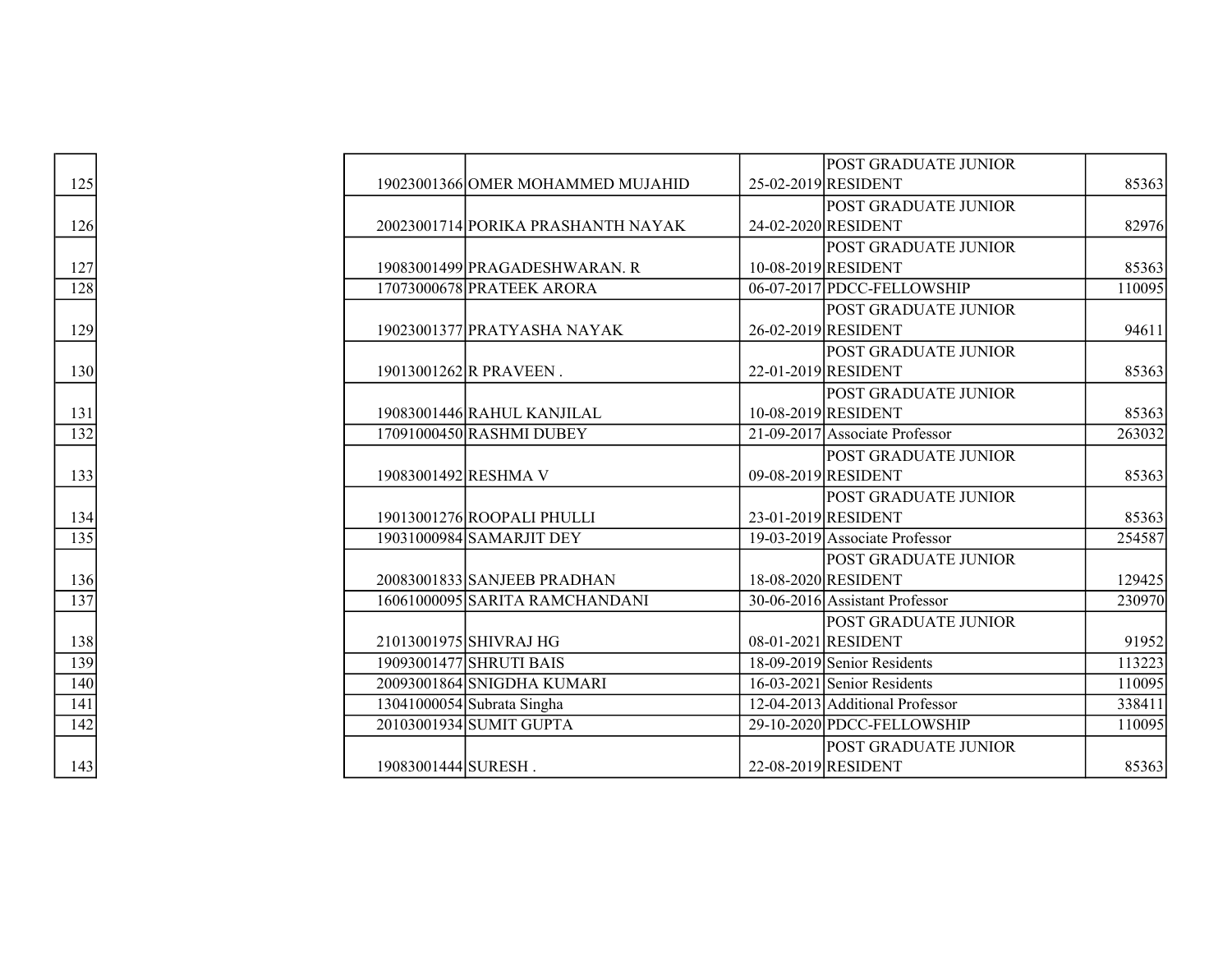|                   |                                    | <b>POST GRADUATE JUNIOR</b>     |        |
|-------------------|------------------------------------|---------------------------------|--------|
| 125               | 19023001366 OMER MOHAMMED MUJAHID  | 25-02-2019 RESIDENT             | 85363  |
|                   |                                    | <b>POST GRADUATE JUNIOR</b>     |        |
| 126               | 20023001714 PORIKA PRASHANTH NAYAK | 24-02-2020 RESIDENT             | 82976  |
|                   |                                    | POST GRADUATE JUNIOR            |        |
| $\frac{127}{128}$ | 19083001499 PRAGADESHWARAN. R      | 10-08-2019 RESIDENT             | 85363  |
|                   | 17073000678 PRATEEK ARORA          | 06-07-2017 PDCC-FELLOWSHIP      | 110095 |
|                   |                                    | <b>POST GRADUATE JUNIOR</b>     |        |
| 129               | 19023001377 PRATYASHA NAYAK        | 26-02-2019 RESIDENT             | 94611  |
|                   |                                    | <b>POST GRADUATE JUNIOR</b>     |        |
| 130               | 19013001262 R PRAVEEN.             | 22-01-2019 RESIDENT             | 85363  |
|                   |                                    | <b>POST GRADUATE JUNIOR</b>     |        |
| 131               | 19083001446 RAHUL KANJILAL         | 10-08-2019 RESIDENT             | 85363  |
| $\overline{132}$  | 17091000450 RASHMI DUBEY           | 21-09-2017 Associate Professor  | 263032 |
|                   |                                    | <b>POST GRADUATE JUNIOR</b>     |        |
| 133               | 19083001492 RESHMA V               | 09-08-2019 RESIDENT             | 85363  |
|                   |                                    | <b>POST GRADUATE JUNIOR</b>     |        |
| <u>134</u>        | 19013001276 ROOPALI PHULLI         | 23-01-2019 RESIDENT             | 85363  |
| $\frac{135}{1}$   | 19031000984 SAMARJIT DEY           | 19-03-2019 Associate Professor  | 254587 |
|                   |                                    | <b>POST GRADUATE JUNIOR</b>     |        |
| 136               | 20083001833 SANJEEB PRADHAN        | 18-08-2020 RESIDENT             | 129425 |
| $\overline{137}$  | 16061000095 SARITA RAMCHANDANI     | 30-06-2016 Assistant Professor  | 230970 |
|                   |                                    | <b>POST GRADUATE JUNIOR</b>     |        |
| 138               | 21013001975 SHIVRAJ HG             | 08-01-2021 RESIDENT             | 91952  |
|                   | 19093001477 SHRUTI BAIS            | 18-09-2019 Senior Residents     | 113223 |
| $\frac{139}{140}$ | 20093001864 SNIGDHA KUMARI         | $16-03-2021$ Senior Residents   | 110095 |
| $\overline{141}$  | 13041000054 Subrata Singha         | 12-04-2013 Additional Professor | 338411 |
| 142               | 20103001934 SUMIT GUPTA            | 29-10-2020 PDCC-FELLOWSHIP      | 110095 |
|                   |                                    | <b>POST GRADUATE JUNIOR</b>     |        |
| 143               | 19083001444 SURESH.                | 22-08-2019 RESIDENT             | 85363  |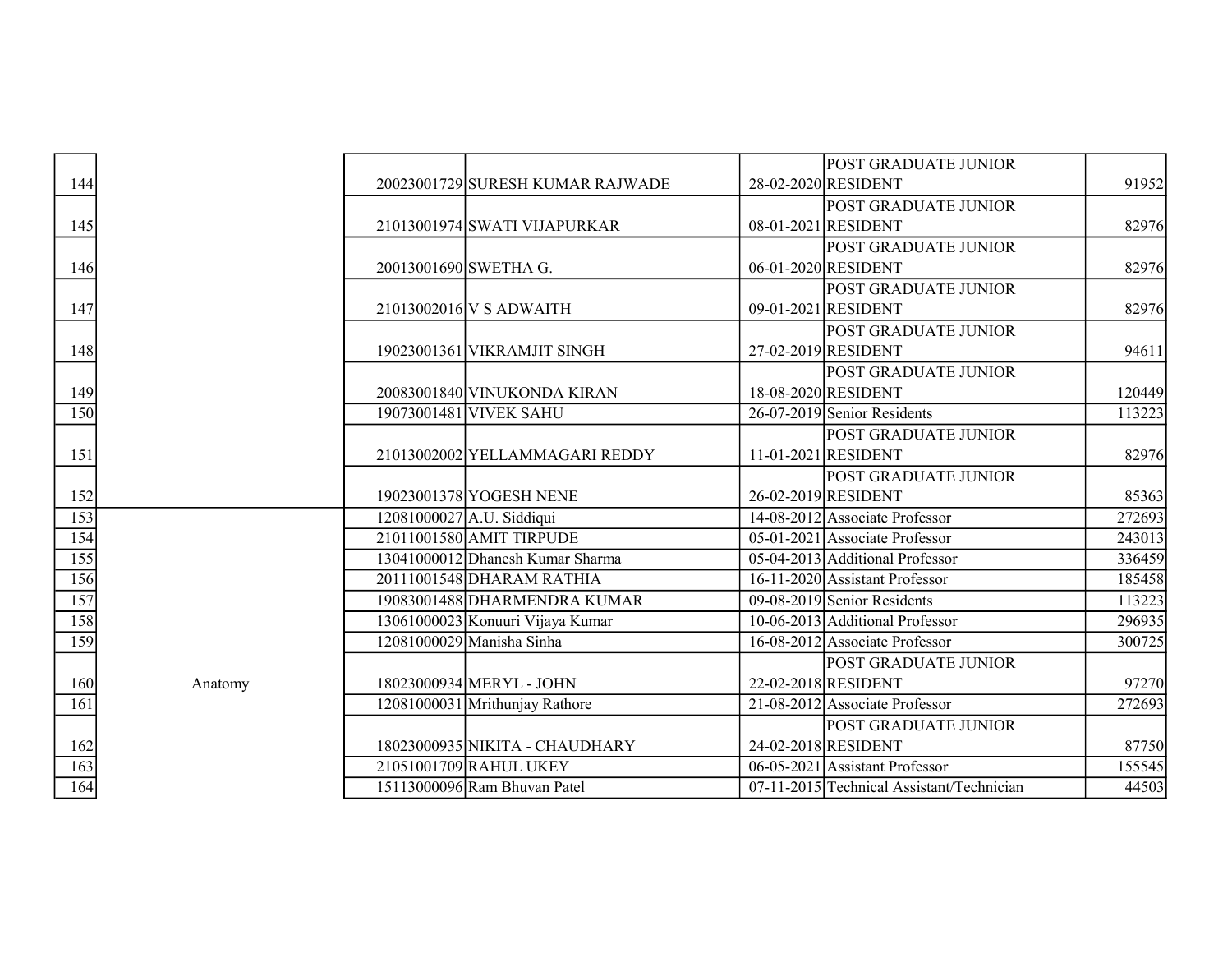|                                        |         |                       |                                  | <b>POST GRADUATE JUNIOR</b>               |        |
|----------------------------------------|---------|-----------------------|----------------------------------|-------------------------------------------|--------|
| 144                                    |         |                       | 20023001729 SURESH KUMAR RAJWADE | 28-02-2020 RESIDENT                       | 91952  |
|                                        |         |                       |                                  | <b>POST GRADUATE JUNIOR</b>               |        |
| 145                                    |         |                       | 21013001974 SWATI VIJAPURKAR     | 08-01-2021 RESIDENT                       | 82976  |
|                                        |         |                       |                                  | <b>POST GRADUATE JUNIOR</b>               |        |
| 146                                    |         | 20013001690 SWETHA G. |                                  | 06-01-2020 RESIDENT                       | 82976  |
|                                        |         |                       |                                  | <b>POST GRADUATE JUNIOR</b>               |        |
| $\frac{147}{1}$                        |         |                       | 21013002016 V S ADWAITH          | 09-01-2021 RESIDENT                       | 82976  |
|                                        |         |                       |                                  | <b>POST GRADUATE JUNIOR</b>               |        |
| 148                                    |         |                       | 19023001361 VIKRAMJIT SINGH      | 27-02-2019 RESIDENT                       | 94611  |
|                                        |         |                       |                                  | <b>POST GRADUATE JUNIOR</b>               |        |
| 149                                    |         |                       | 20083001840 VINUKONDA KIRAN      | 18-08-2020 RESIDENT                       | 120449 |
| $\overline{150}$                       |         |                       | 19073001481 VIVEK SAHU           | 26-07-2019 Senior Residents               | 113223 |
|                                        |         |                       |                                  | <b>POST GRADUATE JUNIOR</b>               |        |
| $\frac{151}{2}$                        |         |                       | 21013002002 YELLAMMAGARI REDDY   | 11-01-2021 RESIDENT                       | 82976  |
|                                        |         |                       |                                  | <b>POST GRADUATE JUNIOR</b>               |        |
| 152                                    |         |                       | 19023001378 YOGESH NENE          | 26-02-2019 RESIDENT                       | 85363  |
| $\frac{153}{154}$<br>$\frac{155}{156}$ |         |                       | 12081000027 A.U. Siddiqui        | 14-08-2012 Associate Professor            | 272693 |
|                                        |         |                       | 21011001580 AMIT TIRPUDE         | 05-01-2021 Associate Professor            | 243013 |
|                                        |         |                       | 13041000012 Dhanesh Kumar Sharma | 05-04-2013 Additional Professor           | 336459 |
|                                        |         |                       | 20111001548 DHARAM RATHIA        | 16-11-2020 Assistant Professor            | 185458 |
| $\frac{157}{158}$                      |         |                       | 19083001488 DHARMENDRA KUMAR     | 09-08-2019 Senior Residents               | 113223 |
|                                        |         |                       | 13061000023 Konuuri Vijaya Kumar | 10-06-2013 Additional Professor           | 296935 |
| 159                                    |         |                       | 12081000029 Manisha Sinha        | 16-08-2012 Associate Professor            | 300725 |
|                                        |         |                       |                                  | POST GRADUATE JUNIOR                      |        |
| 160                                    | Anatomy |                       | 18023000934 MERYL - JOHN         | 22-02-2018 RESIDENT                       | 97270  |
| 161                                    |         |                       | 12081000031 Mrithunjay Rathore   | 21-08-2012 Associate Professor            | 272693 |
|                                        |         |                       |                                  | <b>POST GRADUATE JUNIOR</b>               |        |
| 162                                    |         |                       | 18023000935 NIKITA - CHAUDHARY   | 24-02-2018 RESIDENT                       | 87750  |
| $\frac{163}{164}$                      |         |                       | 21051001709 RAHUL UKEY           | 06-05-2021 Assistant Professor            | 155545 |
|                                        |         |                       | 15113000096 Ram Bhuvan Patel     | 07-11-2015 Technical Assistant/Technician | 44503  |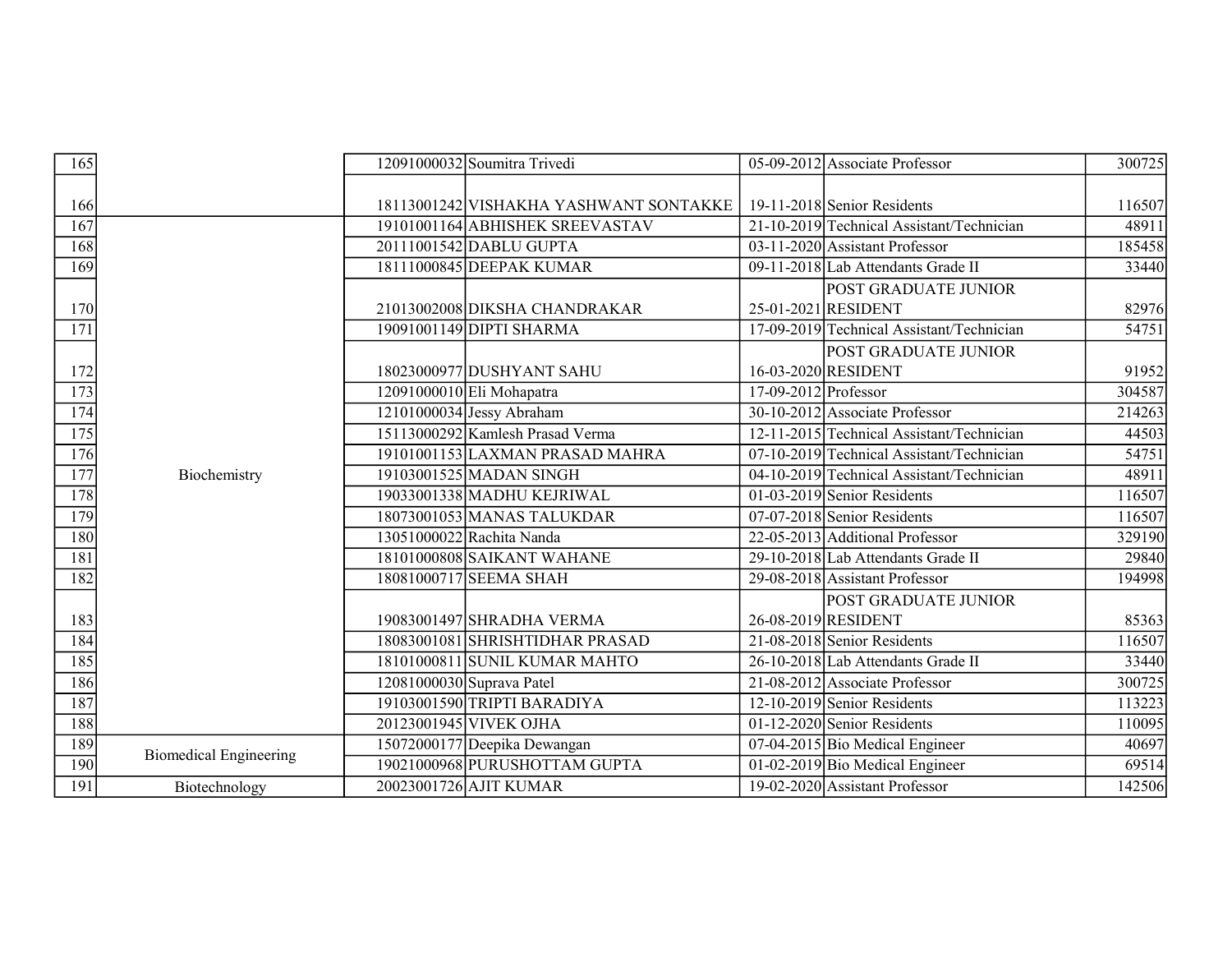| 165 |                               |                           | 12091000032 Soumitra Trivedi           |                        | 05-09-2012 Associate Professor                | 300725 |
|-----|-------------------------------|---------------------------|----------------------------------------|------------------------|-----------------------------------------------|--------|
|     |                               |                           |                                        |                        |                                               |        |
| 166 |                               |                           | 18113001242 VISHAKHA YASHWANT SONTAKKE |                        | $19-11-2018$ Senior Residents                 | 116507 |
| 167 |                               |                           | 19101001164 ABHISHEK SREEVASTAV        |                        | 21-10-2019 Technical Assistant/Technician     | 48911  |
| 168 |                               |                           | 20111001542 DABLU GUPTA                |                        | $\overline{03-11}$ -2020 Assistant Professor  | 185458 |
| 169 |                               |                           | 18111000845 DEEPAK KUMAR               |                        | 09-11-2018 Lab Attendants Grade II            | 33440  |
|     |                               |                           |                                        |                        | POST GRADUATE JUNIOR                          |        |
| 170 |                               |                           | 21013002008 DIKSHA CHANDRAKAR          |                        | 25-01-2021 RESIDENT                           | 82976  |
| 171 |                               |                           | 19091001149 DIPTI SHARMA               |                        | 17-09-2019 Technical Assistant/Technician     | 54751  |
|     |                               |                           |                                        |                        | POST GRADUATE JUNIOR                          |        |
| 172 |                               |                           | 18023000977 DUSHYANT SAHU              |                        | 16-03-2020 RESIDENT                           | 91952  |
| 173 |                               |                           | $12091000010$ Eli Mohapatra            | $17-09-2012$ Professor |                                               | 304587 |
| 174 |                               |                           | 12101000034 Jessy Abraham              |                        | 30-10-2012 Associate Professor                | 214263 |
| 175 |                               |                           | 15113000292 Kamlesh Prasad Verma       |                        | 12-11-2015 Technical Assistant/Technician     | 44503  |
| 176 |                               |                           | 19101001153 LAXMAN PRASAD MAHRA        |                        | 07-10-2019 Technical Assistant/Technician     | 54751  |
| 177 | Biochemistry                  |                           | 19103001525 MADAN SINGH                |                        | 04-10-2019 Technical Assistant/Technician     | 48911  |
| 178 |                               |                           | 19033001338 MADHU KEJRIWAL             |                        | $01-03-2019$ Senior Residents                 | 116507 |
| 179 |                               |                           | 18073001053 MANAS TALUKDAR             |                        | 07-07-2018 Senior Residents                   | 116507 |
| 180 |                               |                           | 13051000022 Rachita Nanda              |                        | 22-05-2013 Additional Professor               | 329190 |
| 181 |                               |                           | 18101000808 SAIKANT WAHANE             |                        | 29-10-2018 Lab Attendants Grade II            | 29840  |
| 182 |                               |                           | 18081000717 SEEMA SHAH                 |                        | 29-08-2018 Assistant Professor                | 194998 |
|     |                               |                           |                                        |                        | POST GRADUATE JUNIOR                          |        |
| 183 |                               |                           | 19083001497 SHRADHA VERMA              |                        | 26-08-2019 RESIDENT                           | 85363  |
| 184 |                               |                           | 18083001081 SHRISHTIDHAR PRASAD        |                        | 21-08-2018 Senior Residents                   | 116507 |
| 185 |                               |                           | 18101000811 SUNIL KUMAR MAHTO          |                        | 26-10-2018 Lab Attendants Grade II            | 33440  |
| 186 |                               | 12081000030 Suprava Patel |                                        |                        | 21-08-2012 Associate Professor                | 300725 |
| 187 |                               |                           | 19103001590 TRIPTI BARADIYA            |                        | 12-10-2019 Senior Residents                   | 113223 |
| 188 |                               |                           | 20123001945 VIVEK OJHA                 |                        | $01-12-2020$ Senior Residents                 | 110095 |
| 189 | <b>Biomedical Engineering</b> |                           | 15072000177 Deepika Dewangan           |                        | 07-04-2015 Bio Medical Engineer               | 40697  |
| 190 |                               |                           | 19021000968 PURUSHOTTAM GUPTA          |                        | $\overline{01-02}$ -2019 Bio Medical Engineer | 69514  |
| 191 | Biotechnology                 |                           | 20023001726 AJIT KUMAR                 |                        | 19-02-2020 Assistant Professor                | 142506 |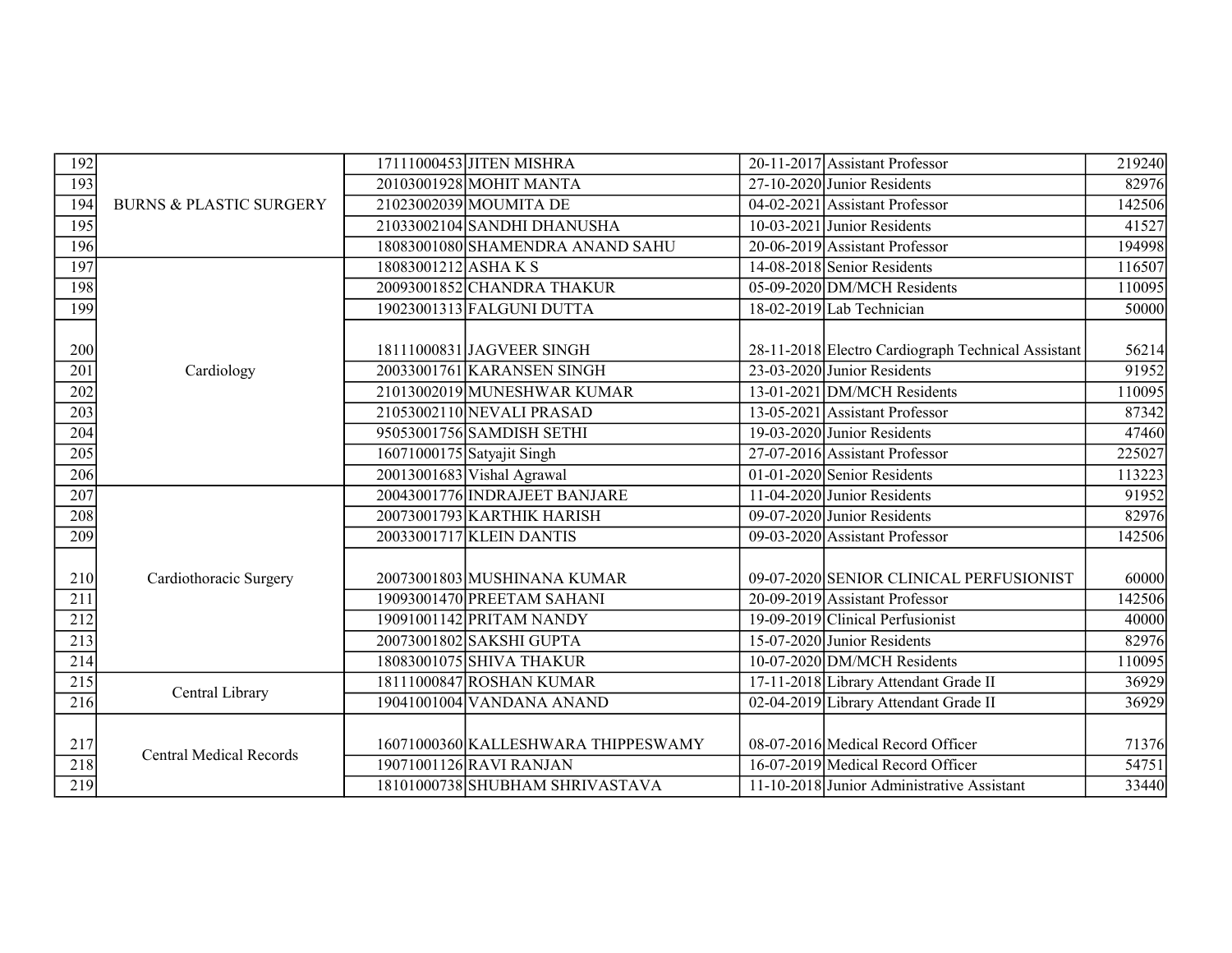| 192 |                                    |                    | 17111000453 JITEN MISHRA            | 20-11-2017 Assistant Professor                     | 219240 |
|-----|------------------------------------|--------------------|-------------------------------------|----------------------------------------------------|--------|
| 193 |                                    |                    | 20103001928 MOHIT MANTA             | 27-10-2020 Junior Residents                        | 82976  |
| 194 | <b>BURNS &amp; PLASTIC SURGERY</b> |                    | 21023002039 MOUMITA DE              | 04-02-2021 Assistant Professor                     | 142506 |
| 195 |                                    |                    | 21033002104 SANDHI DHANUSHA         | $10-03-2021$ Junior Residents                      | 41527  |
| 196 |                                    |                    | 18083001080 SHAMENDRA ANAND SAHU    | 20-06-2019 Assistant Professor                     | 194998 |
| 197 |                                    | 18083001212 ASHAKS |                                     | 14-08-2018 Senior Residents                        | 116507 |
| 198 |                                    |                    | 20093001852 CHANDRA THAKUR          | 05-09-2020 DM/MCH Residents                        | 110095 |
| 199 |                                    |                    | 19023001313 FALGUNI DUTTA           | $18-02-2019$ Lab Technician                        | 50000  |
| 200 |                                    |                    | 18111000831 JAGVEER SINGH           | 28-11-2018 Electro Cardiograph Technical Assistant | 56214  |
| 201 | Cardiology                         |                    | 20033001761 KARANSEN SINGH          | 23-03-2020 Junior Residents                        | 91952  |
| 202 |                                    |                    | 21013002019 MUNESHWAR KUMAR         | 13-01-2021 DM/MCH Residents                        | 110095 |
| 203 |                                    |                    | 21053002110 NEVALI PRASAD           | 13-05-2021 Assistant Professor                     | 87342  |
| 204 |                                    |                    | 95053001756 SAMDISH SETHI           | 19-03-2020 Junior Residents                        | 47460  |
| 205 |                                    |                    | 16071000175 Satyajit Singh          | 27-07-2016 Assistant Professor                     | 225027 |
| 206 |                                    |                    | 20013001683 Vishal Agrawal          | 01-01-2020 Senior Residents                        | 113223 |
| 207 |                                    |                    | 20043001776 INDRAJEET BANJARE       | 11-04-2020 Junior Residents                        | 91952  |
| 208 |                                    |                    | 20073001793 KARTHIK HARISH          | 09-07-2020 Junior Residents                        | 82976  |
| 209 |                                    |                    | 20033001717 KLEIN DANTIS            | 09-03-2020 Assistant Professor                     | 142506 |
| 210 | Cardiothoracic Surgery             |                    | 20073001803 MUSHINANA KUMAR         | 09-07-2020 SENIOR CLINICAL PERFUSIONIST            | 60000  |
| 211 |                                    |                    | 19093001470 PREETAM SAHANI          | 20-09-2019 Assistant Professor                     | 142506 |
| 212 |                                    |                    | 19091001142 PRITAM NANDY            | 19-09-2019 Clinical Perfusionist                   | 40000  |
| 213 |                                    |                    | 20073001802 SAKSHI GUPTA            | 15-07-2020 Junior Residents                        | 82976  |
| 214 |                                    |                    | 18083001075 SHIVA THAKUR            | 10-07-2020 DM/MCH Residents                        | 110095 |
| 215 |                                    |                    | 18111000847 ROSHAN KUMAR            | 17-11-2018 Library Attendant Grade II              | 36929  |
| 216 | Central Library                    |                    | 19041001004 VANDANA ANAND           | 02-04-2019 Library Attendant Grade II              | 36929  |
|     |                                    |                    |                                     |                                                    |        |
| 217 | <b>Central Medical Records</b>     |                    | 16071000360 KALLESHWARA THIPPESWAMY | 08-07-2016 Medical Record Officer                  | 71376  |
| 218 |                                    |                    | 19071001126 RAVI RANJAN             | 16-07-2019 Medical Record Officer                  | 54751  |
| 219 |                                    |                    | 18101000738 SHUBHAM SHRIVASTAVA     | 11-10-2018 Junior Administrative Assistant         | 33440  |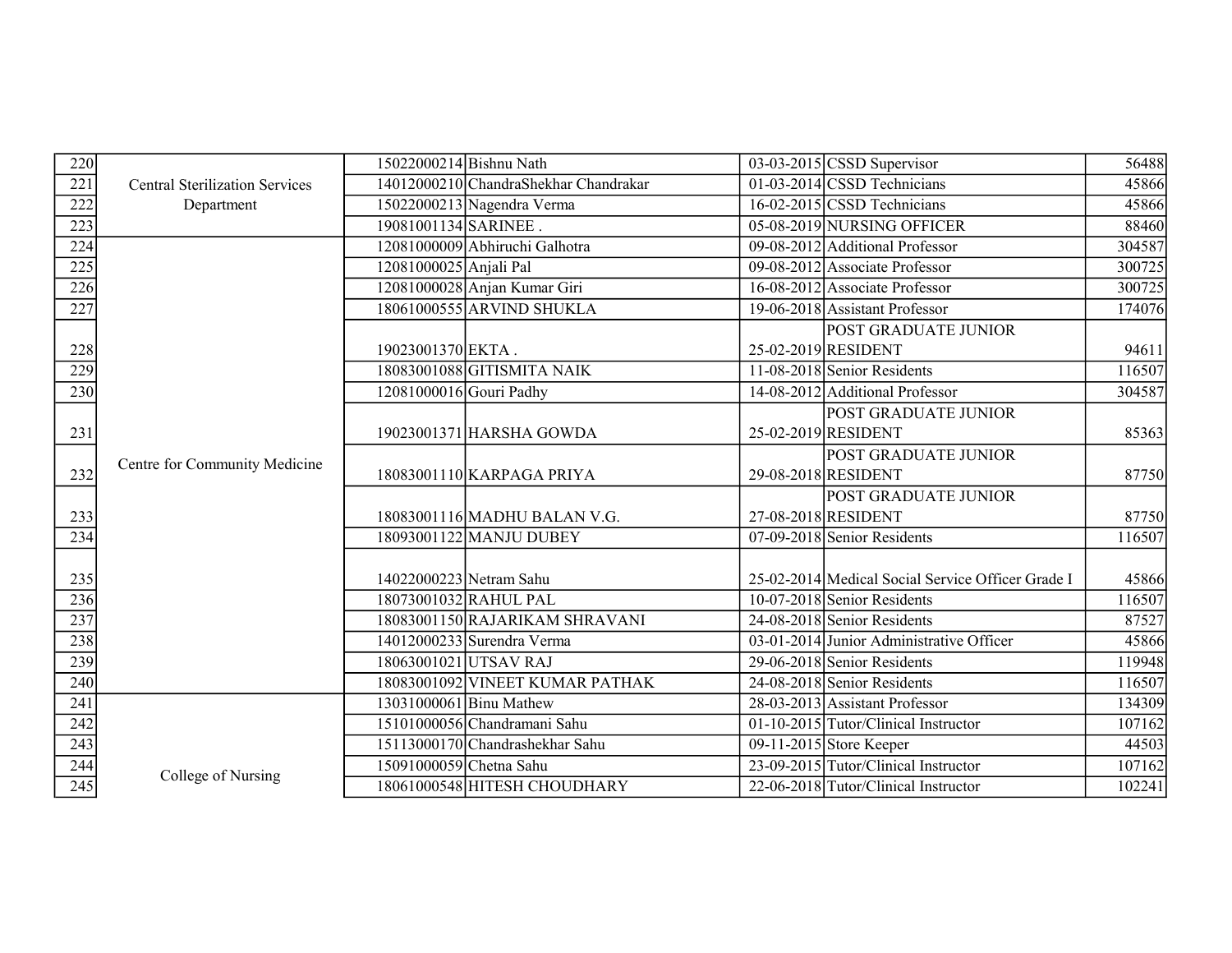| 220              |                                       | 15022000214 Bishnu Nath |                                       | $03-03-2015$ CSSD Supervisor                      | 56488  |
|------------------|---------------------------------------|-------------------------|---------------------------------------|---------------------------------------------------|--------|
| 221              | <b>Central Sterilization Services</b> |                         | 14012000210 ChandraShekhar Chandrakar | $01-03-2014$ CSSD Technicians                     | 45866  |
| 222              | Department                            |                         | 15022000213 Nagendra Verma            | $16-02-2015$ CSSD Technicians                     | 45866  |
| 223              |                                       | 19081001134 SARINEE.    |                                       | 05-08-2019 NURSING OFFICER                        | 88460  |
| 224              |                                       |                         | 12081000009 Abhiruchi Galhotra        | 09-08-2012 Additional Professor                   | 304587 |
| 225              |                                       | 12081000025 Anjali Pal  |                                       | 09-08-2012 Associate Professor                    | 300725 |
| 226              |                                       |                         | 12081000028 Anjan Kumar Giri          | 16-08-2012 Associate Professor                    | 300725 |
| 227              |                                       |                         | 18061000555 ARVIND SHUKLA             | 19-06-2018 Assistant Professor                    | 174076 |
|                  |                                       |                         |                                       | <b>POST GRADUATE JUNIOR</b>                       |        |
| 228              |                                       | 19023001370 EKTA.       |                                       | 25-02-2019 RESIDENT                               | 94611  |
| 229              |                                       |                         | 18083001088 GITISMITA NAIK            | 11-08-2018 Senior Residents                       | 116507 |
| 230              |                                       | 12081000016 Gouri Padhy |                                       | 14-08-2012 Additional Professor                   | 304587 |
|                  |                                       |                         |                                       | POST GRADUATE JUNIOR                              |        |
| 231              |                                       |                         | 19023001371 HARSHA GOWDA              | 25-02-2019 RESIDENT                               | 85363  |
|                  |                                       |                         |                                       | POST GRADUATE JUNIOR                              |        |
| 232              | Centre for Community Medicine         |                         | 18083001110 KARPAGA PRIYA             | 29-08-2018 RESIDENT                               | 87750  |
|                  |                                       |                         |                                       | <b>POST GRADUATE JUNIOR</b>                       |        |
| 233              |                                       |                         | 18083001116 MADHU BALAN V.G.          | 27-08-2018 RESIDENT                               | 87750  |
| 234              |                                       |                         | 18093001122 MANJU DUBEY               | 07-09-2018 Senior Residents                       | 116507 |
|                  |                                       |                         |                                       |                                                   |        |
| 235              |                                       | 14022000223 Netram Sahu |                                       | 25-02-2014 Medical Social Service Officer Grade I | 45866  |
| 236              |                                       |                         | 18073001032 RAHUL PAL                 | 10-07-2018 Senior Residents                       | 116507 |
| 237              |                                       |                         | 18083001150 RAJARIKAM SHRAVANI        | 24-08-2018 Senior Residents                       | 87527  |
| 238              |                                       |                         | 14012000233 Surendra Verma            | 03-01-2014 Junior Administrative Officer          | 45866  |
| 239              |                                       |                         | 18063001021 UTSAV RAJ                 | 29-06-2018 Senior Residents                       | 119948 |
| 240              |                                       |                         | 18083001092 VINEET KUMAR PATHAK       | 24-08-2018 Senior Residents                       | 116507 |
| 241              |                                       |                         | 13031000061 Binu Mathew               | 28-03-2013 Assistant Professor                    | 134309 |
| $\overline{242}$ |                                       |                         | 15101000056 Chandramani Sahu          | 01-10-2015 Tutor/Clinical Instructor              | 107162 |
| 243              |                                       |                         | 15113000170 Chandrashekhar Sahu       | 09-11-2015 Store Keeper                           | 44503  |
| 244              |                                       | 15091000059 Chetna Sahu |                                       | 23-09-2015 Tutor/Clinical Instructor              | 107162 |
| $\overline{245}$ | College of Nursing                    |                         | 18061000548 HITESH CHOUDHARY          | 22-06-2018 Tutor/Clinical Instructor              | 102241 |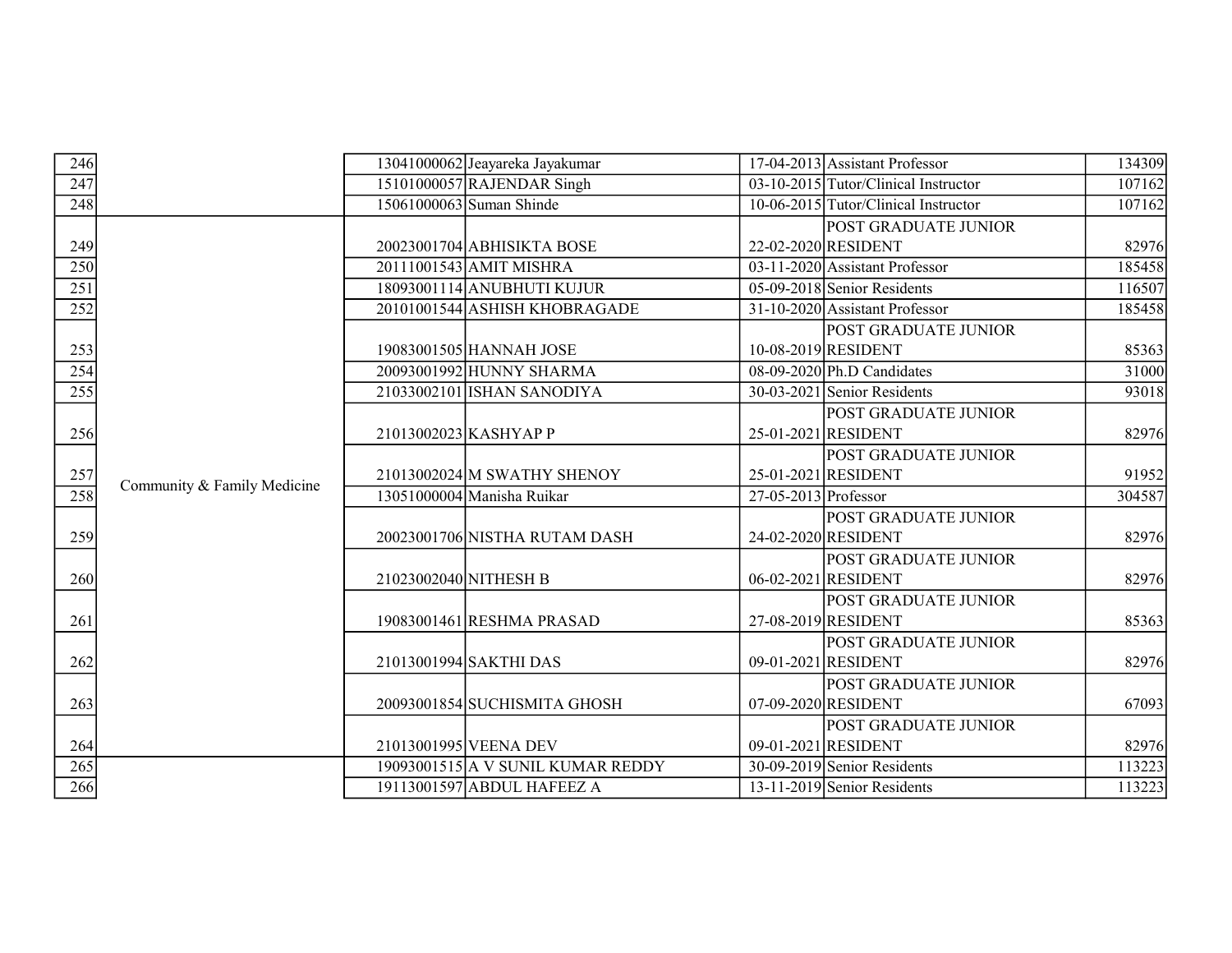| 246<br>247<br>248 |                             |                       | 13041000062 Jeayareka Jayakumar<br>15101000057 RAJENDAR Singh |                        | $17-04-2013$ Assistant Professor<br>$03-10-2015$ Tutor/Clinical Instructor | 134309 |
|-------------------|-----------------------------|-----------------------|---------------------------------------------------------------|------------------------|----------------------------------------------------------------------------|--------|
|                   |                             |                       |                                                               |                        |                                                                            |        |
|                   |                             |                       |                                                               |                        |                                                                            | 107162 |
|                   |                             |                       | 15061000063 Suman Shinde                                      |                        | 10-06-2015 Tutor/Clinical Instructor                                       | 107162 |
|                   |                             |                       |                                                               |                        | POST GRADUATE JUNIOR                                                       |        |
| 249               |                             |                       | 20023001704 ABHISIKTA BOSE                                    |                        | 22-02-2020 RESIDENT                                                        | 82976  |
| 250               |                             |                       | 20111001543 AMIT MISHRA                                       |                        | 03-11-2020 Assistant Professor                                             | 185458 |
| 251               |                             |                       | 18093001114 ANUBHUTI KUJUR                                    |                        | 05-09-2018 Senior Residents                                                | 116507 |
| 252               |                             |                       | 20101001544 ASHISH KHOBRAGADE                                 |                        | 31-10-2020 Assistant Professor                                             | 185458 |
|                   |                             |                       |                                                               |                        | POST GRADUATE JUNIOR                                                       |        |
| 253               |                             |                       | 19083001505 HANNAH JOSE                                       |                        | 10-08-2019 RESIDENT                                                        | 85363  |
| 254               |                             |                       | 20093001992 HUNNY SHARMA                                      |                        | $\overline{08-09-2020 Ph.D}$ Candidates                                    | 31000  |
| 255               |                             |                       | 21033002101 ISHAN SANODIYA                                    |                        | 30-03-2021 Senior Residents                                                | 93018  |
|                   |                             |                       |                                                               |                        | POST GRADUATE JUNIOR                                                       |        |
| 256               |                             |                       | 21013002023 KASHYAP P                                         |                        | 25-01-2021 RESIDENT                                                        | 82976  |
|                   |                             |                       |                                                               |                        | POST GRADUATE JUNIOR                                                       |        |
| 257               | Community & Family Medicine |                       | 21013002024 M SWATHY SHENOY                                   |                        | 25-01-2021 RESIDENT                                                        | 91952  |
| 258               |                             |                       | 13051000004 Manisha Ruikar                                    | $27-05-2013$ Professor |                                                                            | 304587 |
|                   |                             |                       |                                                               |                        | POST GRADUATE JUNIOR                                                       |        |
| 259               |                             |                       | 20023001706 NISTHA RUTAM DASH                                 |                        | 24-02-2020 RESIDENT                                                        | 82976  |
|                   |                             |                       |                                                               |                        | POST GRADUATE JUNIOR                                                       |        |
| 260               |                             | 21023002040 NITHESH B |                                                               |                        | 06-02-2021 RESIDENT                                                        | 82976  |
|                   |                             |                       |                                                               |                        | POST GRADUATE JUNIOR                                                       |        |
| 261               |                             |                       | 19083001461 RESHMA PRASAD                                     | 27-08-2019 RESIDENT    |                                                                            | 85363  |
|                   |                             |                       |                                                               |                        | POST GRADUATE JUNIOR                                                       |        |
| 262               |                             |                       | 21013001994 SAKTHI DAS                                        |                        | 09-01-2021 RESIDENT                                                        | 82976  |
|                   |                             |                       |                                                               |                        | POST GRADUATE JUNIOR                                                       |        |
| 263               |                             |                       | 20093001854 SUCHISMITA GHOSH                                  |                        | 07-09-2020 RESIDENT                                                        | 67093  |
|                   |                             |                       |                                                               |                        | POST GRADUATE JUNIOR                                                       |        |
| 264               |                             |                       | 21013001995 VEENA DEV                                         |                        | 09-01-2021 RESIDENT                                                        | 82976  |
| 265               |                             |                       | 19093001515 A V SUNIL KUMAR REDDY                             |                        | 30-09-2019 Senior Residents                                                | 113223 |
| 266               |                             |                       | 19113001597 ABDUL HAFEEZ A                                    |                        | $13-11-2019$ Senior Residents                                              | 113223 |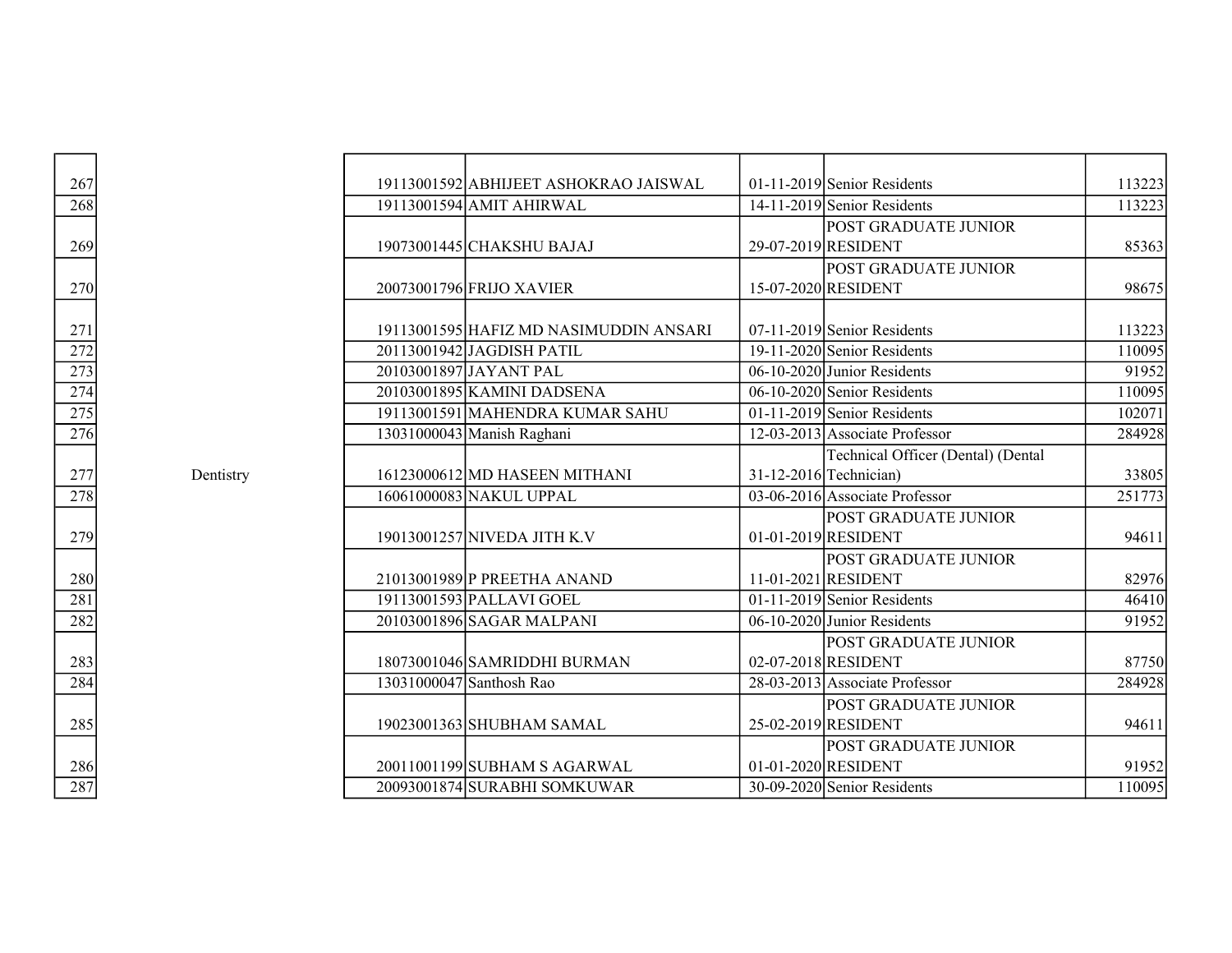| $\frac{267}{2}$                                       |           | 19113001592 ABHIJEET ASHOKRAO JAISWAL  | $01-11-2019$ Senior Residents            | 113223 |
|-------------------------------------------------------|-----------|----------------------------------------|------------------------------------------|--------|
| $\frac{268}{256}$                                     |           | 19113001594 AMIT AHIRWAL               | 14-11-2019 Senior Residents              | 113223 |
|                                                       |           |                                        | POST GRADUATE JUNIOR                     |        |
| $\frac{269}{2}$                                       |           | 19073001445 CHAKSHU BAJAJ              | 29-07-2019 RESIDENT                      | 85363  |
|                                                       |           |                                        | POST GRADUATE JUNIOR                     |        |
| 270                                                   |           | 20073001796 FRIJO XAVIER               | 15-07-2020 RESIDENT                      | 98675  |
|                                                       |           |                                        |                                          |        |
|                                                       |           | 19113001595 HAFIZ MD NASIMUDDIN ANSARI | $07-11-2019$ Senior Residents            | 113223 |
|                                                       |           | 20113001942 JAGDISH PATIL              | 19-11-2020 Senior Residents              | 110095 |
|                                                       |           | 20103001897 JAYANT PAL                 | $06-10-2020$ Junior Residents            | 91952  |
|                                                       |           | 20103001895 KAMINI DADSENA             | 06-10-2020 Senior Residents              | 110095 |
| $\frac{271}{272}$ $\frac{273}{274}$ $\frac{275}{276}$ |           | 19113001591 MAHENDRA KUMAR SAHU        | $\overline{01-11-2019}$ Senior Residents | 102071 |
|                                                       |           | 13031000043 Manish Raghani             | 12-03-2013 Associate Professor           | 284928 |
|                                                       |           |                                        | Technical Officer (Dental) (Dental       |        |
|                                                       | Dentistry | 16123000612 MD HASEEN MITHANI          | 31-12-2016 Technician)                   | 33805  |
| $\frac{277}{278}$                                     |           | 16061000083 NAKUL UPPAL                | 03-06-2016 Associate Professor           | 251773 |
|                                                       |           |                                        | POST GRADUATE JUNIOR                     |        |
| $\frac{279}{2}$                                       |           | 19013001257 NIVEDA JITH K.V            | 01-01-2019 RESIDENT                      | 94611  |
|                                                       |           |                                        | POST GRADUATE JUNIOR                     |        |
|                                                       |           | 21013001989 PREETHA ANAND              | 11-01-2021 RESIDENT                      | 82976  |
|                                                       |           | 19113001593 PALLAVI GOEL               | 01-11-2019 Senior Residents              | 46410  |
| $\frac{280}{281}$<br>$\frac{282}{282}$                |           | 20103001896 SAGAR MALPANI              | 06-10-2020 Junior Residents              | 91952  |
|                                                       |           |                                        | <b>POST GRADUATE JUNIOR</b>              |        |
|                                                       |           | 18073001046 SAMRIDDHI BURMAN           | 02-07-2018 RESIDENT                      | 87750  |
| $\frac{283}{284}$                                     |           | 13031000047 Santhosh Rao               | 28-03-2013 Associate Professor           | 284928 |
|                                                       |           |                                        | <b>POST GRADUATE JUNIOR</b>              |        |
| $\frac{285}{2}$                                       |           | 19023001363 SHUBHAM SAMAL              | 25-02-2019 RESIDENT                      | 94611  |
|                                                       |           |                                        | <b>POST GRADUATE JUNIOR</b>              |        |
| $\frac{286}{287}$                                     |           | 20011001199 SUBHAM S AGARWAL           | 01-01-2020 RESIDENT                      | 91952  |
|                                                       |           | 20093001874 SURABHI SOMKUWAR           | 30-09-2020 Senior Residents              | 110095 |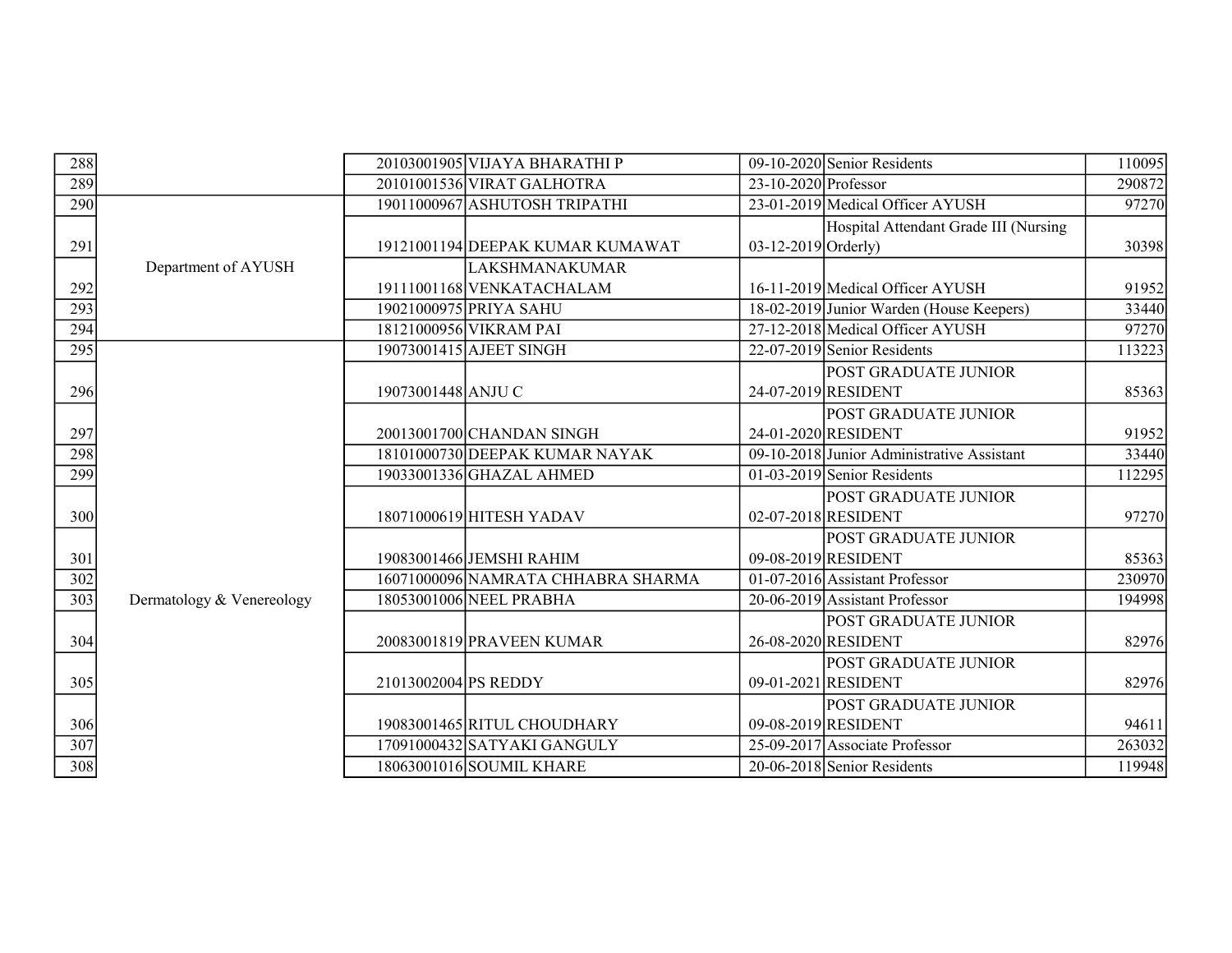| 288              |                           |                      | 20103001905 VIJAYA BHARATHI P      |                        | 09-10-2020 Senior Residents                        | $\overline{110095}$ |
|------------------|---------------------------|----------------------|------------------------------------|------------------------|----------------------------------------------------|---------------------|
| 289              |                           |                      | 20101001536 VIRAT GALHOTRA         | $23-10-2020$ Professor |                                                    | 290872              |
| 290              |                           |                      | 19011000967 ASHUTOSH TRIPATHI      |                        | 23-01-2019 Medical Officer AYUSH                   | 97270               |
| 291              |                           |                      | 19121001194 DEEPAK KUMAR KUMAWAT   | $03-12-2019$ Orderly)  | Hospital Attendant Grade III (Nursing              | 30398               |
|                  | Department of AYUSH       |                      | LAKSHMANAKUMAR                     |                        |                                                    |                     |
| 292              |                           |                      | 19111001168 VENKATACHALAM          |                        | 16-11-2019 Medical Officer AYUSH                   | 91952               |
| 293              |                           |                      | 19021000975 PRIYA SAHU             |                        | 18-02-2019 Junior Warden (House Keepers)           | 33440               |
| 294              |                           |                      | 18121000956 VIKRAM PAI             |                        | 27-12-2018 Medical Officer AYUSH                   | 97270               |
| 295              |                           |                      | 19073001415 AJEET SINGH            |                        | $22-07-2019$ Senior Residents                      | 113223              |
| 296              |                           | 19073001448 ANJU C   |                                    |                        | POST GRADUATE JUNIOR<br>24-07-2019 RESIDENT        | 85363               |
| 297              |                           |                      | 20013001700 CHANDAN SINGH          |                        | POST GRADUATE JUNIOR<br>24-01-2020 RESIDENT        | 91952               |
| 298              |                           |                      | 18101000730 DEEPAK KUMAR NAYAK     |                        | 09-10-2018 Junior Administrative Assistant         | 33440               |
| 299              |                           |                      | 19033001336 GHAZAL AHMED           |                        | $01-03-2019$ Senior Residents                      | 112295              |
| 300              |                           |                      | 18071000619 HITESH YADAV           |                        | POST GRADUATE JUNIOR<br>02-07-2018 RESIDENT        | 97270               |
| 301              |                           |                      | 19083001466 JEMSHI RAHIM           |                        | POST GRADUATE JUNIOR<br>09-08-2019 RESIDENT        | 85363               |
| 302              |                           |                      | 16071000096 NAMRATA CHHABRA SHARMA |                        | 01-07-2016 Assistant Professor                     | 230970              |
| $\overline{303}$ | Dermatology & Venereology |                      | 18053001006 NEEL PRABHA            |                        | 20-06-2019 Assistant Professor                     | 194998              |
| 304              |                           |                      | 20083001819 PRAVEEN KUMAR          |                        | POST GRADUATE JUNIOR<br>26-08-2020 RESIDENT        | 82976               |
| 305              |                           | 21013002004 PS REDDY |                                    |                        | <b>POST GRADUATE JUNIOR</b><br>09-01-2021 RESIDENT | 82976               |
| 306              |                           |                      | 19083001465 RITUL CHOUDHARY        |                        | POST GRADUATE JUNIOR<br>09-08-2019 RESIDENT        | 94611               |
| 307              |                           |                      | 17091000432 SATYAKI GANGULY        |                        | 25-09-2017 Associate Professor                     | 263032              |
| 308              |                           |                      | 18063001016 SOUMIL KHARE           |                        | 20-06-2018 Senior Residents                        | 119948              |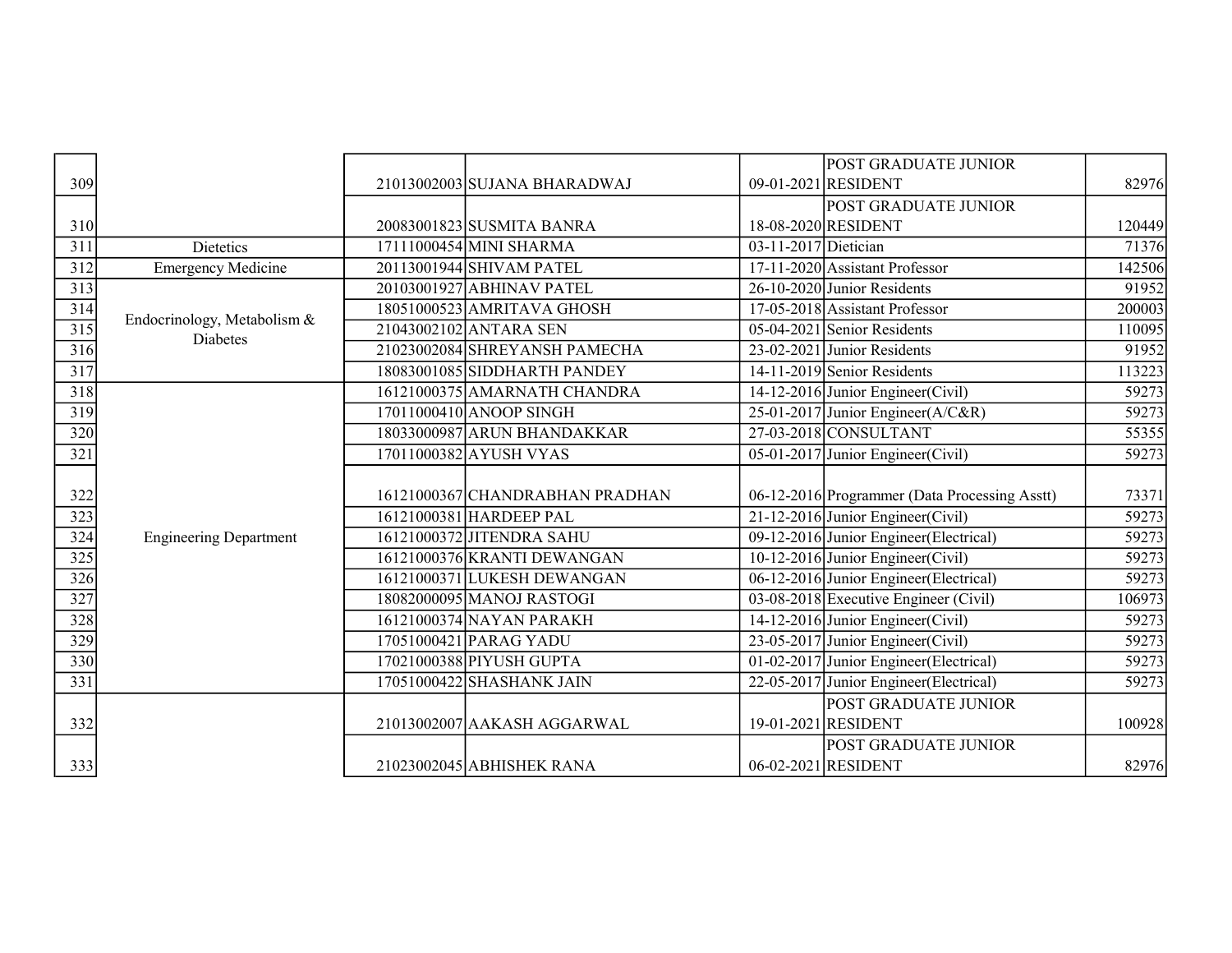|                  |                               |                                 |                      | POST GRADUATE JUNIOR                          |        |
|------------------|-------------------------------|---------------------------------|----------------------|-----------------------------------------------|--------|
| 309              |                               | 21013002003 SUJANA BHARADWAJ    |                      | 09-01-2021 RESIDENT                           | 82976  |
|                  |                               |                                 |                      | POST GRADUATE JUNIOR                          |        |
| 310              |                               | 20083001823 SUSMITA BANRA       |                      | 18-08-2020 RESIDENT                           | 120449 |
| $\overline{311}$ | Dietetics                     | 17111000454 MINI SHARMA         | 03-11-2017 Dietician |                                               | 71376  |
| 312              | <b>Emergency Medicine</b>     | 20113001944 SHIVAM PATEL        |                      | $17-11-2020$ Assistant Professor              | 142506 |
| 313              |                               | 20103001927 ABHINAV PATEL       |                      | 26-10-2020 Junior Residents                   | 91952  |
| 314              | Endocrinology, Metabolism &   | 18051000523 AMRITAVA GHOSH      |                      | 17-05-2018 Assistant Professor                | 200003 |
| $\overline{315}$ | <b>Diabetes</b>               | 21043002102 ANTARA SEN          |                      | 05-04-2021 Senior Residents                   | 110095 |
| 316              |                               | 21023002084 SHREYANSH PAMECHA   |                      | 23-02-2021 Junior Residents                   | 91952  |
| $\overline{317}$ |                               | 18083001085 SIDDHARTH PANDEY    |                      | 14-11-2019 Senior Residents                   | 113223 |
| 318              |                               | 16121000375 AMARNATH CHANDRA    |                      | 14-12-2016 Junior Engineer (Civil)            | 59273  |
| 319              |                               | 17011000410 ANOOP SINGH         |                      | 25-01-2017 Junior Engineer ( $A/C\&R$ )       | 59273  |
| 320              |                               | 18033000987 ARUN BHANDAKKAR     |                      | 27-03-2018 CONSULTANT                         | 55355  |
| $\overline{321}$ |                               | 17011000382 AYUSH VYAS          |                      | 05-01-2017 Junior Engineer (Civil)            | 59273  |
|                  |                               |                                 |                      |                                               |        |
| 322              |                               | 16121000367 CHANDRABHAN PRADHAN |                      | 06-12-2016 Programmer (Data Processing Asstt) | 73371  |
| 323              |                               | 16121000381 HARDEEP PAL         |                      | 21-12-2016 Junior Engineer (Civil)            | 59273  |
| 324              | <b>Engineering Department</b> | 16121000372 JITENDRA SAHU       |                      | 09-12-2016 Junior Engineer (Electrical)       | 59273  |
| $\overline{325}$ |                               | 16121000376 KRANTI DEWANGAN     |                      | 10-12-2016 Junior Engineer (Civil)            | 59273  |
| 326              |                               | 16121000371 LUKESH DEWANGAN     |                      | 06-12-2016 Junior Engineer (Electrical)       | 59273  |
| $\overline{327}$ |                               | 18082000095 MANOJ RASTOGI       |                      | 03-08-2018 Executive Engineer (Civil)         | 106973 |
| 328              |                               | 16121000374 NAYAN PARAKH        |                      | 14-12-2016 Junior Engineer (Civil)            | 59273  |
| 329              |                               | 17051000421 PARAG YADU          |                      | 23-05-2017 Junior Engineer (Civil)            | 59273  |
| 330              |                               | 17021000388 PIYUSH GUPTA        |                      | 01-02-2017 Junior Engineer (Electrical)       | 59273  |
| $\overline{331}$ |                               | 17051000422 SHASHANK JAIN       |                      | 22-05-2017 Junior Engineer (Electrical)       | 59273  |
|                  |                               |                                 |                      | POST GRADUATE JUNIOR                          |        |
| 332              |                               | 21013002007 AAKASH AGGARWAL     |                      | 19-01-2021 RESIDENT                           | 100928 |
|                  |                               |                                 |                      | POST GRADUATE JUNIOR                          |        |
| 333              |                               | 21023002045 ABHISHEK RANA       |                      | 06-02-2021 RESIDENT                           | 82976  |
|                  |                               |                                 |                      |                                               |        |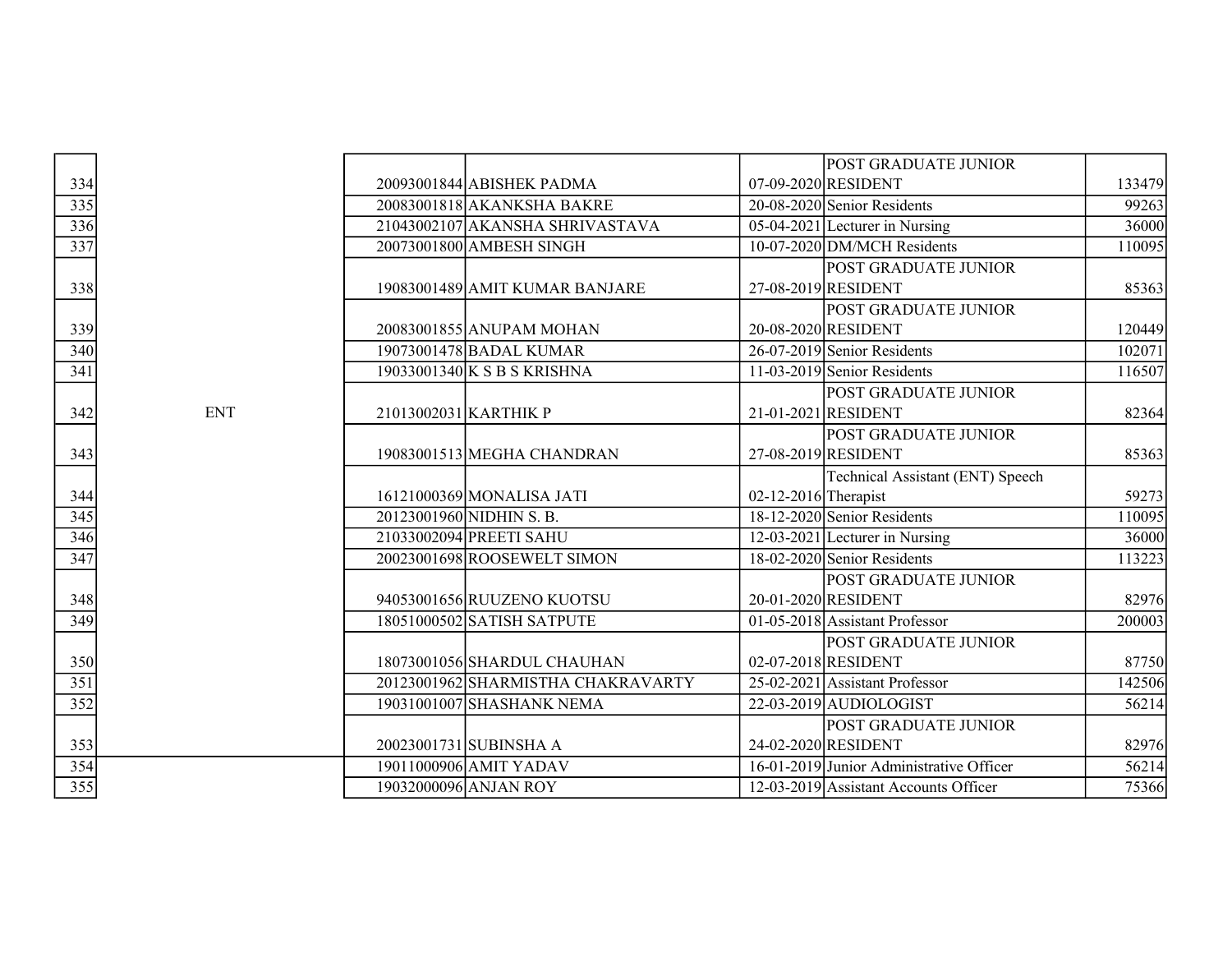|            |  |                                                                                                                                                                                                                                                                                                                                                                                                                                                                                                                                                                                                                                                                     |                                  | 133479                                                                                                                                                                                                                                                                                                                                                                                                                                                                                                                                                                                                                                                                                                                                                                                                          |
|------------|--|---------------------------------------------------------------------------------------------------------------------------------------------------------------------------------------------------------------------------------------------------------------------------------------------------------------------------------------------------------------------------------------------------------------------------------------------------------------------------------------------------------------------------------------------------------------------------------------------------------------------------------------------------------------------|----------------------------------|-----------------------------------------------------------------------------------------------------------------------------------------------------------------------------------------------------------------------------------------------------------------------------------------------------------------------------------------------------------------------------------------------------------------------------------------------------------------------------------------------------------------------------------------------------------------------------------------------------------------------------------------------------------------------------------------------------------------------------------------------------------------------------------------------------------------|
|            |  |                                                                                                                                                                                                                                                                                                                                                                                                                                                                                                                                                                                                                                                                     |                                  | 99263                                                                                                                                                                                                                                                                                                                                                                                                                                                                                                                                                                                                                                                                                                                                                                                                           |
|            |  |                                                                                                                                                                                                                                                                                                                                                                                                                                                                                                                                                                                                                                                                     |                                  | 36000                                                                                                                                                                                                                                                                                                                                                                                                                                                                                                                                                                                                                                                                                                                                                                                                           |
|            |  |                                                                                                                                                                                                                                                                                                                                                                                                                                                                                                                                                                                                                                                                     |                                  | 110095                                                                                                                                                                                                                                                                                                                                                                                                                                                                                                                                                                                                                                                                                                                                                                                                          |
|            |  |                                                                                                                                                                                                                                                                                                                                                                                                                                                                                                                                                                                                                                                                     |                                  |                                                                                                                                                                                                                                                                                                                                                                                                                                                                                                                                                                                                                                                                                                                                                                                                                 |
|            |  |                                                                                                                                                                                                                                                                                                                                                                                                                                                                                                                                                                                                                                                                     |                                  | 85363                                                                                                                                                                                                                                                                                                                                                                                                                                                                                                                                                                                                                                                                                                                                                                                                           |
|            |  |                                                                                                                                                                                                                                                                                                                                                                                                                                                                                                                                                                                                                                                                     | POST GRADUATE JUNIOR             |                                                                                                                                                                                                                                                                                                                                                                                                                                                                                                                                                                                                                                                                                                                                                                                                                 |
|            |  |                                                                                                                                                                                                                                                                                                                                                                                                                                                                                                                                                                                                                                                                     |                                  | 120449                                                                                                                                                                                                                                                                                                                                                                                                                                                                                                                                                                                                                                                                                                                                                                                                          |
|            |  |                                                                                                                                                                                                                                                                                                                                                                                                                                                                                                                                                                                                                                                                     |                                  | 102071                                                                                                                                                                                                                                                                                                                                                                                                                                                                                                                                                                                                                                                                                                                                                                                                          |
|            |  |                                                                                                                                                                                                                                                                                                                                                                                                                                                                                                                                                                                                                                                                     |                                  | 116507                                                                                                                                                                                                                                                                                                                                                                                                                                                                                                                                                                                                                                                                                                                                                                                                          |
|            |  |                                                                                                                                                                                                                                                                                                                                                                                                                                                                                                                                                                                                                                                                     |                                  |                                                                                                                                                                                                                                                                                                                                                                                                                                                                                                                                                                                                                                                                                                                                                                                                                 |
| <b>ENT</b> |  |                                                                                                                                                                                                                                                                                                                                                                                                                                                                                                                                                                                                                                                                     |                                  | 82364                                                                                                                                                                                                                                                                                                                                                                                                                                                                                                                                                                                                                                                                                                                                                                                                           |
|            |  |                                                                                                                                                                                                                                                                                                                                                                                                                                                                                                                                                                                                                                                                     | POST GRADUATE JUNIOR             |                                                                                                                                                                                                                                                                                                                                                                                                                                                                                                                                                                                                                                                                                                                                                                                                                 |
|            |  |                                                                                                                                                                                                                                                                                                                                                                                                                                                                                                                                                                                                                                                                     |                                  | 85363                                                                                                                                                                                                                                                                                                                                                                                                                                                                                                                                                                                                                                                                                                                                                                                                           |
|            |  |                                                                                                                                                                                                                                                                                                                                                                                                                                                                                                                                                                                                                                                                     | Technical Assistant (ENT) Speech |                                                                                                                                                                                                                                                                                                                                                                                                                                                                                                                                                                                                                                                                                                                                                                                                                 |
|            |  |                                                                                                                                                                                                                                                                                                                                                                                                                                                                                                                                                                                                                                                                     |                                  | 59273                                                                                                                                                                                                                                                                                                                                                                                                                                                                                                                                                                                                                                                                                                                                                                                                           |
|            |  |                                                                                                                                                                                                                                                                                                                                                                                                                                                                                                                                                                                                                                                                     |                                  | 110095                                                                                                                                                                                                                                                                                                                                                                                                                                                                                                                                                                                                                                                                                                                                                                                                          |
|            |  |                                                                                                                                                                                                                                                                                                                                                                                                                                                                                                                                                                                                                                                                     |                                  | 36000                                                                                                                                                                                                                                                                                                                                                                                                                                                                                                                                                                                                                                                                                                                                                                                                           |
|            |  |                                                                                                                                                                                                                                                                                                                                                                                                                                                                                                                                                                                                                                                                     |                                  | 113223                                                                                                                                                                                                                                                                                                                                                                                                                                                                                                                                                                                                                                                                                                                                                                                                          |
|            |  |                                                                                                                                                                                                                                                                                                                                                                                                                                                                                                                                                                                                                                                                     |                                  |                                                                                                                                                                                                                                                                                                                                                                                                                                                                                                                                                                                                                                                                                                                                                                                                                 |
|            |  |                                                                                                                                                                                                                                                                                                                                                                                                                                                                                                                                                                                                                                                                     |                                  | 82976                                                                                                                                                                                                                                                                                                                                                                                                                                                                                                                                                                                                                                                                                                                                                                                                           |
|            |  |                                                                                                                                                                                                                                                                                                                                                                                                                                                                                                                                                                                                                                                                     |                                  | 200003                                                                                                                                                                                                                                                                                                                                                                                                                                                                                                                                                                                                                                                                                                                                                                                                          |
|            |  |                                                                                                                                                                                                                                                                                                                                                                                                                                                                                                                                                                                                                                                                     |                                  |                                                                                                                                                                                                                                                                                                                                                                                                                                                                                                                                                                                                                                                                                                                                                                                                                 |
|            |  |                                                                                                                                                                                                                                                                                                                                                                                                                                                                                                                                                                                                                                                                     |                                  | 87750                                                                                                                                                                                                                                                                                                                                                                                                                                                                                                                                                                                                                                                                                                                                                                                                           |
|            |  |                                                                                                                                                                                                                                                                                                                                                                                                                                                                                                                                                                                                                                                                     |                                  | 142506                                                                                                                                                                                                                                                                                                                                                                                                                                                                                                                                                                                                                                                                                                                                                                                                          |
|            |  |                                                                                                                                                                                                                                                                                                                                                                                                                                                                                                                                                                                                                                                                     |                                  | 56214                                                                                                                                                                                                                                                                                                                                                                                                                                                                                                                                                                                                                                                                                                                                                                                                           |
|            |  |                                                                                                                                                                                                                                                                                                                                                                                                                                                                                                                                                                                                                                                                     | POST GRADUATE JUNIOR             |                                                                                                                                                                                                                                                                                                                                                                                                                                                                                                                                                                                                                                                                                                                                                                                                                 |
|            |  |                                                                                                                                                                                                                                                                                                                                                                                                                                                                                                                                                                                                                                                                     |                                  | 82976                                                                                                                                                                                                                                                                                                                                                                                                                                                                                                                                                                                                                                                                                                                                                                                                           |
|            |  |                                                                                                                                                                                                                                                                                                                                                                                                                                                                                                                                                                                                                                                                     |                                  | 56214                                                                                                                                                                                                                                                                                                                                                                                                                                                                                                                                                                                                                                                                                                                                                                                                           |
|            |  |                                                                                                                                                                                                                                                                                                                                                                                                                                                                                                                                                                                                                                                                     |                                  | 75366                                                                                                                                                                                                                                                                                                                                                                                                                                                                                                                                                                                                                                                                                                                                                                                                           |
|            |  | 20093001844 ABISHEK PADMA<br>20083001818 AKANKSHA BAKRE<br>21043002107 AKANSHA SHRIVASTAVA<br>20073001800 AMBESH SINGH<br>19083001489 AMIT KUMAR BANJARE<br>20083001855 ANUPAM MOHAN<br>19073001478 BADAL KUMAR<br>19033001340 K S B S KRISHNA<br>21013002031 KARTHIK P<br>19083001513 MEGHA CHANDRAN<br>16121000369 MONALISA JATI<br>20123001960 NIDHIN S. B.<br>21033002094 PREETI SAHU<br>20023001698 ROOSEWELT SIMON<br>94053001656 RUUZENO KUOTSU<br>18051000502 SATISH SATPUTE<br>18073001056 SHARDUL CHAUHAN<br>20123001962 SHARMISTHA CHAKRAVARTY<br>19031001007 SHASHANK NEMA<br>20023001731 SUBINSHA A<br>19011000906 AMIT YADAV<br>19032000096 ANJAN ROY |                                  | POST GRADUATE JUNIOR<br>07-09-2020 RESIDENT<br>20-08-2020 Senior Residents<br>$\overline{05-04-2021}$ Lecturer in Nursing<br>10-07-2020 DM/MCH Residents<br>POST GRADUATE JUNIOR<br>27-08-2019 RESIDENT<br>20-08-2020 RESIDENT<br>26-07-2019 Senior Residents<br>$11-03-2019$ Senior Residents<br>POST GRADUATE JUNIOR<br>21-01-2021 RESIDENT<br>27-08-2019 RESIDENT<br>$02-12-2016$ Therapist<br>18-12-2020 Senior Residents<br>12-03-2021 Lecturer in Nursing<br>18-02-2020 Senior Residents<br>POST GRADUATE JUNIOR<br>20-01-2020 RESIDENT<br>01-05-2018 Assistant Professor<br><b>POST GRADUATE JUNIOR</b><br>02-07-2018 RESIDENT<br>25-02-2021 Assistant Professor<br>$22-03-2019$ AUDIOLOGIST<br>24-02-2020 RESIDENT<br>16-01-2019 Junior Administrative Officer<br>12-03-2019 Assistant Accounts Officer |

| 334                                    |  |
|----------------------------------------|--|
|                                        |  |
|                                        |  |
| $\frac{335}{336}$                      |  |
|                                        |  |
| 338                                    |  |
| 339                                    |  |
| 340                                    |  |
| $\overline{341}$                       |  |
| 342                                    |  |
| 43                                     |  |
| $\frac{344}{345}$<br>$\frac{346}{346}$ |  |
|                                        |  |
|                                        |  |
| $\overline{347}$                       |  |
| $\frac{348}{349}$                      |  |
|                                        |  |
|                                        |  |
| $\frac{350}{351}$                      |  |
| $\frac{1}{52}$<br>3                    |  |
|                                        |  |
| <u>353</u><br>$\frac{1}{354}$          |  |
| $\frac{1}{355}$                        |  |
|                                        |  |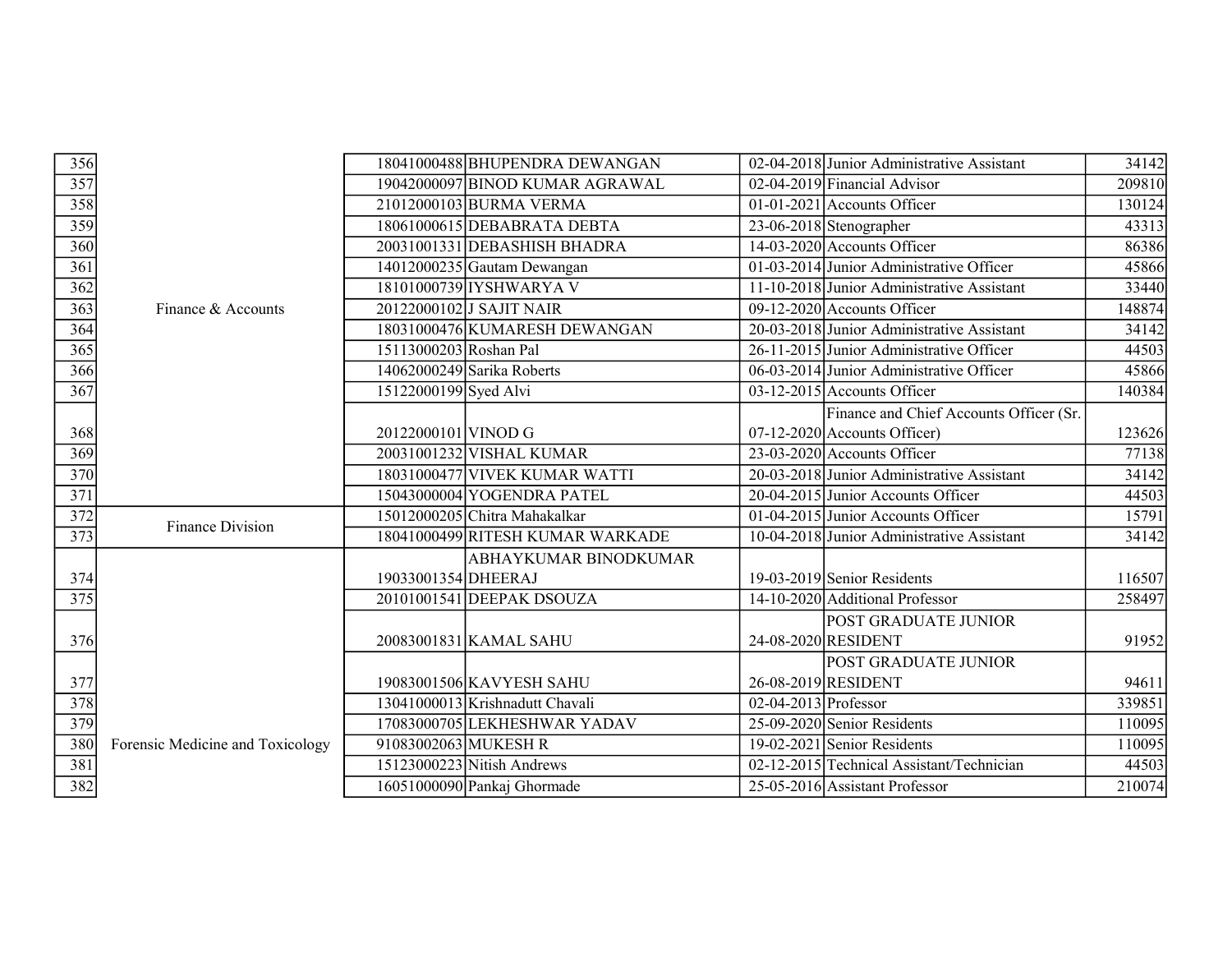|                                                       |                                  |                        | 18041000488 BHUPENDRA DEWANGAN   |                        | 02-04-2018 Junior Administrative Assistant | 34142  |
|-------------------------------------------------------|----------------------------------|------------------------|----------------------------------|------------------------|--------------------------------------------|--------|
|                                                       |                                  |                        | 19042000097 BINOD KUMAR AGRAWAL  |                        | 02-04-2019 Financial Advisor               | 209810 |
| $\frac{356}{357}$ $\frac{358}{360}$ $\frac{360}{361}$ |                                  |                        | 21012000103 BURMA VERMA          |                        | $01-01-2021$ Accounts Officer              | 130124 |
|                                                       |                                  |                        | 18061000615 DEBABRATA DEBTA      |                        | 23-06-2018 Stenographer                    | 43313  |
|                                                       |                                  |                        | 20031001331 DEBASHISH BHADRA     |                        | $14-03-2020$ Accounts Officer              | 86386  |
|                                                       |                                  |                        | $14012000235$ Gautam Dewangan    |                        | 01-03-2014 Junior Administrative Officer   | 45866  |
| $\overline{362}$                                      |                                  |                        | 18101000739 IYSHWARYA V          |                        | 11-10-2018 Junior Administrative Assistant | 33440  |
| 363                                                   | Finance & Accounts               |                        | 20122000102 J SAJIT NAIR         |                        | $09-12-2020$ Accounts Officer              | 148874 |
| 364                                                   |                                  |                        | 18031000476 KUMARESH DEWANGAN    |                        | 20-03-2018 Junior Administrative Assistant | 34142  |
| $\frac{365}{366}$                                     |                                  | 15113000203 Roshan Pal |                                  |                        | 26-11-2015 Junior Administrative Officer   | 44503  |
|                                                       |                                  |                        | 14062000249 Sarika Roberts       |                        | 06-03-2014 Junior Administrative Officer   | 45866  |
| 367                                                   |                                  | 15122000199 Syed Alvi  |                                  |                        | $03-12-2015$ Accounts Officer              | 140384 |
|                                                       |                                  |                        |                                  |                        | Finance and Chief Accounts Officer (Sr.    |        |
| 368                                                   |                                  | 20122000101 VINOD G    |                                  |                        | $07-12-2020$ Accounts Officer)             | 123626 |
| $\frac{369}{370}$                                     |                                  |                        | 20031001232 VISHAL KUMAR         |                        | 23-03-2020 Accounts Officer                | 77138  |
|                                                       |                                  |                        | 18031000477 VIVEK KUMAR WATTI    |                        | 20-03-2018 Junior Administrative Assistant | 34142  |
| $\frac{1}{371}$                                       |                                  |                        | 15043000004 YOGENDRA PATEL       |                        | 20-04-2015 Junior Accounts Officer         | 44503  |
|                                                       | <b>Finance Division</b>          |                        | 15012000205 Chitra Mahakalkar    |                        | 01-04-2015 Junior Accounts Officer         | 15791  |
| $\frac{372}{373}$                                     |                                  |                        | 18041000499 RITESH KUMAR WARKADE |                        | 10-04-2018 Junior Administrative Assistant | 34142  |
|                                                       |                                  |                        | <b>ABHAYKUMAR BINODKUMAR</b>     |                        |                                            |        |
|                                                       |                                  | 19033001354 DHEERAJ    |                                  |                        | $19-03-2019$ Senior Residents              | 116507 |
| $\frac{374}{375}$                                     |                                  |                        | 20101001541 DEEPAK DSOUZA        |                        | 14-10-2020 Additional Professor            | 258497 |
|                                                       |                                  |                        |                                  |                        | POST GRADUATE JUNIOR                       |        |
| $\frac{376}{1}$                                       |                                  |                        | 20083001831 KAMAL SAHU           |                        | 24-08-2020 RESIDENT                        | 91952  |
|                                                       |                                  |                        |                                  |                        | <b>POST GRADUATE JUNIOR</b>                |        |
|                                                       |                                  |                        | 19083001506 KAVYESH SAHU         |                        | 26-08-2019 RESIDENT                        | 94611  |
|                                                       |                                  |                        | 13041000013 Krishnadutt Chavali  | $02-04-2013$ Professor |                                            | 339851 |
| $\frac{377}{378}$                                     |                                  |                        | 17083000705 LEKHESHWAR YADAV     |                        | 25-09-2020 Senior Residents                | 110095 |
| 380                                                   | Forensic Medicine and Toxicology | 91083002063 MUKESH R   |                                  |                        | 19-02-2021 Senior Residents                | 110095 |
| 381                                                   |                                  |                        | $15123000223$ Nitish Andrews     |                        | 02-12-2015 Technical Assistant/Technician  | 44503  |
| 382                                                   |                                  |                        | 16051000090 Pankaj Ghormade      |                        | 25-05-2016 Assistant Professor             | 210074 |
|                                                       |                                  |                        |                                  |                        |                                            |        |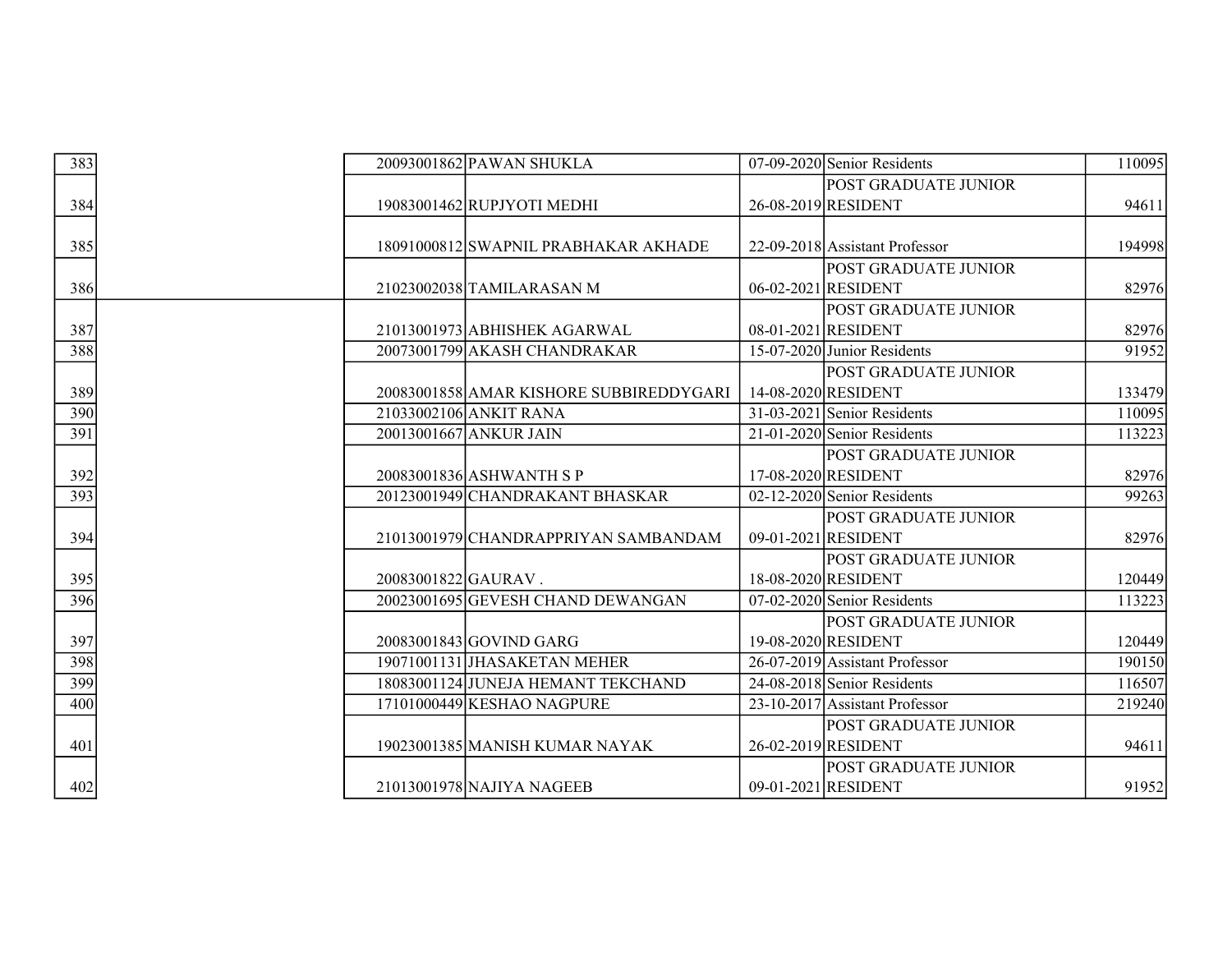| 383                                | 20093001862 PAWAN SHUKLA                | 07-09-2020 Senior Residents    | 110095 |
|------------------------------------|-----------------------------------------|--------------------------------|--------|
|                                    |                                         | POST GRADUATE JUNIOR           |        |
| 384                                | 19083001462 RUPJYOTI MEDHI              | 26-08-2019 RESIDENT            | 94611  |
|                                    |                                         |                                |        |
| 385                                | 18091000812 SWAPNIL PRABHAKAR AKHADE    | 22-09-2018 Assistant Professor | 194998 |
|                                    |                                         | <b>POST GRADUATE JUNIOR</b>    |        |
| 386                                | 21023002038 TAMILARASAN M               | 06-02-2021 RESIDENT            | 82976  |
|                                    |                                         | <b>POST GRADUATE JUNIOR</b>    |        |
| 387                                | 21013001973 ABHISHEK AGARWAL            | 08-01-2021 RESIDENT            | 82976  |
| 388                                | 20073001799 AKASH CHANDRAKAR            | 15-07-2020 Junior Residents    | 91952  |
|                                    |                                         | <b>POST GRADUATE JUNIOR</b>    |        |
| 389                                | 20083001858 AMAR KISHORE SUBBIREDDYGARI | 14-08-2020 RESIDENT            | 133479 |
| 390                                | 21033002106 ANKIT RANA                  | $31-03-2021$ Senior Residents  | 110095 |
| 391                                | 20013001667 ANKUR JAIN                  | $21-01-2020$ Senior Residents  | 113223 |
|                                    |                                         | POST GRADUATE JUNIOR           |        |
| 392                                | 20083001836 ASHWANTH S P                | 17-08-2020 RESIDENT            | 82976  |
| 393                                | 20123001949 CHANDRAKANT BHASKAR         | $02-12-2020$ Senior Residents  | 99263  |
|                                    |                                         | POST GRADUATE JUNIOR           |        |
| 394                                | 21013001979 CHANDRAPPRIYAN SAMBANDAM    | 09-01-2021 RESIDENT            | 82976  |
|                                    |                                         | <b>POST GRADUATE JUNIOR</b>    |        |
| 395                                | 20083001822 GAURAV.                     | 18-08-2020 RESIDENT            | 120449 |
| 396                                | 20023001695 GEVESH CHAND DEWANGAN       | $07-02-2020$ Senior Residents  | 113223 |
|                                    |                                         | <b>POST GRADUATE JUNIOR</b>    |        |
| 397                                | 20083001843 GOVIND GARG                 | 19-08-2020 RESIDENT            | 120449 |
| $\frac{11}{398}$ $\frac{399}{400}$ | 19071001131 JHASAKETAN MEHER            | 26-07-2019 Assistant Professor | 190150 |
|                                    | 18083001124 JUNEJA HEMANT TEKCHAND      | 24-08-2018 Senior Residents    | 116507 |
|                                    | 17101000449 KESHAO NAGPURE              | 23-10-2017 Assistant Professor | 219240 |
|                                    |                                         | POST GRADUATE JUNIOR           |        |
| 401                                | 19023001385 MANISH KUMAR NAYAK          | 26-02-2019 RESIDENT            | 94611  |
|                                    |                                         | POST GRADUATE JUNIOR           |        |
| 402                                | 21013001978 NAJIYA NAGEEB               | 09-01-2021 RESIDENT            | 91952  |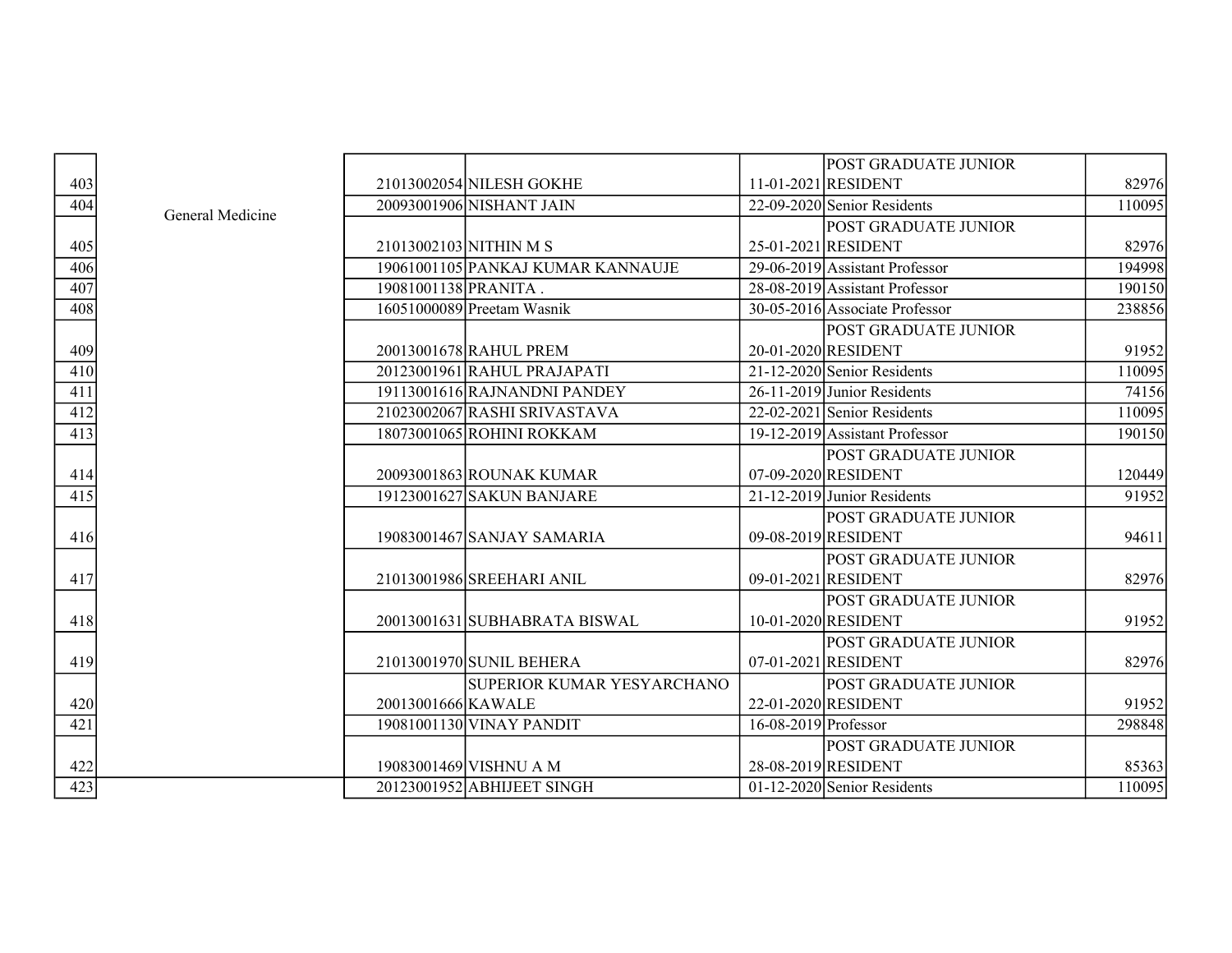|                  |                  |                        |                                   |                        | <b>POST GRADUATE JUNIOR</b>    |        |
|------------------|------------------|------------------------|-----------------------------------|------------------------|--------------------------------|--------|
| 403              |                  |                        | 21013002054 NILESH GOKHE          |                        | 11-01-2021 RESIDENT            | 82976  |
| 404              | General Medicine |                        | 20093001906 NISHANT JAIN          |                        | 22-09-2020 Senior Residents    | 110095 |
|                  |                  |                        |                                   |                        | <b>POST GRADUATE JUNIOR</b>    |        |
| 405              |                  | 21013002103 NITHIN M S |                                   |                        | 25-01-2021 RESIDENT            | 82976  |
| 406              |                  |                        | 19061001105 PANKAJ KUMAR KANNAUJE |                        | 29-06-2019 Assistant Professor | 194998 |
| $\overline{407}$ |                  | 19081001138 PRANITA.   |                                   |                        | 28-08-2019 Assistant Professor | 190150 |
| 408              |                  |                        | 16051000089 Preetam Wasnik        |                        | 30-05-2016 Associate Professor | 238856 |
|                  |                  |                        |                                   |                        | POST GRADUATE JUNIOR           |        |
| 409              |                  |                        | 20013001678 RAHUL PREM            |                        | 20-01-2020 RESIDENT            | 91952  |
| 410              |                  |                        | 20123001961 RAHUL PRAJAPATI       |                        | 21-12-2020 Senior Residents    | 110095 |
| 411              |                  |                        | 19113001616 RAJNANDNI PANDEY      |                        | 26-11-2019 Junior Residents    | 74156  |
| 412              |                  |                        | 21023002067 RASHI SRIVASTAVA      |                        | $22-02-2021$ Senior Residents  | 110095 |
| $\overline{413}$ |                  |                        | 18073001065 ROHINI ROKKAM         |                        | 19-12-2019 Assistant Professor | 190150 |
|                  |                  |                        |                                   |                        | POST GRADUATE JUNIOR           |        |
| 414              |                  |                        | 20093001863 ROUNAK KUMAR          |                        | 07-09-2020 RESIDENT            | 120449 |
| 415              |                  |                        | 19123001627 SAKUN BANJARE         |                        | $21-12-2019$ Junior Residents  | 91952  |
|                  |                  |                        |                                   |                        | POST GRADUATE JUNIOR           |        |
| 416              |                  |                        | 19083001467 SANJAY SAMARIA        |                        | 09-08-2019 RESIDENT            | 94611  |
|                  |                  |                        |                                   |                        | <b>POST GRADUATE JUNIOR</b>    |        |
| 417              |                  |                        | 21013001986 SREEHARI ANIL         |                        | 09-01-2021 RESIDENT            | 82976  |
|                  |                  |                        |                                   |                        | <b>POST GRADUATE JUNIOR</b>    |        |
| 418              |                  |                        | 20013001631 SUBHABRATA BISWAL     |                        | 10-01-2020 RESIDENT            | 91952  |
|                  |                  |                        |                                   |                        | POST GRADUATE JUNIOR           |        |
| 419              |                  |                        | 21013001970 SUNIL BEHERA          |                        | 07-01-2021 RESIDENT            | 82976  |
|                  |                  |                        | SUPERIOR KUMAR YESYARCHANO        |                        | POST GRADUATE JUNIOR           |        |
| 420              |                  | 20013001666 KAWALE     |                                   |                        | 22-01-2020 RESIDENT            | 91952  |
| $\overline{421}$ |                  |                        | 19081001130 VINAY PANDIT          | $16-08-2019$ Professor |                                | 298848 |
|                  |                  |                        |                                   |                        | <b>POST GRADUATE JUNIOR</b>    |        |
| 422              |                  |                        | 19083001469 VISHNU A M            |                        | 28-08-2019 RESIDENT            | 85363  |
| 423              |                  |                        | 20123001952 ABHIJEET SINGH        |                        | $01-12-2020$ Senior Residents  | 110095 |
|                  |                  |                        |                                   |                        |                                |        |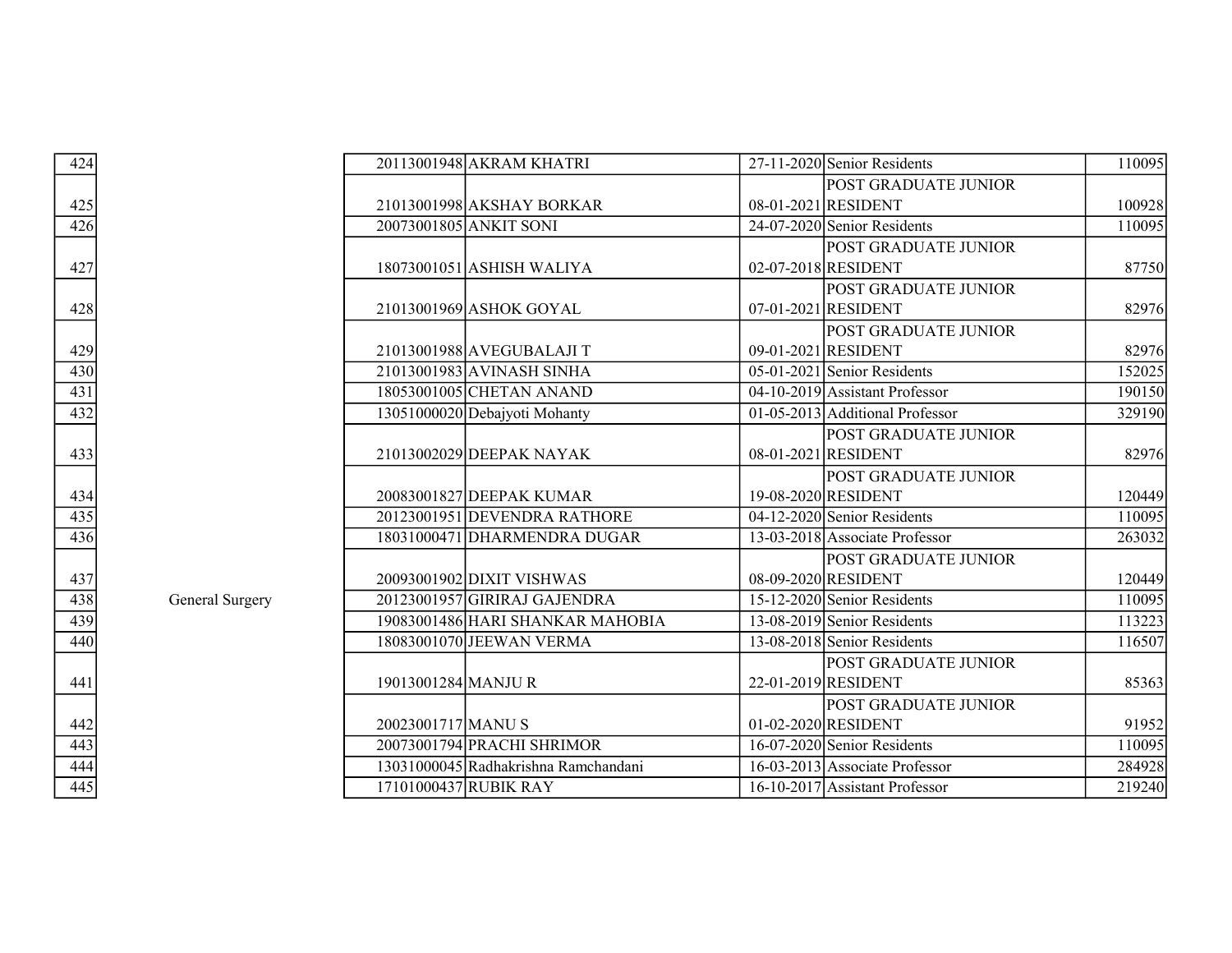| 424                                    |                 |                       | 20113001948 AKRAM KHATRI             | $27-11-2020$ Senior Residents   | 110095 |
|----------------------------------------|-----------------|-----------------------|--------------------------------------|---------------------------------|--------|
|                                        |                 |                       |                                      | POST GRADUATE JUNIOR            |        |
|                                        |                 |                       | 21013001998 AKSHAY BORKAR            | 08-01-2021 RESIDENT             | 100928 |
| $\frac{425}{426}$                      |                 |                       | 20073001805 ANKIT SONI               | 24-07-2020 Senior Residents     | 110095 |
|                                        |                 |                       |                                      | <b>POST GRADUATE JUNIOR</b>     |        |
| $\frac{427}{2}$                        |                 |                       | 18073001051 ASHISH WALIYA            | 02-07-2018 RESIDENT             | 87750  |
|                                        |                 |                       |                                      | POST GRADUATE JUNIOR            |        |
| 428                                    |                 |                       | 21013001969 ASHOK GOYAL              | 07-01-2021 RESIDENT             | 82976  |
|                                        |                 |                       |                                      | POST GRADUATE JUNIOR            |        |
| 429                                    |                 |                       | 21013001988 AVEGUBALAJI T            | 09-01-2021 RESIDENT             | 82976  |
| $\frac{430}{431}$                      |                 |                       | 21013001983 AVINASH SINHA            | $05-01-2021$ Senior Residents   | 152025 |
|                                        |                 |                       | 18053001005 CHETAN ANAND             | 04-10-2019 Assistant Professor  | 190150 |
| 432                                    |                 |                       | 13051000020 Debajyoti Mohanty        | 01-05-2013 Additional Professor | 329190 |
|                                        |                 |                       |                                      | POST GRADUATE JUNIOR            |        |
| 433                                    |                 |                       | 21013002029 DEEPAK NAYAK             | 08-01-2021 RESIDENT             | 82976  |
|                                        |                 |                       |                                      | POST GRADUATE JUNIOR            |        |
|                                        |                 |                       | 20083001827 DEEPAK KUMAR             | 19-08-2020 RESIDENT             | 120449 |
| $\frac{434}{435}$                      |                 |                       | 20123001951 DEVENDRA RATHORE         | 04-12-2020 Senior Residents     | 110095 |
| 436                                    |                 |                       | 18031000471 DHARMENDRA DUGAR         | 13-03-2018 Associate Professor  | 263032 |
|                                        |                 |                       |                                      | <b>POST GRADUATE JUNIOR</b>     |        |
| 437                                    |                 |                       | 20093001902 DIXIT VISHWAS            | 08-09-2020 RESIDENT             | 120449 |
| 438                                    | General Surgery |                       | 20123001957 GIRIRAJ GAJENDRA         | 15-12-2020 Senior Residents     | 110095 |
| 439                                    |                 |                       | 19083001486 HARI SHANKAR MAHOBIA     | 13-08-2019 Senior Residents     | 113223 |
| 440                                    |                 |                       | 18083001070 JEEWAN VERMA             | 13-08-2018 Senior Residents     | 116507 |
|                                        |                 |                       |                                      | POST GRADUATE JUNIOR            |        |
| 441                                    |                 | 19013001284 MANJUR    |                                      | 22-01-2019 RESIDENT             | 85363  |
|                                        |                 |                       |                                      | POST GRADUATE JUNIOR            |        |
| $\frac{442}{443}$<br>$\frac{444}{445}$ |                 | 20023001717 MANUS     |                                      | 01-02-2020 RESIDENT             | 91952  |
|                                        |                 |                       | 20073001794 PRACHI SHRIMOR           | 16-07-2020 Senior Residents     | 110095 |
|                                        |                 |                       | 13031000045 Radhakrishna Ramchandani | 16-03-2013 Associate Professor  | 284928 |
|                                        |                 | 17101000437 RUBIK RAY |                                      | 16-10-2017 Assistant Professor  | 219240 |

| 42<br>4          |  |
|------------------|--|
|                  |  |
| $\frac{425}{5}$  |  |
| $\overline{426}$ |  |
| 427              |  |
| 428              |  |
| 429              |  |
| 430              |  |
| $\overline{431}$ |  |
| 432              |  |
| 433              |  |
| 434              |  |
| $\overline{435}$ |  |
| $\overline{436}$ |  |
| $\frac{437}{5}$  |  |
| $\frac{1}{438}$  |  |
| 439              |  |
| 440              |  |
| 441              |  |
| 442              |  |
| $\frac{443}{ }$  |  |
| 444              |  |
| 445              |  |
|                  |  |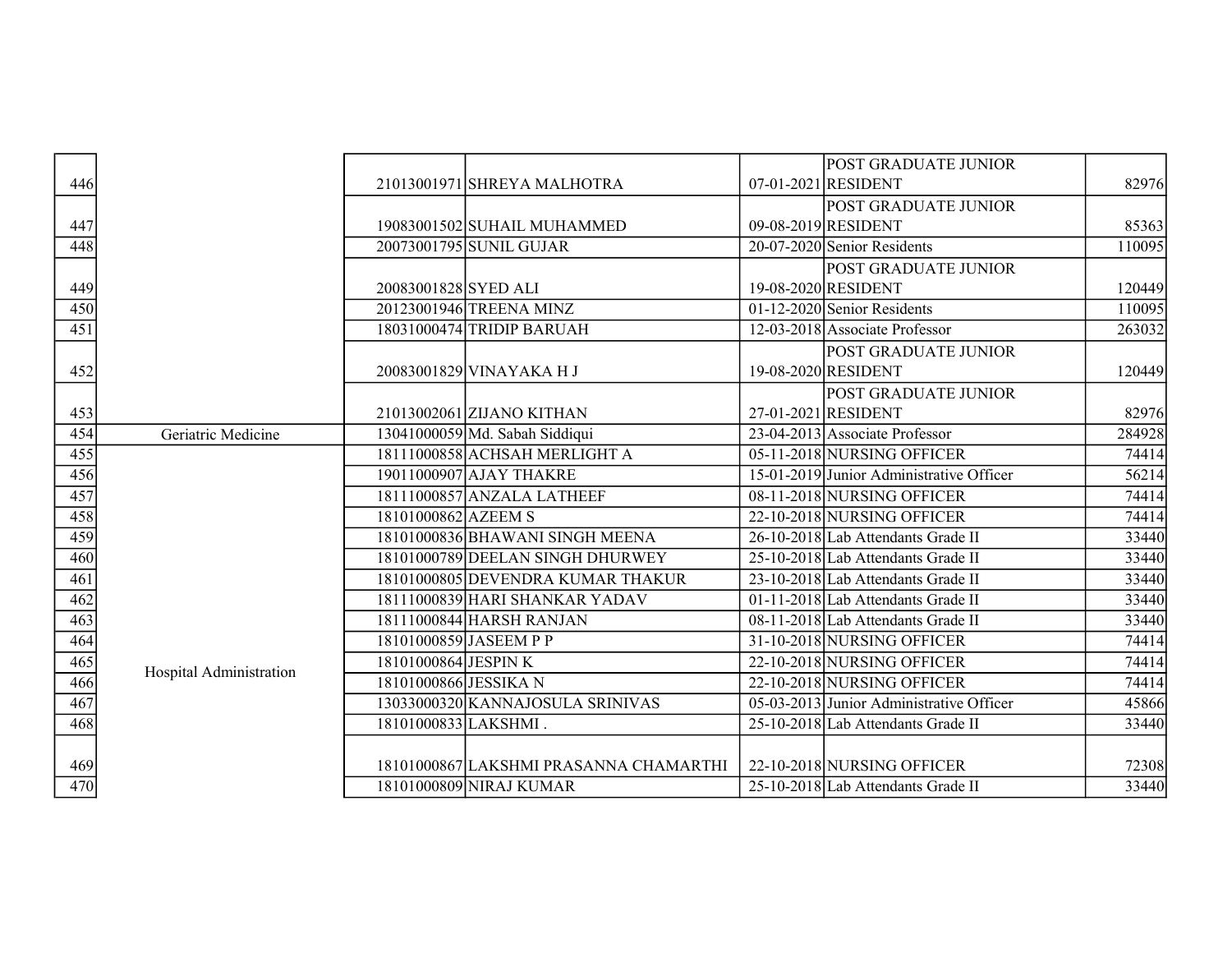|                  |                         |                       |                                        | POST GRADUATE JUNIOR                       |        |
|------------------|-------------------------|-----------------------|----------------------------------------|--------------------------------------------|--------|
| 446              |                         |                       | 21013001971 SHREYA MALHOTRA            | 07-01-2021 RESIDENT                        | 82976  |
|                  |                         |                       |                                        | POST GRADUATE JUNIOR                       |        |
| 447              |                         |                       | 19083001502 SUHAIL MUHAMMED            | 09-08-2019 RESIDENT                        | 85363  |
| 448              |                         |                       | 20073001795 SUNIL GUJAR                | 20-07-2020 Senior Residents                | 110095 |
|                  |                         |                       |                                        | POST GRADUATE JUNIOR                       |        |
| 449              |                         | 20083001828 SYED ALI  |                                        | 19-08-2020 RESIDENT                        | 120449 |
| 450              |                         |                       | 20123001946 TREENA MINZ                | $\overline{01-12}$ -2020 Senior Residents  | 110095 |
| $\overline{451}$ |                         |                       | 18031000474 TRIDIP BARUAH              | 12-03-2018 Associate Professor             | 263032 |
|                  |                         |                       |                                        | <b>POST GRADUATE JUNIOR</b>                |        |
| 452              |                         |                       | 20083001829 VINAYAKA H J               | 19-08-2020 RESIDENT                        | 120449 |
|                  |                         |                       |                                        | <b>POST GRADUATE JUNIOR</b>                |        |
| 453              |                         |                       | 21013002061 ZIJANO KITHAN              | 27-01-2021 RESIDENT                        | 82976  |
| 454              | Geriatric Medicine      |                       | $13041000059$ Md. Sabah Siddiqui       | 23-04-2013 Associate Professor             | 284928 |
| 455              |                         |                       | 18111000858 ACHSAH MERLIGHT A          | 05-11-2018 NURSING OFFICER                 | 74414  |
| 456              |                         |                       | 19011000907 AJAY THAKRE                | 15-01-2019 Junior Administrative Officer   | 56214  |
| 457              |                         |                       | 18111000857 ANZALA LATHEEF             | 08-11-2018 NURSING OFFICER                 | 74414  |
| 458              |                         | 18101000862 AZEEM S   |                                        | 22-10-2018 NURSING OFFICER                 | 74414  |
| 459              |                         |                       | 18101000836 BHAWANI SINGH MEENA        | 26-10-2018 Lab Attendants Grade II         | 33440  |
| 460              |                         |                       | 18101000789 DEELAN SINGH DHURWEY       | 25-10-2018 Lab Attendants Grade II         | 33440  |
| 461              |                         |                       | 18101000805 DEVENDRA KUMAR THAKUR      | 23-10-2018 Lab Attendants Grade II         | 33440  |
| 462              |                         |                       | 18111000839 HARI SHANKAR YADAV         | 01-11-2018 Lab Attendants Grade II         | 33440  |
| 463              |                         |                       | 18111000844 HARSH RANJAN               | 08-11-2018 Lab Attendants Grade II         | 33440  |
| 464              |                         |                       | 18101000859 JASEEM P P                 | 31-10-2018 NURSING OFFICER                 | 74414  |
| 465              | Hospital Administration | 18101000864 JESPINK   |                                        | 22-10-2018 NURSING OFFICER                 | 74414  |
| 466              |                         | 18101000866 JESSIKA N |                                        | 22-10-2018 NURSING OFFICER                 | 74414  |
| 467              |                         |                       | 13033000320 KANNAJOSULA SRINIVAS       | $05-03-2013$ Junior Administrative Officer | 45866  |
| 468              |                         | 18101000833 LAKSHMI.  |                                        | 25-10-2018 Lab Attendants Grade II         | 33440  |
|                  |                         |                       |                                        |                                            |        |
| 469              |                         |                       | 18101000867 LAKSHMI PRASANNA CHAMARTHI | 22-10-2018 NURSING OFFICER                 | 72308  |
| 470              |                         |                       | 18101000809 NIRAJ KUMAR                | 25-10-2018 Lab Attendants Grade II         | 33440  |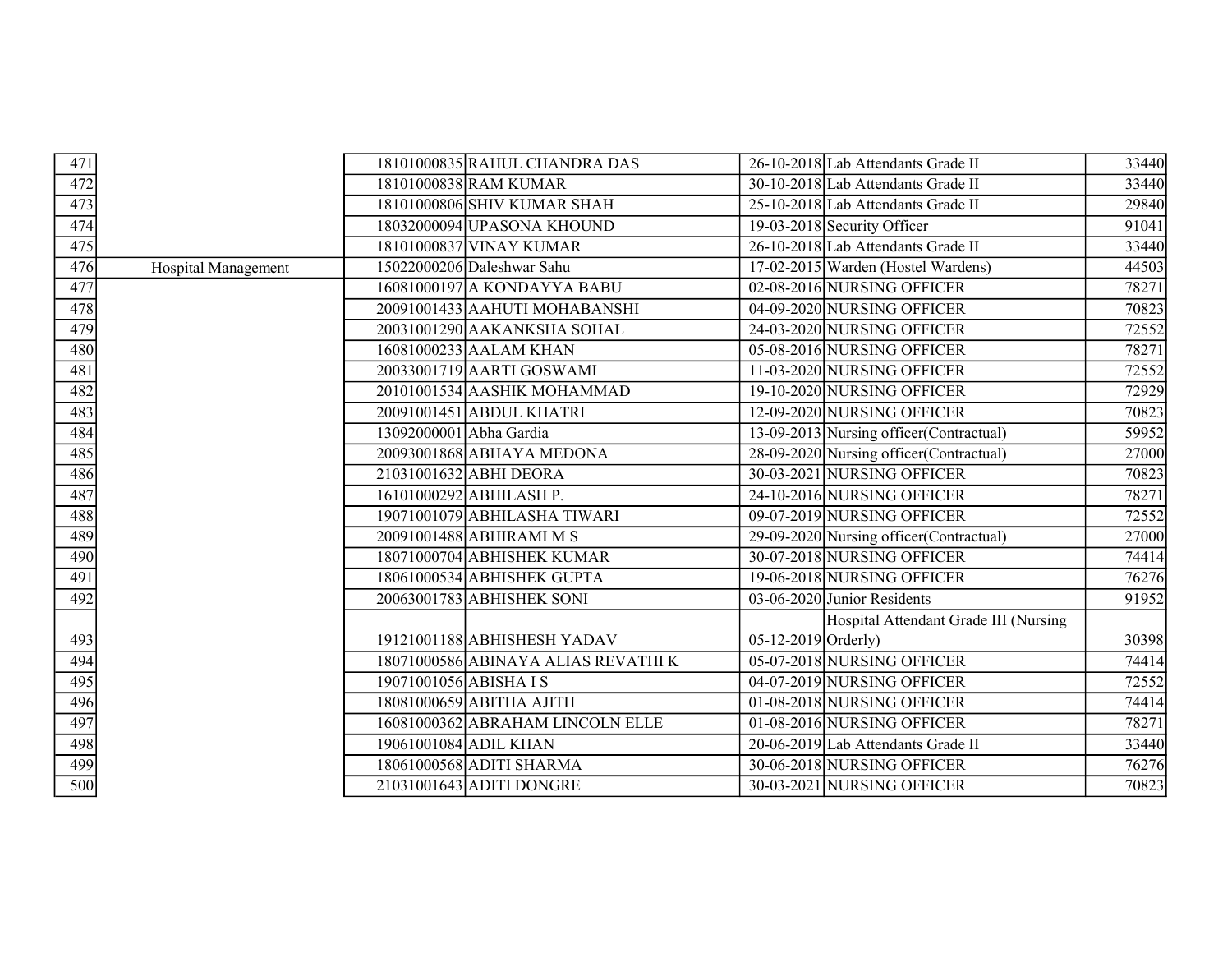| 471              |                     |                         | 18101000835 RAHUL CHANDRA DAS       |                     | 26-10-2018 Lab Attendants Grade II       | 33440 |
|------------------|---------------------|-------------------------|-------------------------------------|---------------------|------------------------------------------|-------|
| 472              |                     |                         | 18101000838 RAM KUMAR               |                     | 30-10-2018 Lab Attendants Grade II       | 33440 |
| $\overline{473}$ |                     |                         | 18101000806 SHIV KUMAR SHAH         |                     | 25-10-2018 Lab Attendants Grade II       | 29840 |
| 474              |                     |                         | 18032000094 UPASONA KHOUND          |                     | 19-03-2018 Security Officer              | 91041 |
| 475              |                     |                         | 18101000837 VINAY KUMAR             |                     | 26-10-2018 Lab Attendants Grade II       | 33440 |
| 476              | Hospital Management |                         | 15022000206 Daleshwar Sahu          |                     | 17-02-2015 Warden (Hostel Wardens)       | 44503 |
| 477              |                     |                         | 16081000197 A KONDAYYA BABU         |                     | 02-08-2016 NURSING OFFICER               | 78271 |
| 478              |                     |                         | 20091001433 AAHUTI MOHABANSHI       |                     | 04-09-2020 NURSING OFFICER               | 70823 |
| 479              |                     |                         | 20031001290 AAKANKSHA SOHAL         |                     | 24-03-2020 NURSING OFFICER               | 72552 |
| 480              |                     |                         | 16081000233 AALAM KHAN              |                     | 05-08-2016 NURSING OFFICER               | 78271 |
| 481              |                     |                         | 20033001719 AARTI GOSWAMI           |                     | 11-03-2020 NURSING OFFICER               | 72552 |
| 482              |                     |                         | 20101001534 AASHIK MOHAMMAD         |                     | 19-10-2020 NURSING OFFICER               | 72929 |
| 483              |                     |                         | 20091001451 ABDUL KHATRI            |                     | 12-09-2020 NURSING OFFICER               | 70823 |
| 484              |                     | 13092000001 Abha Gardia |                                     |                     | 13-09-2013 Nursing officer (Contractual) | 59952 |
| 485              |                     |                         | 20093001868 ABHAYA MEDONA           |                     | 28-09-2020 Nursing officer (Contractual) | 27000 |
| 486              |                     |                         | 21031001632 ABHI DEORA              |                     | 30-03-2021 NURSING OFFICER               | 70823 |
| 487              |                     |                         | 16101000292 ABHILASH P.             |                     | 24-10-2016 NURSING OFFICER               | 78271 |
| 488              |                     |                         | 19071001079 ABHILASHA TIWARI        |                     | 09-07-2019 NURSING OFFICER               | 72552 |
| 489              |                     |                         | 20091001488 ABHIRAMI M S            |                     | 29-09-2020 Nursing officer (Contractual) | 27000 |
| 490              |                     |                         | 18071000704 ABHISHEK KUMAR          |                     | 30-07-2018 NURSING OFFICER               | 74414 |
| 491              |                     |                         | 18061000534 ABHISHEK GUPTA          |                     | 19-06-2018 NURSING OFFICER               | 76276 |
| 492              |                     |                         | 20063001783 ABHISHEK SONI           |                     | 03-06-2020 Junior Residents              | 91952 |
|                  |                     |                         |                                     |                     | Hospital Attendant Grade III (Nursing    |       |
| 493              |                     |                         | 19121001188 ABHISHESH YADAV         | 05-12-2019 Orderly) |                                          | 30398 |
| 494              |                     |                         | 18071000586 ABINAYA ALIAS REVATHI K |                     | 05-07-2018 NURSING OFFICER               | 74414 |
| 495              |                     | 19071001056 ABISHA IS   |                                     |                     | 04-07-2019 NURSING OFFICER               | 72552 |
| 496              |                     |                         | 18081000659 ABITHA AJITH            |                     | 01-08-2018 NURSING OFFICER               | 74414 |
| 497              |                     |                         | 16081000362 ABRAHAM LINCOLN ELLE    |                     | 01-08-2016 NURSING OFFICER               | 78271 |
| 498              |                     | 19061001084 ADIL KHAN   |                                     |                     | 20-06-2019 Lab Attendants Grade II       | 33440 |
| 499              |                     |                         | 18061000568 ADITI SHARMA            |                     | 30-06-2018 NURSING OFFICER               | 76276 |
| $\overline{500}$ |                     |                         | 21031001643 ADITI DONGRE            |                     | 30-03-2021 NURSING OFFICER               | 70823 |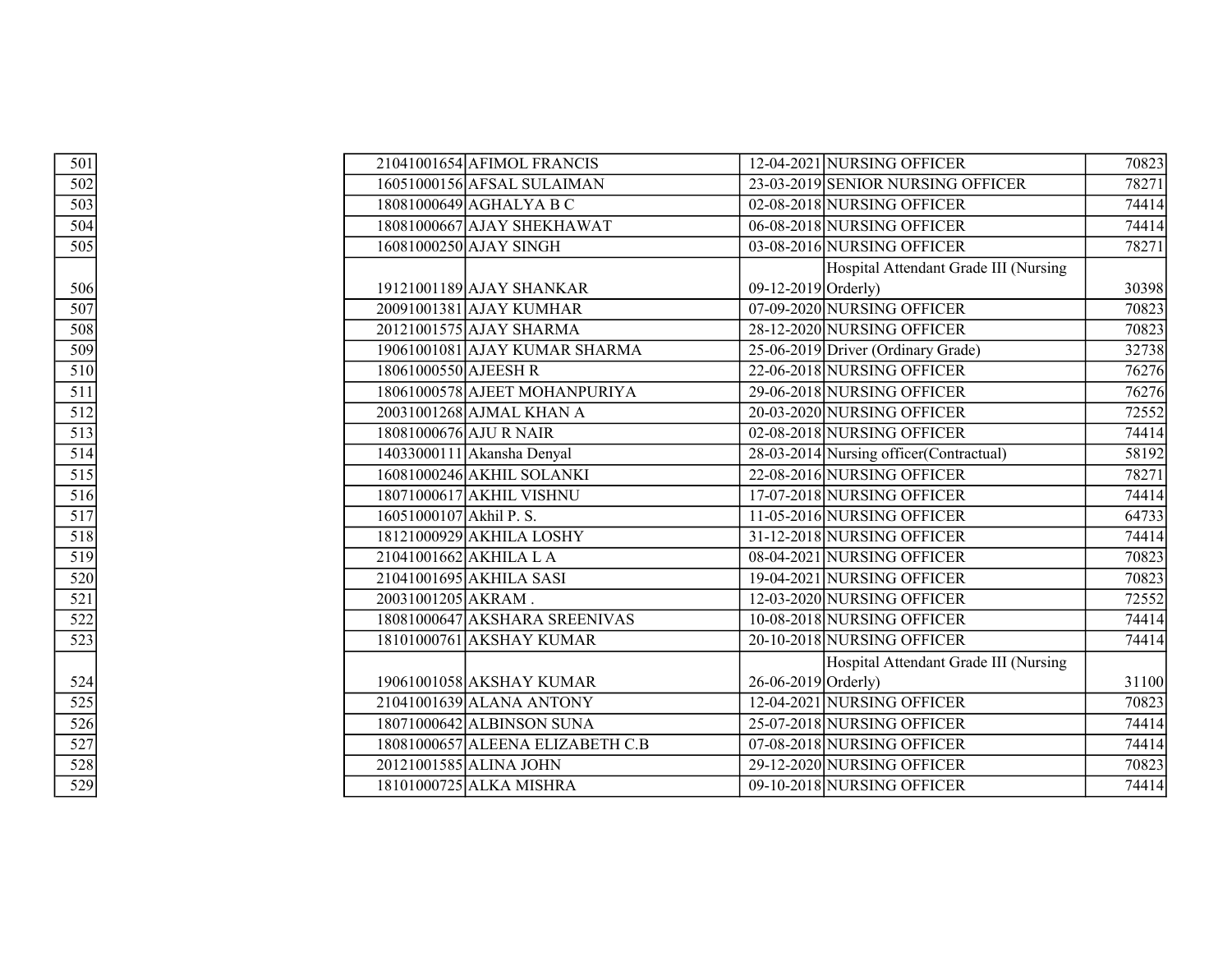| 501                                    |                         | 21041001654 AFIMOL FRANCIS       |                     | 12-04-2021 NURSING OFFICER               | 70823 |
|----------------------------------------|-------------------------|----------------------------------|---------------------|------------------------------------------|-------|
| 502                                    |                         | 16051000156 AFSAL SULAIMAN       |                     | 23-03-2019 SENIOR NURSING OFFICER        | 78271 |
| $\overline{503}$                       |                         | 18081000649 AGHALYA B C          |                     | 02-08-2018 NURSING OFFICER               | 74414 |
| 504                                    |                         | 18081000667 AJAY SHEKHAWAT       |                     | 06-08-2018 NURSING OFFICER               | 74414 |
| 505                                    |                         | 16081000250 AJAY SINGH           |                     | 03-08-2016 NURSING OFFICER               | 78271 |
|                                        |                         |                                  |                     | Hospital Attendant Grade III (Nursing    |       |
| 506                                    |                         | 19121001189 AJAY SHANKAR         | 09-12-2019 Orderly) |                                          | 30398 |
| 507                                    |                         | 20091001381 AJAY KUMHAR          |                     | 07-09-2020 NURSING OFFICER               | 70823 |
| $\overline{508}$                       |                         | 20121001575 AJAY SHARMA          |                     | 28-12-2020 NURSING OFFICER               | 70823 |
| 509                                    |                         | 19061001081 AJAY KUMAR SHARMA    |                     | 25-06-2019 Driver (Ordinary Grade)       | 32738 |
| 510                                    | 18061000550 AJEESH R    |                                  |                     | 22-06-2018 NURSING OFFICER               | 76276 |
| $\overline{511}$                       |                         | 18061000578 AJEET MOHANPURIYA    |                     | 29-06-2018 NURSING OFFICER               | 76276 |
| 512                                    |                         | 20031001268 AJMAL KHAN A         |                     | 20-03-2020 NURSING OFFICER               | 72552 |
| $\overline{513}$                       |                         | 18081000676 AJU R NAIR           |                     | 02-08-2018 NURSING OFFICER               | 74414 |
| 514                                    |                         | 14033000111 Akansha Denyal       |                     | 28-03-2014 Nursing officer (Contractual) | 58192 |
| $\overline{515}$                       |                         | 16081000246 AKHIL SOLANKI        |                     | 22-08-2016 NURSING OFFICER               | 78271 |
| 516                                    |                         | 18071000617 AKHIL VISHNU         |                     | 17-07-2018 NURSING OFFICER               | 74414 |
| $\overline{517}$                       | 16051000107 Akhil P. S. |                                  |                     | 11-05-2016 NURSING OFFICER               | 64733 |
| 518                                    |                         | 18121000929 AKHILA LOSHY         |                     | 31-12-2018 NURSING OFFICER               | 74414 |
| $\overline{519}$                       |                         | 21041001662 AKHILA L A           |                     | 08-04-2021 NURSING OFFICER               | 70823 |
| $\overline{520}$                       |                         | 21041001695 AKHILA SASI          |                     | 19-04-2021 NURSING OFFICER               | 70823 |
| $\overline{521}$                       | 20031001205 AKRAM.      |                                  |                     | 12-03-2020 NURSING OFFICER               | 72552 |
| 522                                    |                         | 18081000647 AKSHARA SREENIVAS    |                     | 10-08-2018 NURSING OFFICER               | 74414 |
| $\overline{523}$                       |                         | 18101000761 AKSHAY KUMAR         |                     | 20-10-2018 NURSING OFFICER               | 74414 |
|                                        |                         |                                  |                     | Hospital Attendant Grade III (Nursing    |       |
|                                        |                         | 19061001058 AKSHAY KUMAR         | 26-06-2019 Orderly) |                                          | 31100 |
| $\frac{524}{525}$<br>$\frac{526}{526}$ |                         | 21041001639 ALANA ANTONY         |                     | 12-04-2021 NURSING OFFICER               | 70823 |
|                                        |                         | 18071000642 ALBINSON SUNA        |                     | 25-07-2018 NURSING OFFICER               | 74414 |
|                                        |                         | 18081000657 ALEENA ELIZABETH C.B |                     | 07-08-2018 NURSING OFFICER               | 74414 |
| $rac{12}{527}$<br>$rac{528}{529}$      |                         | 20121001585 ALINA JOHN           |                     | 29-12-2020 NURSING OFFICER               | 70823 |
|                                        |                         | 18101000725 ALKA MISHRA          |                     | 09-10-2018 NURSING OFFICER               | 74414 |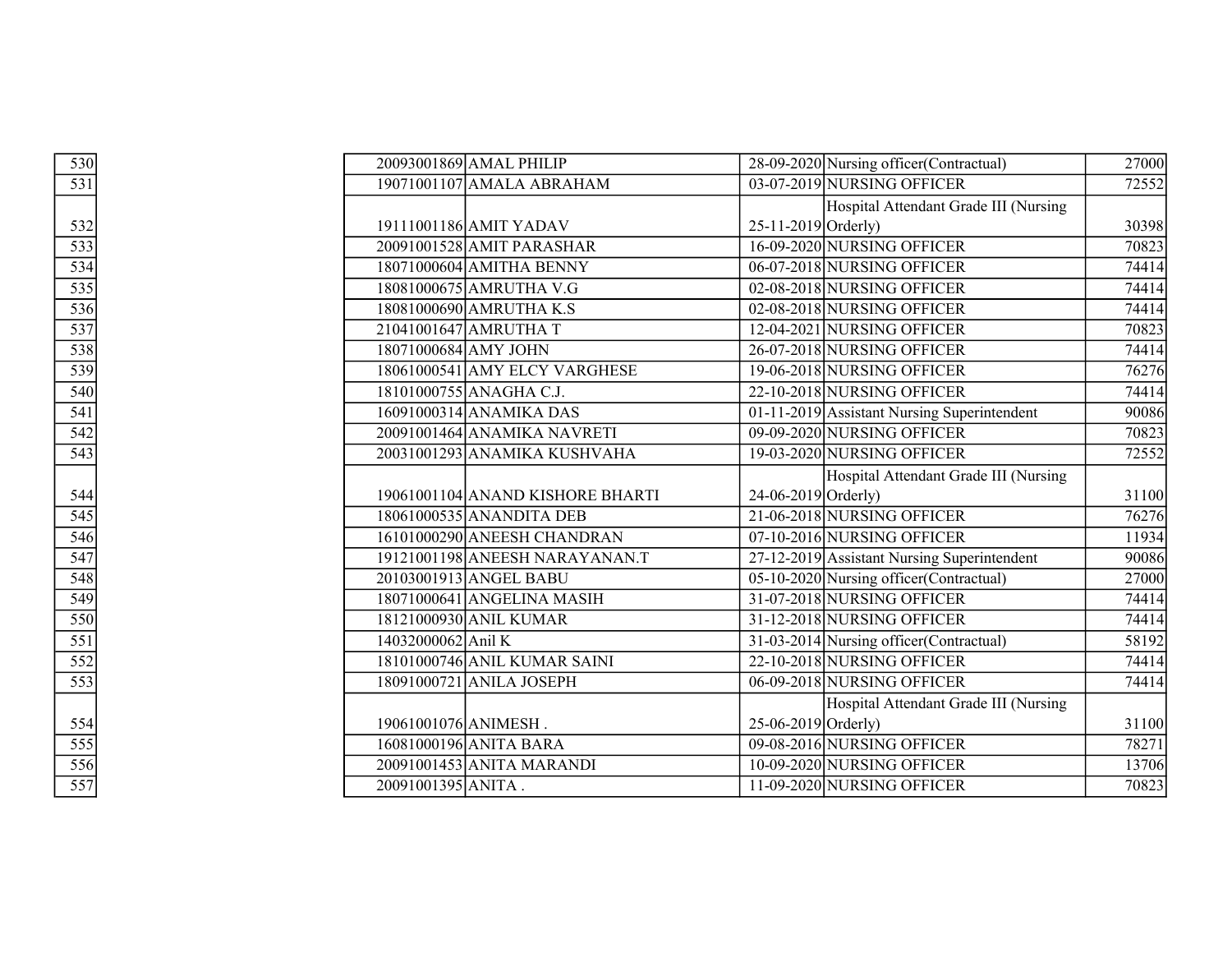| 530                                                         |                      | 20093001869 AMAL PHILIP          |                       | 28-09-2020 Nursing officer (Contractual)    | 27000 |
|-------------------------------------------------------------|----------------------|----------------------------------|-----------------------|---------------------------------------------|-------|
| 531                                                         |                      | 19071001107 AMALA ABRAHAM        |                       | 03-07-2019 NURSING OFFICER                  | 72552 |
|                                                             |                      |                                  |                       | Hospital Attendant Grade III (Nursing       |       |
| $rac{532}{1}$                                               |                      | 19111001186 AMIT YADAV           | $25-11-2019$ Orderly) |                                             | 30398 |
|                                                             |                      | 20091001528 AMIT PARASHAR        |                       | 16-09-2020 NURSING OFFICER                  | 70823 |
| $\frac{533}{534}$ $\frac{535}{536}$ $\frac{536}{537}$       |                      | 18071000604 AMITHA BENNY         |                       | 06-07-2018 NURSING OFFICER                  | 74414 |
|                                                             |                      | 18081000675 AMRUTHA V.G          |                       | 02-08-2018 NURSING OFFICER                  | 74414 |
|                                                             |                      | 18081000690 AMRUTHA K.S          |                       | 02-08-2018 NURSING OFFICER                  | 74414 |
|                                                             |                      | 21041001647 AMRUTHA T            |                       | 12-04-2021 NURSING OFFICER                  | 70823 |
|                                                             |                      | 18071000684 AMY JOHN             |                       | 26-07-2018 NURSING OFFICER                  | 74414 |
|                                                             |                      | 18061000541 AMY ELCY VARGHESE    |                       | 19-06-2018 NURSING OFFICER                  | 76276 |
| $\frac{1}{538}$<br>$\frac{539}{540}$                        |                      | 18101000755 ANAGHA C.J.          |                       | 22-10-2018 NURSING OFFICER                  | 74414 |
| $\frac{541}{542}$                                           |                      | 16091000314 ANAMIKA DAS          |                       | 01-11-2019 Assistant Nursing Superintendent | 90086 |
|                                                             |                      | 20091001464 ANAMIKA NAVRETI      |                       | 09-09-2020 NURSING OFFICER                  | 70823 |
| $\frac{543}{5}$                                             |                      | 20031001293 ANAMIKA KUSHVAHA     |                       | 19-03-2020 NURSING OFFICER                  | 72552 |
|                                                             |                      |                                  |                       | Hospital Attendant Grade III (Nursing       |       |
|                                                             |                      | 19061001104 ANAND KISHORE BHARTI | 24-06-2019 Orderly)   |                                             | 31100 |
|                                                             |                      | 18061000535 ANANDITA DEB         |                       | 21-06-2018 NURSING OFFICER                  | 76276 |
| $\frac{544}{545}$<br>$\frac{546}{547}$<br>$\frac{547}{548}$ |                      | 16101000290 ANEESH CHANDRAN      |                       | 07-10-2016 NURSING OFFICER                  | 11934 |
|                                                             |                      | 19121001198 ANEESH NARAYANAN.T   |                       | 27-12-2019 Assistant Nursing Superintendent | 90086 |
|                                                             |                      | 20103001913 ANGEL BABU           |                       | 05-10-2020 Nursing officer (Contractual)    | 27000 |
| $\frac{549}{550}$                                           |                      | 18071000641 ANGELINA MASIH       |                       | 31-07-2018 NURSING OFFICER                  | 74414 |
|                                                             |                      | 18121000930 ANIL KUMAR           |                       | 31-12-2018 NURSING OFFICER                  | 74414 |
| $\overline{551}$                                            | 14032000062 Anil K   |                                  |                       | 31-03-2014 Nursing officer (Contractual)    | 58192 |
| $\frac{1}{552}$<br>553                                      |                      | 18101000746 ANIL KUMAR SAINI     |                       | 22-10-2018 NURSING OFFICER                  | 74414 |
|                                                             |                      | 18091000721 ANILA JOSEPH         |                       | 06-09-2018 NURSING OFFICER                  | 74414 |
|                                                             |                      |                                  |                       | Hospital Attendant Grade III (Nursing       |       |
| 554                                                         | 19061001076 ANIMESH. |                                  | $25-06-2019$ Orderly) |                                             | 31100 |
| $rac{1}{555}$<br>$rac{555}{557}$                            |                      | 16081000196 ANITA BARA           |                       | 09-08-2016 NURSING OFFICER                  | 78271 |
|                                                             |                      | 20091001453 ANITA MARANDI        |                       | 10-09-2020 NURSING OFFICER                  | 13706 |
|                                                             | 20091001395 ANITA.   |                                  |                       | 11-09-2020 NURSING OFFICER                  | 70823 |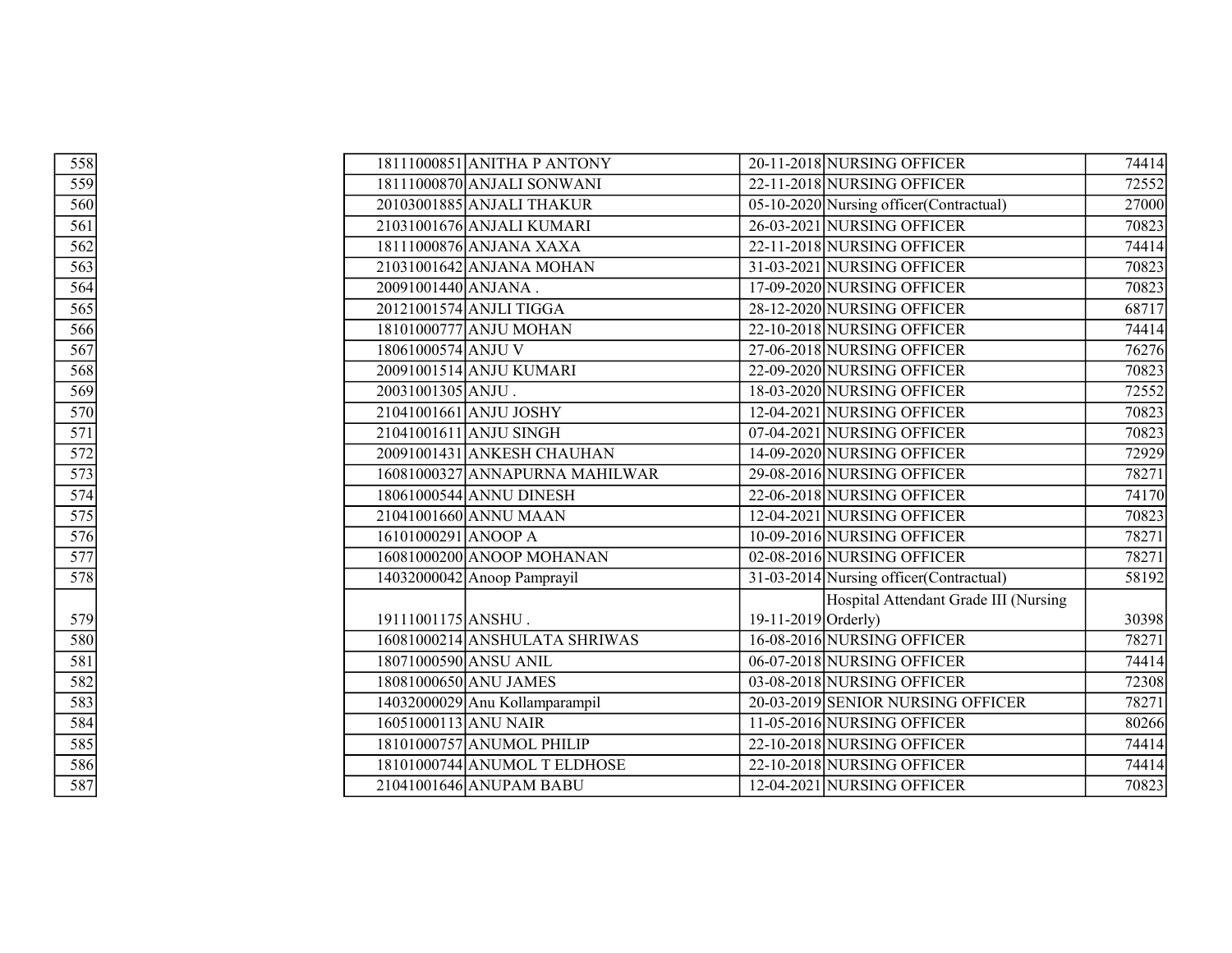| $rac{558}{559}$<br>$rac{559}{560}$ | 18111000851 ANITHA P ANTONY    | 20-11-2018 NURSING OFFICER               | 74414 |
|------------------------------------|--------------------------------|------------------------------------------|-------|
|                                    | 18111000870 ANJALI SONWANI     | 22-11-2018 NURSING OFFICER               | 72552 |
|                                    | 20103001885 ANJALI THAKUR      | 05-10-2020 Nursing officer (Contractual) | 27000 |
| 561                                | 21031001676 ANJALI KUMARI      | 26-03-2021 NURSING OFFICER               | 70823 |
| $\overline{562}$                   | 18111000876 ANJANA XAXA        | 22-11-2018 NURSING OFFICER               | 74414 |
| 563                                | 21031001642 ANJANA MOHAN       | 31-03-2021 NURSING OFFICER               | 70823 |
| 564                                | 20091001440 ANJANA.            | 17-09-2020 NURSING OFFICER               | 70823 |
| $\overline{565}$                   | 20121001574 ANJLI TIGGA        | 28-12-2020 NURSING OFFICER               | 68717 |
| $\overline{566}$                   | 18101000777 ANJU MOHAN         | 22-10-2018 NURSING OFFICER               | 74414 |
| $\overline{567}$                   | 18061000574 ANJU V             | 27-06-2018 NURSING OFFICER               | 76276 |
| 568                                | 20091001514 ANJU KUMARI        | 22-09-2020 NURSING OFFICER               | 70823 |
| 569                                | 20031001305 ANJU.              | 18-03-2020 NURSING OFFICER               | 72552 |
| 570                                | 21041001661 ANJU JOSHY         | 12-04-2021 NURSING OFFICER               | 70823 |
| $\overline{571}$                   | 21041001611 ANJU SINGH         | 07-04-2021 NURSING OFFICER               | 70823 |
| $\overline{572}$                   | 20091001431 ANKESH CHAUHAN     | 14-09-2020 NURSING OFFICER               | 72929 |
| $\overline{573}$                   | 16081000327 ANNAPURNA MAHILWAR | 29-08-2016 NURSING OFFICER               | 78271 |
| 574                                | 18061000544 ANNU DINESH        | 22-06-2018 NURSING OFFICER               | 74170 |
| $\overline{575}$                   | 21041001660 ANNU MAAN          | 12-04-2021 NURSING OFFICER               | 70823 |
| $\overline{576}$                   | 16101000291 ANOOP A            | 10-09-2016 NURSING OFFICER               | 78271 |
| $\overline{577}$                   | 16081000200 ANOOP MOHANAN      | 02-08-2016 NURSING OFFICER               | 78271 |
| 578                                | $14032000042$ Anoop Pamprayil  | 31-03-2014 Nursing officer (Contractual) | 58192 |
|                                    |                                | Hospital Attendant Grade III (Nursing    |       |
| 579                                | 19111001175 ANSHU.             | 19-11-2019 Orderly)                      | 30398 |
| 580                                | 16081000214 ANSHULATA SHRIWAS  | 16-08-2016 NURSING OFFICER               | 78271 |
| 581                                | 18071000590 ANSU ANIL          | 06-07-2018 NURSING OFFICER               | 74414 |
| 582                                | 18081000650 ANU JAMES          | 03-08-2018 NURSING OFFICER               | 72308 |
| 583                                | 14032000029 Anu Kollamparampil | 20-03-2019 SENIOR NURSING OFFICER        | 78271 |
| 584                                | 16051000113 ANU NAIR           | 11-05-2016 NURSING OFFICER               | 80266 |
| $\overline{585}$                   | 18101000757 ANUMOL PHILIP      | 22-10-2018 NURSING OFFICER               | 74414 |
| 586                                | 18101000744 ANUMOL T ELDHOSE   | 22-10-2018 NURSING OFFICER               | 74414 |
| 587                                | 21041001646 ANUPAM BABU        | 12-04-2021 NURSING OFFICER               | 70823 |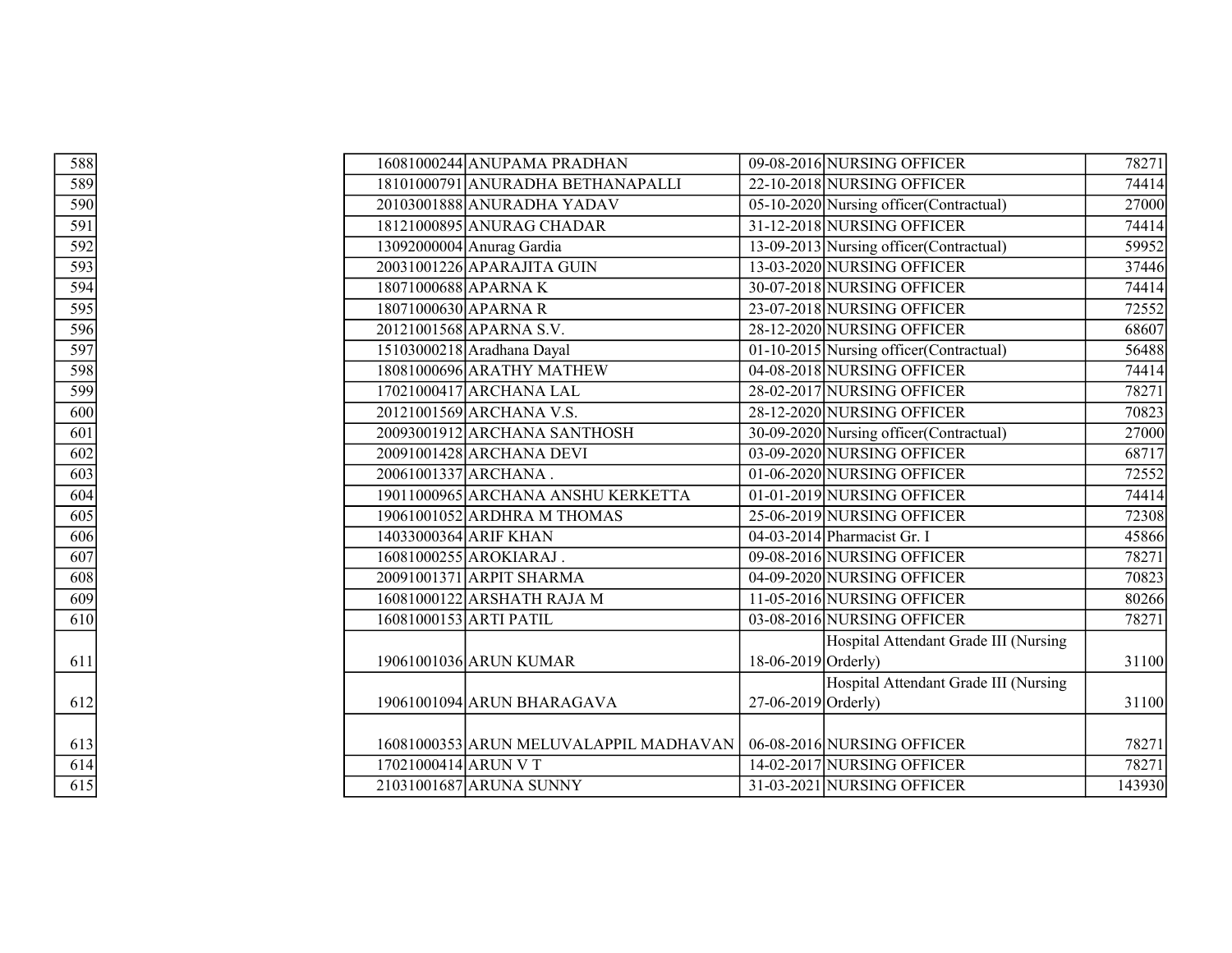| 588                                  |                      | 16081000244 ANUPAMA PRADHAN                                         |                       | 09-08-2016 NURSING OFFICER               | 78271  |
|--------------------------------------|----------------------|---------------------------------------------------------------------|-----------------------|------------------------------------------|--------|
| $\frac{589}{590}$                    |                      | 18101000791 ANURADHA BETHANAPALLI                                   |                       | 22-10-2018 NURSING OFFICER               | 74414  |
|                                      |                      | 20103001888 ANURADHA YADAV                                          |                       | 05-10-2020 Nursing officer (Contractual) | 27000  |
| 591                                  |                      | 18121000895 ANURAG CHADAR                                           |                       | 31-12-2018 NURSING OFFICER               | 74414  |
| 592                                  |                      | 13092000004 Anurag Gardia                                           |                       | 13-09-2013 Nursing officer (Contractual) | 59952  |
| $\frac{593}{594}$                    |                      | 20031001226 APARAJITA GUIN                                          |                       | 13-03-2020 NURSING OFFICER               | 37446  |
|                                      |                      | 18071000688 APARNA K                                                |                       | 30-07-2018 NURSING OFFICER               | 74414  |
| $\frac{1}{595}$<br>$\frac{595}{596}$ |                      | 18071000630 APARNA R                                                |                       | 23-07-2018 NURSING OFFICER               | 72552  |
|                                      |                      | 20121001568 APARNA S.V.                                             |                       | 28-12-2020 NURSING OFFICER               | 68607  |
| $\frac{597}{598}$                    |                      | 15103000218 Aradhana Dayal                                          |                       | 01-10-2015 Nursing officer (Contractual) | 56488  |
|                                      |                      | 18081000696 ARATHY MATHEW                                           |                       | 04-08-2018 NURSING OFFICER               | 74414  |
| 599                                  |                      | 17021000417 ARCHANA LAL                                             |                       | 28-02-2017 NURSING OFFICER               | 78271  |
| $\overline{600}$                     |                      | 20121001569 ARCHANA V.S.                                            |                       | 28-12-2020 NURSING OFFICER               | 70823  |
| $\overline{601}$                     |                      | 20093001912 ARCHANA SANTHOSH                                        |                       | 30-09-2020 Nursing officer (Contractual) | 27000  |
| $\overline{602}$                     |                      | 20091001428 ARCHANA DEVI                                            |                       | 03-09-2020 NURSING OFFICER               | 68717  |
| 603                                  |                      | 20061001337 ARCHANA.                                                |                       | 01-06-2020 NURSING OFFICER               | 72552  |
| 604                                  |                      | 19011000965 ARCHANA ANSHU KERKETTA                                  |                       | $\overline{01-01}$ -2019 NURSING OFFICER | 74414  |
| $\overline{605}$                     |                      | 19061001052 ARDHRA M THOMAS                                         |                       | 25-06-2019 NURSING OFFICER               | 72308  |
| 606                                  |                      | 14033000364 ARIF KHAN                                               |                       | 04-03-2014 Pharmacist Gr. I              | 45866  |
| 607                                  |                      | 16081000255 AROKIARAJ.                                              |                       | 09-08-2016 NURSING OFFICER               | 78271  |
| $\overline{608}$                     |                      | 20091001371 ARPIT SHARMA                                            |                       | 04-09-2020 NURSING OFFICER               | 70823  |
| 609                                  |                      | 16081000122 ARSHATH RAJA M                                          |                       | 11-05-2016 NURSING OFFICER               | 80266  |
| 610                                  |                      | 16081000153 ARTI PATIL                                              |                       | 03-08-2016 NURSING OFFICER               | 78271  |
|                                      |                      |                                                                     |                       | Hospital Attendant Grade III (Nursing    |        |
| 611                                  |                      | 19061001036 ARUN KUMAR                                              | $18-06-2019$ Orderly) |                                          | 31100  |
|                                      |                      |                                                                     |                       | Hospital Attendant Grade III (Nursing    |        |
| 612                                  |                      | 19061001094 ARUN BHARAGAVA                                          | $27-06-2019$ Orderly) |                                          | 31100  |
|                                      |                      |                                                                     |                       |                                          |        |
| 613                                  |                      | 16081000353 ARUN MELUVALAPPIL MADHAVAN   06-08-2016 NURSING OFFICER |                       |                                          | 78271  |
| $\overline{614}$                     | 17021000414 ARUN V T |                                                                     |                       | 14-02-2017 NURSING OFFICER               | 78271  |
| $\overline{615}$                     |                      | 21031001687 ARUNA SUNNY                                             |                       | 31-03-2021 NURSING OFFICER               | 143930 |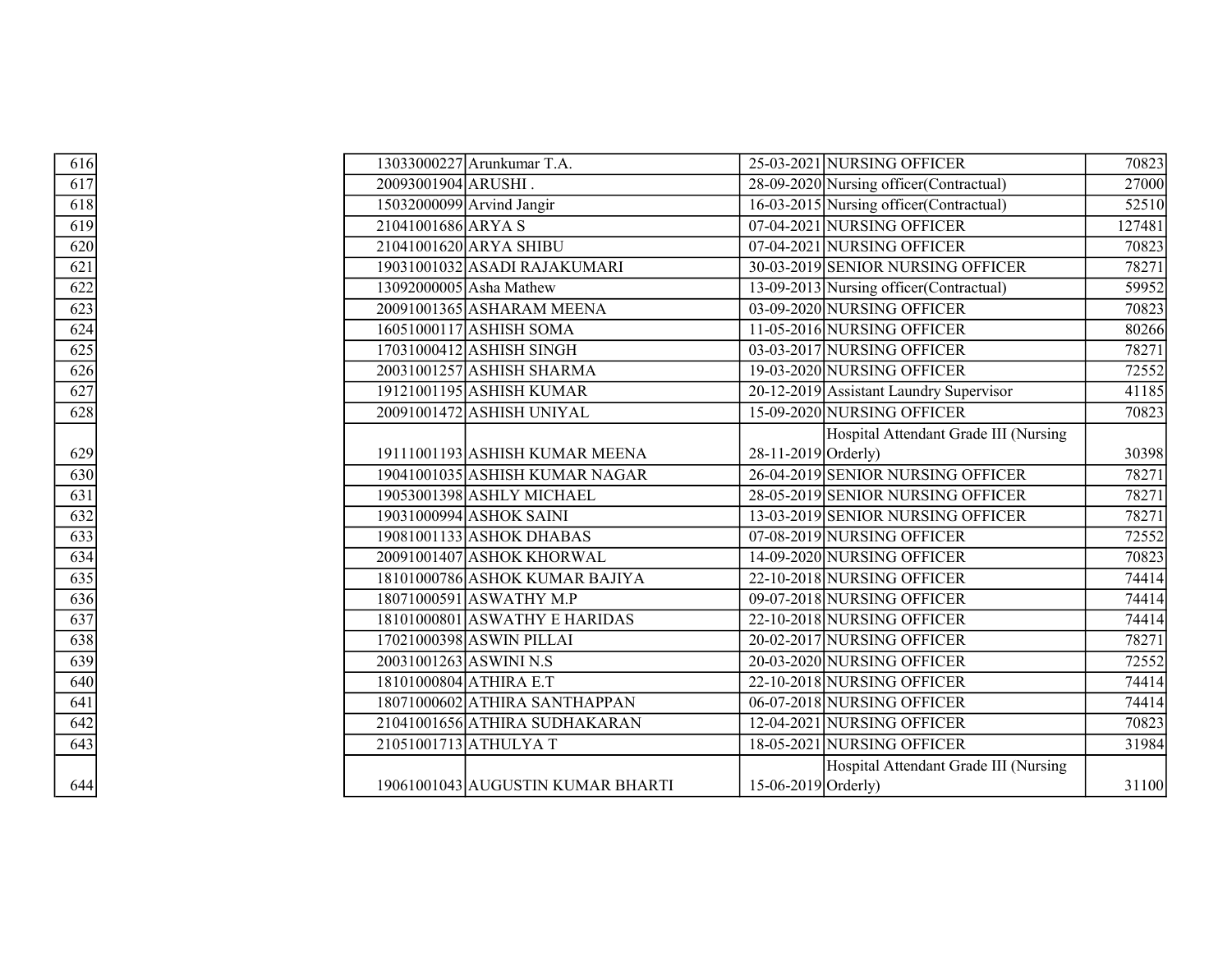| 616                                    |                        | 13033000227 Arunkumar T.A.        |                       | 25-03-2021 NURSING OFFICER               | 70823  |
|----------------------------------------|------------------------|-----------------------------------|-----------------------|------------------------------------------|--------|
| $\overline{617}$                       | 20093001904 ARUSHI.    |                                   |                       | 28-09-2020 Nursing officer (Contractual) | 27000  |
| $\overline{618}$                       |                        | 15032000099 Arvind Jangir         |                       | 16-03-2015 Nursing officer (Contractual) | 52510  |
| 619                                    | 21041001686 ARYA S     |                                   |                       | 07-04-2021 NURSING OFFICER               | 127481 |
| 620                                    |                        | 21041001620 ARYA SHIBU            |                       | 07-04-2021 NURSING OFFICER               | 70823  |
| $\overline{621}$                       |                        | 19031001032 ASADI RAJAKUMARI      |                       | 30-03-2019 SENIOR NURSING OFFICER        | 78271  |
| $\frac{622}{623}$<br>$\frac{623}{624}$ |                        | 13092000005 Asha Mathew           |                       | 13-09-2013 Nursing officer (Contractual) | 59952  |
|                                        |                        | 20091001365 ASHARAM MEENA         |                       | 03-09-2020 NURSING OFFICER               | 70823  |
|                                        |                        | 16051000117 ASHISH SOMA           |                       | 11-05-2016 NURSING OFFICER               | 80266  |
| $\sqrt{625}$                           |                        | 17031000412 ASHISH SINGH          |                       | 03-03-2017 NURSING OFFICER               | 78271  |
| $\frac{626}{ }$                        |                        | 20031001257 ASHISH SHARMA         |                       | 19-03-2020 NURSING OFFICER               | 72552  |
| 627                                    |                        | 19121001195 ASHISH KUMAR          |                       | 20-12-2019 Assistant Laundry Supervisor  | 41185  |
| $\frac{628}{2}$                        |                        | 20091001472 ASHISH UNIYAL         |                       | 15-09-2020 NURSING OFFICER               | 70823  |
|                                        |                        |                                   |                       | Hospital Attendant Grade III (Nursing    |        |
| 629                                    |                        | 19111001193 ASHISH KUMAR MEENA    | $28-11-2019$ Orderly) |                                          | 30398  |
| $\frac{1}{630}$                        |                        | 19041001035 ASHISH KUMAR NAGAR    |                       | 26-04-2019 SENIOR NURSING OFFICER        | 78271  |
| $\frac{631}{632}$                      |                        | 19053001398 ASHLY MICHAEL         |                       | 28-05-2019 SENIOR NURSING OFFICER        | 78271  |
|                                        |                        | 19031000994 ASHOK SAINI           |                       | 13-03-2019 SENIOR NURSING OFFICER        | 78271  |
| 633                                    |                        | 19081001133 ASHOK DHABAS          |                       | 07-08-2019 NURSING OFFICER               | 72552  |
| $\frac{634}{635}$                      |                        | 20091001407 ASHOK KHORWAL         |                       | 14-09-2020 NURSING OFFICER               | 70823  |
|                                        |                        | 18101000786 ASHOK KUMAR BAJIYA    |                       | 22-10-2018 NURSING OFFICER               | 74414  |
| 636                                    |                        | 18071000591 ASWATHY M.P           |                       | 09-07-2018 NURSING OFFICER               | 74414  |
| 637                                    |                        | 18101000801 ASWATHY E HARIDAS     |                       | 22-10-2018 NURSING OFFICER               | 74414  |
| 638                                    |                        | 17021000398 ASWIN PILLAI          |                       | 20-02-2017 NURSING OFFICER               | 78271  |
| $\frac{639}{640}$                      | 20031001263 ASWINI N.S |                                   |                       | 20-03-2020 NURSING OFFICER               | 72552  |
|                                        |                        | 18101000804 ATHIRA E.T            |                       | 22-10-2018 NURSING OFFICER               | 74414  |
| $\overline{641}$                       |                        | 18071000602 ATHIRA SANTHAPPAN     |                       | 06-07-2018 NURSING OFFICER               | 74414  |
| $\frac{642}{642}$                      |                        | 21041001656 ATHIRA SUDHAKARAN     |                       | 12-04-2021 NURSING OFFICER               | 70823  |
| $\sqrt{643}$                           |                        | 21051001713 ATHULYAT              |                       | 18-05-2021 NURSING OFFICER               | 31984  |
|                                        |                        |                                   |                       | Hospital Attendant Grade III (Nursing    |        |
| 644                                    |                        | 19061001043 AUGUSTIN KUMAR BHARTI | 15-06-2019 Orderly)   |                                          | 31100  |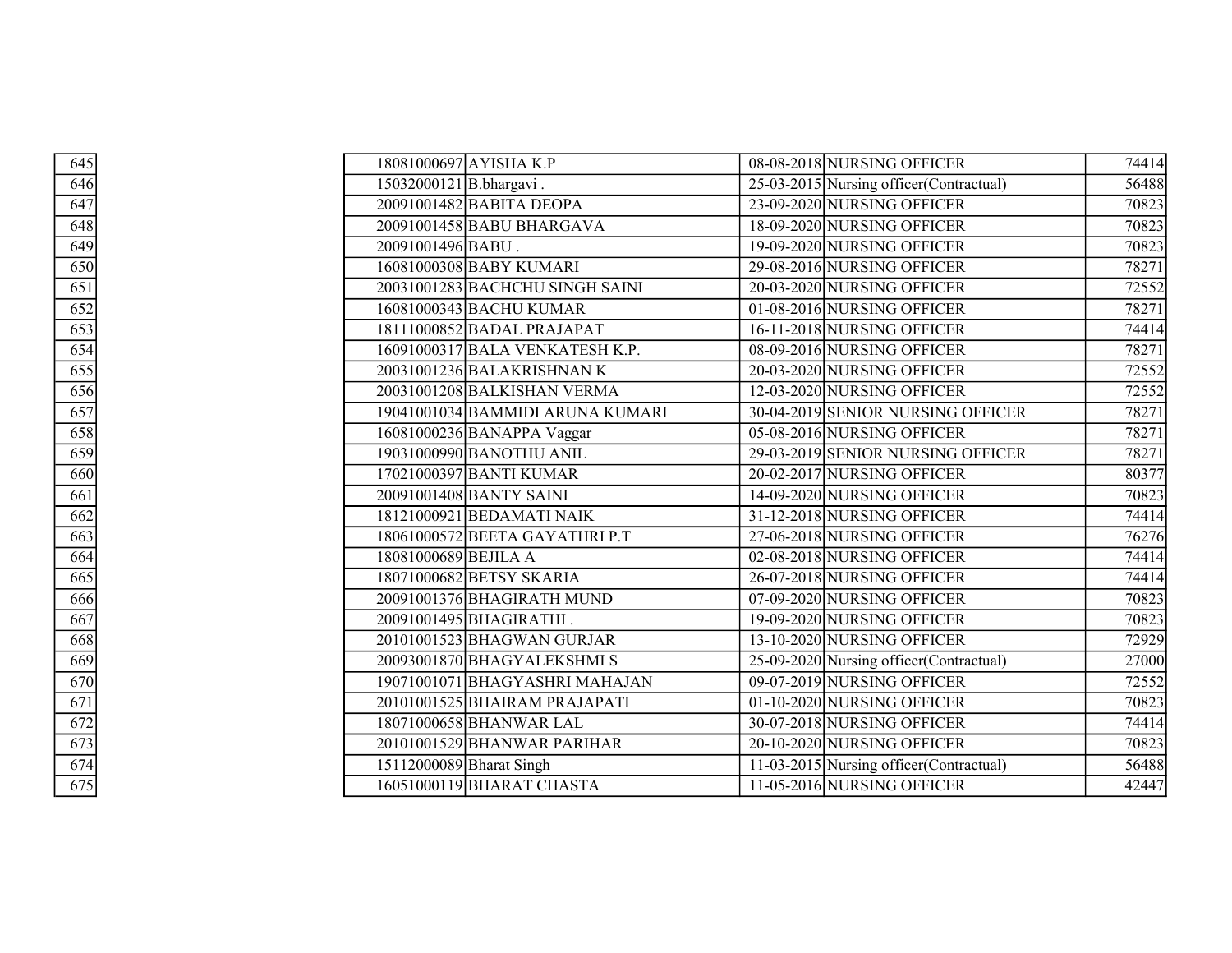| $\overline{645}$  |                         | 18081000697 AYISHA K.P           | 08-08-2018 NURSING OFFICER               | 74414 |
|-------------------|-------------------------|----------------------------------|------------------------------------------|-------|
| 646               | 15032000121 B.bhargavi. |                                  | 25-03-2015 Nursing officer (Contractual) | 56488 |
| $\frac{647}{ }$   |                         | 20091001482 BABITA DEOPA         | 23-09-2020 NURSING OFFICER               | 70823 |
| 648               |                         | 20091001458 BABU BHARGAVA        | 18-09-2020 NURSING OFFICER               | 70823 |
| $\frac{649}{649}$ | 20091001496BABU.        |                                  | 19-09-2020 NURSING OFFICER               | 70823 |
| 650               |                         | 16081000308 BABY KUMARI          | 29-08-2016 NURSING OFFICER               | 78271 |
| $\overline{651}$  |                         | 20031001283 BACHCHU SINGH SAINI  | 20-03-2020 NURSING OFFICER               | 72552 |
| 652               |                         | 16081000343 BACHU KUMAR          | 01-08-2016 NURSING OFFICER               | 78271 |
| $\frac{1}{653}$   |                         | 18111000852 BADAL PRAJAPAT       | 16-11-2018 NURSING OFFICER               | 74414 |
| 654               |                         | 16091000317 BALA VENKATESH K.P.  | 08-09-2016 NURSING OFFICER               | 78271 |
| $\frac{1}{655}$   |                         | 20031001236 BALAKRISHNAN K       | 20-03-2020 NURSING OFFICER               | 72552 |
| 656               |                         | 20031001208 BALKISHAN VERMA      | 12-03-2020 NURSING OFFICER               | 72552 |
| $\frac{657}{ }$   |                         | 19041001034 BAMMIDI ARUNA KUMARI | 30-04-2019 SENIOR NURSING OFFICER        | 78271 |
| $\frac{1}{658}$   |                         | 16081000236 BANAPPA Vaggar       | 05-08-2016 NURSING OFFICER               | 78271 |
| $\frac{1}{659}$   |                         | 19031000990 BANOTHU ANIL         | 29-03-2019 SENIOR NURSING OFFICER        | 78271 |
| 660               |                         | 17021000397 BANTI KUMAR          | 20-02-2017 NURSING OFFICER               | 80377 |
| 661               |                         | 20091001408 BANTY SAINI          | 14-09-2020 NURSING OFFICER               | 70823 |
| 662               |                         | 18121000921 BEDAMATI NAIK        | 31-12-2018 NURSING OFFICER               | 74414 |
| 663               |                         | 18061000572 BEETA GAYATHRI P.T   | 27-06-2018 NURSING OFFICER               | 76276 |
| $\frac{664}{664}$ | 18081000689 BEJILA A    |                                  | 02-08-2018 NURSING OFFICER               | 74414 |
| $\frac{1}{665}$   |                         | 18071000682 BETSY SKARIA         | 26-07-2018 NURSING OFFICER               | 74414 |
| 666               |                         | 20091001376 BHAGIRATH MUND       | 07-09-2020 NURSING OFFICER               | 70823 |
| $\frac{667}{667}$ |                         | 20091001495 BHAGIRATHI.          | 19-09-2020 NURSING OFFICER               | 70823 |
| 668               |                         | 20101001523 BHAGWAN GURJAR       | 13-10-2020 NURSING OFFICER               | 72929 |
| 669               |                         | 20093001870 BHAGYALEKSHMIS       | 25-09-2020 Nursing officer (Contractual) | 27000 |
| 670               |                         | 19071001071 BHAGYASHRI MAHAJAN   | 09-07-2019 NURSING OFFICER               | 72552 |
| 671               |                         | 20101001525 BHAIRAM PRAJAPATI    | 01-10-2020 NURSING OFFICER               | 70823 |
| $\frac{672}{57}$  |                         | 18071000658 BHANWAR LAL          | 30-07-2018 NURSING OFFICER               | 74414 |
| 673               |                         | 20101001529 BHANWAR PARIHAR      | 20-10-2020 NURSING OFFICER               | 70823 |
| $\frac{674}{ }$   |                         | 15112000089 Bharat Singh         | 11-03-2015 Nursing officer (Contractual) | 56488 |
| 675               |                         | 16051000119 BHARAT CHASTA        | 11-05-2016 NURSING OFFICER               | 42447 |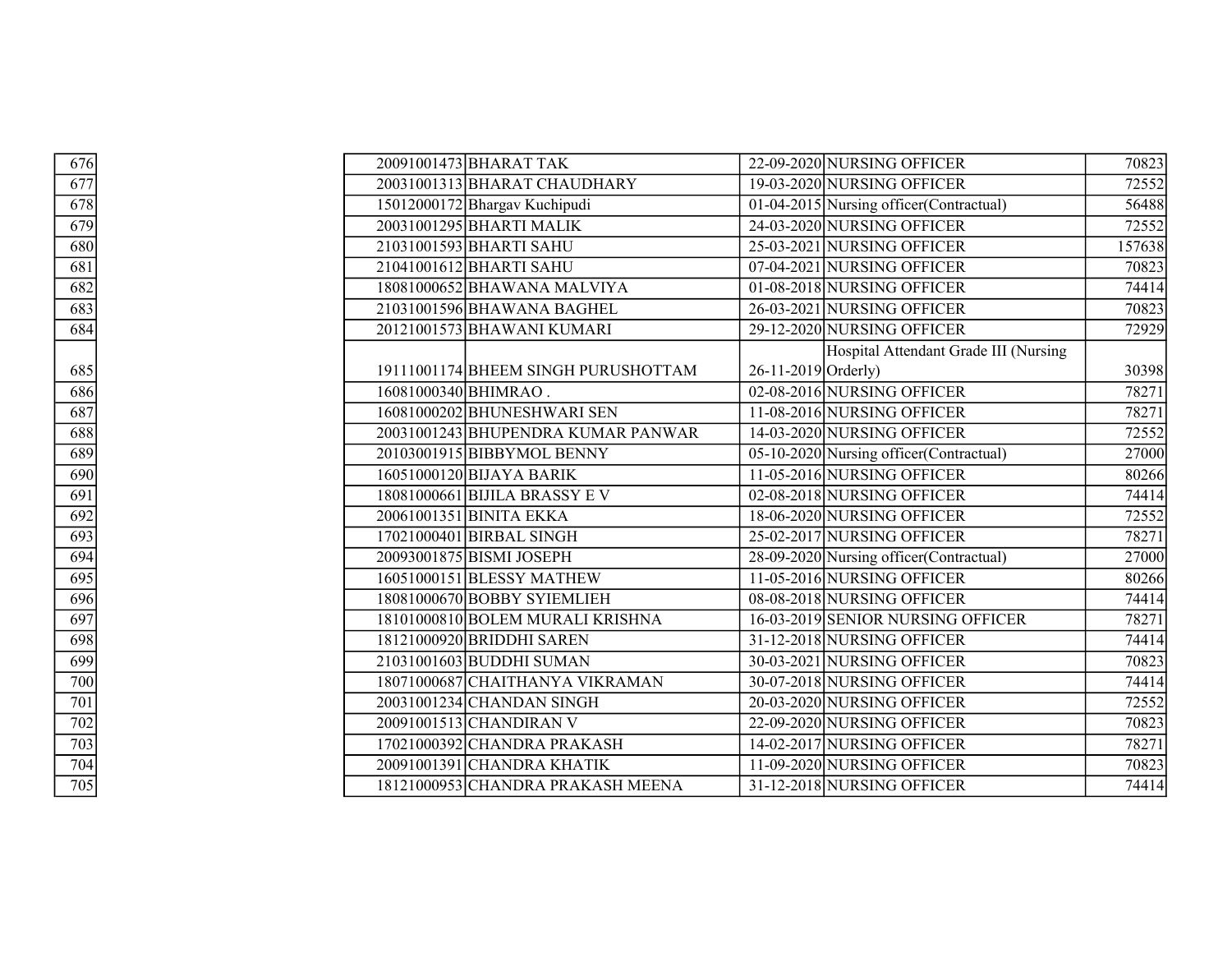| 676               |                      | 20091001473 BHARAT TAK              |                       | 22-09-2020 NURSING OFFICER               | 70823  |
|-------------------|----------------------|-------------------------------------|-----------------------|------------------------------------------|--------|
| $\frac{677}{678}$ |                      | 20031001313 BHARAT CHAUDHARY        |                       | 19-03-2020 NURSING OFFICER               | 72552  |
|                   |                      | 15012000172 Bhargav Kuchipudi       |                       | 01-04-2015 Nursing officer (Contractual) | 56488  |
| 679               |                      | 20031001295 BHARTI MALIK            |                       | 24-03-2020 NURSING OFFICER               | 72552  |
| 680               |                      | 21031001593 BHARTI SAHU             |                       | 25-03-2021 NURSING OFFICER               | 157638 |
| 681               |                      | 21041001612 BHARTI SAHU             |                       | 07-04-2021 NURSING OFFICER               | 70823  |
| 682               |                      | 18081000652 BHAWANA MALVIYA         |                       | 01-08-2018 NURSING OFFICER               | 74414  |
| 683               |                      | 21031001596 BHAWANA BAGHEL          |                       | 26-03-2021 NURSING OFFICER               | 70823  |
| $\sqrt{684}$      |                      | 20121001573 BHAWANI KUMARI          |                       | 29-12-2020 NURSING OFFICER               | 72929  |
|                   |                      |                                     |                       | Hospital Attendant Grade III (Nursing    |        |
| 685               |                      | 19111001174 BHEEM SINGH PURUSHOTTAM | $26-11-2019$ Orderly) |                                          | 30398  |
| 686               | 16081000340 BHIMRAO. |                                     |                       | 02-08-2016 NURSING OFFICER               | 78271  |
| 687               |                      | 16081000202 BHUNESHWARI SEN         |                       | 11-08-2016 NURSING OFFICER               | 78271  |
| $\overline{688}$  |                      | 20031001243 BHUPENDRA KUMAR PANWAR  |                       | 14-03-2020 NURSING OFFICER               | 72552  |
| 689               |                      | 20103001915 BIBBYMOL BENNY          |                       | 05-10-2020 Nursing officer (Contractual) | 27000  |
| 690               |                      | 16051000120 BIJAYA BARIK            |                       | 11-05-2016 NURSING OFFICER               | 80266  |
| 691               |                      | 18081000661 BIJILA BRASSY E V       |                       | 02-08-2018 NURSING OFFICER               | 74414  |
| $\frac{1}{692}$   |                      | 20061001351 BINITA EKKA             |                       | 18-06-2020 NURSING OFFICER               | 72552  |
| 693               |                      | 17021000401 BIRBAL SINGH            |                       | 25-02-2017 NURSING OFFICER               | 78271  |
| $\frac{694}{ }$   |                      | 20093001875 BISMI JOSEPH            |                       | 28-09-2020 Nursing officer (Contractual) | 27000  |
| $\frac{1}{695}$   |                      | 16051000151 BLESSY MATHEW           |                       | 11-05-2016 NURSING OFFICER               | 80266  |
| 696               |                      | 18081000670 BOBBY SYIEMLIEH         |                       | 08-08-2018 NURSING OFFICER               | 74414  |
| 697               |                      | 18101000810 BOLEM MURALI KRISHNA    |                       | 16-03-2019 SENIOR NURSING OFFICER        | 78271  |
| 698               |                      | 18121000920 BRIDDHI SAREN           |                       | 31-12-2018 NURSING OFFICER               | 74414  |
| 699               |                      | 21031001603 BUDDHI SUMAN            |                       | 30-03-2021 NURSING OFFICER               | 70823  |
| 700               |                      | 18071000687 CHAITHANYA VIKRAMAN     |                       | 30-07-2018 NURSING OFFICER               | 74414  |
| $\overline{701}$  |                      | 20031001234 CHANDAN SINGH           |                       | 20-03-2020 NURSING OFFICER               | 72552  |
| 702               |                      | 20091001513 CHANDIRAN V             |                       | 22-09-2020 NURSING OFFICER               | 70823  |
| 703               |                      | 17021000392 CHANDRA PRAKASH         |                       | 14-02-2017 NURSING OFFICER               | 78271  |
| 704               |                      | 20091001391 CHANDRA KHATIK          |                       | 11-09-2020 NURSING OFFICER               | 70823  |
| $\overline{705}$  |                      | 18121000953 CHANDRA PRAKASH MEENA   |                       | 31-12-2018 NURSING OFFICER               | 74414  |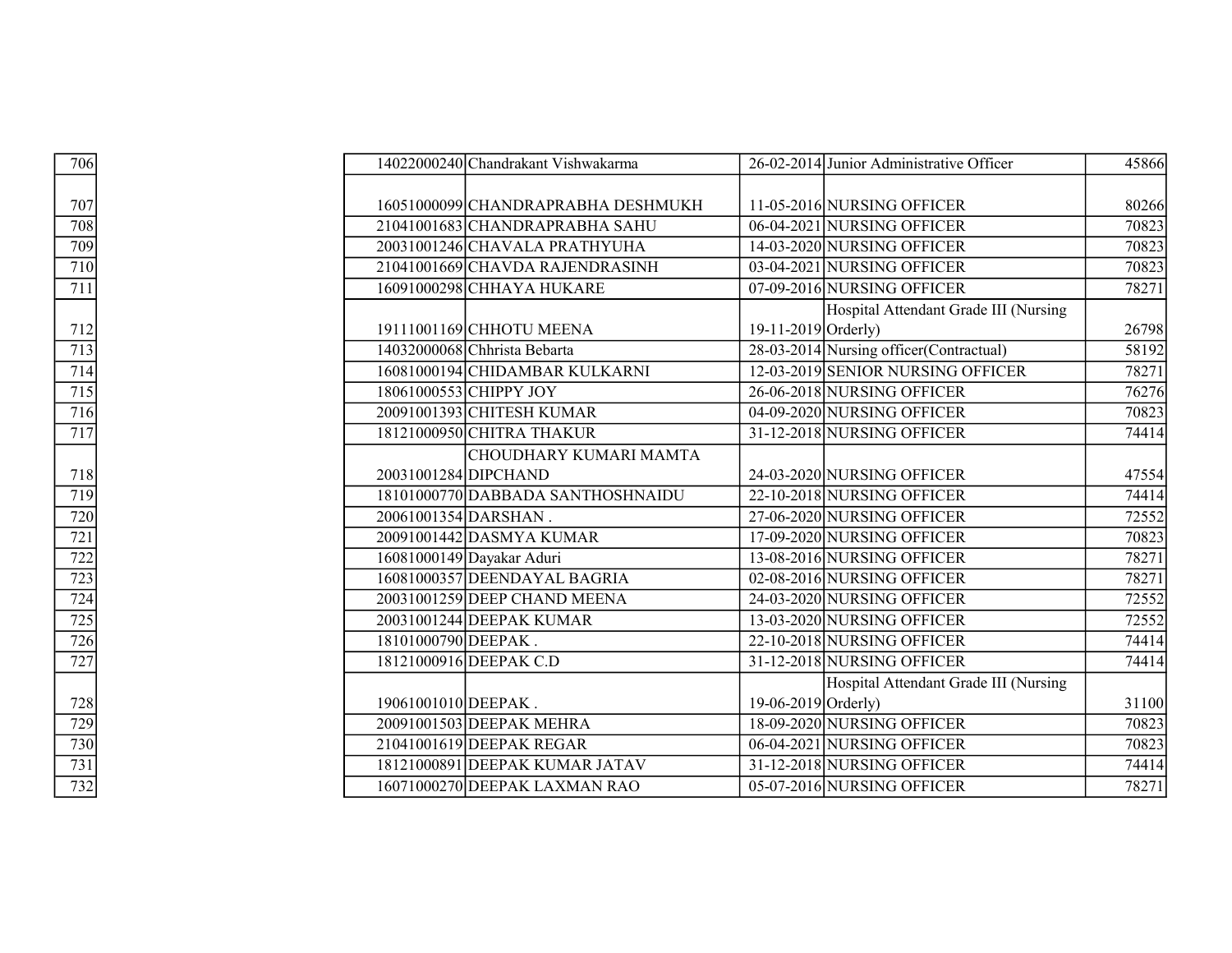| 706               |                      | 14022000240 Chandrakant Vishwakarma |                     | 26-02-2014 Junior Administrative Officer | 45866 |
|-------------------|----------------------|-------------------------------------|---------------------|------------------------------------------|-------|
|                   |                      |                                     |                     |                                          |       |
| $\frac{707}{2}$   |                      | 16051000099 CHANDRAPRABHA DESHMUKH  |                     | 11-05-2016 NURSING OFFICER               | 80266 |
| $\overline{708}$  |                      | 21041001683 CHANDRAPRABHA SAHU      |                     | 06-04-2021 NURSING OFFICER               | 70823 |
|                   |                      | 20031001246 CHAVALA PRATHYUHA       |                     | 14-03-2020 NURSING OFFICER               | 70823 |
| $\frac{709}{710}$ |                      | 21041001669 CHAVDA RAJENDRASINH     |                     | 03-04-2021 NURSING OFFICER               | 70823 |
| $\overline{711}$  |                      | 16091000298 CHHAYA HUKARE           |                     | 07-09-2016 NURSING OFFICER               | 78271 |
|                   |                      |                                     |                     | Hospital Attendant Grade III (Nursing    |       |
| 712               |                      | 19111001169 CHHOTU MEENA            | 19-11-2019 Orderly) |                                          | 26798 |
|                   |                      | 14032000068 Chhrista Bebarta        |                     | 28-03-2014 Nursing officer (Contractual) | 58192 |
| $\frac{713}{714}$ |                      | 16081000194 CHIDAMBAR KULKARNI      |                     | 12-03-2019 SENIOR NURSING OFFICER        | 78271 |
| $\overline{715}$  |                      | 18061000553 CHIPPY JOY              |                     | 26-06-2018 NURSING OFFICER               | 76276 |
| 716               |                      | 20091001393 CHITESH KUMAR           |                     | 04-09-2020 NURSING OFFICER               | 70823 |
| $\frac{1}{717}$   |                      | 18121000950 CHITRA THAKUR           |                     | 31-12-2018 NURSING OFFICER               | 74414 |
|                   |                      | CHOUDHARY KUMARI MAMTA              |                     |                                          |       |
| 718               | 20031001284 DIPCHAND |                                     |                     | 24-03-2020 NURSING OFFICER               | 47554 |
|                   |                      | 18101000770 DABBADA SANTHOSHNAIDU   |                     | 22-10-2018 NURSING OFFICER               | 74414 |
| $\frac{719}{720}$ | 20061001354 DARSHAN. |                                     |                     | 27-06-2020 NURSING OFFICER               | 72552 |
| $\overline{721}$  |                      | 20091001442 DASMYA KUMAR            |                     | 17-09-2020 NURSING OFFICER               | 70823 |
| $\frac{1}{722}$   |                      | 16081000149 Dayakar Aduri           |                     | 13-08-2016 NURSING OFFICER               | 78271 |
|                   |                      | 16081000357 DEENDAYAL BAGRIA        |                     | 02-08-2016 NURSING OFFICER               | 78271 |
| $\overline{724}$  |                      | 20031001259 DEEP CHAND MEENA        |                     | 24-03-2020 NURSING OFFICER               | 72552 |
| $\frac{725}{726}$ |                      | 20031001244 DEEPAK KUMAR            |                     | 13-03-2020 NURSING OFFICER               | 72552 |
|                   | 18101000790 DEEPAK.  |                                     |                     | 22-10-2018 NURSING OFFICER               | 74414 |
| 727               |                      | 18121000916 DEEPAK C.D              |                     | 31-12-2018 NURSING OFFICER               | 74414 |
|                   |                      |                                     |                     | Hospital Attendant Grade III (Nursing    |       |
| 728               | 19061001010 DEEPAK.  |                                     | 19-06-2019 Orderly) |                                          | 31100 |
| 729               |                      | 20091001503 DEEPAK MEHRA            |                     | 18-09-2020 NURSING OFFICER               | 70823 |
| 730               |                      | 21041001619 DEEPAK REGAR            |                     | 06-04-2021 NURSING OFFICER               | 70823 |
| 731               |                      | 18121000891 DEEPAK KUMAR JATAV      |                     | 31-12-2018 NURSING OFFICER               | 74414 |
| 732               |                      | 16071000270 DEEPAK LAXMAN RAO       |                     | 05-07-2016 NURSING OFFICER               | 78271 |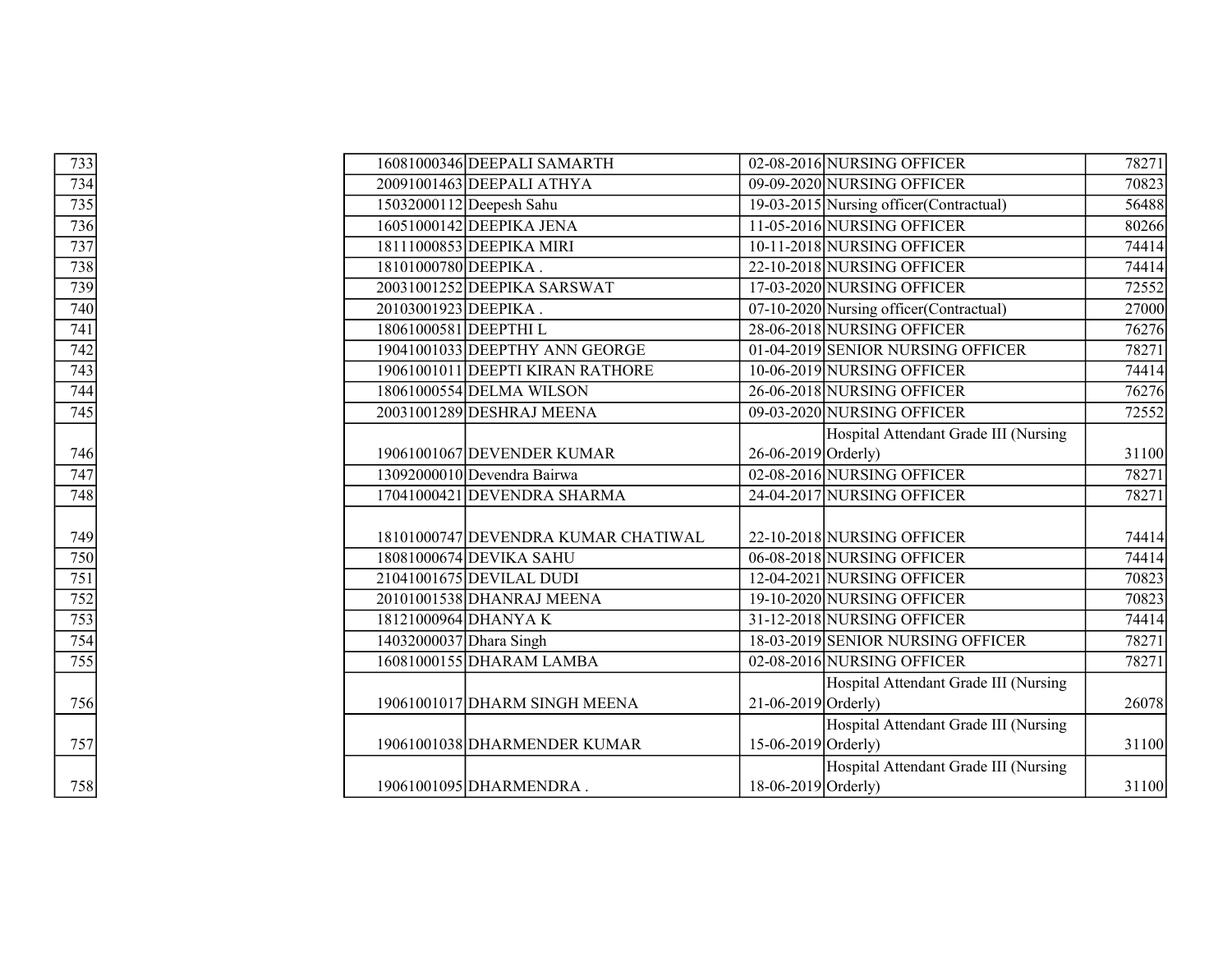| 733                                    |                         | 16081000346 DEEPALI SAMARTH         |                       | 02-08-2016 NURSING OFFICER               | 78271 |
|----------------------------------------|-------------------------|-------------------------------------|-----------------------|------------------------------------------|-------|
|                                        |                         | 20091001463 DEEPALI ATHYA           |                       | 09-09-2020 NURSING OFFICER               | 70823 |
| $\frac{734}{735}$<br>$\frac{735}{736}$ |                         | 15032000112 Deepesh Sahu            |                       | 19-03-2015 Nursing officer (Contractual) | 56488 |
|                                        |                         | 16051000142 DEEPIKA JENA            |                       | 11-05-2016 NURSING OFFICER               | 80266 |
| 737                                    |                         | 18111000853 DEEPIKA MIRI            |                       | 10-11-2018 NURSING OFFICER               | 74414 |
| $\frac{738}{739}$                      | 18101000780 DEEPIKA.    |                                     |                       | 22-10-2018 NURSING OFFICER               | 74414 |
|                                        |                         | 20031001252 DEEPIKA SARSWAT         |                       | 17-03-2020 NURSING OFFICER               | 72552 |
| $\frac{740}{741}$                      | 20103001923 DEEPIKA.    |                                     |                       | 07-10-2020 Nursing officer (Contractual) | 27000 |
|                                        | 18061000581 DEEPTHIL    |                                     |                       | 28-06-2018 NURSING OFFICER               | 76276 |
|                                        |                         | 19041001033 DEEPTHY ANN GEORGE      |                       | 01-04-2019 SENIOR NURSING OFFICER        | 78271 |
| $\frac{742}{743}$                      |                         | 19061001011 DEEPTI KIRAN RATHORE    |                       | 10-06-2019 NURSING OFFICER               | 74414 |
| 744                                    |                         | 18061000554 DELMA WILSON            |                       | 26-06-2018 NURSING OFFICER               | 76276 |
| $\overline{745}$                       |                         | 20031001289 DESHRAJ MEENA           |                       | 09-03-2020 NURSING OFFICER               | 72552 |
|                                        |                         |                                     |                       | Hospital Attendant Grade III (Nursing    |       |
|                                        |                         | 19061001067 DEVENDER KUMAR          | 26-06-2019 Orderly)   |                                          | 31100 |
| $\frac{746}{747}$                      |                         | 13092000010 Devendra Bairwa         |                       | 02-08-2016 NURSING OFFICER               | 78271 |
| 748                                    |                         | 17041000421 DEVENDRA SHARMA         |                       | 24-04-2017 NURSING OFFICER               | 78271 |
|                                        |                         |                                     |                       |                                          |       |
| 749                                    |                         | 18101000747 DEVENDRA KUMAR CHATIWAL |                       | 22-10-2018 NURSING OFFICER               | 74414 |
| $\frac{750}{751}$                      |                         | 18081000674 DEVIKA SAHU             |                       | 06-08-2018 NURSING OFFICER               | 74414 |
|                                        |                         | 21041001675 DEVILAL DUDI            |                       | 12-04-2021 NURSING OFFICER               | 70823 |
| $\frac{752}{753}$<br>$\frac{753}{754}$ |                         | 20101001538 DHANRAJ MEENA           |                       | 19-10-2020 NURSING OFFICER               | 70823 |
|                                        |                         | 18121000964 DHANYA K                |                       | 31-12-2018 NURSING OFFICER               | 74414 |
|                                        | 14032000037 Dhara Singh |                                     |                       | 18-03-2019 SENIOR NURSING OFFICER        | 78271 |
| $\frac{755}{ }$                        |                         | 16081000155 DHARAM LAMBA            |                       | 02-08-2016 NURSING OFFICER               | 78271 |
|                                        |                         |                                     |                       | Hospital Attendant Grade III (Nursing    |       |
| 756                                    |                         | 19061001017 DHARM SINGH MEENA       | $21-06-2019$ Orderly) |                                          | 26078 |
|                                        |                         |                                     |                       | Hospital Attendant Grade III (Nursing    |       |
| 757                                    |                         | 19061001038 DHARMENDER KUMAR        | 15-06-2019 Orderly)   |                                          | 31100 |
|                                        |                         |                                     |                       | Hospital Attendant Grade III (Nursing    |       |
| 758                                    |                         | 19061001095 DHARMENDRA.             | 18-06-2019 Orderly)   |                                          | 31100 |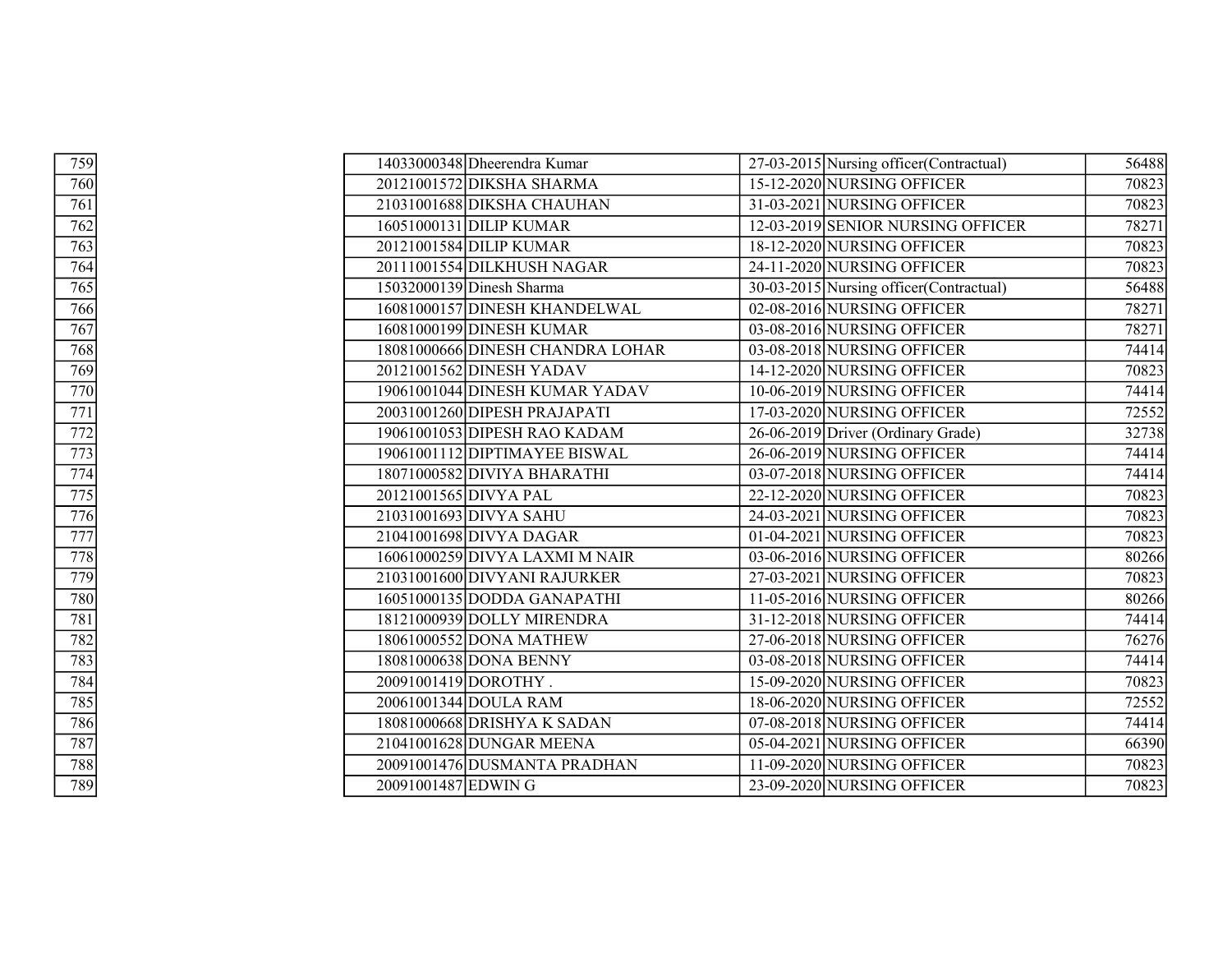| 759              |                       | 14033000348 Dheerendra Kumar     | 27-03-2015 Nursing officer (Contractual) | 56488 |
|------------------|-----------------------|----------------------------------|------------------------------------------|-------|
| $\overline{760}$ |                       | 20121001572 DIKSHA SHARMA        | 15-12-2020 NURSING OFFICER               | 70823 |
| $\overline{761}$ |                       | 21031001688 DIKSHA CHAUHAN       | 31-03-2021 NURSING OFFICER               | 70823 |
| 762              |                       | 16051000131 DILIP KUMAR          | 12-03-2019 SENIOR NURSING OFFICER        | 78271 |
| $\overline{763}$ |                       | 20121001584 DILIP KUMAR          | 18-12-2020 NURSING OFFICER               | 70823 |
| 764              |                       | 20111001554 DILKHUSH NAGAR       | 24-11-2020 NURSING OFFICER               | 70823 |
| $\overline{765}$ |                       | 15032000139 Dinesh Sharma        | 30-03-2015 Nursing officer (Contractual) | 56488 |
| 766              |                       | 16081000157 DINESH KHANDELWAL    | 02-08-2016 NURSING OFFICER               | 78271 |
| $\overline{767}$ |                       | 16081000199 DINESH KUMAR         | 03-08-2016 NURSING OFFICER               | 78271 |
| 768              |                       | 18081000666 DINESH CHANDRA LOHAR | 03-08-2018 NURSING OFFICER               | 74414 |
| $\overline{769}$ |                       | 20121001562 DINESH YADAV         | 14-12-2020 NURSING OFFICER               | 70823 |
| 770              |                       | 19061001044 DINESH KUMAR YADAV   | 10-06-2019 NURSING OFFICER               | 74414 |
| $\overline{771}$ |                       | 20031001260 DIPESH PRAJAPATI     | 17-03-2020 NURSING OFFICER               | 72552 |
| $\overline{772}$ |                       | 19061001053 DIPESH RAO KADAM     | 26-06-2019 Driver (Ordinary Grade)       | 32738 |
| $\overline{773}$ |                       | 19061001112 DIPTIMAYEE BISWAL    | 26-06-2019 NURSING OFFICER               | 74414 |
| $\overline{774}$ |                       | 18071000582 DIVIYA BHARATHI      | 03-07-2018 NURSING OFFICER               | 74414 |
| 775              | 20121001565 DIVYA PAL |                                  | 22-12-2020 NURSING OFFICER               | 70823 |
| 776              |                       | 21031001693 DIVYA SAHU           | 24-03-2021 NURSING OFFICER               | 70823 |
| 777              |                       | 21041001698 DIVYA DAGAR          | 01-04-2021 NURSING OFFICER               | 70823 |
| $\overline{778}$ |                       | 16061000259 DIVYA LAXMI M NAIR   | 03-06-2016 NURSING OFFICER               | 80266 |
| 779              |                       | 21031001600 DIVYANI RAJURKER     | 27-03-2021 NURSING OFFICER               | 70823 |
| 780              |                       | 16051000135 DODDA GANAPATHI      | 11-05-2016 NURSING OFFICER               | 80266 |
| 781              |                       | 18121000939 DOLLY MIRENDRA       | 31-12-2018 NURSING OFFICER               | 74414 |
| 782              |                       | 18061000552 DONA MATHEW          | 27-06-2018 NURSING OFFICER               | 76276 |
| 783              |                       | 18081000638 DONA BENNY           | 03-08-2018 NURSING OFFICER               | 74414 |
| 784              | 20091001419 DOROTHY.  |                                  | 15-09-2020 NURSING OFFICER               | 70823 |
| 785              |                       | 20061001344 DOULA RAM            | 18-06-2020 NURSING OFFICER               | 72552 |
| 786              |                       | 18081000668 DRISHYA K SADAN      | 07-08-2018 NURSING OFFICER               | 74414 |
| 787              |                       | 21041001628 DUNGAR MEENA         | 05-04-2021 NURSING OFFICER               | 66390 |
| 788              |                       | 20091001476 DUSMANTA PRADHAN     | 11-09-2020 NURSING OFFICER               | 70823 |
| 789              | 20091001487 EDWING    |                                  | 23-09-2020 NURSING OFFICER               | 70823 |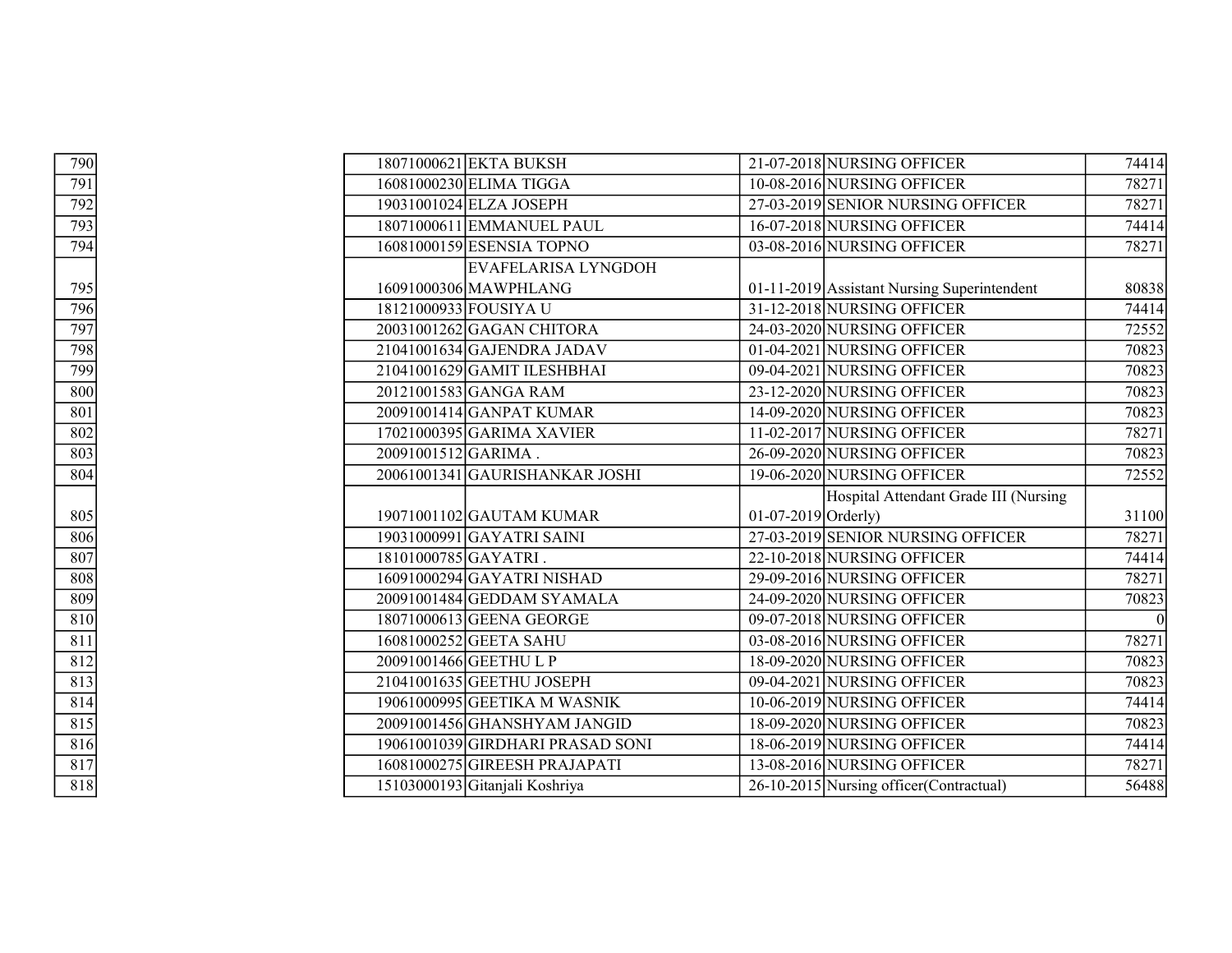| 790              |                       | 18071000621 EKTA BUKSH           |                     | 21-07-2018 NURSING OFFICER                  | 74414 |
|------------------|-----------------------|----------------------------------|---------------------|---------------------------------------------|-------|
| 791              |                       | 16081000230 ELIMA TIGGA          |                     | 10-08-2016 NURSING OFFICER                  | 78271 |
| 792              |                       | 19031001024 ELZA JOSEPH          |                     | 27-03-2019 SENIOR NURSING OFFICER           | 78271 |
| 793              |                       | 18071000611 EMMANUEL PAUL        |                     | 16-07-2018 NURSING OFFICER                  | 74414 |
| 794              |                       | 16081000159 ESENSIA TOPNO        |                     | 03-08-2016 NURSING OFFICER                  | 78271 |
|                  |                       | EVAFELARISA LYNGDOH              |                     |                                             |       |
| 795              |                       | 16091000306 MAWPHLANG            |                     | 01-11-2019 Assistant Nursing Superintendent | 80838 |
| 796              | 18121000933 FOUSIYA U |                                  |                     | 31-12-2018 NURSING OFFICER                  | 74414 |
| 797              |                       | 20031001262 GAGAN CHITORA        |                     | 24-03-2020 NURSING OFFICER                  | 72552 |
| 798              |                       | $21041001634$ GAJENDRA JADAV     |                     | 01-04-2021 NURSING OFFICER                  | 70823 |
| 799              |                       | 21041001629 GAMIT ILESHBHAI      |                     | 09-04-2021 NURSING OFFICER                  | 70823 |
| $\overline{800}$ |                       | 20121001583 GANGA RAM            |                     | 23-12-2020 NURSING OFFICER                  | 70823 |
| 801              |                       | 20091001414 GANPAT KUMAR         |                     | 14-09-2020 NURSING OFFICER                  | 70823 |
| $\overline{802}$ |                       | 17021000395 GARIMA XAVIER        |                     | 11-02-2017 NURSING OFFICER                  | 78271 |
| $\overline{803}$ | 20091001512GARIMA.    |                                  |                     | 26-09-2020 NURSING OFFICER                  | 70823 |
| 804              |                       | 20061001341 GAURISHANKAR JOSHI   |                     | 19-06-2020 NURSING OFFICER                  | 72552 |
|                  |                       |                                  |                     | Hospital Attendant Grade III (Nursing       |       |
| 805              |                       | 19071001102 GAUTAM KUMAR         | 01-07-2019 Orderly) |                                             | 31100 |
| 806              |                       | 19031000991 GAYATRI SAINI        |                     | 27-03-2019 SENIOR NURSING OFFICER           | 78271 |
| 807              | 18101000785GAYATRI.   |                                  |                     | 22-10-2018 NURSING OFFICER                  | 74414 |
| $\overline{808}$ |                       | 16091000294 GAYATRI NISHAD       |                     | 29-09-2016 NURSING OFFICER                  | 78271 |
| 809              |                       | 20091001484 GEDDAM SYAMALA       |                     | 24-09-2020 NURSING OFFICER                  | 70823 |
| $\overline{810}$ |                       | 18071000613 GEENA GEORGE         |                     | 09-07-2018 NURSING OFFICER                  |       |
| $\overline{811}$ |                       | 16081000252 GEETA SAHU           |                     | 03-08-2016 NURSING OFFICER                  | 78271 |
| $\overline{812}$ |                       | 20091001466 GEETHU L P           |                     | 18-09-2020 NURSING OFFICER                  | 70823 |
| 813              |                       | 21041001635 GEETHU JOSEPH        |                     | 09-04-2021 NURSING OFFICER                  | 70823 |
| $\frac{814}{ }$  |                       | 19061000995 GEETIKA M WASNIK     |                     | 10-06-2019 NURSING OFFICER                  | 74414 |
| $\overline{815}$ |                       | 20091001456 GHANSHYAM JANGID     |                     | 18-09-2020 NURSING OFFICER                  | 70823 |
| 816              |                       | 19061001039 GIRDHARI PRASAD SONI |                     | 18-06-2019 NURSING OFFICER                  | 74414 |
| 817              |                       | 16081000275 GIREESH PRAJAPATI    |                     | 13-08-2016 NURSING OFFICER                  | 78271 |
| 818              |                       | 15103000193 Gitanjali Koshriya   |                     | 26-10-2015 Nursing officer (Contractual)    | 56488 |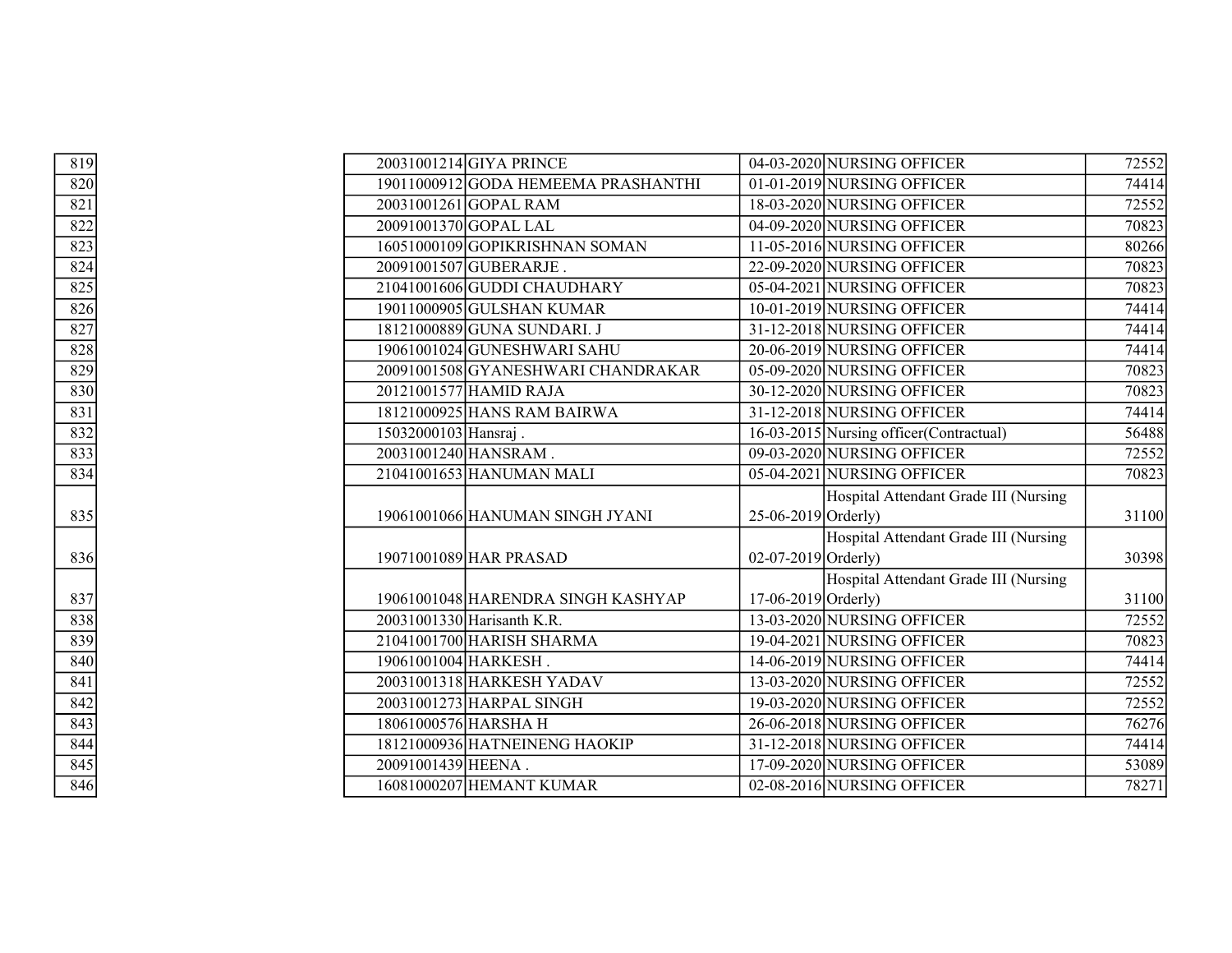| 819               | 20031001214 GIYA PRINCE             | 04-03-2020 NURSING OFFICER               | 72552 |
|-------------------|-------------------------------------|------------------------------------------|-------|
| 820               | 19011000912 GODA HEMEEMA PRASHANTHI | 01-01-2019 NURSING OFFICER               | 74414 |
| $\overline{821}$  | 20031001261 GOPAL RAM               | 18-03-2020 NURSING OFFICER               | 72552 |
| 822               | 20091001370 GOPAL LAL               | 04-09-2020 NURSING OFFICER               | 70823 |
| 823               | 16051000109GOPIKRISHNAN SOMAN       | 11-05-2016 NURSING OFFICER               | 80266 |
| 824               | 20091001507 GUBERARJE.              | 22-09-2020 NURSING OFFICER               | 70823 |
| $\overline{825}$  | 21041001606 GUDDI CHAUDHARY         | 05-04-2021 NURSING OFFICER               | 70823 |
| $\frac{826}{827}$ | 19011000905 GULSHAN KUMAR           | 10-01-2019 NURSING OFFICER               | 74414 |
|                   | 18121000889 GUNA SUNDARI. J         | 31-12-2018 NURSING OFFICER               | 74414 |
| $\overline{828}$  | 19061001024 GUNESHWARI SAHU         | 20-06-2019 NURSING OFFICER               | 74414 |
| $\overline{829}$  | 20091001508 GYANESHWARI CHANDRAKAR  | 05-09-2020 NURSING OFFICER               | 70823 |
| 830               | 20121001577 HAMID RAJA              | 30-12-2020 NURSING OFFICER               | 70823 |
| $\frac{831}{832}$ | 18121000925 HANS RAM BAIRWA         | 31-12-2018 NURSING OFFICER               | 74414 |
|                   | 15032000103 Hansraj.                | 16-03-2015 Nursing officer (Contractual) | 56488 |
| 833               | 20031001240 HANSRAM.                | 09-03-2020 NURSING OFFICER               | 72552 |
| $\frac{834}{ }$   | 21041001653 HANUMAN MALI            | 05-04-2021 NURSING OFFICER               | 70823 |
|                   |                                     | Hospital Attendant Grade III (Nursing    |       |
| 835               | 19061001066 HANUMAN SINGH JYANI     | $25-06-2019$ Orderly)                    | 31100 |
|                   |                                     | Hospital Attendant Grade III (Nursing    |       |
| 836               | 19071001089 HAR PRASAD              | $02-07-2019$ Orderly)                    | 30398 |
|                   |                                     | Hospital Attendant Grade III (Nursing    |       |
| 837               | 19061001048 HARENDRA SINGH KASHYAP  | 17-06-2019 Orderly)                      | 31100 |
| 838               | 20031001330 Harisanth K.R.          | 13-03-2020 NURSING OFFICER               | 72552 |
| 839               | 21041001700 HARISH SHARMA           | 19-04-2021 NURSING OFFICER               | 70823 |
| 840               | 19061001004 HARKESH.                | 14-06-2019 NURSING OFFICER               | 74414 |
| $\overline{841}$  | 20031001318 HARKESH YADAV           | 13-03-2020 NURSING OFFICER               | 72552 |
| 842               | 20031001273 HARPAL SINGH            | 19-03-2020 NURSING OFFICER               | 72552 |
| $\overline{843}$  | 18061000576 HARSHA H                | 26-06-2018 NURSING OFFICER               | 76276 |
| 844               | 18121000936 HATNEINENG HAOKIP       | 31-12-2018 NURSING OFFICER               | 74414 |
| $\frac{845}{ }$   | 20091001439 HEENA.                  | 17-09-2020 NURSING OFFICER               | 53089 |
| 846               | 16081000207 HEMANT KUMAR            | 02-08-2016 NURSING OFFICER               | 78271 |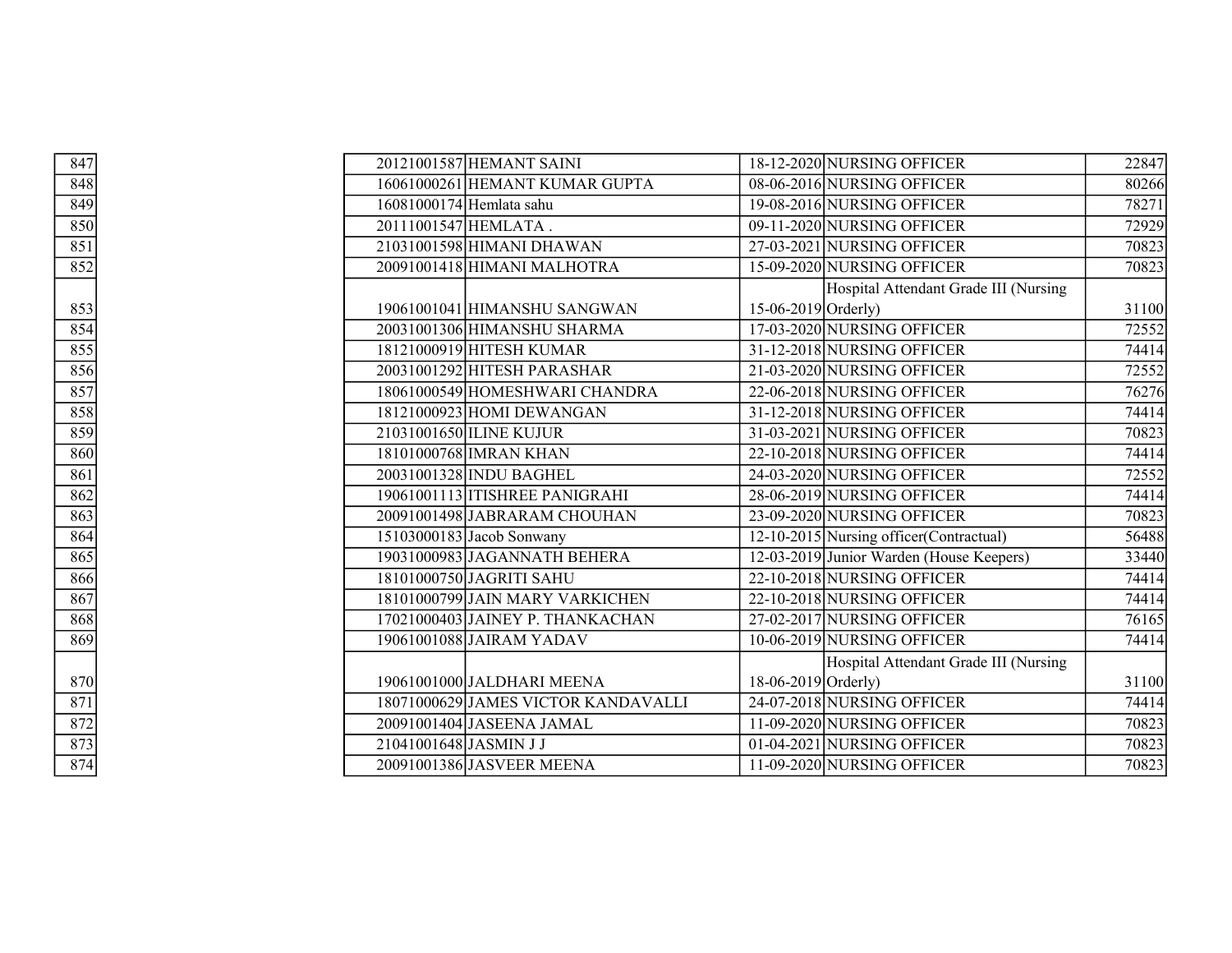| $\overline{847}$  |                        | 20121001587 HEMANT SAINI            |                       | 18-12-2020 NURSING OFFICER               | 22847 |
|-------------------|------------------------|-------------------------------------|-----------------------|------------------------------------------|-------|
| 848               |                        | 16061000261 HEMANT KUMAR GUPTA      |                       | 08-06-2016 NURSING OFFICER               | 80266 |
| $\frac{1}{849}$   |                        | 16081000174 Hemlata sahu            |                       | 19-08-2016 NURSING OFFICER               | 78271 |
| 850               | 20111001547 HEMLATA.   |                                     |                       | 09-11-2020 NURSING OFFICER               | 72929 |
| $\overline{851}$  |                        | 21031001598 HIMANI DHAWAN           |                       | 27-03-2021 NURSING OFFICER               | 70823 |
| 852               |                        | 20091001418 HIMANI MALHOTRA         |                       | 15-09-2020 NURSING OFFICER               | 70823 |
|                   |                        |                                     |                       | Hospital Attendant Grade III (Nursing    |       |
| 853               |                        | 19061001041 HIMANSHU SANGWAN        | 15-06-2019 $Orderly)$ |                                          | 31100 |
| $\frac{854}{ }$   |                        | 20031001306 HIMANSHU SHARMA         |                       | 17-03-2020 NURSING OFFICER               | 72552 |
| $\overline{855}$  |                        | 18121000919 HITESH KUMAR            |                       | 31-12-2018 NURSING OFFICER               | 74414 |
| 856               |                        | 20031001292 HITESH PARASHAR         |                       | 21-03-2020 NURSING OFFICER               | 72552 |
| $\frac{1}{857}$   |                        | 18061000549 HOMESHWARI CHANDRA      |                       | 22-06-2018 NURSING OFFICER               | 76276 |
| 858               |                        | 18121000923 HOMI DEWANGAN           |                       | 31-12-2018 NURSING OFFICER               | 74414 |
| $\overline{859}$  |                        | 21031001650 ILINE KUJUR             |                       | 31-03-2021 NURSING OFFICER               | 70823 |
| 860               |                        | 18101000768 IMRAN KHAN              |                       | 22-10-2018 NURSING OFFICER               | 74414 |
| 861               |                        | 20031001328 INDU BAGHEL             |                       | 24-03-2020 NURSING OFFICER               | 72552 |
| 862               |                        | 19061001113 ITISHREE PANIGRAHI      |                       | 28-06-2019 NURSING OFFICER               | 74414 |
| $\overline{863}$  |                        | 20091001498 JABRARAM CHOUHAN        |                       | 23-09-2020 NURSING OFFICER               | 70823 |
| 864               |                        | 15103000183 Jacob Sonwany           |                       | 12-10-2015 Nursing officer (Contractual) | 56488 |
| $\frac{865}{ }$   |                        | 19031000983 JAGANNATH BEHERA        |                       | 12-03-2019 Junior Warden (House Keepers) | 33440 |
| 866               |                        | 18101000750 JAGRITI SAHU            |                       | 22-10-2018 NURSING OFFICER               | 74414 |
| $\frac{1}{867}$   |                        | 18101000799 JAIN MARY VARKICHEN     |                       | 22-10-2018 NURSING OFFICER               | 74414 |
| 868               |                        | 17021000403 JAINEY P. THANKACHAN    |                       | 27-02-2017 NURSING OFFICER               | 76165 |
| 869               |                        | 19061001088 JAIRAM YADAV            |                       | 10-06-2019 NURSING OFFICER               | 74414 |
|                   |                        |                                     |                       | Hospital Attendant Grade III (Nursing    |       |
| 870               |                        | 19061001000 JALDHARI MEENA          | 18-06-2019 Orderly)   |                                          | 31100 |
| $\overline{871}$  |                        | 18071000629 JAMES VICTOR KANDAVALLI |                       | 24-07-2018 NURSING OFFICER               | 74414 |
| $\frac{872}{873}$ |                        | 20091001404 JASEENA JAMAL           |                       | 11-09-2020 NURSING OFFICER               | 70823 |
|                   | 21041001648 JASMIN J J |                                     |                       | 01-04-2021 NURSING OFFICER               | 70823 |
| 874               |                        | 20091001386 JASVEER MEENA           |                       | 11-09-2020 NURSING OFFICER               | 70823 |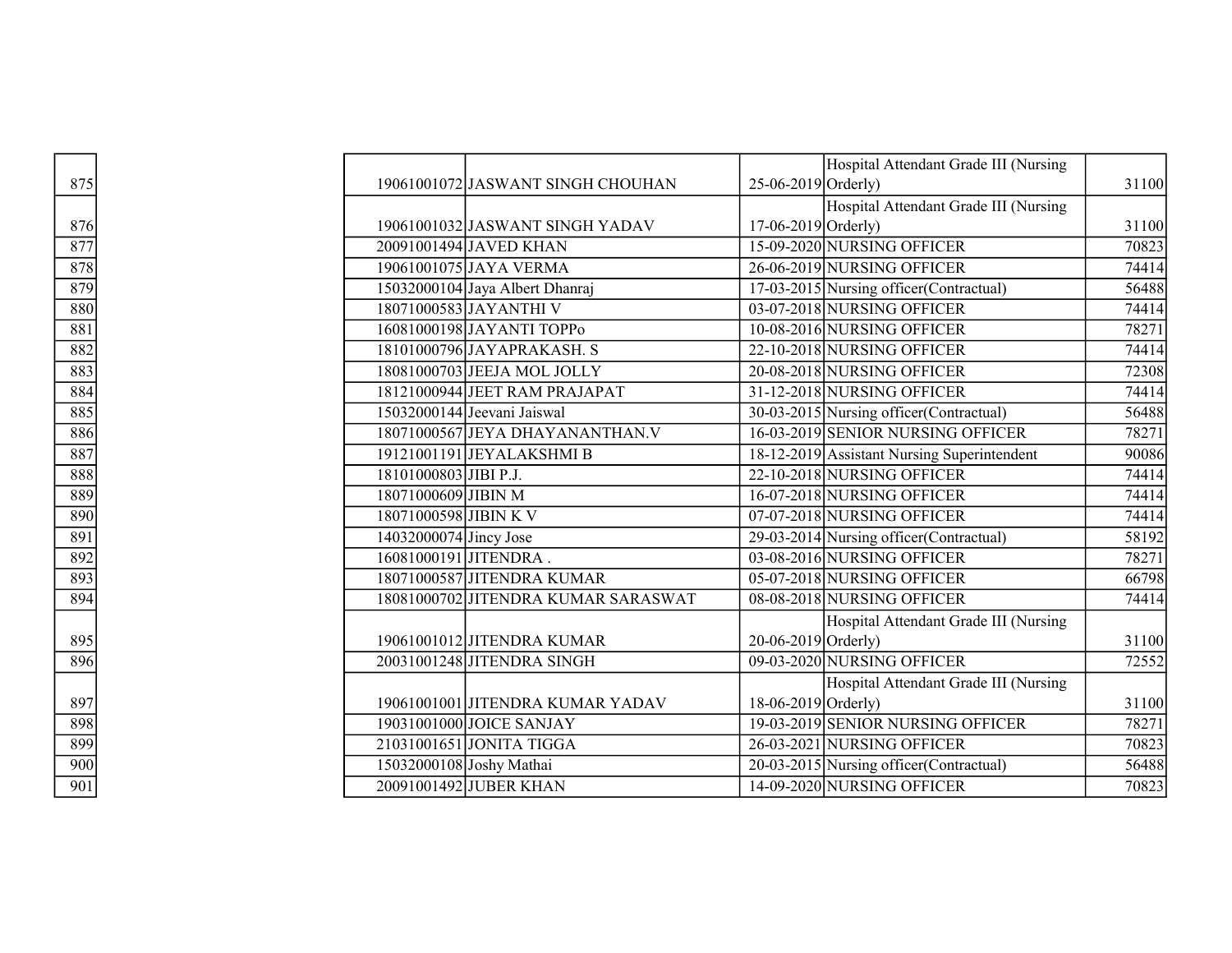|                                        |                        |                                     |                       | Hospital Attendant Grade III (Nursing       |       |
|----------------------------------------|------------------------|-------------------------------------|-----------------------|---------------------------------------------|-------|
| 875                                    |                        | 19061001072 JASWANT SINGH CHOUHAN   | $25-06-2019$ Orderly) |                                             | 31100 |
|                                        |                        |                                     |                       | Hospital Attendant Grade III (Nursing       |       |
| 876                                    |                        | 19061001032 JASWANT SINGH YADAV     | $17-06-2019$ Orderly) |                                             | 31100 |
| 877                                    |                        | 20091001494 JAVED KHAN              |                       | 15-09-2020 NURSING OFFICER                  | 70823 |
| $\frac{878}{879}$<br>$\frac{879}{880}$ |                        | 19061001075 JAYA VERMA              |                       | 26-06-2019 NURSING OFFICER                  | 74414 |
|                                        |                        | 15032000104 Jaya Albert Dhanraj     |                       | 17-03-2015 Nursing officer (Contractual)    | 56488 |
|                                        |                        | 18071000583 JAYANTHI V              |                       | 03-07-2018 NURSING OFFICER                  | 74414 |
| $\overline{881}$                       |                        | 16081000198 JAYANTI TOPPo           |                       | 10-08-2016 NURSING OFFICER                  | 78271 |
| 882                                    |                        | 18101000796 JAYAPRAKASH. S          |                       | 22-10-2018 NURSING OFFICER                  | 74414 |
| 883                                    |                        | 18081000703 JEEJA MOL JOLLY         |                       | 20-08-2018 NURSING OFFICER                  | 72308 |
| 884                                    |                        | 18121000944 JEET RAM PRAJAPAT       |                       | 31-12-2018 NURSING OFFICER                  | 74414 |
| 885                                    |                        | 15032000144 Jeevani Jaiswal         |                       | 30-03-2015 Nursing officer (Contractual)    | 56488 |
| 886                                    |                        | 18071000567 JEYA DHAYANANTHAN.V     |                       | 16-03-2019 SENIOR NURSING OFFICER           | 78271 |
| $\overline{887}$                       |                        | 19121001191 JEYALAKSHMI B           |                       | 18-12-2019 Assistant Nursing Superintendent | 90086 |
| 888                                    | 18101000803 JIBI P.J.  |                                     |                       | 22-10-2018 NURSING OFFICER                  | 74414 |
| 889                                    | 18071000609 JIBIN M    |                                     |                       | 16-07-2018 NURSING OFFICER                  | 74414 |
| 890                                    | 18071000598 JIBIN K V  |                                     |                       | 07-07-2018 NURSING OFFICER                  | 74414 |
| 891                                    | 14032000074 Jincy Jose |                                     |                       | 29-03-2014 Nursing officer (Contractual)    | 58192 |
| $\frac{892}{893}$                      |                        | 16081000191JJITENDRA.               |                       | 03-08-2016 NURSING OFFICER                  | 78271 |
|                                        |                        | 18071000587 JITENDRA KUMAR          |                       | 05-07-2018 NURSING OFFICER                  | 66798 |
| 894                                    |                        | 18081000702 JITENDRA KUMAR SARASWAT |                       | 08-08-2018 NURSING OFFICER                  | 74414 |
|                                        |                        |                                     |                       | Hospital Attendant Grade III (Nursing       |       |
| 895                                    |                        | 19061001012 JITENDRA KUMAR          | $20-06-2019$ Orderly) |                                             | 31100 |
| 896                                    |                        | 20031001248 JITENDRA SINGH          |                       | 09-03-2020 NURSING OFFICER                  | 72552 |
|                                        |                        |                                     |                       | Hospital Attendant Grade III (Nursing       |       |
| 897                                    |                        | 19061001001 JITENDRA KUMAR YADAV    | $18-06-2019$ Orderly) |                                             | 31100 |
| 898                                    |                        | 19031001000 JOICE SANJAY            |                       | 19-03-2019 SENIOR NURSING OFFICER           | 78271 |
| 899                                    |                        | 21031001651 JONITA TIGGA            |                       | 26-03-2021 NURSING OFFICER                  | 70823 |
| $\overline{900}$                       |                        | 15032000108 Joshy Mathai            |                       | 20-03-2015 Nursing officer (Contractual)    | 56488 |
| $\overline{901}$                       |                        | 20091001492 JUBER KHAN              |                       | 14-09-2020 NURSING OFFICER                  | 70823 |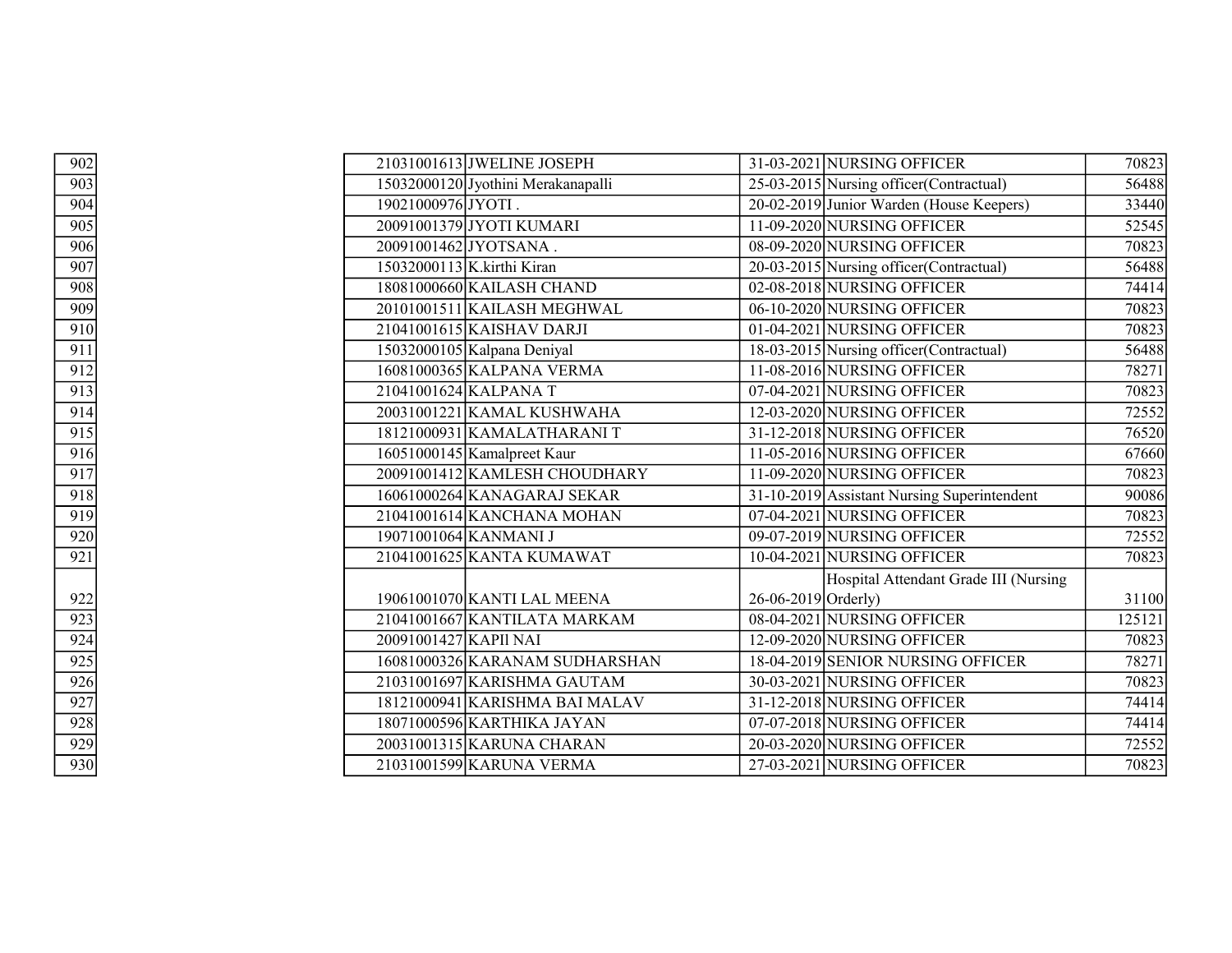| $\overline{902}$                              |                       | 21031001613 JWELINE JOSEPH         |                           | 31-03-2021 NURSING OFFICER                  | 70823  |
|-----------------------------------------------|-----------------------|------------------------------------|---------------------------|---------------------------------------------|--------|
| 903                                           |                       | 15032000120 Jyothini Merakanapalli |                           | 25-03-2015 Nursing officer (Contractual)    | 56488  |
| $\frac{904}{ }$                               | 19021000976JYOTI.     |                                    |                           | 20-02-2019 Junior Warden (House Keepers)    | 33440  |
| 905                                           |                       | 20091001379 JYOTI KUMARI           |                           | 11-09-2020 NURSING OFFICER                  | 52545  |
| 906                                           |                       | 20091001462 JYOTSANA.              |                           | 08-09-2020 NURSING OFFICER                  | 70823  |
| 907                                           |                       | 15032000113 K.kirthi Kiran         |                           | 20-03-2015 Nursing officer (Contractual)    | 56488  |
| 908                                           |                       | 18081000660 KAILASH CHAND          |                           | 02-08-2018 NURSING OFFICER                  | 74414  |
| 909                                           |                       | 20101001511 KAILASH MEGHWAL        |                           | 06-10-2020 NURSING OFFICER                  | 70823  |
| $\overline{910}$                              |                       | 21041001615 KAISHAV DARJI          |                           | 01-04-2021 NURSING OFFICER                  | 70823  |
| 911                                           |                       | 15032000105 Kalpana Deniyal        |                           | 18-03-2015 Nursing officer (Contractual)    | 56488  |
| 912                                           |                       | 16081000365 KALPANA VERMA          |                           | 11-08-2016 NURSING OFFICER                  | 78271  |
| 913                                           |                       | 21041001624 KALPANA T              |                           | 07-04-2021 NURSING OFFICER                  | 70823  |
| $\frac{914}{ }$                               |                       | 20031001221 KAMAL KUSHWAHA         |                           | 12-03-2020 NURSING OFFICER                  | 72552  |
| 915                                           |                       | 18121000931 KAMALATHARANI T        |                           | 31-12-2018 NURSING OFFICER                  | 76520  |
| 916                                           |                       | 16051000145 Kamalpreet Kaur        |                           | 11-05-2016 NURSING OFFICER                  | 67660  |
| 917                                           |                       | 20091001412 KAMLESH CHOUDHARY      |                           | 11-09-2020 NURSING OFFICER                  | 70823  |
| 918                                           |                       | 16061000264 KANAGARAJ SEKAR        |                           | 31-10-2019 Assistant Nursing Superintendent | 90086  |
| 919                                           |                       | 21041001614 KANCHANA MOHAN         |                           | 07-04-2021 NURSING OFFICER                  | 70823  |
| 920                                           |                       | 19071001064 KANMANI J              |                           | 09-07-2019 NURSING OFFICER                  | 72552  |
| $\overline{921}$                              |                       | 21041001625 KANTA KUMAWAT          |                           | 10-04-2021 NURSING OFFICER                  | 70823  |
|                                               |                       |                                    |                           | Hospital Attendant Grade III (Nursing       |        |
|                                               |                       | 19061001070 KANTI LAL MEENA        | $26 - 06 - 2019$ Orderly) |                                             | 31100  |
|                                               |                       | 21041001667 KANTILATA MARKAM       |                           | 08-04-2021 NURSING OFFICER                  | 125121 |
|                                               | 20091001427 KAPII NAI |                                    |                           | 12-09-2020 NURSING OFFICER                  | 70823  |
|                                               |                       | 16081000326 KARANAM SUDHARSHAN     |                           | 18-04-2019 SENIOR NURSING OFFICER           | 78271  |
|                                               |                       | 21031001697 KARISHMA GAUTAM        |                           | 30-03-2021 NURSING OFFICER                  | 70823  |
| 922<br>923<br>924<br>925<br>926<br>927<br>928 |                       | 18121000941 KARISHMA BAI MALAV     |                           | 31-12-2018 NURSING OFFICER                  | 74414  |
|                                               |                       | 18071000596 KARTHIKA JAYAN         |                           | 07-07-2018 NURSING OFFICER                  | 74414  |
| 929                                           |                       | 20031001315 KARUNA CHARAN          |                           | 20-03-2020 NURSING OFFICER                  | 72552  |
| $\frac{1}{930}$                               |                       | 21031001599 KARUNA VERMA           |                           | 27-03-2021 NURSING OFFICER                  | 70823  |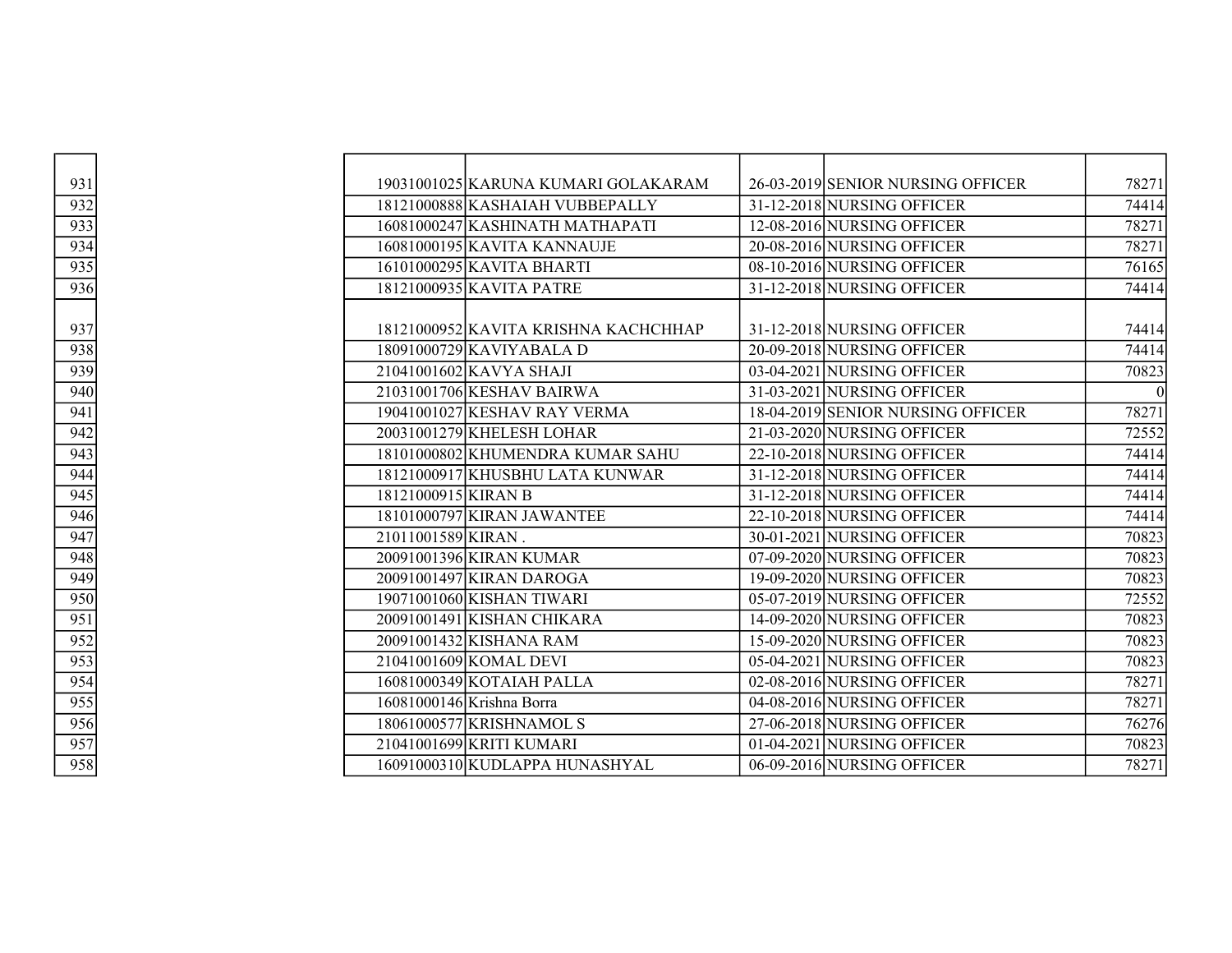| 931               |                           | 19031001025 KARUNA KUMARI GOLAKARAM  | 26-03-2019 SENIOR NURSING OFFICER | 78271    |
|-------------------|---------------------------|--------------------------------------|-----------------------------------|----------|
| $\frac{932}{933}$ |                           | 18121000888 KASHAIAH VUBBEPALLY      | 31-12-2018 NURSING OFFICER        | 74414    |
|                   |                           | 16081000247 KASHINATH MATHAPATI      | 12-08-2016 NURSING OFFICER        | 78271    |
| 934               |                           | 16081000195 KAVITA KANNAUJE          | 20-08-2016 NURSING OFFICER        | 78271    |
| 935               |                           | 16101000295 KAVITA BHARTI            | 08-10-2016 NURSING OFFICER        | 76165    |
| 936               |                           | 18121000935 KAVITA PATRE             | 31-12-2018 NURSING OFFICER        | 74414    |
|                   |                           |                                      |                                   |          |
| 937               |                           | 18121000952 KAVITA KRISHNA KACHCHHAP | 31-12-2018 NURSING OFFICER        | 74414    |
| 938               |                           | 18091000729 KAVIYABALA D             | 20-09-2018 NURSING OFFICER        | 74414    |
| 939               |                           | 21041001602 KAVYA SHAJI              | 03-04-2021 NURSING OFFICER        | 70823    |
| 940               |                           | 21031001706 KESHAV BAIRWA            | 31-03-2021 NURSING OFFICER        | $\Omega$ |
| $\frac{941}{ }$   |                           | 19041001027 KESHAV RAY VERMA         | 18-04-2019 SENIOR NURSING OFFICER | 78271    |
| 942               |                           | 20031001279 KHELESH LOHAR            | 21-03-2020 NURSING OFFICER        | 72552    |
| 943               |                           | 18101000802 KHUMENDRA KUMAR SAHU     | 22-10-2018 NURSING OFFICER        | 74414    |
| 944               |                           | 18121000917 KHUSBHU LATA KUNWAR      | 31-12-2018 NURSING OFFICER        | 74414    |
| $\frac{945}{ }$   | 18121000915 KIRAN B       |                                      | 31-12-2018 NURSING OFFICER        | 74414    |
| 946               |                           | 18101000797 KIRAN JAWANTEE           | 22-10-2018 NURSING OFFICER        | 74414    |
| 947               | 21011001589 KIRAN.        |                                      | 30-01-2021 NURSING OFFICER        | 70823    |
| 948               |                           | 20091001396 KIRAN KUMAR              | 07-09-2020 NURSING OFFICER        | 70823    |
| 949               |                           | 20091001497 KIRAN DAROGA             | 19-09-2020 NURSING OFFICER        | 70823    |
| 950               |                           | 19071001060 KISHAN TIWARI            | 05-07-2019 NURSING OFFICER        | 72552    |
| $\frac{1}{951}$   |                           | 20091001491 KISHAN CHIKARA           | 14-09-2020 NURSING OFFICER        | 70823    |
| 952               |                           | 20091001432 KISHANA RAM              | 15-09-2020 NURSING OFFICER        | 70823    |
| 953               |                           | 21041001609 KOMAL DEVI               | 05-04-2021 NURSING OFFICER        | 70823    |
| 954               |                           | 16081000349 KOTAIAH PALLA            | 02-08-2016 NURSING OFFICER        | 78271    |
| 955               | 16081000146 Krishna Borra |                                      | 04-08-2016 NURSING OFFICER        | 78271    |
| 956               |                           | 18061000577 KRISHNAMOL S             | 27-06-2018 NURSING OFFICER        | 76276    |
| $\frac{1}{957}$   |                           | 21041001699 KRITI KUMARI             | 01-04-2021 NURSING OFFICER        | 70823    |
| 958               |                           | 16091000310 KUDLAPPA HUNASHYAL       | 06-09-2016 NURSING OFFICER        | 78271    |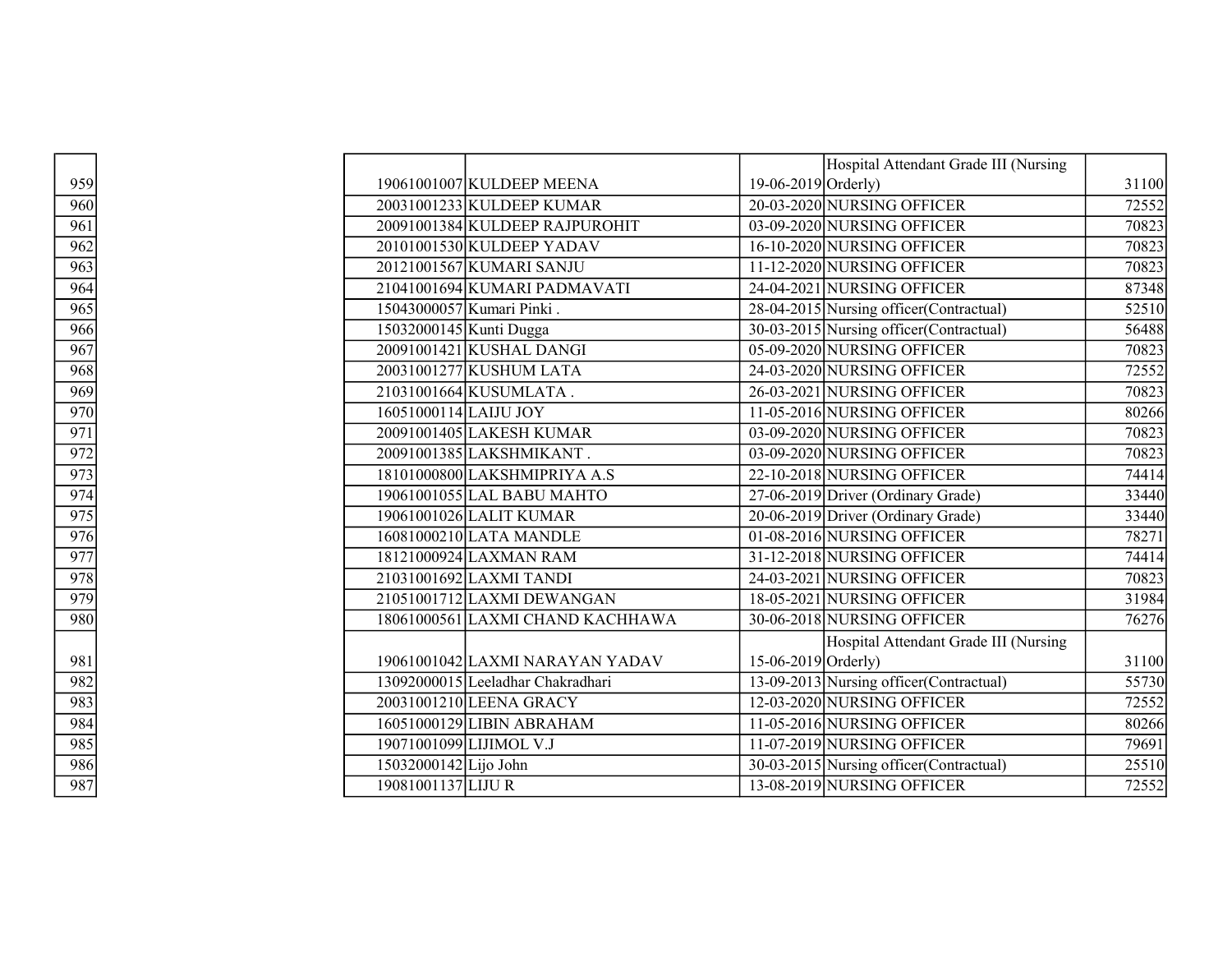|                 |                                   |                       | Hospital Attendant Grade III (Nursing    |       |
|-----------------|-----------------------------------|-----------------------|------------------------------------------|-------|
| 959             | 19061001007 KULDEEP MEENA         | $19-06-2019$ Orderly) |                                          | 31100 |
| 960             | 20031001233 KULDEEP KUMAR         |                       | 20-03-2020 NURSING OFFICER               | 72552 |
| 961             | 20091001384 KULDEEP RAJPUROHIT    |                       | 03-09-2020 NURSING OFFICER               | 70823 |
| 962             | 20101001530 KULDEEP YADAV         |                       | 16-10-2020 NURSING OFFICER               | 70823 |
| 963             | 20121001567 KUMARI SANJU          |                       | 11-12-2020 NURSING OFFICER               | 70823 |
| 964             | 21041001694 KUMARI PADMAVATI      |                       | 24-04-2021 NURSING OFFICER               | 87348 |
| 965             | 15043000057 Kumari Pinki.         |                       | 28-04-2015 Nursing officer (Contractual) | 52510 |
| 966             | 15032000145 Kunti Dugga           |                       | 30-03-2015 Nursing officer (Contractual) | 56488 |
| 967             | 20091001421 KUSHAL DANGI          |                       | 05-09-2020 NURSING OFFICER               | 70823 |
| 968             | 20031001277 KUSHUM LATA           |                       | 24-03-2020 NURSING OFFICER               | 72552 |
| 969             | 21031001664 KUSUMLATA.            |                       | 26-03-2021 NURSING OFFICER               | 70823 |
| 970             | 16051000114 LAIJU JOY             |                       | 11-05-2016 NURSING OFFICER               | 80266 |
| $\frac{1}{971}$ | 20091001405 LAKESH KUMAR          |                       | 03-09-2020 NURSING OFFICER               | 70823 |
| 972             | 20091001385 LAKSHMIKANT.          |                       | 03-09-2020 NURSING OFFICER               | 70823 |
| 973             | 18101000800 LAKSHMIPRIYA A.S      |                       | 22-10-2018 NURSING OFFICER               | 74414 |
| 974             | 19061001055 LAL BABU MAHTO        |                       | 27-06-2019 Driver (Ordinary Grade)       | 33440 |
| 975             | 19061001026 LALIT KUMAR           |                       | 20-06-2019 Driver (Ordinary Grade)       | 33440 |
| 976             | 16081000210 LATA MANDLE           |                       | 01-08-2016 NURSING OFFICER               | 78271 |
| 977             | 18121000924 LAXMAN RAM            |                       | 31-12-2018 NURSING OFFICER               | 74414 |
| 978             | 21031001692 LAXMI TANDI           |                       | 24-03-2021 NURSING OFFICER               | 70823 |
| 979             | 21051001712 LAXMI DEWANGAN        |                       | 18-05-2021 NURSING OFFICER               | 31984 |
| 980             | 18061000561 LAXMI CHAND KACHHAWA  |                       | 30-06-2018 NURSING OFFICER               | 76276 |
|                 |                                   |                       | Hospital Attendant Grade III (Nursing    |       |
| 981             | 19061001042 LAXMI NARAYAN YADAV   | 15-06-2019 $Orderly)$ |                                          | 31100 |
| 982             | 13092000015 Leeladhar Chakradhari |                       | 13-09-2013 Nursing officer (Contractual) | 55730 |
| 983             | 20031001210 LEENA GRACY           |                       | 12-03-2020 NURSING OFFICER               | 72552 |
| 984             | 16051000129 LIBIN ABRAHAM         |                       | 11-05-2016 NURSING OFFICER               | 80266 |
| 985             | 19071001099 LIJIMOL V.J           |                       | 11-07-2019 NURSING OFFICER               | 79691 |
| 986             | 15032000142 Lijo John             |                       | 30-03-2015 Nursing officer (Contractual) | 25510 |
| 987             | 19081001137 LIJU R                |                       | 13-08-2019 NURSING OFFICER               | 72552 |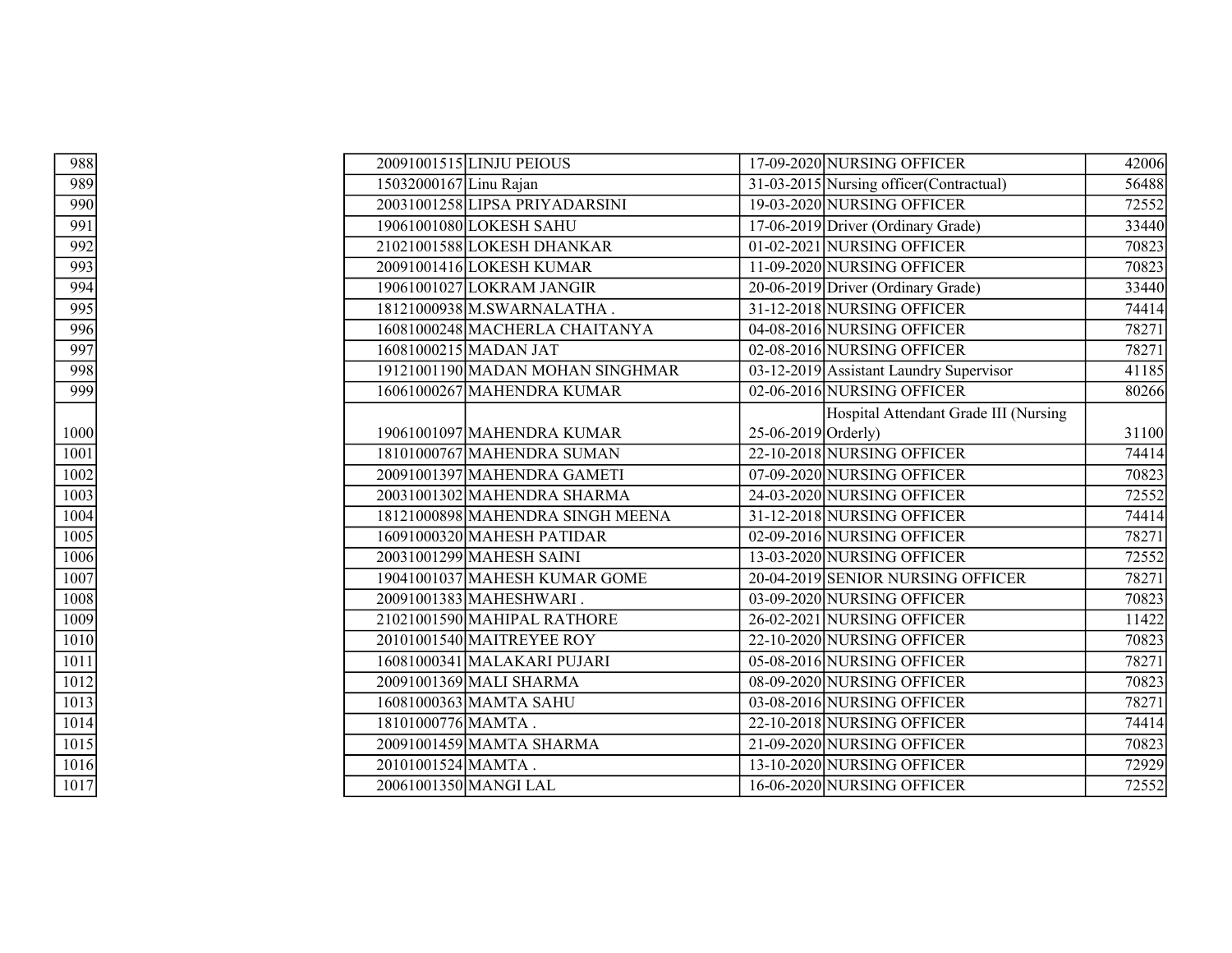| 988  |                        | 20091001515 LINJU PEIOUS         |                     | 17-09-2020 NURSING OFFICER               | 42006 |
|------|------------------------|----------------------------------|---------------------|------------------------------------------|-------|
| 989  | 15032000167 Linu Rajan |                                  |                     | 31-03-2015 Nursing officer (Contractual) | 56488 |
| 990  |                        | 20031001258 LIPSA PRIYADARSINI   |                     | 19-03-2020 NURSING OFFICER               | 72552 |
| 991  |                        | 19061001080 LOKESH SAHU          |                     | 17-06-2019 Driver (Ordinary Grade)       | 33440 |
| 992  |                        | 21021001588 LOKESH DHANKAR       |                     | 01-02-2021 NURSING OFFICER               | 70823 |
| 993  |                        | 20091001416 LOKESH KUMAR         |                     | 11-09-2020 NURSING OFFICER               | 70823 |
| 994  |                        | 19061001027 LOKRAM JANGIR        |                     | 20-06-2019 Driver (Ordinary Grade)       | 33440 |
| 995  |                        | 18121000938 M.SWARNALATHA.       |                     | 31-12-2018 NURSING OFFICER               | 74414 |
| 996  |                        | 16081000248 MACHERLA CHAITANYA   |                     | 04-08-2016 NURSING OFFICER               | 78271 |
| 997  |                        | 16081000215 MADAN JAT            |                     | 02-08-2016 NURSING OFFICER               | 78271 |
| 998  |                        | 19121001190 MADAN MOHAN SINGHMAR |                     | 03-12-2019 Assistant Laundry Supervisor  | 41185 |
| 999  |                        | 16061000267 MAHENDRA KUMAR       |                     | 02-06-2016 NURSING OFFICER               | 80266 |
|      |                        |                                  |                     | Hospital Attendant Grade III (Nursing    |       |
| 1000 |                        | 19061001097 MAHENDRA KUMAR       | 25-06-2019 Orderly) |                                          | 31100 |
| 1001 |                        | 18101000767 MAHENDRA SUMAN       |                     | 22-10-2018 NURSING OFFICER               | 74414 |
| 1002 |                        | 20091001397 MAHENDRA GAMETI      |                     | 07-09-2020 NURSING OFFICER               | 70823 |
| 1003 |                        | 20031001302 MAHENDRA SHARMA      |                     | 24-03-2020 NURSING OFFICER               | 72552 |
| 1004 |                        | 18121000898 MAHENDRA SINGH MEENA |                     | 31-12-2018 NURSING OFFICER               | 74414 |
| 1005 |                        | 16091000320 MAHESH PATIDAR       |                     | 02-09-2016 NURSING OFFICER               | 78271 |
| 1006 |                        | 20031001299 MAHESH SAINI         |                     | 13-03-2020 NURSING OFFICER               | 72552 |
| 1007 |                        | 19041001037 MAHESH KUMAR GOME    |                     | 20-04-2019 SENIOR NURSING OFFICER        | 78271 |
| 1008 |                        | 20091001383 MAHESHWARI.          |                     | 03-09-2020 NURSING OFFICER               | 70823 |
| 1009 |                        | 21021001590 MAHIPAL RATHORE      |                     | 26-02-2021 NURSING OFFICER               | 11422 |
| 1010 |                        | 20101001540 MAITREYEE ROY        |                     | 22-10-2020 NURSING OFFICER               | 70823 |
| 1011 |                        | 16081000341 MALAKARI PUJARI      |                     | 05-08-2016 NURSING OFFICER               | 78271 |
| 1012 |                        | 20091001369 MALI SHARMA          |                     | 08-09-2020 NURSING OFFICER               | 70823 |
| 1013 |                        | 16081000363 MAMTA SAHU           |                     | 03-08-2016 NURSING OFFICER               | 78271 |
| 1014 | 18101000776 MAMTA.     |                                  |                     | 22-10-2018 NURSING OFFICER               | 74414 |
| 1015 |                        | 20091001459 MAMTA SHARMA         |                     | 21-09-2020 NURSING OFFICER               | 70823 |
| 1016 | 20101001524 MAMTA.     |                                  |                     | 13-10-2020 NURSING OFFICER               | 72929 |
| 1017 |                        | 20061001350 MANGI LAL            |                     | 16-06-2020 NURSING OFFICER               | 72552 |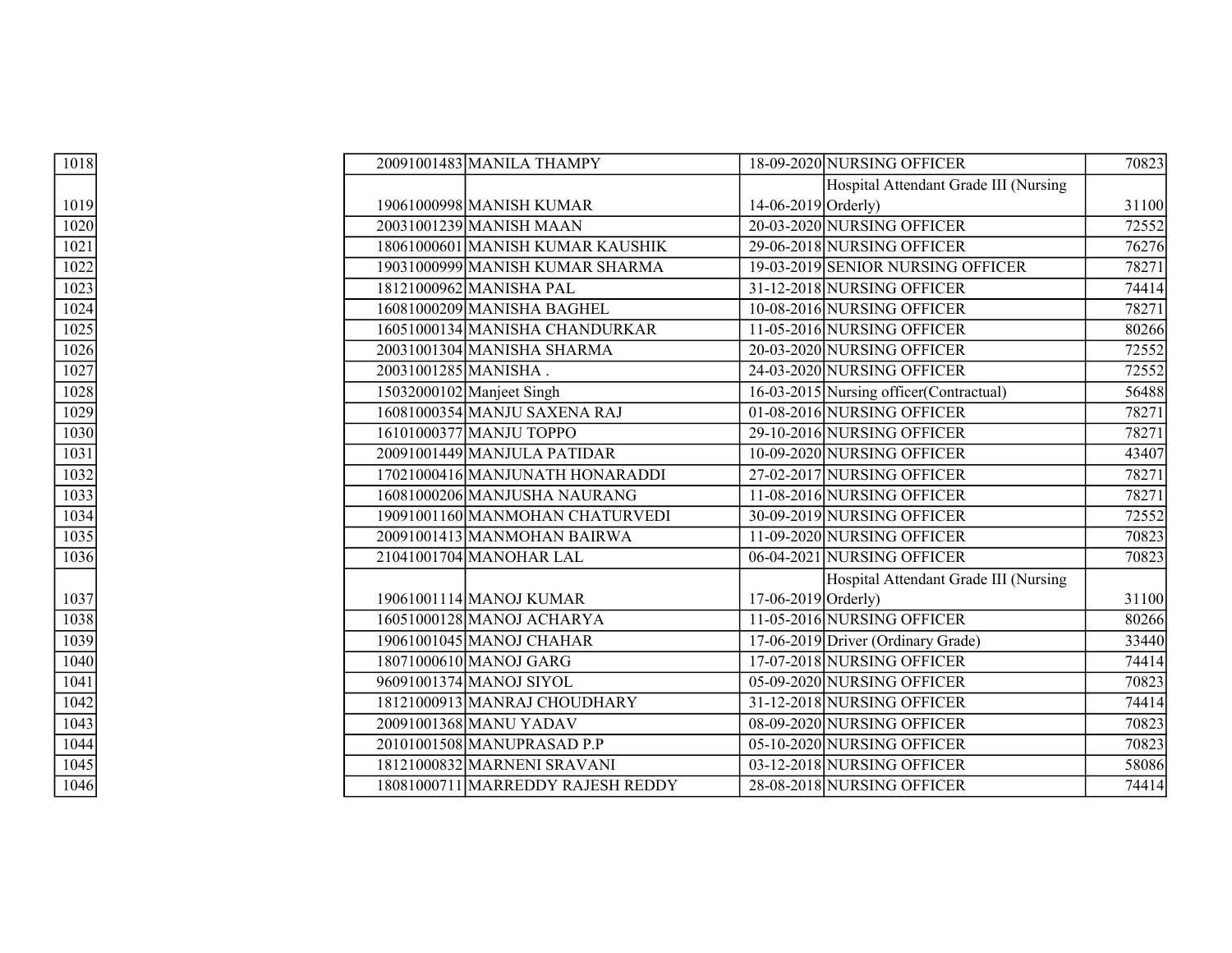| 1018 | 20091001483 MANILA THAMPY         |                       | 18-09-2020 NURSING OFFICER               | 70823 |
|------|-----------------------------------|-----------------------|------------------------------------------|-------|
|      |                                   |                       | Hospital Attendant Grade III (Nursing    |       |
| 1019 | 19061000998 MANISH KUMAR          | $14-06-2019$ Orderly) |                                          | 31100 |
| 1020 | 20031001239 MANISH MAAN           |                       | 20-03-2020 NURSING OFFICER               | 72552 |
| 1021 | 18061000601 MANISH KUMAR KAUSHIK  |                       | 29-06-2018 NURSING OFFICER               | 76276 |
| 1022 | 19031000999 MANISH KUMAR SHARMA   |                       | 19-03-2019 SENIOR NURSING OFFICER        | 78271 |
| 1023 | 18121000962 MANISHA PAL           |                       | 31-12-2018 NURSING OFFICER               | 74414 |
| 1024 | 16081000209 MANISHA BAGHEL        |                       | 10-08-2016 NURSING OFFICER               | 78271 |
| 1025 | 16051000134 MANISHA CHANDURKAR    |                       | 11-05-2016 NURSING OFFICER               | 80266 |
| 1026 | 20031001304 MANISHA SHARMA        |                       | 20-03-2020 NURSING OFFICER               | 72552 |
| 1027 | 20031001285 MANISHA.              |                       | 24-03-2020 NURSING OFFICER               | 72552 |
| 1028 | 15032000102 Manjeet Singh         |                       | 16-03-2015 Nursing officer (Contractual) | 56488 |
| 1029 | 16081000354 MANJU SAXENA RAJ      |                       | 01-08-2016 NURSING OFFICER               | 78271 |
| 1030 | 16101000377 MANJU TOPPO           |                       | 29-10-2016 NURSING OFFICER               | 78271 |
| 1031 | 20091001449 MANJULA PATIDAR       |                       | 10-09-2020 NURSING OFFICER               | 43407 |
| 1032 | 17021000416 MANJUNATH HONARADDI   |                       | 27-02-2017 NURSING OFFICER               | 78271 |
| 1033 | 16081000206 MANJUSHA NAURANG      |                       | 11-08-2016 NURSING OFFICER               | 78271 |
| 1034 | 19091001160 MANMOHAN CHATURVEDI   |                       | 30-09-2019 NURSING OFFICER               | 72552 |
| 1035 | 20091001413 MANMOHAN BAIRWA       |                       | 11-09-2020 NURSING OFFICER               | 70823 |
| 1036 | 21041001704 MANOHAR LAL           |                       | 06-04-2021 NURSING OFFICER               | 70823 |
|      |                                   |                       | Hospital Attendant Grade III (Nursing    |       |
| 1037 | 19061001114 MANOJ KUMAR           | 17-06-2019 Orderly)   |                                          | 31100 |
| 1038 | 16051000128 MANOJ ACHARYA         |                       | 11-05-2016 NURSING OFFICER               | 80266 |
| 1039 | 19061001045 MANOJ CHAHAR          |                       | 17-06-2019 Driver (Ordinary Grade)       | 33440 |
| 1040 | 18071000610 MANOJ GARG            |                       | 17-07-2018 NURSING OFFICER               | 74414 |
| 1041 | 96091001374 MANOJ SIYOL           |                       | 05-09-2020 NURSING OFFICER               | 70823 |
| 1042 | 18121000913 MANRAJ CHOUDHARY      |                       | 31-12-2018 NURSING OFFICER               | 74414 |
| 1043 | 20091001368 MANU YADAV            |                       | 08-09-2020 NURSING OFFICER               | 70823 |
| 1044 | 20101001508 MANUPRASAD P.P        |                       | 05-10-2020 NURSING OFFICER               | 70823 |
| 1045 | 18121000832 MARNENI SRAVANI       |                       | 03-12-2018 NURSING OFFICER               | 58086 |
| 1046 | 18081000711 MARREDDY RAJESH REDDY |                       | 28-08-2018 NURSING OFFICER               | 74414 |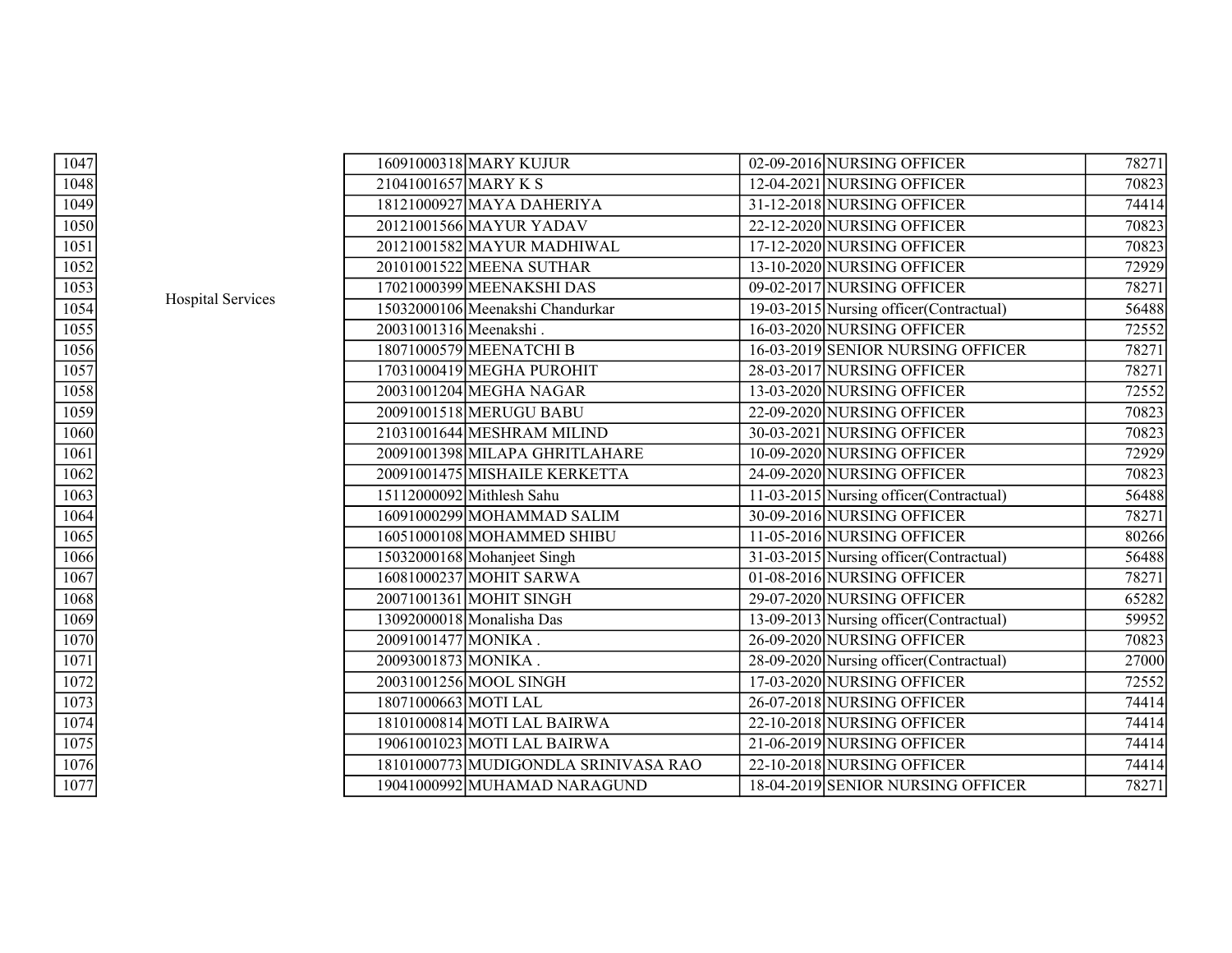| 1047 |                          |                        | 16091000318 MARY KUJUR               | 02-09-2016 NURSING OFFICER               | 78271 |
|------|--------------------------|------------------------|--------------------------------------|------------------------------------------|-------|
| 1048 |                          | 21041001657 MARY K S   |                                      | 12-04-2021 NURSING OFFICER               | 70823 |
| 1049 |                          |                        | 18121000927 MAYA DAHERIYA            | 31-12-2018 NURSING OFFICER               | 74414 |
| 1050 |                          |                        | 20121001566 MAYUR YADAV              | 22-12-2020 NURSING OFFICER               | 70823 |
| 1051 |                          |                        | 20121001582 MAYUR MADHIWAL           | 17-12-2020 NURSING OFFICER               | 70823 |
| 1052 |                          |                        | 20101001522 MEENA SUTHAR             | 13-10-2020 NURSING OFFICER               | 72929 |
| 1053 |                          |                        | 17021000399 MEENAKSHI DAS            | 09-02-2017 NURSING OFFICER               | 78271 |
| 1054 | <b>Hospital Services</b> |                        | 15032000106 Meenakshi Chandurkar     | 19-03-2015 Nursing officer (Contractual) | 56488 |
| 1055 |                          | 20031001316 Meenakshi. |                                      | 16-03-2020 NURSING OFFICER               | 72552 |
| 1056 |                          |                        | 18071000579 MEENATCHI B              | 16-03-2019 SENIOR NURSING OFFICER        | 78271 |
| 1057 |                          |                        | 17031000419 MEGHA PUROHIT            | 28-03-2017 NURSING OFFICER               | 78271 |
| 1058 |                          |                        | 20031001204 MEGHA NAGAR              | 13-03-2020 NURSING OFFICER               | 72552 |
| 1059 |                          |                        | 20091001518 MERUGU BABU              | 22-09-2020 NURSING OFFICER               | 70823 |
| 1060 |                          |                        | 21031001644 MESHRAM MILIND           | 30-03-2021 NURSING OFFICER               | 70823 |
| 1061 |                          |                        | 20091001398 MILAPA GHRITLAHARE       | 10-09-2020 NURSING OFFICER               | 72929 |
| 1062 |                          |                        | 20091001475 MISHAILE KERKETTA        | 24-09-2020 NURSING OFFICER               | 70823 |
| 1063 |                          |                        | 15112000092 Mithlesh Sahu            | 11-03-2015 Nursing officer (Contractual) | 56488 |
| 1064 |                          |                        | 16091000299 MOHAMMAD SALIM           | 30-09-2016 NURSING OFFICER               | 78271 |
| 1065 |                          |                        | 16051000108 MOHAMMED SHIBU           | 11-05-2016 NURSING OFFICER               | 80266 |
| 1066 |                          |                        | 15032000168 Mohanjeet Singh          | 31-03-2015 Nursing officer (Contractual) | 56488 |
| 1067 |                          |                        | 16081000237 MOHIT SARWA              | 01-08-2016 NURSING OFFICER               | 78271 |
| 1068 |                          |                        | 20071001361 MOHIT SINGH              | 29-07-2020 NURSING OFFICER               | 65282 |
| 1069 |                          |                        | 13092000018 Monalisha Das            | 13-09-2013 Nursing officer(Contractual)  | 59952 |
| 1070 |                          | 20091001477 MONIKA.    |                                      | 26-09-2020 NURSING OFFICER               | 70823 |
| 1071 |                          | 20093001873 MONIKA.    |                                      | 28-09-2020 Nursing officer (Contractual) | 27000 |
| 1072 |                          |                        | 20031001256 MOOL SINGH               | 17-03-2020 NURSING OFFICER               | 72552 |
| 1073 |                          | 18071000663 MOTI LAL   |                                      | 26-07-2018 NURSING OFFICER               | 74414 |
| 1074 |                          |                        | 18101000814 MOTI LAL BAIRWA          | 22-10-2018 NURSING OFFICER               | 74414 |
| 1075 |                          |                        | 19061001023 MOTI LAL BAIRWA          | 21-06-2019 NURSING OFFICER               | 74414 |
| 1076 |                          |                        | 18101000773 MUDIGONDLA SRINIVASA RAO | 22-10-2018 NURSING OFFICER               | 74414 |
| 1077 |                          |                        | 19041000992 MUHAMAD NARAGUND         | 18-04-2019 SENIOR NURSING OFFICER        | 78271 |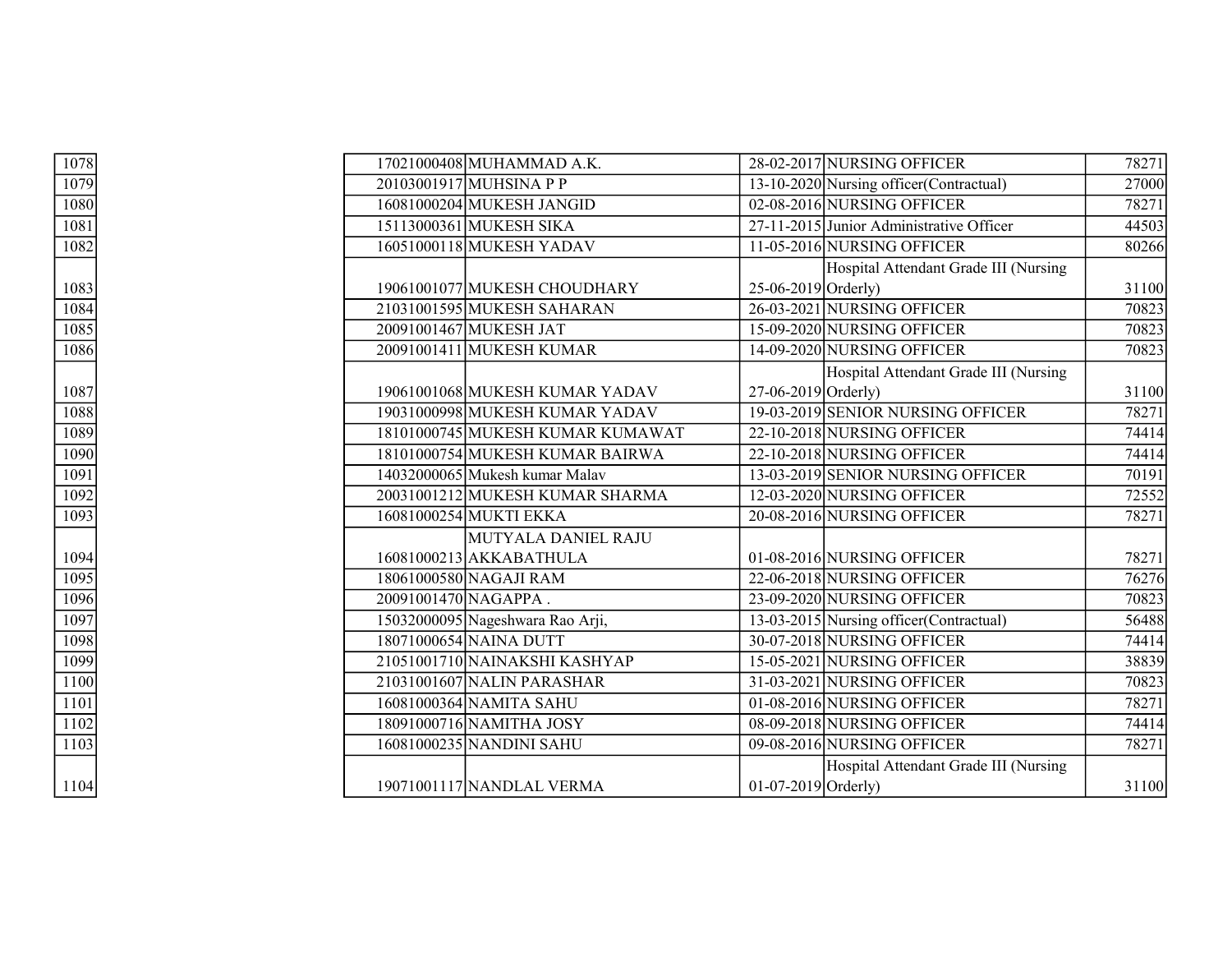| 1078 | 17021000408 MUHAMMAD A.K.        |                       | 28-02-2017 NURSING OFFICER               | 78271 |
|------|----------------------------------|-----------------------|------------------------------------------|-------|
| 1079 | 20103001917 MUHSINA P P          |                       | 13-10-2020 Nursing officer (Contractual) | 27000 |
| 1080 | 16081000204 MUKESH JANGID        |                       | 02-08-2016 NURSING OFFICER               | 78271 |
| 1081 | 15113000361 MUKESH SIKA          |                       | 27-11-2015 Junior Administrative Officer | 44503 |
| 1082 | 16051000118 MUKESH YADAV         |                       | 11-05-2016 NURSING OFFICER               | 80266 |
|      |                                  |                       | Hospital Attendant Grade III (Nursing    |       |
| 1083 | 19061001077 MUKESH CHOUDHARY     | 25-06-2019 Orderly)   |                                          | 31100 |
| 1084 | 21031001595 MUKESH SAHARAN       |                       | 26-03-2021 NURSING OFFICER               | 70823 |
| 1085 | 20091001467 MUKESH JAT           |                       | 15-09-2020 NURSING OFFICER               | 70823 |
| 1086 | 20091001411 MUKESH KUMAR         |                       | 14-09-2020 NURSING OFFICER               | 70823 |
|      |                                  |                       | Hospital Attendant Grade III (Nursing    |       |
| 1087 | 19061001068 MUKESH KUMAR YADAV   | $27-06-2019$ Orderly) |                                          | 31100 |
| 1088 | 19031000998 MUKESH KUMAR YADAV   |                       | 19-03-2019 SENIOR NURSING OFFICER        | 78271 |
| 1089 | 18101000745 MUKESH KUMAR KUMAWAT |                       | 22-10-2018 NURSING OFFICER               | 74414 |
| 1090 | 18101000754 MUKESH KUMAR BAIRWA  |                       | 22-10-2018 NURSING OFFICER               | 74414 |
| 1091 | 14032000065 Mukesh kumar Malay   |                       | 13-03-2019 SENIOR NURSING OFFICER        | 70191 |
| 1092 | 20031001212 MUKESH KUMAR SHARMA  |                       | 12-03-2020 NURSING OFFICER               | 72552 |
| 1093 | 16081000254 MUKTI EKKA           |                       | 20-08-2016 NURSING OFFICER               | 78271 |
|      | MUTYALA DANIEL RAJU              |                       |                                          |       |
| 1094 | 16081000213 AKKABATHULA          |                       | 01-08-2016 NURSING OFFICER               | 78271 |
| 1095 | 18061000580 NAGAJI RAM           |                       | 22-06-2018 NURSING OFFICER               | 76276 |
| 1096 | 20091001470 NAGAPPA.             |                       | 23-09-2020 NURSING OFFICER               | 70823 |
| 1097 | 15032000095 Nageshwara Rao Arji, |                       | 13-03-2015 Nursing officer (Contractual) | 56488 |
| 1098 | 18071000654 NAINA DUTT           |                       | 30-07-2018 NURSING OFFICER               | 74414 |
| 1099 | 21051001710 NAINAKSHI KASHYAP    |                       | 15-05-2021 NURSING OFFICER               | 38839 |
| 1100 | 21031001607 NALIN PARASHAR       |                       | 31-03-2021 NURSING OFFICER               | 70823 |
| 1101 | 16081000364 NAMITA SAHU          |                       | 01-08-2016 NURSING OFFICER               | 78271 |
| 1102 | 18091000716 NAMITHA JOSY         |                       | 08-09-2018 NURSING OFFICER               | 74414 |
| 1103 | 16081000235 NANDINI SAHU         |                       | 09-08-2016 NURSING OFFICER               | 78271 |
|      |                                  |                       | Hospital Attendant Grade III (Nursing    |       |
| 1104 | 19071001117 NANDLAL VERMA        | $01-07-2019$ Orderly) |                                          | 31100 |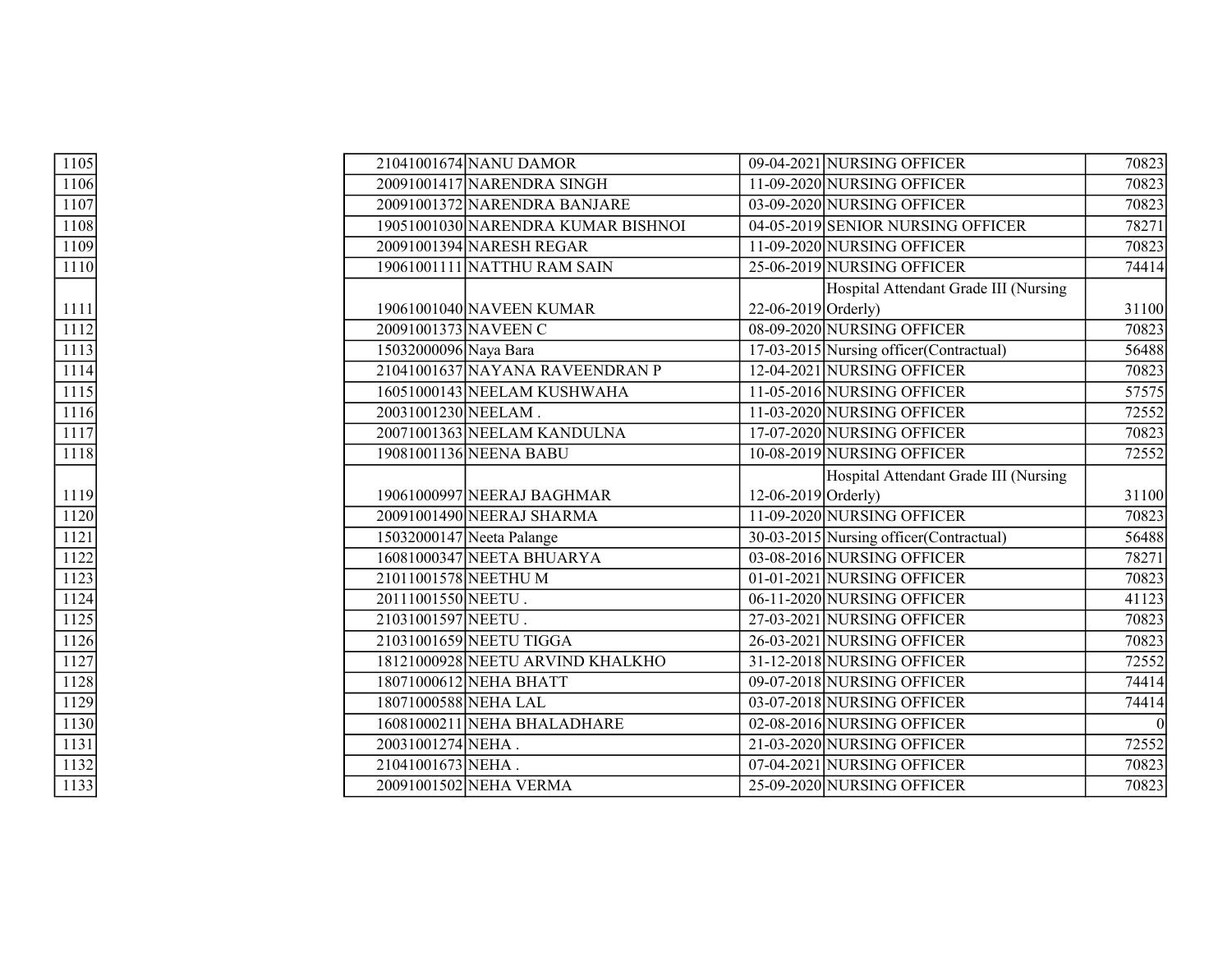| 1105              |                       | 21041001674 NANU DAMOR             |                       | 09-04-2021 NURSING OFFICER               | 70823    |
|-------------------|-----------------------|------------------------------------|-----------------------|------------------------------------------|----------|
| 1106              |                       | 20091001417 NARENDRA SINGH         |                       | 11-09-2020 NURSING OFFICER               | 70823    |
| 1107              |                       | 20091001372 NARENDRA BANJARE       |                       | 03-09-2020 NURSING OFFICER               | 70823    |
| 1108              |                       | 19051001030 NARENDRA KUMAR BISHNOI |                       | 04-05-2019 SENIOR NURSING OFFICER        | 78271    |
| 1109              |                       | 20091001394 NARESH REGAR           |                       | 11-09-2020 NURSING OFFICER               | 70823    |
| 1110              |                       | 19061001111 NATTHU RAM SAIN        |                       | 25-06-2019 NURSING OFFICER               | 74414    |
|                   |                       |                                    |                       | Hospital Attendant Grade III (Nursing    |          |
| 1111              |                       | 19061001040 NAVEEN KUMAR           | $22-06-2019$ Orderly) |                                          | 31100    |
| 1112              |                       | 20091001373 NAVEEN C               |                       | 08-09-2020 NURSING OFFICER               | 70823    |
| 1113              | 15032000096 Naya Bara |                                    |                       | 17-03-2015 Nursing officer (Contractual) | 56488    |
| 1114              |                       | 21041001637 NAYANA RAVEENDRAN P    |                       | 12-04-2021 NURSING OFFICER               | 70823    |
| 1115              |                       | 16051000143 NEELAM KUSHWAHA        |                       | 11-05-2016 NURSING OFFICER               | 57575    |
| 1116              | 20031001230 NEELAM.   |                                    |                       | 11-03-2020 NURSING OFFICER               | 72552    |
| 1117              |                       | 20071001363 NEELAM KANDULNA        |                       | 17-07-2020 NURSING OFFICER               | 70823    |
| 1118              |                       | 19081001136 NEENA BABU             |                       | 10-08-2019 NURSING OFFICER               | 72552    |
|                   |                       |                                    |                       | Hospital Attendant Grade III (Nursing    |          |
| 1119              |                       | 19061000997 NEERAJ BAGHMAR         | $12-06-2019$ Orderly) |                                          | 31100    |
| 1120              |                       | 20091001490 NEERAJ SHARMA          |                       | 11-09-2020 NURSING OFFICER               | 70823    |
| 1121              |                       | 15032000147 Neeta Palange          |                       | 30-03-2015 Nursing officer (Contractual) | 56488    |
| 1122              |                       | 16081000347 NEETA BHUARYA          |                       | 03-08-2016 NURSING OFFICER               | 78271    |
| 1123              |                       | 21011001578 NEETHU M               |                       | 01-01-2021 NURSING OFFICER               | 70823    |
| 1124              | 20111001550 NEETU.    |                                    |                       | 06-11-2020 NURSING OFFICER               | 41123    |
| $\overline{1125}$ | 21031001597 NEETU.    |                                    |                       | 27-03-2021 NURSING OFFICER               | 70823    |
| 1126              |                       | 21031001659 NEETU TIGGA            |                       | 26-03-2021 NURSING OFFICER               | 70823    |
| 1127              |                       | 18121000928 NEETU ARVIND KHALKHO   |                       | 31-12-2018 NURSING OFFICER               | 72552    |
| 1128              |                       | 18071000612 NEHA BHATT             |                       | 09-07-2018 NURSING OFFICER               | 74414    |
| 1129              |                       | 18071000588 NEHA LAL               |                       | 03-07-2018 NURSING OFFICER               | 74414    |
| 1130              |                       | 16081000211 NEHA BHALADHARE        |                       | 02-08-2016 NURSING OFFICER               | $\Omega$ |
| 1131              | 20031001274 NEHA.     |                                    |                       | 21-03-2020 NURSING OFFICER               | 72552    |
| 1132              | 21041001673 NEHA.     |                                    |                       | 07-04-2021 NURSING OFFICER               | 70823    |
| 1133              |                       | 20091001502 NEHA VERMA             |                       | 25-09-2020 NURSING OFFICER               | 70823    |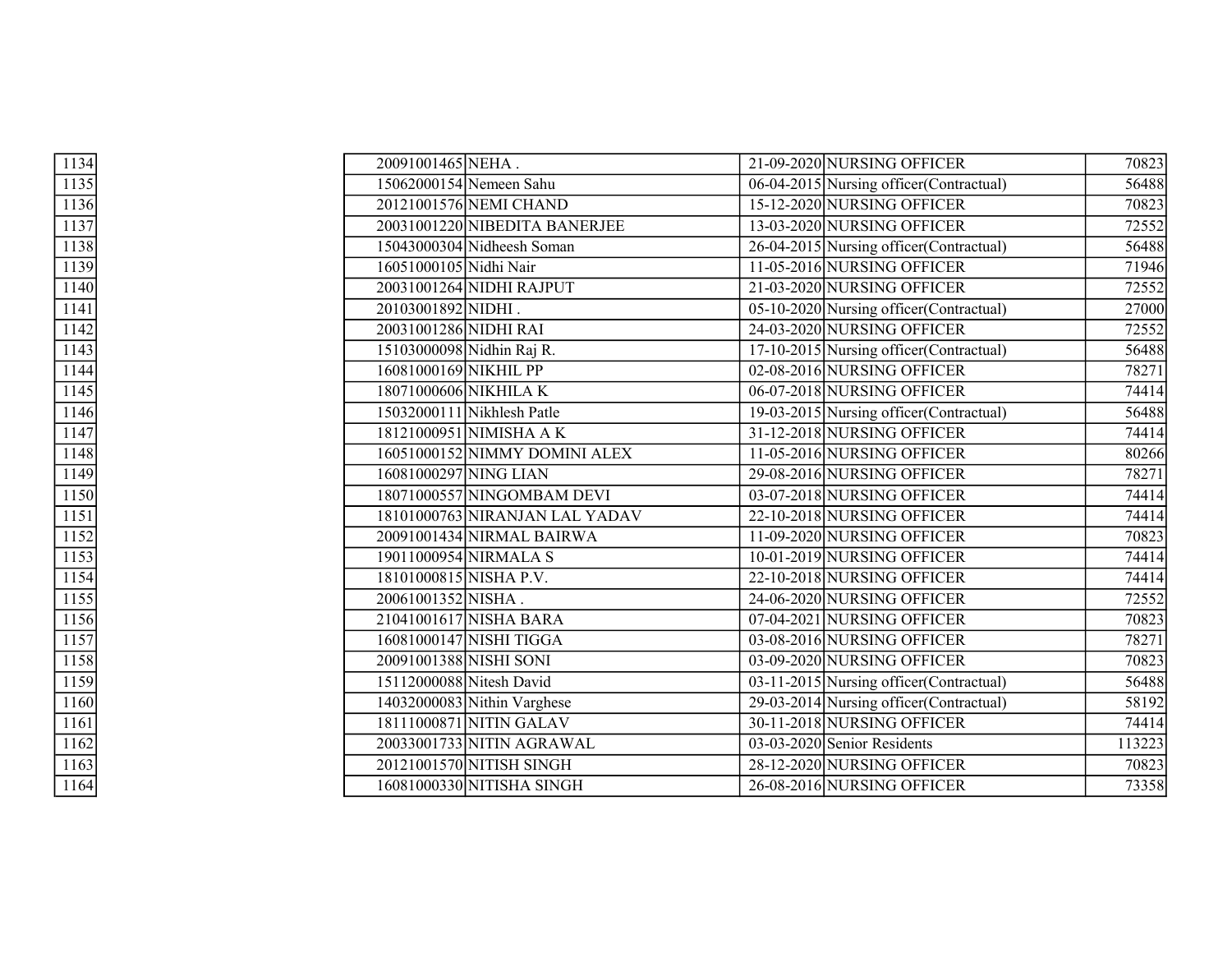| 1134             | 20091001465 NEHA.              | 21-09-2020 NURSING OFFICER                         | 70823  |
|------------------|--------------------------------|----------------------------------------------------|--------|
| 1135             | 15062000154 Nemeen Sahu        | 06-04-2015 Nursing officer (Contractual)           | 56488  |
| 1136             | 20121001576 NEMI CHAND         | 15-12-2020 NURSING OFFICER                         | 70823  |
| 1137             | 20031001220 NIBEDITA BANERJEE  | 13-03-2020 NURSING OFFICER                         | 72552  |
| 1138             | 15043000304 Nidheesh Soman     | 26-04-2015 Nursing officer (Contractual)           | 56488  |
| 1139             | 16051000105 Nidhi Nair         | 11-05-2016 NURSING OFFICER                         | 71946  |
| 1140             | 20031001264 NIDHI RAJPUT       | 21-03-2020 NURSING OFFICER                         | 72552  |
| 1141             | 20103001892 NIDHI.             | 05-10-2020 Nursing officer (Contractual)           | 27000  |
| 1142             | 20031001286 NIDHI RAI          | 24-03-2020 NURSING OFFICER                         | 72552  |
| 1143             | 15103000098 Nidhin Raj R.      | 17-10-2015 Nursing officer (Contractual)           | 56488  |
| 1144             | 16081000169 NIKHIL PP          | 02-08-2016 NURSING OFFICER                         | 78271  |
| 1145             | 18071000606 NIKHILA K          | 06-07-2018 NURSING OFFICER                         | 74414  |
| 1146             | 15032000111 Nikhlesh Patle     | $\boxed{19-03}$ -2015 Nursing officer(Contractual) | 56488  |
| 1147             | 18121000951 NIMISHA A K        | 31-12-2018 NURSING OFFICER                         | 74414  |
| 1148             | 16051000152 NIMMY DOMINI ALEX  | 11-05-2016 NURSING OFFICER                         | 80266  |
| 1149             | 16081000297 NING LIAN          | 29-08-2016 NURSING OFFICER                         | 78271  |
| 1150             | 18071000557 NINGOMBAM DEVI     | 03-07-2018 NURSING OFFICER                         | 74414  |
| 1151             | 18101000763 NIRANJAN LAL YADAV | 22-10-2018 NURSING OFFICER                         | 74414  |
| 1152             | 20091001434 NIRMAL BAIRWA      | 11-09-2020 NURSING OFFICER                         | 70823  |
| 1153             | 19011000954 NIRMALA S          | 10-01-2019 NURSING OFFICER                         | 74414  |
| 1154             | 18101000815 NISHA P.V.         | 22-10-2018 NURSING OFFICER                         | 74414  |
| 1155             | 20061001352 NISHA.             | 24-06-2020 NURSING OFFICER                         | 72552  |
| 1156             | 21041001617 NISHA BARA         | 07-04-2021 NURSING OFFICER                         | 70823  |
| 1157             | 16081000147 NISHI TIGGA        | 03-08-2016 NURSING OFFICER                         | 78271  |
| 1158             | 20091001388 NISHI SONI         | 03-09-2020 NURSING OFFICER                         | 70823  |
| 1159             | 15112000088 Nitesh David       | 03-11-2015 Nursing officer (Contractual)           | 56488  |
| 1160             | 14032000083 Nithin Varghese    | 29-03-2014 Nursing officer (Contractual)           | 58192  |
| 1161             | 18111000871 NITIN GALAV        | 30-11-2018 NURSING OFFICER                         | 74414  |
| 1162             | 20033001733 NITIN AGRAWAL      | 03-03-2020 Senior Residents                        | 113223 |
| $\frac{1163}{ }$ | 20121001570 NITISH SINGH       | 28-12-2020 NURSING OFFICER                         | 70823  |
| 1164             | 16081000330 NITISHA SINGH      | 26-08-2016 NURSING OFFICER                         | 73358  |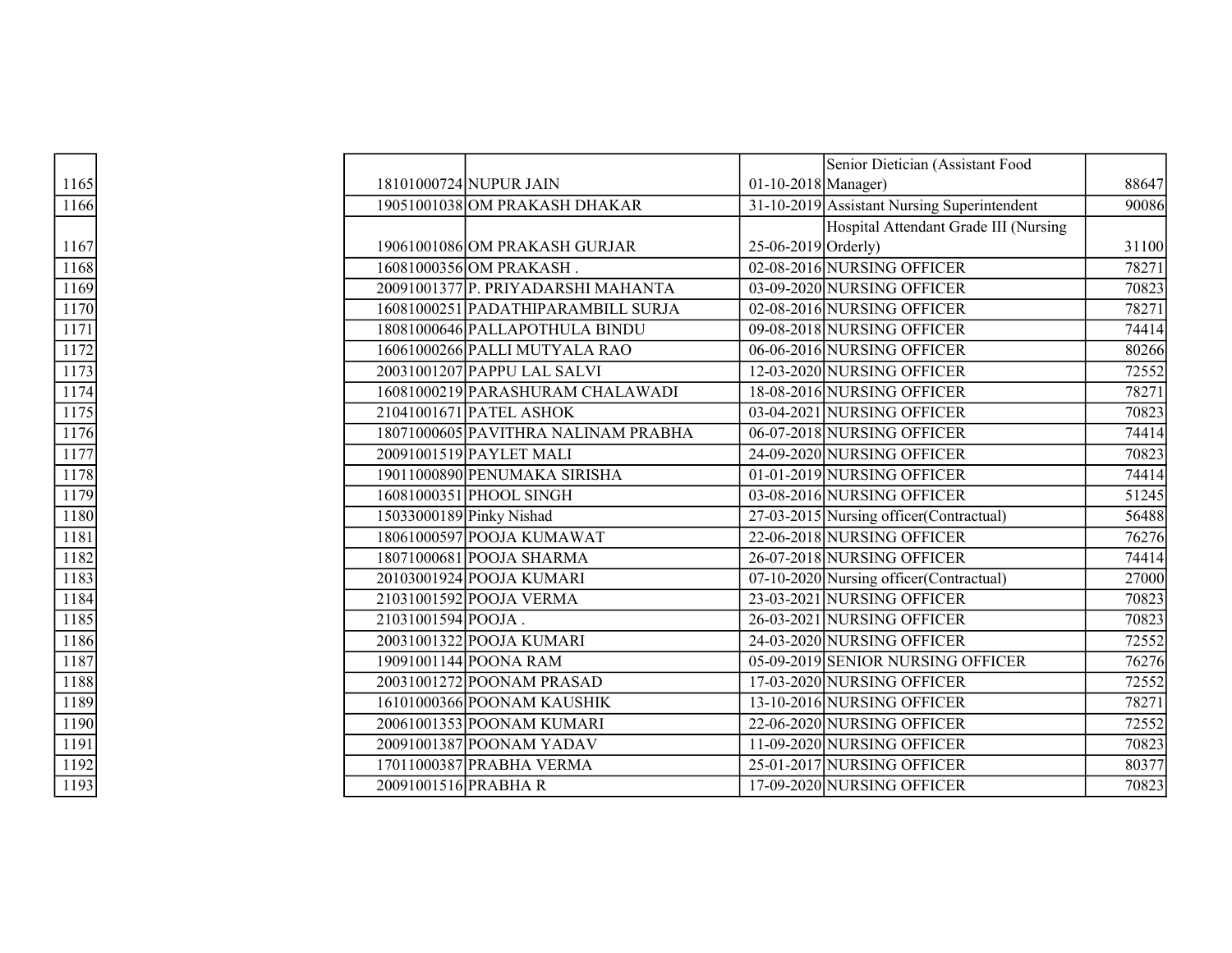|                  |  |                                     |                     | Senior Dietician (Assistant Food            |       |
|------------------|--|-------------------------------------|---------------------|---------------------------------------------|-------|
| 1165             |  | 18101000724 NUPUR JAIN              | 01-10-2018 Manager) |                                             | 88647 |
| 1166             |  | 19051001038 OM PRAKASH DHAKAR       |                     | 31-10-2019 Assistant Nursing Superintendent | 90086 |
|                  |  |                                     |                     | Hospital Attendant Grade III (Nursing       |       |
| 1167             |  | 19061001086 OM PRAKASH GURJAR       | 25-06-2019 Orderly) |                                             | 31100 |
| 1168             |  | 16081000356 OM PRAKASH.             |                     | 02-08-2016 NURSING OFFICER                  | 78271 |
| 1169             |  | 20091001377 P. PRIYADARSHI MAHANTA  |                     | 03-09-2020 NURSING OFFICER                  | 70823 |
| 1170             |  | 16081000251 PADATHIPARAMBILL SURJA  |                     | 02-08-2016 NURSING OFFICER                  | 78271 |
| 1171             |  | 18081000646 PALLAPOTHULA BINDU      |                     | 09-08-2018 NURSING OFFICER                  | 74414 |
| 1172             |  | 16061000266 PALLI MUTYALA RAO       |                     | 06-06-2016 NURSING OFFICER                  | 80266 |
| 1173             |  | 20031001207 PAPPU LAL SALVI         |                     | 12-03-2020 NURSING OFFICER                  | 72552 |
| 1174             |  | 16081000219 PARASHURAM CHALAWADI    |                     | 18-08-2016 NURSING OFFICER                  | 78271 |
| $\frac{1175}{2}$ |  | 21041001671 PATEL ASHOK             |                     | 03-04-2021 NURSING OFFICER                  | 70823 |
| 1176             |  | 18071000605 PAVITHRA NALINAM PRABHA |                     | 06-07-2018 NURSING OFFICER                  | 74414 |
| 1177             |  | 20091001519 PAYLET MALI             |                     | 24-09-2020 NURSING OFFICER                  | 70823 |
| 1178             |  | 19011000890 PENUMAKA SIRISHA        |                     | 01-01-2019 NURSING OFFICER                  | 74414 |
| 1179             |  | 16081000351 PHOOL SINGH             |                     | 03-08-2016 NURSING OFFICER                  | 51245 |
| 1180             |  | 15033000189 Pinky Nishad            |                     | 27-03-2015 Nursing officer(Contractual)     | 56488 |
| 1181             |  | 18061000597 POOJA KUMAWAT           |                     | 22-06-2018 NURSING OFFICER                  | 76276 |
| 1182             |  | 18071000681 POOJA SHARMA            |                     | 26-07-2018 NURSING OFFICER                  | 74414 |
| 1183             |  | 20103001924 POOJA KUMARI            |                     | 07-10-2020 Nursing officer(Contractual)     | 27000 |
| 1184             |  | 21031001592 POOJA VERMA             |                     | 23-03-2021 NURSING OFFICER                  | 70823 |
| $\frac{1185}{ }$ |  | 21031001594 POOJA.                  |                     | 26-03-2021 NURSING OFFICER                  | 70823 |
| 1186             |  | 20031001322 POOJA KUMARI            |                     | 24-03-2020 NURSING OFFICER                  | 72552 |
| 1187             |  | 19091001144 POONA RAM               |                     | 05-09-2019 SENIOR NURSING OFFICER           | 76276 |
| 1188             |  | 20031001272 POONAM PRASAD           |                     | 17-03-2020 NURSING OFFICER                  | 72552 |
| 1189             |  | 16101000366 POONAM KAUSHIK          |                     | 13-10-2016 NURSING OFFICER                  | 78271 |
| 1190             |  | 20061001353 POONAM KUMARI           |                     | 22-06-2020 NURSING OFFICER                  | 72552 |
| 1191             |  | 20091001387 POONAM YADAV            |                     | 11-09-2020 NURSING OFFICER                  | 70823 |
| 1192             |  | 17011000387 PRABHA VERMA            |                     | 25-01-2017 NURSING OFFICER                  | 80377 |
| 1193             |  | 20091001516 PRABHAR                 |                     | 17-09-2020 NURSING OFFICER                  | 70823 |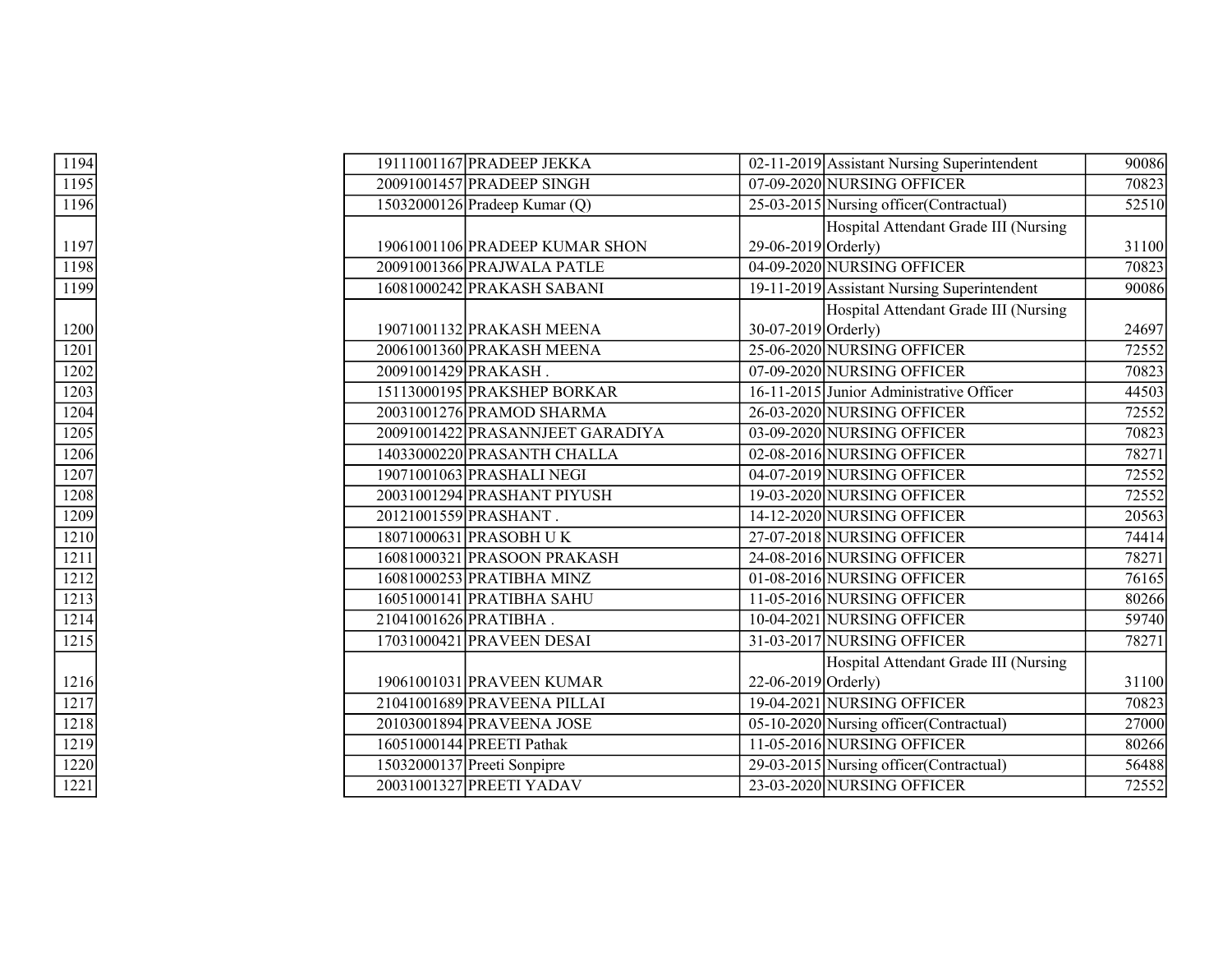| 1194                | 19111001167 PRADEEP JEKKA        |                           | 02-11-2019 Assistant Nursing Superintendent | 90086              |
|---------------------|----------------------------------|---------------------------|---------------------------------------------|--------------------|
| 1195                | 20091001457 PRADEEP SINGH        |                           | 07-09-2020 NURSING OFFICER                  | 70823              |
| 1196                | 15032000126 Pradeep Kumar (Q)    |                           | 25-03-2015 Nursing officer (Contractual)    | 52510              |
|                     |                                  |                           | Hospital Attendant Grade III (Nursing       |                    |
| 1197                | 19061001106 PRADEEP KUMAR SHON   | $29-06-2019$ Orderly)     |                                             | 31100              |
| 1198                | 20091001366 PRAJWALA PATLE       |                           | 04-09-2020 NURSING OFFICER                  | 70823              |
| 1199                | 16081000242 PRAKASH SABANI       |                           | 19-11-2019 Assistant Nursing Superintendent | 90086              |
|                     |                                  |                           | Hospital Attendant Grade III (Nursing       |                    |
| 1200                | 19071001132 PRAKASH MEENA        | 30-07-2019 Orderly)       |                                             | 24697              |
| 1201                | 20061001360 PRAKASH MEENA        |                           | 25-06-2020 NURSING OFFICER                  | 72552              |
| 1202                | 20091001429 PRAKASH.             |                           | 07-09-2020 NURSING OFFICER                  | 70823              |
| 1203                | 15113000195 PRAKSHEP BORKAR      |                           | 16-11-2015 Junior Administrative Officer    | 44503              |
| 1204                | 20031001276 PRAMOD SHARMA        |                           | 26-03-2020 NURSING OFFICER                  | 72552              |
| 1205                | 20091001422 PRASANNJEET GARADIYA |                           | 03-09-2020 NURSING OFFICER                  | 70823              |
| 1206                | 14033000220 PRASANTH CHALLA      |                           | 02-08-2016 NURSING OFFICER                  | 78271              |
| 1207                | 19071001063 PRASHALI NEGI        |                           | 04-07-2019 NURSING OFFICER                  | 72552              |
| 1208                | 20031001294 PRASHANT PIYUSH      |                           | 19-03-2020 NURSING OFFICER                  | 72552              |
| 1209                | 20121001559 PRASHANT.            |                           | 14-12-2020 NURSING OFFICER                  | 20563              |
| 1210                | 18071000631 PRASOBH UK           |                           | 27-07-2018 NURSING OFFICER                  | 74414              |
| 1211                | 16081000321 PRASOON PRAKASH      |                           | 24-08-2016 NURSING OFFICER                  | 78271              |
| 1212                | 16081000253 PRATIBHA MINZ        |                           | 01-08-2016 NURSING OFFICER                  | $\overline{76165}$ |
| 1213                | 16051000141 PRATIBHA SAHU        |                           | 11-05-2016 NURSING OFFICER                  | 80266              |
| 1214                | 21041001626 PRATIBHA.            |                           | 10-04-2021 NURSING OFFICER                  | 59740              |
| 1215                | 17031000421 PRAVEEN DESAI        |                           | 31-03-2017 NURSING OFFICER                  | 78271              |
|                     |                                  |                           | Hospital Attendant Grade III (Nursing       |                    |
| $\frac{1216}{1217}$ | 19061001031 PRAVEEN KUMAR        | $22 - 06 - 2019$ Orderly) |                                             | 31100              |
|                     | 21041001689 PRAVEENA PILLAI      |                           | 19-04-2021 NURSING OFFICER                  | 70823              |
| 1218                | 20103001894 PRAVEENA JOSE        |                           | 05-10-2020 Nursing officer(Contractual)     | 27000              |
| 1219                | 16051000144 PREETI Pathak        |                           | 11-05-2016 NURSING OFFICER                  | 80266              |
| 1220                | 15032000137 Preeti Sonpipre      |                           | 29-03-2015 Nursing officer (Contractual)    | 56488              |
| 1221                | 20031001327 PREETI YADAV         |                           | 23-03-2020 NURSING OFFICER                  | 72552              |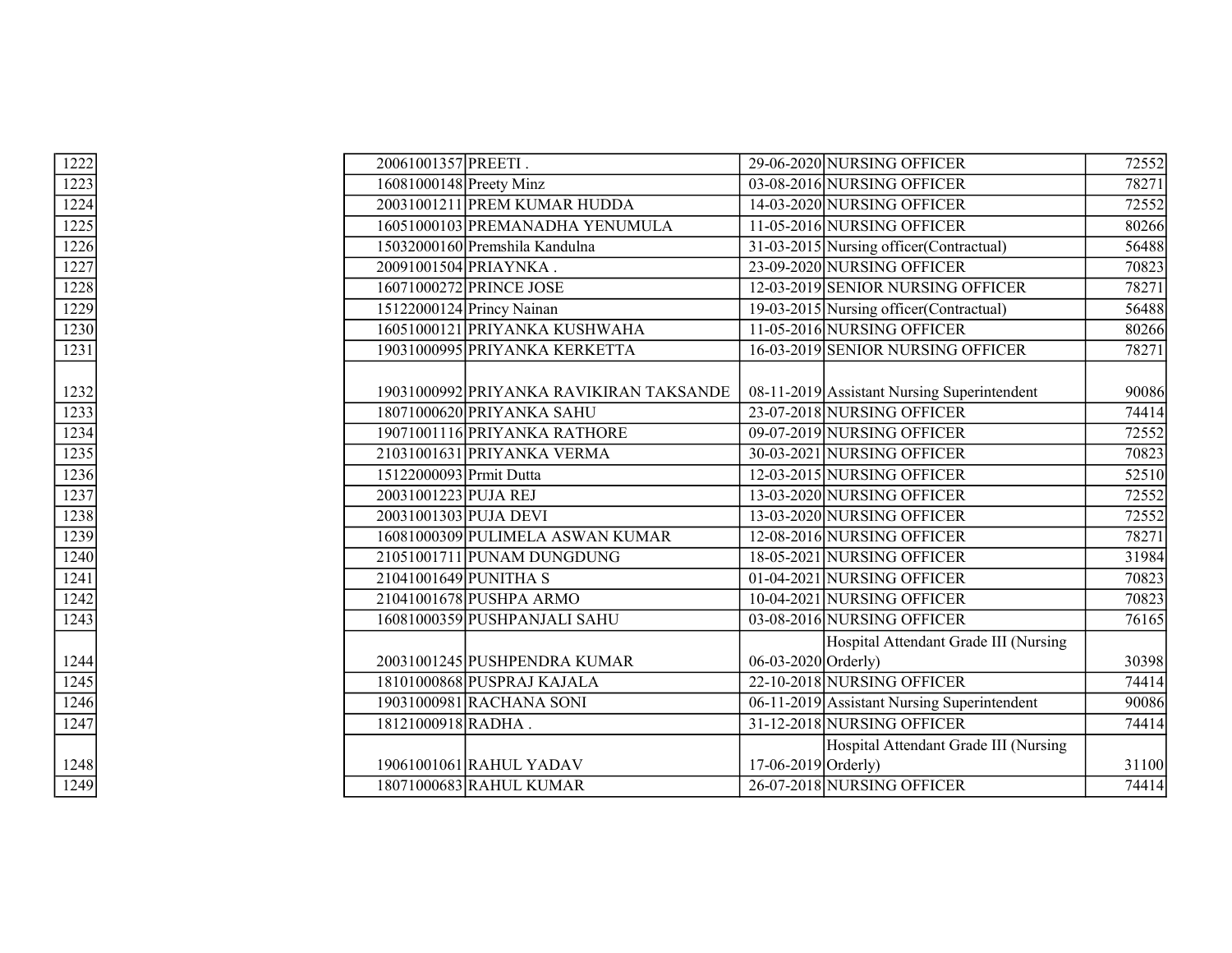| 1222             | 20061001357 PREETI.     |                                         |                       | 29-06-2020 NURSING OFFICER                  | 72552 |
|------------------|-------------------------|-----------------------------------------|-----------------------|---------------------------------------------|-------|
| 1223             | 16081000148 Preety Minz |                                         |                       | 03-08-2016 NURSING OFFICER                  | 78271 |
| 1224             |                         | 20031001211 PREM KUMAR HUDDA            |                       | 14-03-2020 NURSING OFFICER                  | 72552 |
| 1225             |                         | 16051000103 PREMANADHA YENUMULA         |                       | 11-05-2016 NURSING OFFICER                  | 80266 |
| 1226             |                         | 15032000160 Premshila Kandulna          |                       | 31-03-2015 Nursing officer (Contractual)    | 56488 |
| 1227             |                         | 20091001504 PRIAYNKA.                   |                       | 23-09-2020 NURSING OFFICER                  | 70823 |
| 1228             |                         | 16071000272 PRINCE JOSE                 |                       | 12-03-2019 SENIOR NURSING OFFICER           | 78271 |
| 1229             |                         | 15122000124 Princy Nainan               |                       | 19-03-2015 Nursing officer (Contractual)    | 56488 |
| 1230             |                         | 16051000121 PRIYANKA KUSHWAHA           |                       | 11-05-2016 NURSING OFFICER                  | 80266 |
| 1231             |                         | 19031000995 PRIYANKA KERKETTA           |                       | 16-03-2019 SENIOR NURSING OFFICER           | 78271 |
|                  |                         |                                         |                       |                                             |       |
| 1232             |                         | 19031000992 PRIYANKA RAVIKIRAN TAKSANDE |                       | 08-11-2019 Assistant Nursing Superintendent | 90086 |
| 1233             |                         | 18071000620 PRIYANKA SAHU               |                       | 23-07-2018 NURSING OFFICER                  | 74414 |
| 1234             |                         | 19071001116 PRIYANKA RATHORE            |                       | 09-07-2019 NURSING OFFICER                  | 72552 |
| 1235             |                         | 21031001631 PRIYANKA VERMA              |                       | 30-03-2021 NURSING OFFICER                  | 70823 |
| 1236             | 15122000093 Prmit Dutta |                                         |                       | 12-03-2015 NURSING OFFICER                  | 52510 |
| 1237             | 20031001223 PUJA REJ    |                                         |                       | 13-03-2020 NURSING OFFICER                  | 72552 |
| 1238             |                         | 20031001303 PUJA DEVI                   |                       | 13-03-2020 NURSING OFFICER                  | 72552 |
| 1239             |                         | 16081000309 PULIMELA ASWAN KUMAR        |                       | 12-08-2016 NURSING OFFICER                  | 78271 |
| 1240             |                         | 21051001711 PUNAM DUNGDUNG              |                       | 18-05-2021 NURSING OFFICER                  | 31984 |
| 1241             |                         | 21041001649 PUNITHA S                   |                       | 01-04-2021 NURSING OFFICER                  | 70823 |
| 1242             |                         | 21041001678 PUSHPA ARMO                 |                       | 10-04-2021 NURSING OFFICER                  | 70823 |
| $\frac{1243}{ }$ |                         | 16081000359 PUSHPANJALI SAHU            |                       | 03-08-2016 NURSING OFFICER                  | 76165 |
|                  |                         |                                         |                       | Hospital Attendant Grade III (Nursing       |       |
| 1244             |                         | 20031001245 PUSHPENDRA KUMAR            | 06-03-2020 Orderly)   |                                             | 30398 |
| 1245             |                         | 18101000868 PUSPRAJ KAJALA              |                       | 22-10-2018 NURSING OFFICER                  | 74414 |
| 1246             |                         | 19031000981 RACHANA SONI                |                       | 06-11-2019 Assistant Nursing Superintendent | 90086 |
| 1247             | 18121000918 RADHA.      |                                         |                       | 31-12-2018 NURSING OFFICER                  | 74414 |
|                  |                         |                                         |                       | Hospital Attendant Grade III (Nursing       |       |
| 1248             |                         | 19061001061 RAHUL YADAV                 | $17-06-2019$ Orderly) |                                             | 31100 |
| 1249             |                         | 18071000683 RAHUL KUMAR                 |                       | 26-07-2018 NURSING OFFICER                  | 74414 |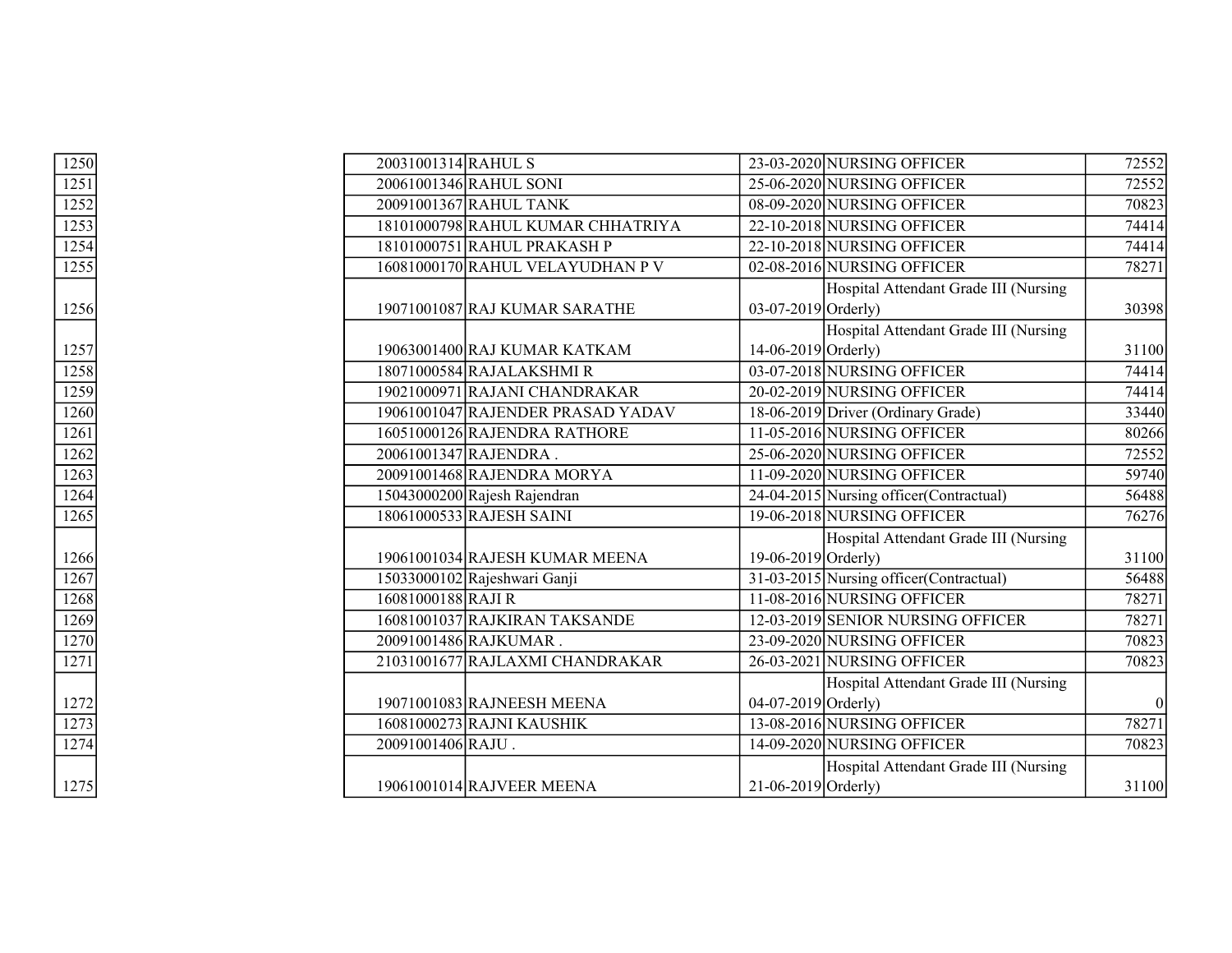| 1250                | 20031001314 RAHUL S |                                   |                       | 23-03-2020 NURSING OFFICER               | 72552 |
|---------------------|---------------------|-----------------------------------|-----------------------|------------------------------------------|-------|
| 1251                |                     | 20061001346 RAHUL SONI            |                       | 25-06-2020 NURSING OFFICER               | 72552 |
| 1252                |                     | 20091001367 RAHUL TANK            |                       | 08-09-2020 NURSING OFFICER               | 70823 |
| 1253                |                     | 18101000798 RAHUL KUMAR CHHATRIYA |                       | 22-10-2018 NURSING OFFICER               | 74414 |
| $\overline{1254}$   |                     | 18101000751 RAHUL PRAKASH P       |                       | 22-10-2018 NURSING OFFICER               | 74414 |
| 1255                |                     | 16081000170 RAHUL VELAYUDHAN P V  |                       | 02-08-2016 NURSING OFFICER               | 78271 |
|                     |                     |                                   |                       | Hospital Attendant Grade III (Nursing    |       |
| 1256                |                     | 19071001087 RAJ KUMAR SARATHE     | $03-07-2019$ Orderly) |                                          | 30398 |
|                     |                     |                                   |                       | Hospital Attendant Grade III (Nursing    |       |
| 1257                |                     | 19063001400 RAJ KUMAR KATKAM      | 14-06-2019 Orderly)   |                                          | 31100 |
| 1258                |                     | 18071000584 RAJALAKSHMI R         |                       | 03-07-2018 NURSING OFFICER               | 74414 |
| $\frac{1259}{1260}$ |                     | 19021000971 RAJANI CHANDRAKAR     |                       | 20-02-2019 NURSING OFFICER               | 74414 |
|                     |                     | 19061001047 RAJENDER PRASAD YADAV |                       | 18-06-2019 Driver (Ordinary Grade)       | 33440 |
| 1261                |                     | 16051000126 RAJENDRA RATHORE      |                       | 11-05-2016 NURSING OFFICER               | 80266 |
| 1262                |                     | 20061001347 RAJENDRA.             |                       | 25-06-2020 NURSING OFFICER               | 72552 |
| 1263                |                     | 20091001468 RAJENDRA MORYA        |                       | 11-09-2020 NURSING OFFICER               | 59740 |
| 1264                |                     | 15043000200 Rajesh Rajendran      |                       | 24-04-2015 Nursing officer (Contractual) | 56488 |
| 1265                |                     | 18061000533 RAJESH SAINI          |                       | 19-06-2018 NURSING OFFICER               | 76276 |
|                     |                     |                                   |                       | Hospital Attendant Grade III (Nursing    |       |
| 1266                |                     | 19061001034 RAJESH KUMAR MEENA    | 19-06-2019 Orderly)   |                                          | 31100 |
| 1267                |                     | 15033000102 Rajeshwari Ganji      |                       | 31-03-2015 Nursing officer (Contractual) | 56488 |
| 1268                | 16081000188 RAJI R  |                                   |                       | 11-08-2016 NURSING OFFICER               | 78271 |
| 1269                |                     | 16081001037 RAJKIRAN TAKSANDE     |                       | 12-03-2019 SENIOR NURSING OFFICER        | 78271 |
| 1270                |                     | 20091001486 RAJKUMAR.             |                       | 23-09-2020 NURSING OFFICER               | 70823 |
| 1271                |                     | 21031001677 RAJLAXMI CHANDRAKAR   |                       | 26-03-2021 NURSING OFFICER               | 70823 |
|                     |                     |                                   |                       | Hospital Attendant Grade III (Nursing    |       |
| 1272                |                     | 19071001083 RAJNEESH MEENA        | $04-07-2019$ Orderly) |                                          |       |
| 1273                |                     | 16081000273 RAJNI KAUSHIK         |                       | 13-08-2016 NURSING OFFICER               | 78271 |
| 1274                | 20091001406 RAJU.   |                                   |                       | 14-09-2020 NURSING OFFICER               | 70823 |
|                     |                     |                                   |                       | Hospital Attendant Grade III (Nursing    |       |
| 1275                |                     | 19061001014 RAJVEER MEENA         | $21-06-2019$ Orderly) |                                          | 31100 |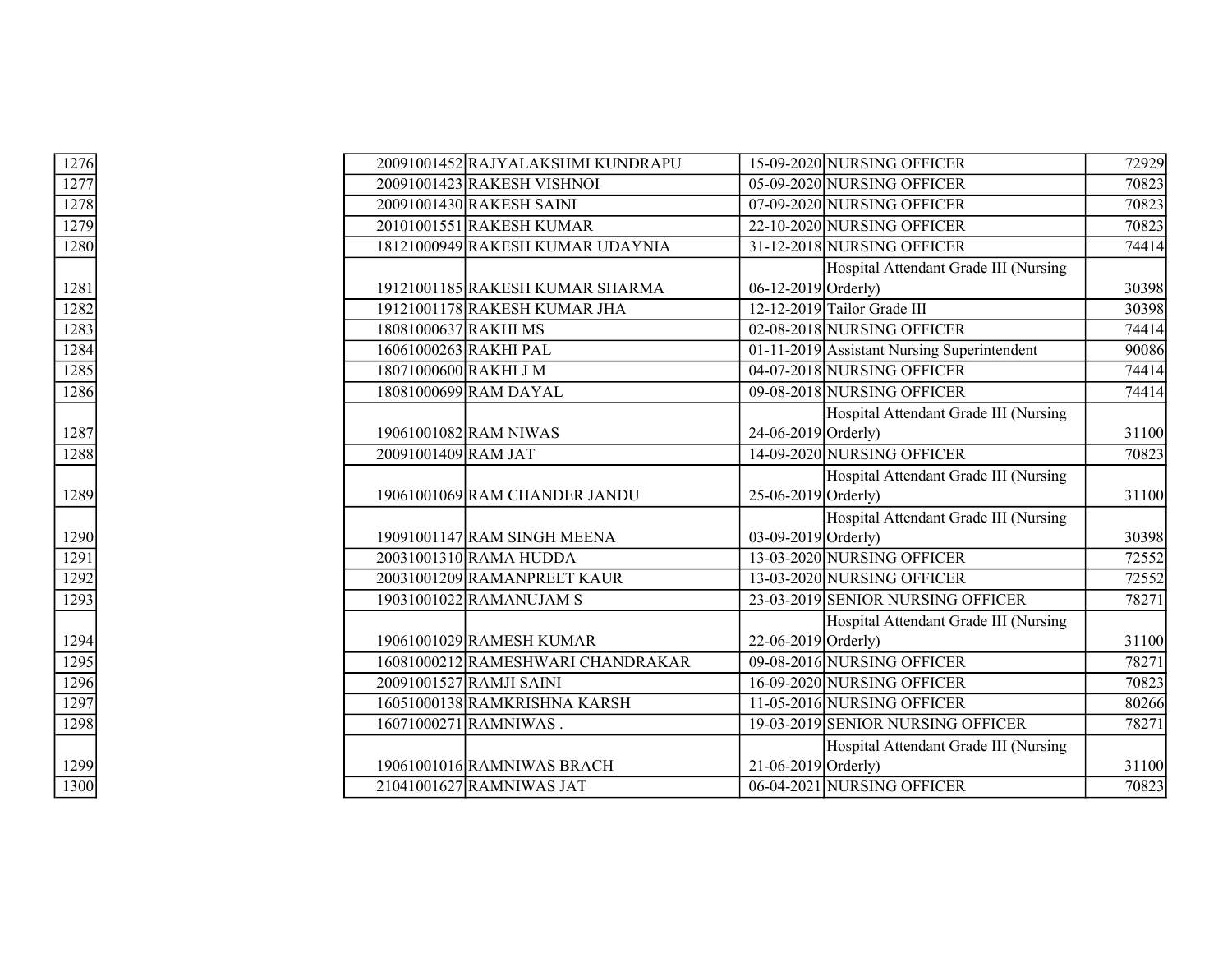|  |                                                                                                                                                                                                                                                                                                                                                                                                                                                                                                                                                                                                                                                                                                                                                      |                                       | 72929                                                                                                                                                                                                                                                                                                                                                                                                                                                                                                                                                                                                                                                                                                                                                                                                                                                                                                                                  |
|--|------------------------------------------------------------------------------------------------------------------------------------------------------------------------------------------------------------------------------------------------------------------------------------------------------------------------------------------------------------------------------------------------------------------------------------------------------------------------------------------------------------------------------------------------------------------------------------------------------------------------------------------------------------------------------------------------------------------------------------------------------|---------------------------------------|----------------------------------------------------------------------------------------------------------------------------------------------------------------------------------------------------------------------------------------------------------------------------------------------------------------------------------------------------------------------------------------------------------------------------------------------------------------------------------------------------------------------------------------------------------------------------------------------------------------------------------------------------------------------------------------------------------------------------------------------------------------------------------------------------------------------------------------------------------------------------------------------------------------------------------------|
|  |                                                                                                                                                                                                                                                                                                                                                                                                                                                                                                                                                                                                                                                                                                                                                      |                                       | 70823                                                                                                                                                                                                                                                                                                                                                                                                                                                                                                                                                                                                                                                                                                                                                                                                                                                                                                                                  |
|  |                                                                                                                                                                                                                                                                                                                                                                                                                                                                                                                                                                                                                                                                                                                                                      |                                       | 70823                                                                                                                                                                                                                                                                                                                                                                                                                                                                                                                                                                                                                                                                                                                                                                                                                                                                                                                                  |
|  |                                                                                                                                                                                                                                                                                                                                                                                                                                                                                                                                                                                                                                                                                                                                                      |                                       | 70823                                                                                                                                                                                                                                                                                                                                                                                                                                                                                                                                                                                                                                                                                                                                                                                                                                                                                                                                  |
|  |                                                                                                                                                                                                                                                                                                                                                                                                                                                                                                                                                                                                                                                                                                                                                      |                                       | 74414                                                                                                                                                                                                                                                                                                                                                                                                                                                                                                                                                                                                                                                                                                                                                                                                                                                                                                                                  |
|  |                                                                                                                                                                                                                                                                                                                                                                                                                                                                                                                                                                                                                                                                                                                                                      |                                       |                                                                                                                                                                                                                                                                                                                                                                                                                                                                                                                                                                                                                                                                                                                                                                                                                                                                                                                                        |
|  |                                                                                                                                                                                                                                                                                                                                                                                                                                                                                                                                                                                                                                                                                                                                                      |                                       | 30398                                                                                                                                                                                                                                                                                                                                                                                                                                                                                                                                                                                                                                                                                                                                                                                                                                                                                                                                  |
|  |                                                                                                                                                                                                                                                                                                                                                                                                                                                                                                                                                                                                                                                                                                                                                      |                                       | 30398                                                                                                                                                                                                                                                                                                                                                                                                                                                                                                                                                                                                                                                                                                                                                                                                                                                                                                                                  |
|  |                                                                                                                                                                                                                                                                                                                                                                                                                                                                                                                                                                                                                                                                                                                                                      |                                       | 74414                                                                                                                                                                                                                                                                                                                                                                                                                                                                                                                                                                                                                                                                                                                                                                                                                                                                                                                                  |
|  |                                                                                                                                                                                                                                                                                                                                                                                                                                                                                                                                                                                                                                                                                                                                                      |                                       | 90086                                                                                                                                                                                                                                                                                                                                                                                                                                                                                                                                                                                                                                                                                                                                                                                                                                                                                                                                  |
|  |                                                                                                                                                                                                                                                                                                                                                                                                                                                                                                                                                                                                                                                                                                                                                      |                                       | 74414                                                                                                                                                                                                                                                                                                                                                                                                                                                                                                                                                                                                                                                                                                                                                                                                                                                                                                                                  |
|  |                                                                                                                                                                                                                                                                                                                                                                                                                                                                                                                                                                                                                                                                                                                                                      |                                       | 74414                                                                                                                                                                                                                                                                                                                                                                                                                                                                                                                                                                                                                                                                                                                                                                                                                                                                                                                                  |
|  |                                                                                                                                                                                                                                                                                                                                                                                                                                                                                                                                                                                                                                                                                                                                                      | Hospital Attendant Grade III (Nursing |                                                                                                                                                                                                                                                                                                                                                                                                                                                                                                                                                                                                                                                                                                                                                                                                                                                                                                                                        |
|  |                                                                                                                                                                                                                                                                                                                                                                                                                                                                                                                                                                                                                                                                                                                                                      |                                       | 31100                                                                                                                                                                                                                                                                                                                                                                                                                                                                                                                                                                                                                                                                                                                                                                                                                                                                                                                                  |
|  |                                                                                                                                                                                                                                                                                                                                                                                                                                                                                                                                                                                                                                                                                                                                                      |                                       | 70823                                                                                                                                                                                                                                                                                                                                                                                                                                                                                                                                                                                                                                                                                                                                                                                                                                                                                                                                  |
|  |                                                                                                                                                                                                                                                                                                                                                                                                                                                                                                                                                                                                                                                                                                                                                      |                                       |                                                                                                                                                                                                                                                                                                                                                                                                                                                                                                                                                                                                                                                                                                                                                                                                                                                                                                                                        |
|  |                                                                                                                                                                                                                                                                                                                                                                                                                                                                                                                                                                                                                                                                                                                                                      |                                       | 31100                                                                                                                                                                                                                                                                                                                                                                                                                                                                                                                                                                                                                                                                                                                                                                                                                                                                                                                                  |
|  |                                                                                                                                                                                                                                                                                                                                                                                                                                                                                                                                                                                                                                                                                                                                                      |                                       |                                                                                                                                                                                                                                                                                                                                                                                                                                                                                                                                                                                                                                                                                                                                                                                                                                                                                                                                        |
|  |                                                                                                                                                                                                                                                                                                                                                                                                                                                                                                                                                                                                                                                                                                                                                      |                                       | 30398                                                                                                                                                                                                                                                                                                                                                                                                                                                                                                                                                                                                                                                                                                                                                                                                                                                                                                                                  |
|  |                                                                                                                                                                                                                                                                                                                                                                                                                                                                                                                                                                                                                                                                                                                                                      |                                       | 72552                                                                                                                                                                                                                                                                                                                                                                                                                                                                                                                                                                                                                                                                                                                                                                                                                                                                                                                                  |
|  |                                                                                                                                                                                                                                                                                                                                                                                                                                                                                                                                                                                                                                                                                                                                                      |                                       | 72552                                                                                                                                                                                                                                                                                                                                                                                                                                                                                                                                                                                                                                                                                                                                                                                                                                                                                                                                  |
|  |                                                                                                                                                                                                                                                                                                                                                                                                                                                                                                                                                                                                                                                                                                                                                      |                                       | 78271                                                                                                                                                                                                                                                                                                                                                                                                                                                                                                                                                                                                                                                                                                                                                                                                                                                                                                                                  |
|  |                                                                                                                                                                                                                                                                                                                                                                                                                                                                                                                                                                                                                                                                                                                                                      | Hospital Attendant Grade III (Nursing |                                                                                                                                                                                                                                                                                                                                                                                                                                                                                                                                                                                                                                                                                                                                                                                                                                                                                                                                        |
|  |                                                                                                                                                                                                                                                                                                                                                                                                                                                                                                                                                                                                                                                                                                                                                      |                                       | 31100                                                                                                                                                                                                                                                                                                                                                                                                                                                                                                                                                                                                                                                                                                                                                                                                                                                                                                                                  |
|  |                                                                                                                                                                                                                                                                                                                                                                                                                                                                                                                                                                                                                                                                                                                                                      |                                       | 78271                                                                                                                                                                                                                                                                                                                                                                                                                                                                                                                                                                                                                                                                                                                                                                                                                                                                                                                                  |
|  |                                                                                                                                                                                                                                                                                                                                                                                                                                                                                                                                                                                                                                                                                                                                                      |                                       | 70823                                                                                                                                                                                                                                                                                                                                                                                                                                                                                                                                                                                                                                                                                                                                                                                                                                                                                                                                  |
|  |                                                                                                                                                                                                                                                                                                                                                                                                                                                                                                                                                                                                                                                                                                                                                      |                                       | 80266                                                                                                                                                                                                                                                                                                                                                                                                                                                                                                                                                                                                                                                                                                                                                                                                                                                                                                                                  |
|  |                                                                                                                                                                                                                                                                                                                                                                                                                                                                                                                                                                                                                                                                                                                                                      |                                       | 78271                                                                                                                                                                                                                                                                                                                                                                                                                                                                                                                                                                                                                                                                                                                                                                                                                                                                                                                                  |
|  |                                                                                                                                                                                                                                                                                                                                                                                                                                                                                                                                                                                                                                                                                                                                                      |                                       |                                                                                                                                                                                                                                                                                                                                                                                                                                                                                                                                                                                                                                                                                                                                                                                                                                                                                                                                        |
|  |                                                                                                                                                                                                                                                                                                                                                                                                                                                                                                                                                                                                                                                                                                                                                      |                                       | 31100                                                                                                                                                                                                                                                                                                                                                                                                                                                                                                                                                                                                                                                                                                                                                                                                                                                                                                                                  |
|  |                                                                                                                                                                                                                                                                                                                                                                                                                                                                                                                                                                                                                                                                                                                                                      |                                       | 70823                                                                                                                                                                                                                                                                                                                                                                                                                                                                                                                                                                                                                                                                                                                                                                                                                                                                                                                                  |
|  | 20091001452 RAJYALAKSHMI KUNDRAPU<br>20091001423 RAKESH VISHNOI<br>20091001430 RAKESH SAINI<br>20101001551 RAKESH KUMAR<br>18121000949 RAKESH KUMAR UDAYNIA<br>19121001185 RAKESH KUMAR SHARMA<br>19121001178 RAKESH KUMAR JHA<br>18081000637 RAKHI MS<br>16061000263 RAKHI PAL<br>18071000600 RAKHI J M<br>18081000699 RAM DAYAL<br>19061001082 RAM NIWAS<br>20091001409 RAM JAT<br>19061001069 RAM CHANDER JANDU<br>19091001147 RAM SINGH MEENA<br>20031001310 RAMA HUDDA<br>20031001209 RAMANPREET KAUR<br>19031001022 RAMANUJAM S<br>19061001029 RAMESH KUMAR<br>16081000212 RAMESHWARI CHANDRAKAR<br>20091001527 RAMJI SAINI<br>16051000138 RAMKRISHNA KARSH<br>16071000271 RAMNIWAS.<br>19061001016 RAMNIWAS BRACH<br>21041001627 RAMNIWAS JAT |                                       | 15-09-2020 NURSING OFFICER<br>05-09-2020 NURSING OFFICER<br>07-09-2020 NURSING OFFICER<br>22-10-2020 NURSING OFFICER<br>31-12-2018 NURSING OFFICER<br>Hospital Attendant Grade III (Nursing<br>06-12-2019 Orderly)<br>12-12-2019 Tailor Grade III<br>02-08-2018 NURSING OFFICER<br>01-11-2019 Assistant Nursing Superintendent<br>04-07-2018 NURSING OFFICER<br>09-08-2018 NURSING OFFICER<br>24-06-2019 Orderly)<br>14-09-2020 NURSING OFFICER<br>Hospital Attendant Grade III (Nursing<br>$25-06-2019$ Orderly)<br>Hospital Attendant Grade III (Nursing<br>03-09-2019 Orderly)<br>13-03-2020 NURSING OFFICER<br>13-03-2020 NURSING OFFICER<br>23-03-2019 SENIOR NURSING OFFICER<br>22-06-2019 Orderly)<br>09-08-2016 NURSING OFFICER<br>16-09-2020 NURSING OFFICER<br>11-05-2016 NURSING OFFICER<br>19-03-2019 SENIOR NURSING OFFICER<br>Hospital Attendant Grade III (Nursing<br>21-06-2019 Orderly)<br>06-04-2021 NURSING OFFICER |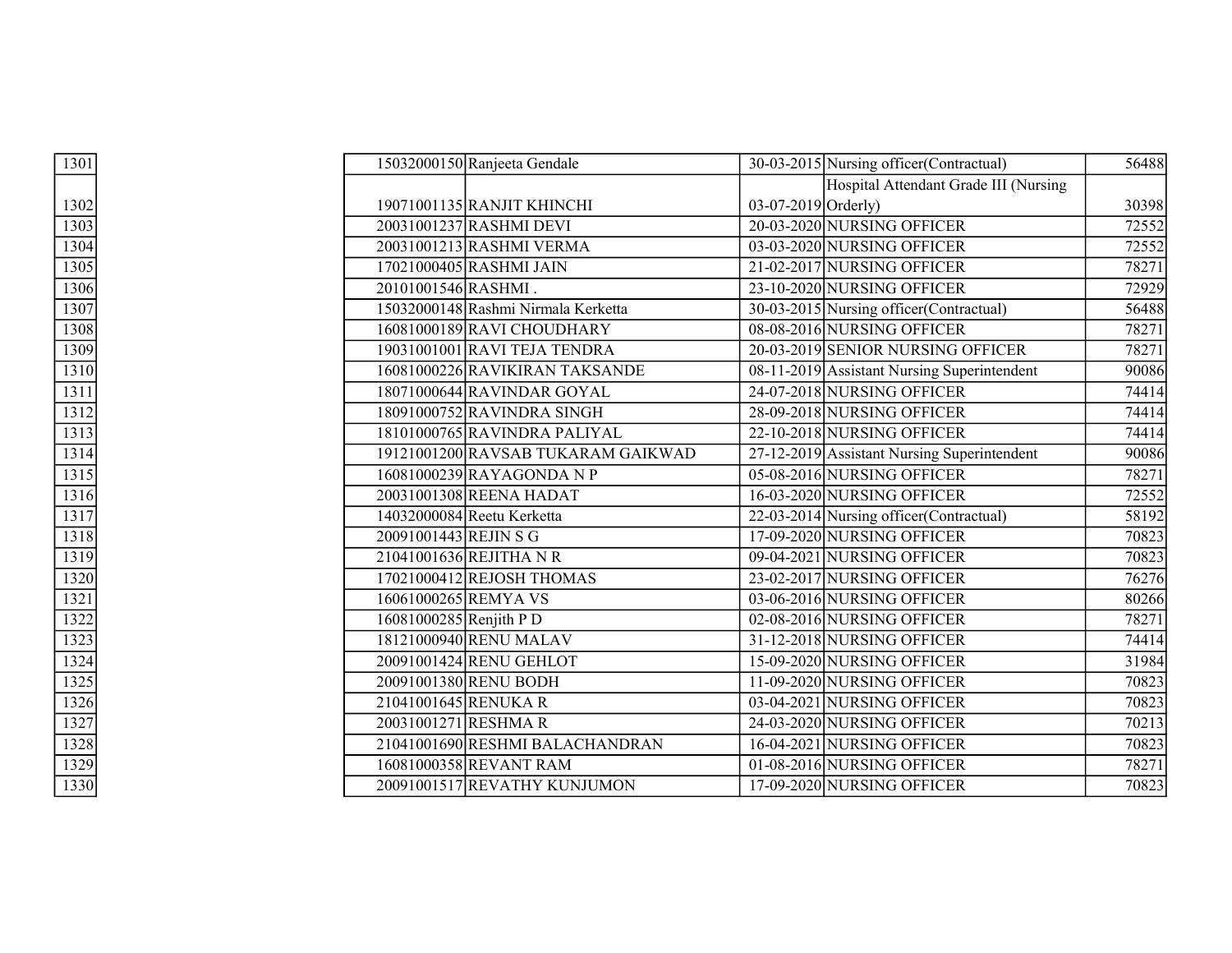| 1301 |  | 15032000150 Ranjeeta Gendale        |                       | 30-03-2015 Nursing officer (Contractual)    | 56488 |
|------|--|-------------------------------------|-----------------------|---------------------------------------------|-------|
|      |  |                                     |                       | Hospital Attendant Grade III (Nursing       |       |
| 1302 |  | 19071001135 RANJIT KHINCHI          | $03-07-2019$ Orderly) |                                             | 30398 |
| 1303 |  | 20031001237 RASHMI DEVI             |                       | 20-03-2020 NURSING OFFICER                  | 72552 |
| 1304 |  | 20031001213 RASHMI VERMA            |                       | 03-03-2020 NURSING OFFICER                  | 72552 |
| 1305 |  | 17021000405 RASHMI JAIN             |                       | 21-02-2017 NURSING OFFICER                  | 78271 |
| 1306 |  | 20101001546 RASHMI.                 |                       | 23-10-2020 NURSING OFFICER                  | 72929 |
| 1307 |  | 15032000148 Rashmi Nirmala Kerketta |                       | 30-03-2015 Nursing officer (Contractual)    | 56488 |
| 1308 |  | 16081000189RAVI CHOUDHARY           |                       | 08-08-2016 NURSING OFFICER                  | 78271 |
| 1309 |  | 19031001001 RAVI TEJA TENDRA        |                       | 20-03-2019 SENIOR NURSING OFFICER           | 78271 |
| 1310 |  | 16081000226 RAVIKIRAN TAKSANDE      |                       | 08-11-2019 Assistant Nursing Superintendent | 90086 |
| 1311 |  | 18071000644 RAVINDAR GOYAL          |                       | 24-07-2018 NURSING OFFICER                  | 74414 |
| 1312 |  | 18091000752 RAVINDRA SINGH          |                       | 28-09-2018 NURSING OFFICER                  | 74414 |
| 1313 |  | 18101000765 RAVINDRA PALIYAL        |                       | 22-10-2018 NURSING OFFICER                  | 74414 |
| 1314 |  | 19121001200 RAVSAB TUKARAM GAIKWAD  |                       | 27-12-2019 Assistant Nursing Superintendent | 90086 |
| 1315 |  | 16081000239 RAYAGONDA N P           |                       | 05-08-2016 NURSING OFFICER                  | 78271 |
| 1316 |  | 20031001308 REENA HADAT             |                       | 16-03-2020 NURSING OFFICER                  | 72552 |
| 1317 |  | 14032000084 Reetu Kerketta          |                       | 22-03-2014 Nursing officer (Contractual)    | 58192 |
| 1318 |  | 20091001443 REJIN S G               |                       | 17-09-2020 NURSING OFFICER                  | 70823 |
| 1319 |  | 21041001636 REJITHA N R             |                       | 09-04-2021 NURSING OFFICER                  | 70823 |
| 1320 |  | 17021000412 REJOSH THOMAS           |                       | 23-02-2017 NURSING OFFICER                  | 76276 |
| 1321 |  | 16061000265REMYA VS                 |                       | 03-06-2016 NURSING OFFICER                  | 80266 |
| 1322 |  | 16081000285 Renjith P D             |                       | 02-08-2016 NURSING OFFICER                  | 78271 |
| 1323 |  | 18121000940 RENU MALAV              |                       | 31-12-2018 NURSING OFFICER                  | 74414 |
| 1324 |  | 20091001424 RENU GEHLOT             |                       | 15-09-2020 NURSING OFFICER                  | 31984 |
| 1325 |  | 20091001380 RENU BODH               |                       | 11-09-2020 NURSING OFFICER                  | 70823 |
| 1326 |  | 21041001645 RENUKA R                |                       | 03-04-2021 NURSING OFFICER                  | 70823 |
| 1327 |  | 20031001271 RESHMAR                 |                       | 24-03-2020 NURSING OFFICER                  | 70213 |
| 1328 |  | 21041001690 RESHMI BALACHANDRAN     |                       | 16-04-2021 NURSING OFFICER                  | 70823 |
| 1329 |  | 16081000358REVANT RAM               |                       | 01-08-2016 NURSING OFFICER                  | 78271 |
| 1330 |  | 20091001517 REVATHY KUNJUMON        |                       | 17-09-2020 NURSING OFFICER                  | 70823 |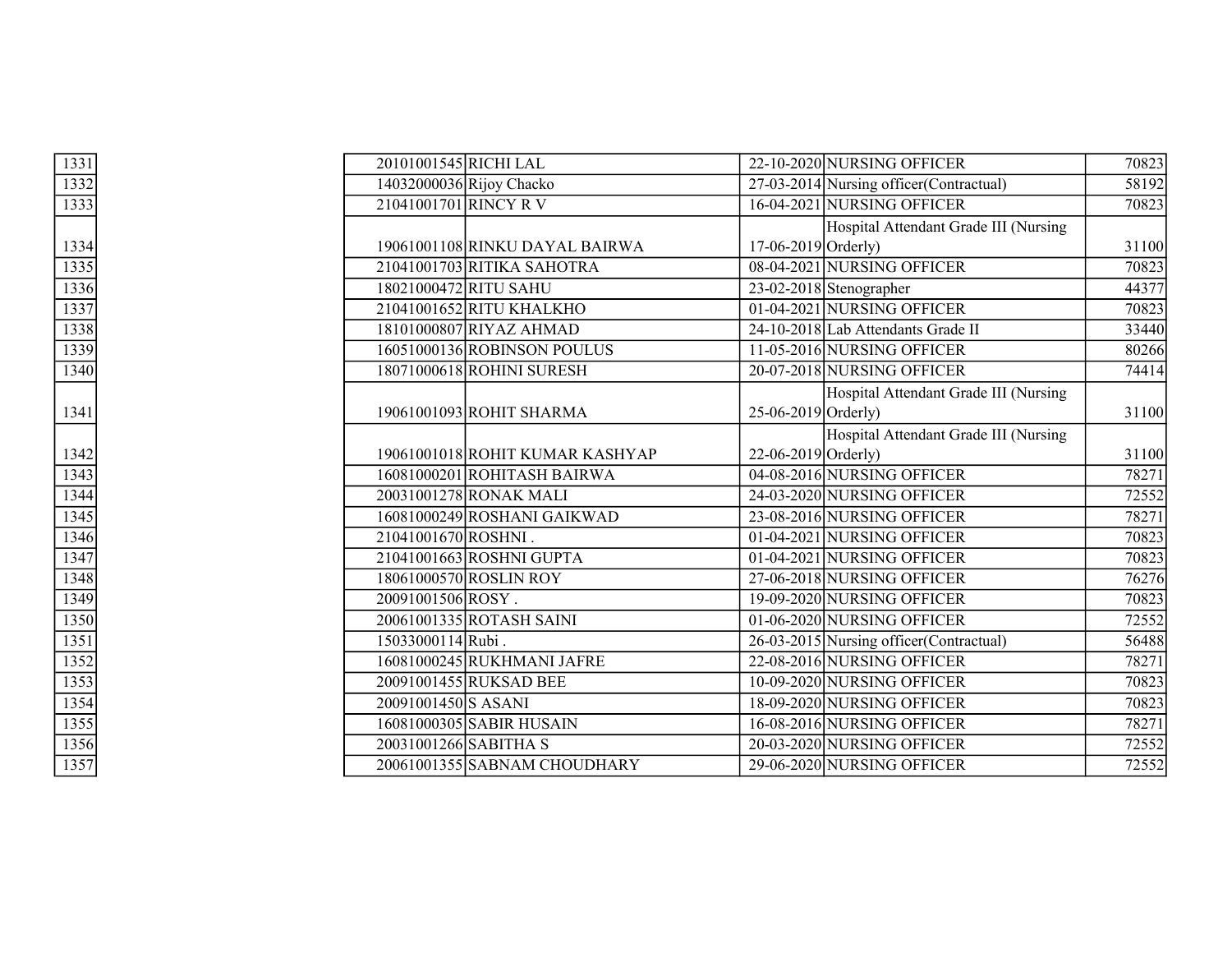| 1331 |                     | 20101001545 RICHI LAL           |                           | 22-10-2020 NURSING OFFICER               | 70823 |
|------|---------------------|---------------------------------|---------------------------|------------------------------------------|-------|
| 1332 |                     | 14032000036 Rijoy Chacko        |                           | 27-03-2014 Nursing officer (Contractual) | 58192 |
| 1333 |                     | 21041001701 RINCY R V           |                           | 16-04-2021 NURSING OFFICER               | 70823 |
|      |                     |                                 |                           | Hospital Attendant Grade III (Nursing    |       |
| 1334 |                     | 19061001108 RINKU DAYAL BAIRWA  | $17-06-2019$ Orderly)     |                                          | 31100 |
| 1335 |                     | 21041001703 RITIKA SAHOTRA      |                           | 08-04-2021 NURSING OFFICER               | 70823 |
| 1336 |                     | 18021000472 RITU SAHU           |                           | $23-02-2018$ Stenographer                | 44377 |
| 1337 |                     | 21041001652 RITU KHALKHO        |                           | 01-04-2021 NURSING OFFICER               | 70823 |
| 1338 |                     | 18101000807 RIYAZ AHMAD         |                           | 24-10-2018 Lab Attendants Grade II       | 33440 |
| 1339 |                     | 16051000136 ROBINSON POULUS     |                           | 11-05-2016 NURSING OFFICER               | 80266 |
| 1340 |                     | 18071000618 ROHINI SURESH       |                           | 20-07-2018 NURSING OFFICER               | 74414 |
|      |                     |                                 |                           | Hospital Attendant Grade III (Nursing    |       |
| 1341 |                     | 19061001093 ROHIT SHARMA        | $25-06-2019$ Orderly)     |                                          | 31100 |
|      |                     |                                 |                           | Hospital Attendant Grade III (Nursing    |       |
| 1342 |                     | 19061001018 ROHIT KUMAR KASHYAP | $22 - 06 - 2019$ Orderly) |                                          | 31100 |
| 1343 |                     | 16081000201 ROHITASH BAIRWA     |                           | 04-08-2016 NURSING OFFICER               | 78271 |
| 1344 |                     | 20031001278 RONAK MALI          |                           | 24-03-2020 NURSING OFFICER               | 72552 |
| 1345 |                     | 16081000249 ROSHANI GAIKWAD     |                           | 23-08-2016 NURSING OFFICER               | 78271 |
| 1346 | 21041001670 ROSHNI. |                                 |                           | 01-04-2021 NURSING OFFICER               | 70823 |
| 1347 |                     | 21041001663 ROSHNI GUPTA        |                           | 01-04-2021 NURSING OFFICER               | 70823 |
| 1348 |                     | 18061000570 ROSLIN ROY          |                           | 27-06-2018 NURSING OFFICER               | 76276 |
| 1349 | 20091001506 ROSY.   |                                 |                           | 19-09-2020 NURSING OFFICER               | 70823 |
| 1350 |                     | 20061001335 ROTASH SAINI        |                           | $\overline{01-06}$ -2020 NURSING OFFICER | 72552 |
| 1351 | 15033000114Rubi.    |                                 |                           | 26-03-2015 Nursing officer (Contractual) | 56488 |
| 1352 |                     | 16081000245 RUKHMANI JAFRE      |                           | 22-08-2016 NURSING OFFICER               | 78271 |
| 1353 |                     | 20091001455 RUKSAD BEE          |                           | 10-09-2020 NURSING OFFICER               | 70823 |
| 1354 | 20091001450 S ASANI |                                 |                           | 18-09-2020 NURSING OFFICER               | 70823 |
| 1355 |                     | 16081000305 SABIR HUSAIN        |                           | 16-08-2016 NURSING OFFICER               | 78271 |
| 1356 |                     | 20031001266 SABITHA S           |                           | 20-03-2020 NURSING OFFICER               | 72552 |
| 1357 |                     | 20061001355 SABNAM CHOUDHARY    |                           | 29-06-2020 NURSING OFFICER               | 72552 |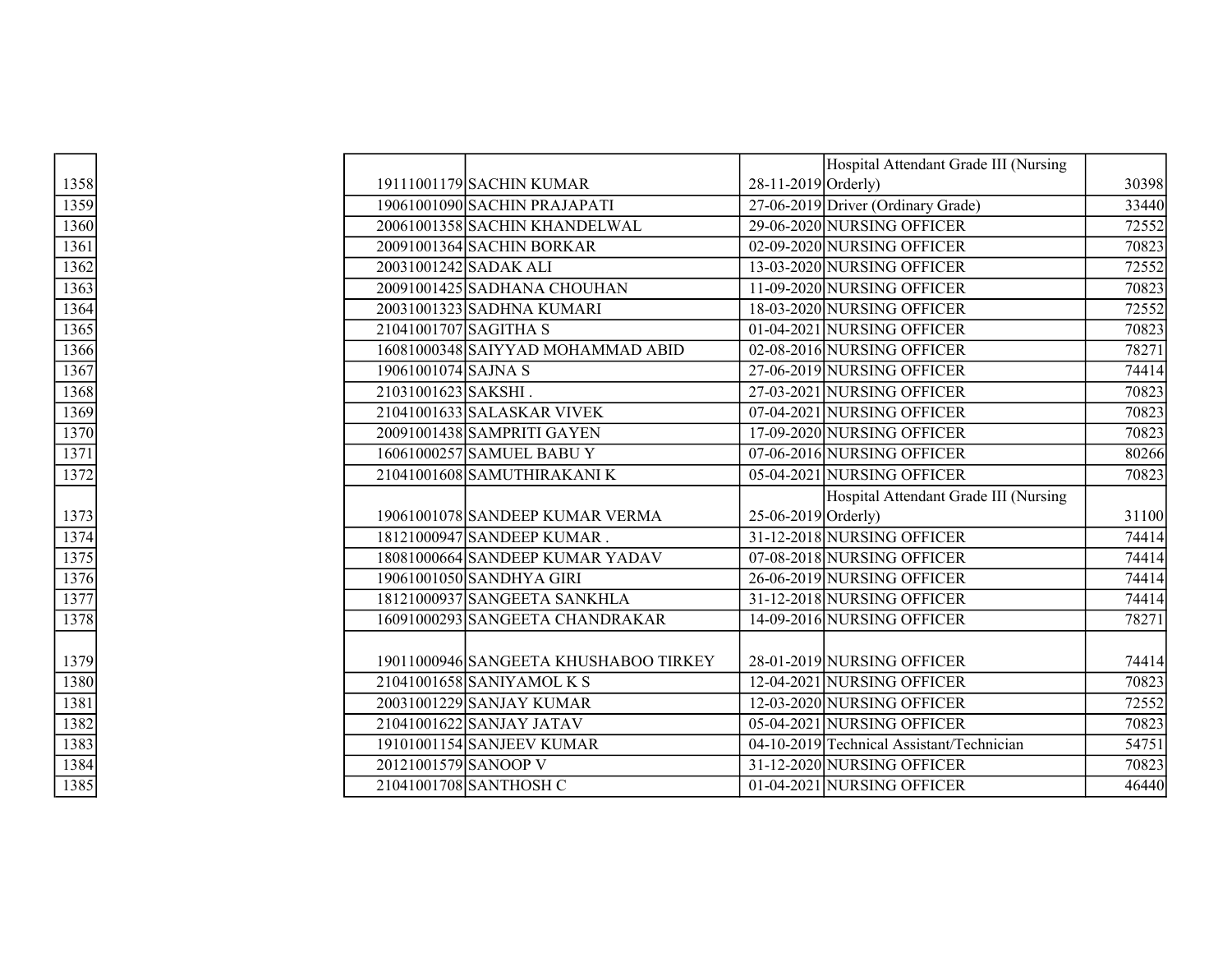|      |                       |                                       |                     | Hospital Attendant Grade III (Nursing     |       |
|------|-----------------------|---------------------------------------|---------------------|-------------------------------------------|-------|
| 1358 |                       | 19111001179 SACHIN KUMAR              | 28-11-2019 Orderly) |                                           | 30398 |
| 1359 |                       | 19061001090 SACHIN PRAJAPATI          |                     | 27-06-2019 Driver (Ordinary Grade)        | 33440 |
| 1360 |                       | 20061001358 SACHIN KHANDELWAL         |                     | 29-06-2020 NURSING OFFICER                | 72552 |
| 1361 |                       | 20091001364 SACHIN BORKAR             |                     | 02-09-2020 NURSING OFFICER                | 70823 |
| 1362 | 20031001242 SADAK ALI |                                       |                     | 13-03-2020 NURSING OFFICER                | 72552 |
| 1363 |                       | 20091001425 SADHANA CHOUHAN           |                     | 11-09-2020 NURSING OFFICER                | 70823 |
| 1364 |                       | 20031001323 SADHNA KUMARI             |                     | 18-03-2020 NURSING OFFICER                | 72552 |
| 1365 | 21041001707 SAGITHA S |                                       |                     | 01-04-2021 NURSING OFFICER                | 70823 |
| 1366 |                       | 16081000348 SAIYYAD MOHAMMAD ABID     |                     | 02-08-2016 NURSING OFFICER                | 78271 |
| 1367 | 19061001074 SAJNA S   |                                       |                     | 27-06-2019 NURSING OFFICER                | 74414 |
| 1368 | 21031001623 SAKSHI.   |                                       |                     | 27-03-2021 NURSING OFFICER                | 70823 |
| 1369 |                       | 21041001633 SALASKAR VIVEK            |                     | 07-04-2021 NURSING OFFICER                | 70823 |
| 1370 |                       | 20091001438 SAMPRITI GAYEN            |                     | 17-09-2020 NURSING OFFICER                | 70823 |
| 1371 |                       | 16061000257 SAMUEL BABU Y             |                     | 07-06-2016 NURSING OFFICER                | 80266 |
| 1372 |                       | 21041001608 SAMUTHIRAKANI K           |                     | 05-04-2021 NURSING OFFICER                | 70823 |
|      |                       |                                       |                     | Hospital Attendant Grade III (Nursing     |       |
| 1373 |                       | 19061001078 SANDEEP KUMAR VERMA       | 25-06-2019 Orderly) |                                           | 31100 |
| 1374 |                       | 18121000947 SANDEEP KUMAR.            |                     | 31-12-2018 NURSING OFFICER                | 74414 |
| 1375 |                       | 18081000664 SANDEEP KUMAR YADAV       |                     | 07-08-2018 NURSING OFFICER                | 74414 |
| 1376 |                       | 19061001050 SANDHYA GIRI              |                     | 26-06-2019 NURSING OFFICER                | 74414 |
| 1377 |                       | 18121000937 SANGEETA SANKHLA          |                     | 31-12-2018 NURSING OFFICER                | 74414 |
| 1378 |                       | 16091000293 SANGEETA CHANDRAKAR       |                     | 14-09-2016 NURSING OFFICER                | 78271 |
|      |                       |                                       |                     |                                           |       |
| 1379 |                       | 19011000946 SANGEETA KHUSHABOO TIRKEY |                     | 28-01-2019 NURSING OFFICER                | 74414 |
| 1380 |                       | 21041001658 SANIYAMOL K S             |                     | 12-04-2021 NURSING OFFICER                | 70823 |
| 1381 |                       | 20031001229 SANJAY KUMAR              |                     | 12-03-2020 NURSING OFFICER                | 72552 |
| 1382 |                       | 21041001622 SANJAY JATAV              |                     | 05-04-2021 NURSING OFFICER                | 70823 |
| 1383 |                       | 19101001154 SANJEEV KUMAR             |                     | 04-10-2019 Technical Assistant/Technician | 54751 |
| 1384 | 20121001579 SANOOP V  |                                       |                     | 31-12-2020 NURSING OFFICER                | 70823 |
| 1385 |                       | 21041001708 SANTHOSH C                |                     | 01-04-2021 NURSING OFFICER                | 46440 |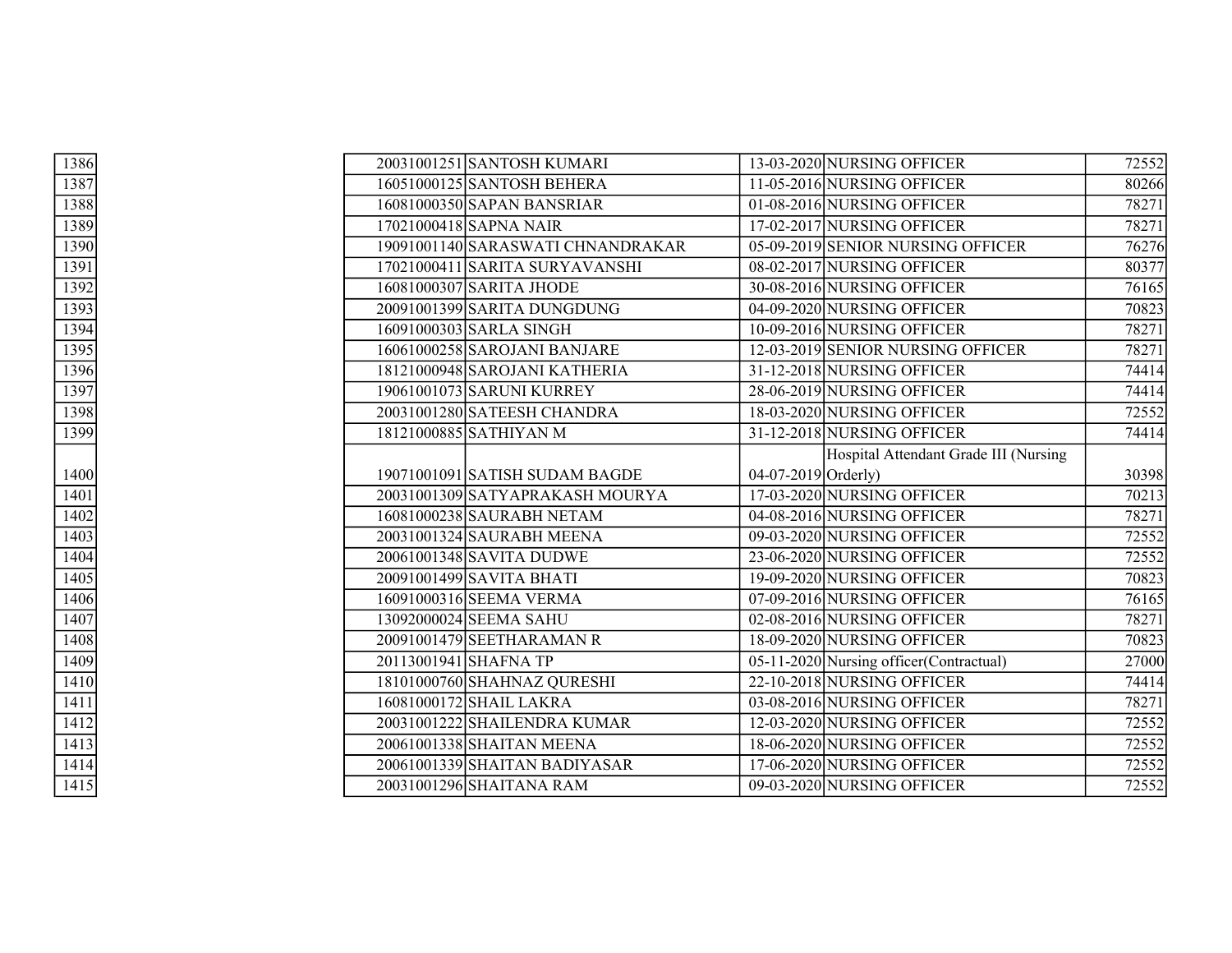| 1386 | 20031001251 SANTOSH KUMARI        | 13-03-2020 NURSING OFFICER               | 72552 |
|------|-----------------------------------|------------------------------------------|-------|
| 1387 | 16051000125 SANTOSH BEHERA        | 11-05-2016 NURSING OFFICER               | 80266 |
| 1388 | 16081000350 SAPAN BANSRIAR        | 01-08-2016 NURSING OFFICER               | 78271 |
| 1389 | 17021000418 SAPNA NAIR            | 17-02-2017 NURSING OFFICER               | 78271 |
| 1390 | 19091001140 SARASWATI CHNANDRAKAR | 05-09-2019 SENIOR NURSING OFFICER        | 76276 |
| 1391 | 17021000411 SARITA SURYAVANSHI    | 08-02-2017 NURSING OFFICER               | 80377 |
| 1392 | 16081000307 SARITA JHODE          | 30-08-2016 NURSING OFFICER               | 76165 |
| 1393 | 20091001399 SARITA DUNGDUNG       | 04-09-2020 NURSING OFFICER               | 70823 |
| 1394 | 16091000303 SARLA SINGH           | 10-09-2016 NURSING OFFICER               | 78271 |
| 1395 | 16061000258 SAROJANI BANJARE      | 12-03-2019 SENIOR NURSING OFFICER        | 78271 |
| 1396 | 18121000948 SAROJANI KATHERIA     | 31-12-2018 NURSING OFFICER               | 74414 |
| 1397 | 19061001073 SARUNI KURREY         | 28-06-2019 NURSING OFFICER               | 74414 |
| 1398 | 20031001280 SATEESH CHANDRA       | 18-03-2020 NURSING OFFICER               | 72552 |
| 1399 | 18121000885 SATHIYAN M            | 31-12-2018 NURSING OFFICER               | 74414 |
|      |                                   | Hospital Attendant Grade III (Nursing    |       |
| 1400 | 19071001091 SATISH SUDAM BAGDE    | 04-07-2019 Orderly)                      | 30398 |
| 1401 | 20031001309 SATYAPRAKASH MOURYA   | 17-03-2020 NURSING OFFICER               | 70213 |
| 1402 | 16081000238 SAURABH NETAM         | 04-08-2016 NURSING OFFICER               | 78271 |
| 1403 | 20031001324 SAURABH MEENA         | 09-03-2020 NURSING OFFICER               | 72552 |
| 1404 | 20061001348 SAVITA DUDWE          | 23-06-2020 NURSING OFFICER               | 72552 |
| 1405 | 20091001499 SAVITA BHATI          | 19-09-2020 NURSING OFFICER               | 70823 |
| 1406 | 16091000316 SEEMA VERMA           | 07-09-2016 NURSING OFFICER               | 76165 |
| 1407 | 13092000024 SEEMA SAHU            | 02-08-2016 NURSING OFFICER               | 78271 |
| 1408 | 20091001479 SEETHARAMAN R         | 18-09-2020 NURSING OFFICER               | 70823 |
| 1409 | 20113001941 SHAFNA TP             | 05-11-2020 Nursing officer (Contractual) | 27000 |
| 1410 | 18101000760 SHAHNAZ QURESHI       | 22-10-2018 NURSING OFFICER               | 74414 |
| 1411 | 16081000172 SHAIL LAKRA           | 03-08-2016 NURSING OFFICER               | 78271 |
| 1412 | 20031001222 SHAILENDRA KUMAR      | 12-03-2020 NURSING OFFICER               | 72552 |
| 1413 | 20061001338 SHAITAN MEENA         | 18-06-2020 NURSING OFFICER               | 72552 |
| 1414 | 20061001339 SHAITAN BADIYASAR     | 17-06-2020 NURSING OFFICER               | 72552 |
| 1415 | 20031001296 SHAITANA RAM          | 09-03-2020 NURSING OFFICER               | 72552 |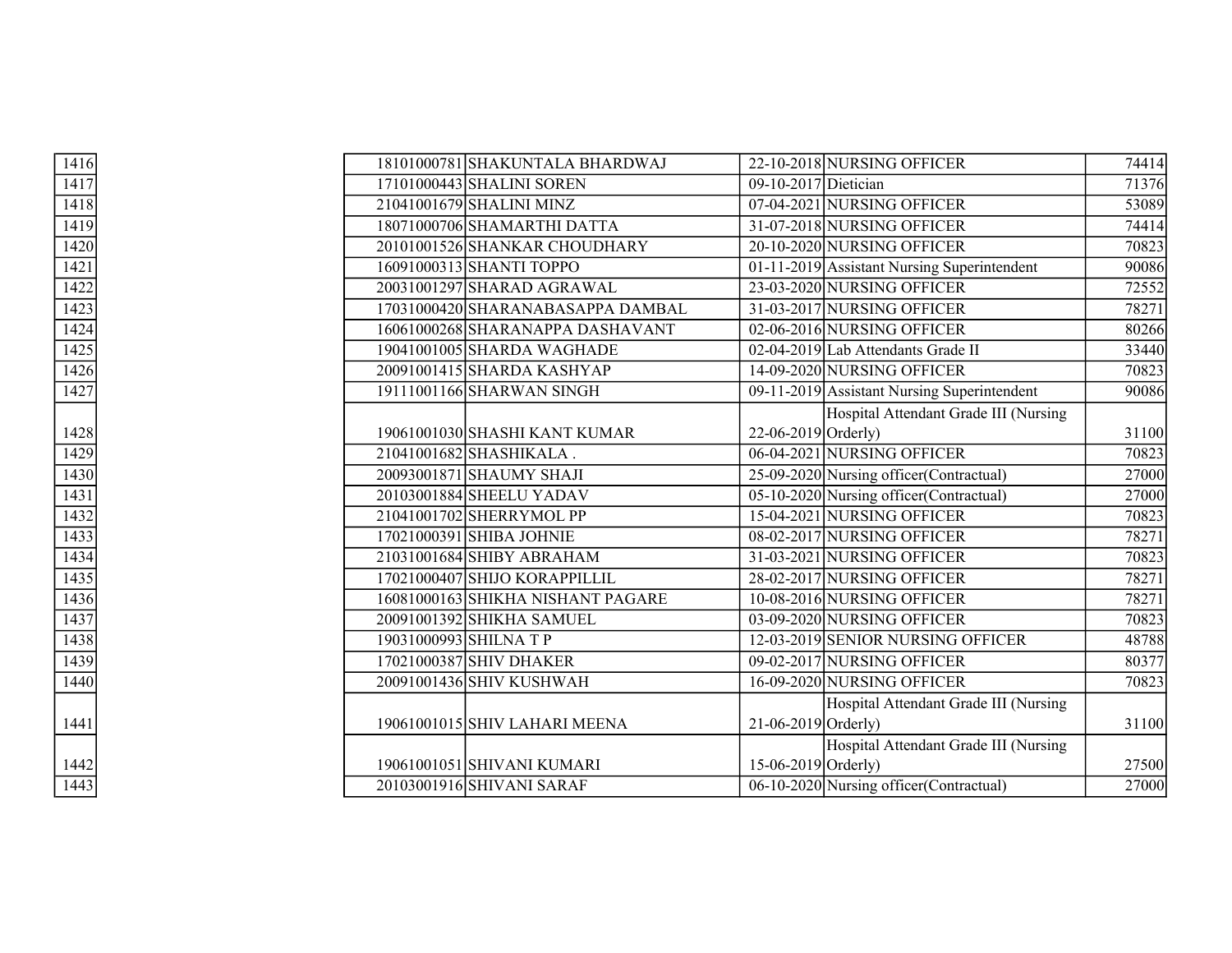| 1416 |  | 18101000781 SHAKUNTALA BHARDWAJ   |                           | 22-10-2018 NURSING OFFICER                  | 74414 |
|------|--|-----------------------------------|---------------------------|---------------------------------------------|-------|
| 1417 |  | 17101000443 SHALINI SOREN         | 09-10-2017 Dietician      |                                             | 71376 |
| 1418 |  | 21041001679 SHALINI MINZ          |                           | 07-04-2021 NURSING OFFICER                  | 53089 |
| 1419 |  | 18071000706 SHAMARTHI DATTA       |                           | 31-07-2018 NURSING OFFICER                  | 74414 |
| 1420 |  | 20101001526 SHANKAR CHOUDHARY     |                           | 20-10-2020 NURSING OFFICER                  | 70823 |
| 1421 |  | 16091000313 SHANTI TOPPO          |                           | 01-11-2019 Assistant Nursing Superintendent | 90086 |
| 1422 |  | 20031001297 SHARAD AGRAWAL        |                           | 23-03-2020 NURSING OFFICER                  | 72552 |
| 1423 |  | 17031000420 SHARANABASAPPA DAMBAL |                           | 31-03-2017 NURSING OFFICER                  | 78271 |
| 1424 |  | 16061000268 SHARANAPPA DASHAVANT  |                           | 02-06-2016 NURSING OFFICER                  | 80266 |
| 1425 |  | 19041001005 SHARDA WAGHADE        |                           | 02-04-2019 Lab Attendants Grade II          | 33440 |
| 1426 |  | 20091001415 SHARDA KASHYAP        |                           | 14-09-2020 NURSING OFFICER                  | 70823 |
| 1427 |  | 19111001166 SHARWAN SINGH         |                           | 09-11-2019 Assistant Nursing Superintendent | 90086 |
|      |  |                                   |                           | Hospital Attendant Grade III (Nursing       |       |
| 1428 |  | 19061001030 SHASHI KANT KUMAR     | 22-06-2019 Orderly)       |                                             | 31100 |
| 1429 |  | 21041001682 SHASHIKALA.           |                           | 06-04-2021 NURSING OFFICER                  | 70823 |
| 1430 |  | 20093001871 SHAUMY SHAJI          |                           | 25-09-2020 Nursing officer (Contractual)    | 27000 |
| 1431 |  | 20103001884 SHEELU YADAV          |                           | 05-10-2020 Nursing officer (Contractual)    | 27000 |
| 1432 |  | 21041001702 SHERRYMOL PP          |                           | 15-04-2021 NURSING OFFICER                  | 70823 |
| 1433 |  | 17021000391 SHIBA JOHNIE          |                           | 08-02-2017 NURSING OFFICER                  | 78271 |
| 1434 |  | 21031001684 SHIBY ABRAHAM         |                           | 31-03-2021 NURSING OFFICER                  | 70823 |
| 1435 |  | 17021000407 SHIJO KORAPPILLIL     |                           | 28-02-2017 NURSING OFFICER                  | 78271 |
| 1436 |  | 16081000163 SHIKHA NISHANT PAGARE |                           | 10-08-2016 NURSING OFFICER                  | 78271 |
| 1437 |  | 20091001392 SHIKHA SAMUEL         |                           | 03-09-2020 NURSING OFFICER                  | 70823 |
| 1438 |  | 19031000993 SHILNA T P            |                           | 12-03-2019 SENIOR NURSING OFFICER           | 48788 |
| 1439 |  | 17021000387 SHIV DHAKER           |                           | 09-02-2017 NURSING OFFICER                  | 80377 |
| 1440 |  | 20091001436 SHIV KUSHWAH          |                           | 16-09-2020 NURSING OFFICER                  | 70823 |
|      |  |                                   |                           | Hospital Attendant Grade III (Nursing       |       |
| 1441 |  | 19061001015 SHIV LAHARI MEENA     | $21 - 06 - 2019$ Orderly) |                                             | 31100 |
|      |  |                                   |                           | Hospital Attendant Grade III (Nursing       |       |
| 1442 |  | 19061001051 SHIVANI KUMARI        | 15-06-2019 Orderly)       |                                             | 27500 |
| 1443 |  | 20103001916 SHIVANI SARAF         |                           | 06-10-2020 Nursing officer (Contractual)    | 27000 |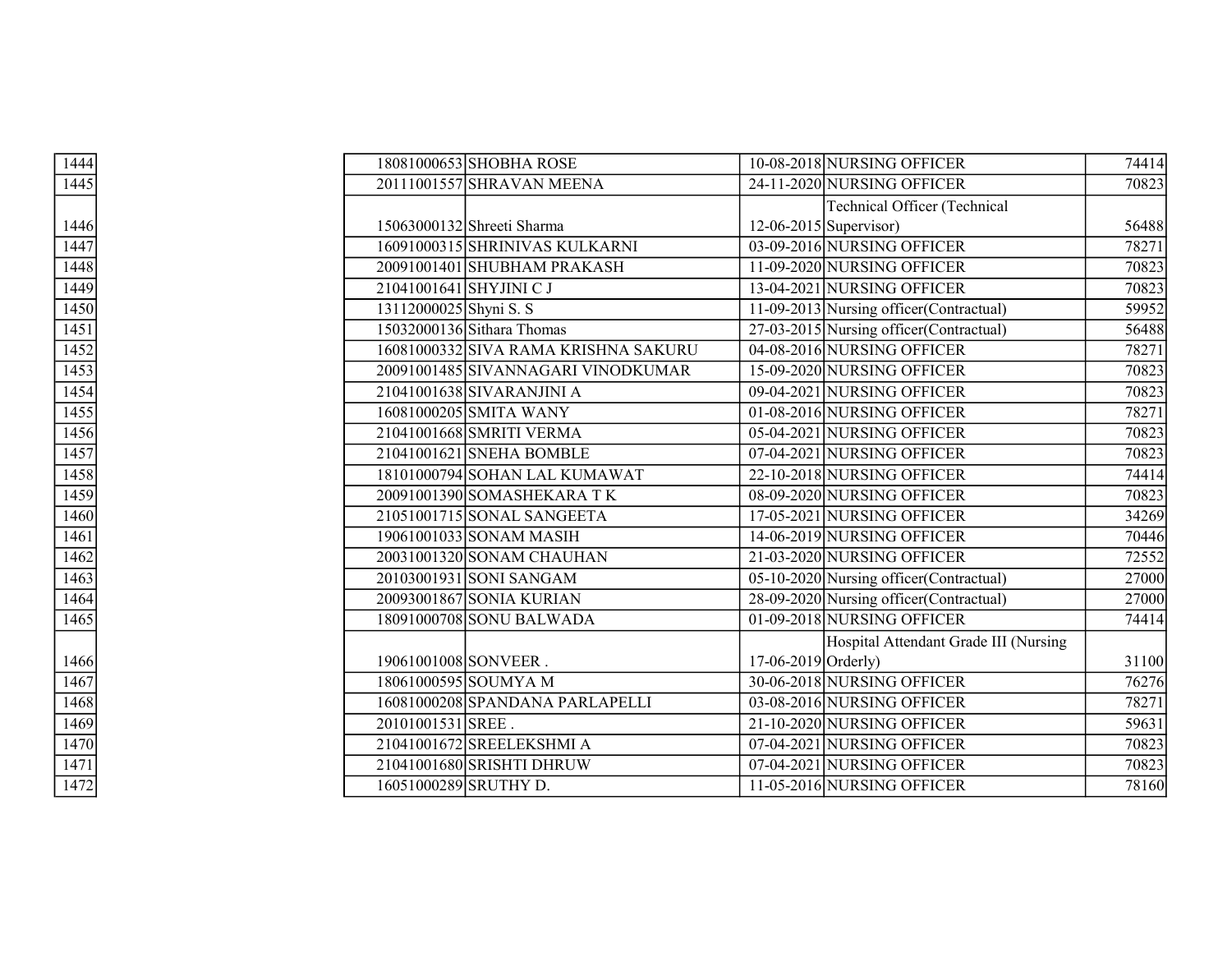| 1444 |                   | 18081000653 SHOBHA ROSE              |                       | 10-08-2018 NURSING OFFICER               | 74414 |
|------|-------------------|--------------------------------------|-----------------------|------------------------------------------|-------|
| 1445 |                   | 20111001557 SHRAVAN MEENA            |                       | 24-11-2020 NURSING OFFICER               | 70823 |
|      |                   |                                      |                       | <b>Technical Officer (Technical</b>      |       |
| 1446 |                   | 15063000132 Shreeti Sharma           |                       | $12-06-2015$ Supervisor)                 | 56488 |
| 1447 |                   | 16091000315 SHRINIVAS KULKARNI       |                       | 03-09-2016 NURSING OFFICER               | 78271 |
| 1448 |                   | 20091001401 SHUBHAM PRAKASH          |                       | 11-09-2020 NURSING OFFICER               | 70823 |
| 1449 |                   | 21041001641 SHYJINI C J              |                       | 13-04-2021 NURSING OFFICER               | 70823 |
| 1450 |                   | 13112000025 Shyni S. S               |                       | 11-09-2013 Nursing officer (Contractual) | 59952 |
| 1451 |                   | 15032000136 Sithara Thomas           |                       | 27-03-2015 Nursing officer (Contractual) | 56488 |
| 1452 |                   | 16081000332 SIVA RAMA KRISHNA SAKURU |                       | 04-08-2016 NURSING OFFICER               | 78271 |
| 1453 |                   | 20091001485 SIVANNAGARI VINODKUMAR   |                       | 15-09-2020 NURSING OFFICER               | 70823 |
| 1454 |                   | 21041001638 SIVARANJINI A            |                       | 09-04-2021 NURSING OFFICER               | 70823 |
| 1455 |                   | 16081000205 SMITA WANY               |                       | 01-08-2016 NURSING OFFICER               | 78271 |
| 1456 |                   | 21041001668 SMRITI VERMA             |                       | 05-04-2021 NURSING OFFICER               | 70823 |
| 1457 |                   | 21041001621 SNEHA BOMBLE             |                       | 07-04-2021 NURSING OFFICER               | 70823 |
| 1458 |                   | 18101000794 SOHAN LAL KUMAWAT        |                       | 22-10-2018 NURSING OFFICER               | 74414 |
| 1459 |                   | 20091001390 SOMASHEKARA TK           |                       | 08-09-2020 NURSING OFFICER               | 70823 |
| 1460 |                   | 21051001715 SONAL SANGEETA           |                       | 17-05-2021 NURSING OFFICER               | 34269 |
| 1461 |                   | 19061001033 SONAM MASIH              |                       | 14-06-2019 NURSING OFFICER               | 70446 |
| 1462 |                   | 20031001320 SONAM CHAUHAN            |                       | 21-03-2020 NURSING OFFICER               | 72552 |
| 1463 |                   | 20103001931 SONI SANGAM              |                       | 05-10-2020 Nursing officer (Contractual) | 27000 |
| 1464 |                   | 20093001867 SONIA KURIAN             |                       | 28-09-2020 Nursing officer (Contractual) | 27000 |
| 1465 |                   | 18091000708 SONU BALWADA             |                       | 01-09-2018 NURSING OFFICER               | 74414 |
|      |                   |                                      |                       | Hospital Attendant Grade III (Nursing    |       |
| 1466 |                   | 19061001008 SONVEER.                 | 17-06-2019 $Orderly)$ |                                          | 31100 |
| 1467 |                   | 18061000595 SOUMYA M                 |                       | 30-06-2018 NURSING OFFICER               | 76276 |
| 1468 |                   | 16081000208 SPANDANA PARLAPELLI      |                       | 03-08-2016 NURSING OFFICER               | 78271 |
| 1469 | 20101001531 SREE. |                                      |                       | 21-10-2020 NURSING OFFICER               | 59631 |
| 1470 |                   | 21041001672 SREELEKSHMI A            |                       | 07-04-2021 NURSING OFFICER               | 70823 |
| 1471 |                   | 21041001680 SRISHTI DHRUW            |                       | 07-04-2021 NURSING OFFICER               | 70823 |
| 1472 |                   | 16051000289 SRUTHY D.                |                       | 11-05-2016 NURSING OFFICER               | 78160 |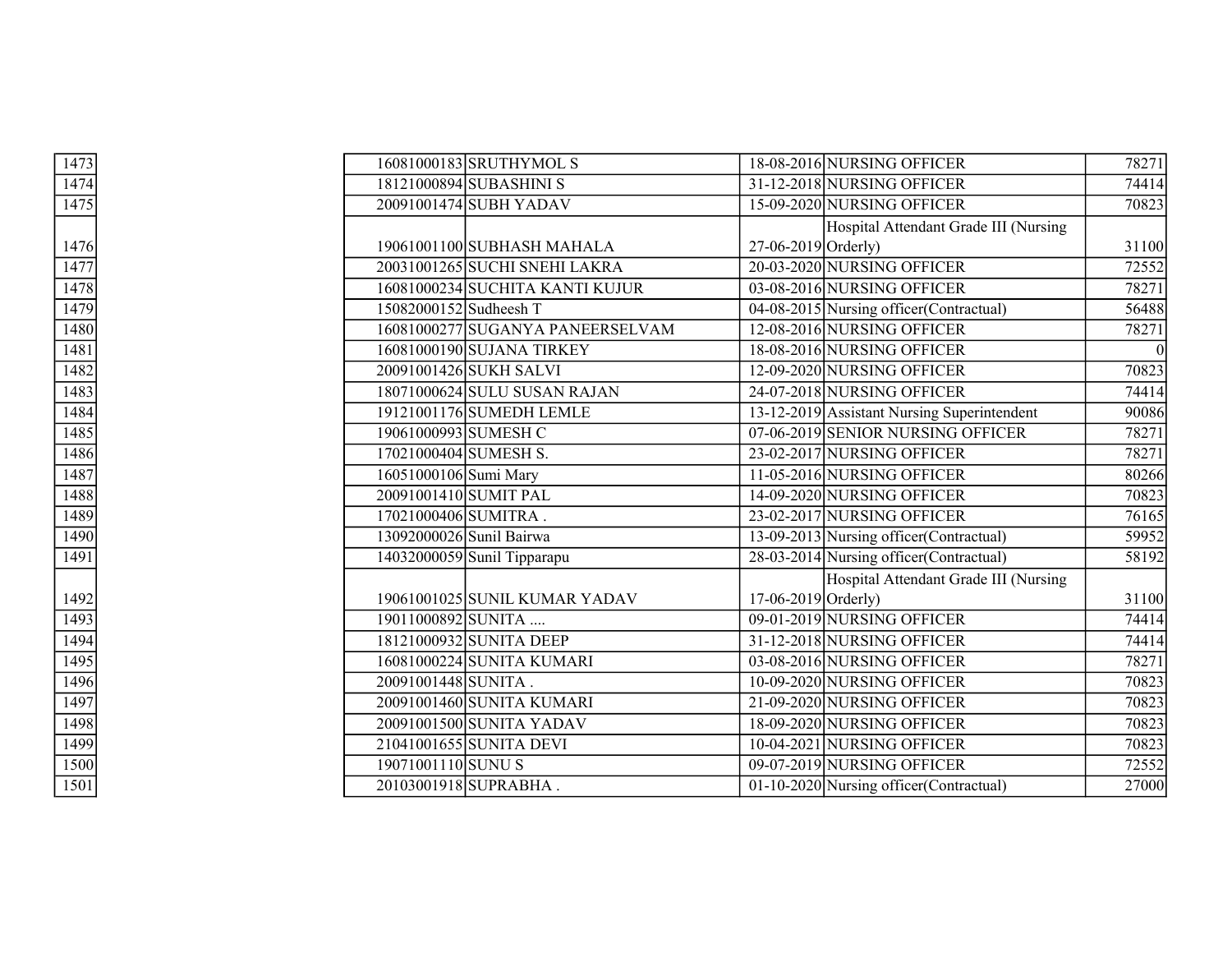| 1473 |                        | 16081000183 SRUTHYMOL S          |                       | 18-08-2016 NURSING OFFICER                  | 78271 |
|------|------------------------|----------------------------------|-----------------------|---------------------------------------------|-------|
| 1474 |                        | 18121000894 SUBASHINI S          |                       | 31-12-2018 NURSING OFFICER                  | 74414 |
| 1475 |                        | 20091001474 SUBH YADAV           |                       | 15-09-2020 NURSING OFFICER                  | 70823 |
|      |                        |                                  |                       | Hospital Attendant Grade III (Nursing       |       |
| 1476 |                        | 19061001100 SUBHASH MAHALA       | $27-06-2019$ Orderly) |                                             | 31100 |
| 1477 |                        | 20031001265 SUCHI SNEHI LAKRA    |                       | 20-03-2020 NURSING OFFICER                  | 72552 |
| 1478 |                        | 16081000234 SUCHITA KANTI KUJUR  |                       | 03-08-2016 NURSING OFFICER                  | 78271 |
| 1479 | 15082000152 Sudheesh T |                                  |                       | 04-08-2015 Nursing officer (Contractual)    | 56488 |
| 1480 |                        | 16081000277 SUGANYA PANEERSELVAM |                       | 12-08-2016 NURSING OFFICER                  | 78271 |
| 1481 |                        | 16081000190 SUJANA TIRKEY        |                       | 18-08-2016 NURSING OFFICER                  |       |
| 1482 |                        | 20091001426 SUKH SALVI           |                       | 12-09-2020 NURSING OFFICER                  | 70823 |
| 1483 |                        | 18071000624 SULU SUSAN RAJAN     |                       | 24-07-2018 NURSING OFFICER                  | 74414 |
| 1484 |                        | 19121001176 SUMEDH LEMLE         |                       | 13-12-2019 Assistant Nursing Superintendent | 90086 |
| 1485 |                        | 19061000993 SUMESH C             |                       | 07-06-2019 SENIOR NURSING OFFICER           | 78271 |
| 1486 |                        | 17021000404 SUMESH S.            |                       | 23-02-2017 NURSING OFFICER                  | 78271 |
| 1487 | 16051000106 Sumi Mary  |                                  |                       | 11-05-2016 NURSING OFFICER                  | 80266 |
| 1488 |                        | 20091001410 SUMIT PAL            |                       | 14-09-2020 NURSING OFFICER                  | 70823 |
| 1489 | 17021000406 SUMITRA.   |                                  |                       | 23-02-2017 NURSING OFFICER                  | 76165 |
| 1490 |                        | 13092000026 Sunil Bairwa         |                       | 13-09-2013 Nursing officer (Contractual)    | 59952 |
| 1491 |                        | 14032000059 Sunil Tipparapu      |                       | 28-03-2014 Nursing officer (Contractual)    | 58192 |
|      |                        |                                  |                       | Hospital Attendant Grade III (Nursing       |       |
| 1492 |                        | 19061001025 SUNIL KUMAR YADAV    | 17-06-2019 Orderly)   |                                             | 31100 |
| 1493 | 19011000892 SUNITA     |                                  |                       | 09-01-2019 NURSING OFFICER                  | 74414 |
| 1494 |                        | 18121000932 SUNITA DEEP          |                       | 31-12-2018 NURSING OFFICER                  | 74414 |
| 1495 |                        | 16081000224 SUNITA KUMARI        |                       | 03-08-2016 NURSING OFFICER                  | 78271 |
| 1496 | 20091001448 SUNITA.    |                                  |                       | 10-09-2020 NURSING OFFICER                  | 70823 |
| 1497 |                        | 20091001460 SUNITA KUMARI        |                       | 21-09-2020 NURSING OFFICER                  | 70823 |
| 1498 |                        | 20091001500 SUNITA YADAV         |                       | 18-09-2020 NURSING OFFICER                  | 70823 |
| 1499 |                        | 21041001655 SUNITA DEVI          |                       | 10-04-2021 NURSING OFFICER                  | 70823 |
| 1500 | 19071001110 SUNU S     |                                  |                       | 09-07-2019 NURSING OFFICER                  | 72552 |
| 1501 |                        | 20103001918 SUPRABHA.            |                       | 01-10-2020 Nursing officer (Contractual)    | 27000 |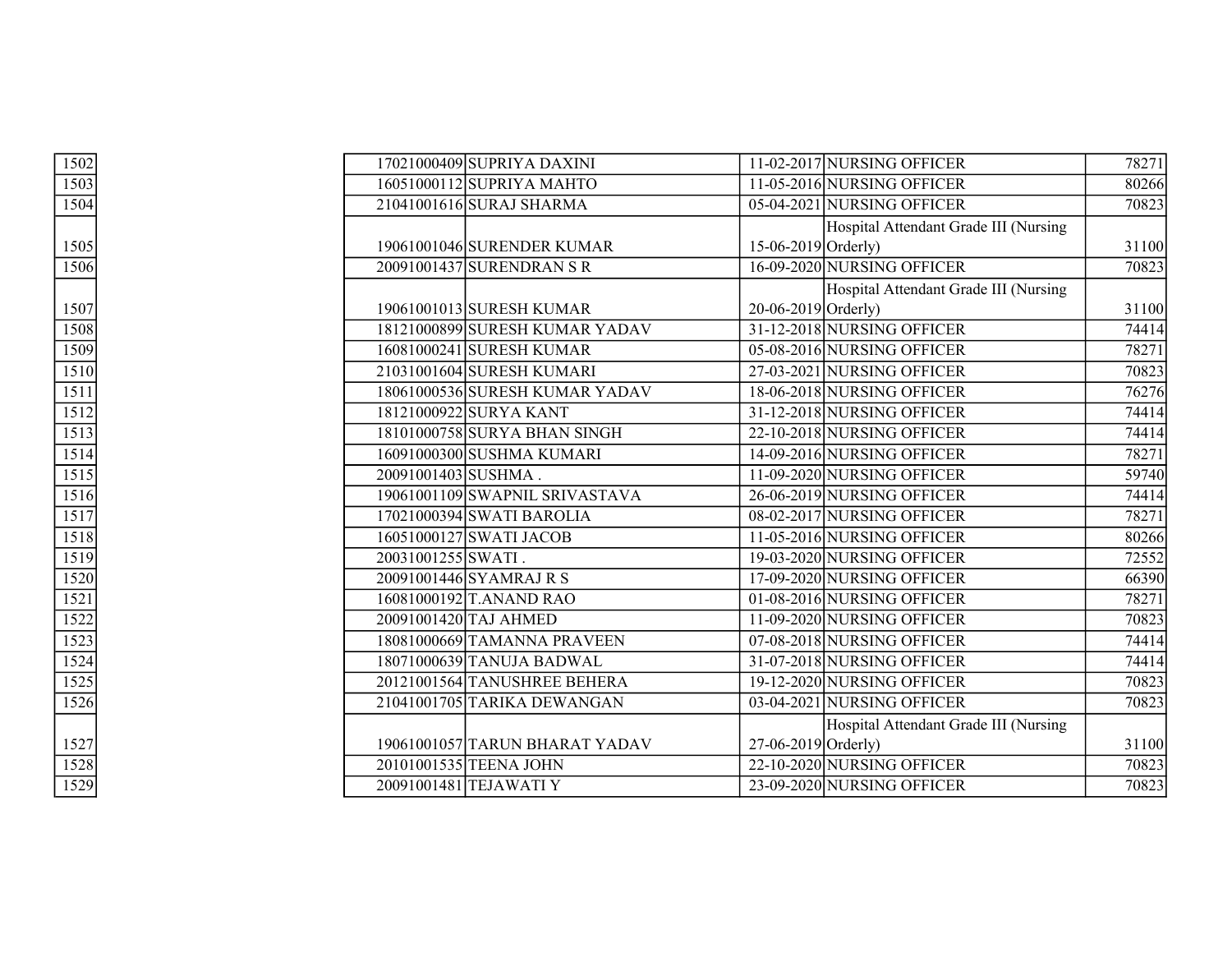| 1502 |                    | 17021000409 SUPRIYA DAXINI     |                     | 11-02-2017 NURSING OFFICER            | 78271 |
|------|--------------------|--------------------------------|---------------------|---------------------------------------|-------|
| 1503 |                    | 16051000112 SUPRIYA MAHTO      |                     | 11-05-2016 NURSING OFFICER            | 80266 |
| 1504 |                    | 21041001616 SURAJ SHARMA       |                     | 05-04-2021 NURSING OFFICER            | 70823 |
|      |                    |                                |                     | Hospital Attendant Grade III (Nursing |       |
| 1505 |                    | 19061001046 SURENDER KUMAR     | 15-06-2019 Orderly) |                                       | 31100 |
| 1506 |                    | 20091001437 SURENDRAN S R      |                     | 16-09-2020 NURSING OFFICER            | 70823 |
|      |                    |                                |                     | Hospital Attendant Grade III (Nursing |       |
| 1507 |                    | 19061001013 SURESH KUMAR       | 20-06-2019 Orderly) |                                       | 31100 |
| 1508 |                    | 18121000899 SURESH KUMAR YADAV |                     | 31-12-2018 NURSING OFFICER            | 74414 |
| 1509 |                    | 16081000241 SURESH KUMAR       |                     | 05-08-2016 NURSING OFFICER            | 78271 |
| 1510 |                    | 21031001604 SURESH KUMARI      |                     | 27-03-2021 NURSING OFFICER            | 70823 |
| 1511 |                    | 18061000536 SURESH KUMAR YADAV |                     | 18-06-2018 NURSING OFFICER            | 76276 |
| 1512 |                    | 18121000922 SURYA KANT         |                     | 31-12-2018 NURSING OFFICER            | 74414 |
| 1513 |                    | 18101000758 SURYA BHAN SINGH   |                     | 22-10-2018 NURSING OFFICER            | 74414 |
| 1514 |                    | 16091000300 SUSHMA KUMARI      |                     | 14-09-2016 NURSING OFFICER            | 78271 |
| 1515 |                    | 20091001403 SUSHMA.            |                     | 11-09-2020 NURSING OFFICER            | 59740 |
| 1516 |                    | 19061001109 SWAPNIL SRIVASTAVA |                     | 26-06-2019 NURSING OFFICER            | 74414 |
| 1517 |                    | 17021000394 SWATI BAROLIA      |                     | 08-02-2017 NURSING OFFICER            | 78271 |
| 1518 |                    | 16051000127 SWATI JACOB        |                     | 11-05-2016 NURSING OFFICER            | 80266 |
| 1519 | 20031001255 SWATI. |                                |                     | 19-03-2020 NURSING OFFICER            | 72552 |
| 1520 |                    | 20091001446 SYAMRAJ R S        |                     | 17-09-2020 NURSING OFFICER            | 66390 |
| 1521 |                    | 16081000192 T.ANAND RAO        |                     | 01-08-2016 NURSING OFFICER            | 78271 |
| 1522 |                    | 20091001420 TAJ AHMED          |                     | 11-09-2020 NURSING OFFICER            | 70823 |
| 1523 |                    | 18081000669 TAMANNA PRAVEEN    |                     | 07-08-2018 NURSING OFFICER            | 74414 |
| 1524 |                    | 18071000639 TANUJA BADWAL      |                     | 31-07-2018 NURSING OFFICER            | 74414 |
| 1525 |                    | 20121001564 TANUSHREE BEHERA   |                     | 19-12-2020 NURSING OFFICER            | 70823 |
| 1526 |                    | 21041001705 TARIKA DEWANGAN    |                     | 03-04-2021 NURSING OFFICER            | 70823 |
|      |                    |                                |                     | Hospital Attendant Grade III (Nursing |       |
| 1527 |                    | 19061001057 TARUN BHARAT YADAV | 27-06-2019 Orderly) |                                       | 31100 |
| 1528 |                    | 20101001535 TEENA JOHN         |                     | 22-10-2020 NURSING OFFICER            | 70823 |
| 1529 |                    | 20091001481 TEJAWATI Y         |                     | 23-09-2020 NURSING OFFICER            | 70823 |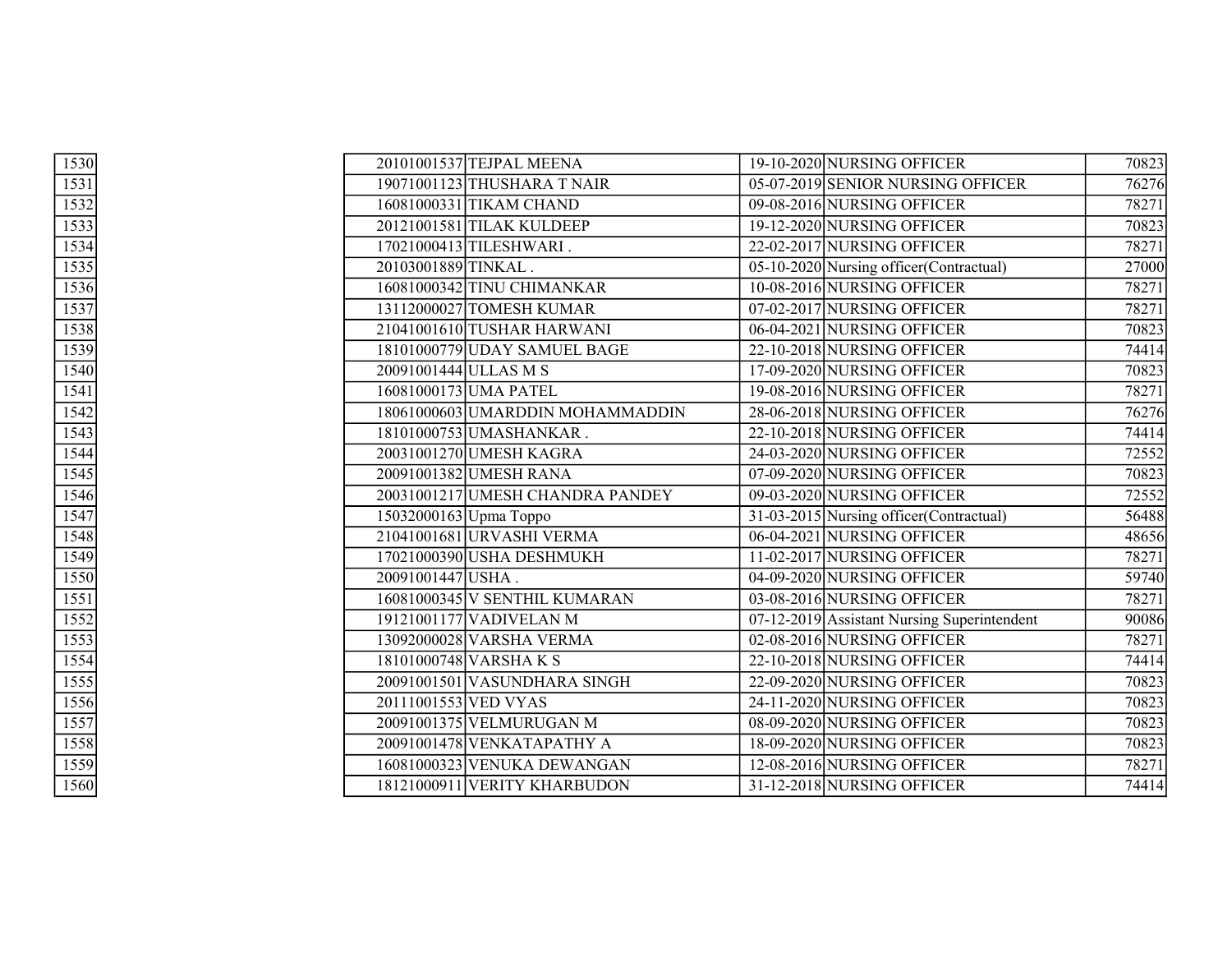| 1530 | 20101001537 TEJPAL MEENA         | 19-10-2020 NURSING OFFICER                  | 70823 |
|------|----------------------------------|---------------------------------------------|-------|
| 1531 | 19071001123 THUSHARA T NAIR      | 05-07-2019 SENIOR NURSING OFFICER           | 76276 |
| 1532 | 16081000331 TIKAM CHAND          | 09-08-2016 NURSING OFFICER                  | 78271 |
| 1533 | 20121001581 TILAK KULDEEP        | 19-12-2020 NURSING OFFICER                  | 70823 |
| 1534 | 17021000413 TILESHWARI.          | 22-02-2017 NURSING OFFICER                  | 78271 |
| 1535 | 20103001889 TINKAL.              | 05-10-2020 Nursing officer(Contractual)     | 27000 |
| 1536 | 16081000342 TINU CHIMANKAR       | 10-08-2016 NURSING OFFICER                  | 78271 |
| 1537 | 13112000027 TOMESH KUMAR         | 07-02-2017 NURSING OFFICER                  | 78271 |
| 1538 | 21041001610 TUSHAR HARWANI       | 06-04-2021 NURSING OFFICER                  | 70823 |
| 1539 | 18101000779 UDAY SAMUEL BAGE     | 22-10-2018 NURSING OFFICER                  | 74414 |
| 1540 | 20091001444 ULLAS M S            | 17-09-2020 NURSING OFFICER                  | 70823 |
| 1541 | 16081000173 UMA PATEL            | 19-08-2016 NURSING OFFICER                  | 78271 |
| 1542 | 18061000603 UMARDDIN MOHAMMADDIN | 28-06-2018 NURSING OFFICER                  | 76276 |
| 1543 | 18101000753 UMASHANKAR.          | 22-10-2018 NURSING OFFICER                  | 74414 |
| 1544 | 20031001270 UMESH KAGRA          | 24-03-2020 NURSING OFFICER                  | 72552 |
| 1545 | 20091001382 UMESH RANA           | 07-09-2020 NURSING OFFICER                  | 70823 |
| 1546 | 20031001217 UMESH CHANDRA PANDEY | 09-03-2020 NURSING OFFICER                  | 72552 |
| 1547 | 15032000163 Upma Toppo           | 31-03-2015 Nursing officer (Contractual)    | 56488 |
| 1548 | 21041001681 URVASHI VERMA        | 06-04-2021 NURSING OFFICER                  | 48656 |
| 1549 | 17021000390 USHA DESHMUKH        | 11-02-2017 NURSING OFFICER                  | 78271 |
| 1550 | 20091001447 USHA.                | 04-09-2020 NURSING OFFICER                  | 59740 |
| 1551 | 16081000345 V SENTHIL KUMARAN    | 03-08-2016 NURSING OFFICER                  | 78271 |
| 1552 | 19121001177 VADIVELAN M          | 07-12-2019 Assistant Nursing Superintendent | 90086 |
| 1553 | 13092000028 VARSHA VERMA         | 02-08-2016 NURSING OFFICER                  | 78271 |
| 1554 | 18101000748 VARSHAKS             | 22-10-2018 NURSING OFFICER                  | 74414 |
| 1555 | 20091001501 VASUNDHARA SINGH     | 22-09-2020 NURSING OFFICER                  | 70823 |
| 1556 | 20111001553 VED VYAS             | 24-11-2020 NURSING OFFICER                  | 70823 |
| 1557 | 20091001375 VELMURUGAN M         | 08-09-2020 NURSING OFFICER                  | 70823 |
| 1558 | 20091001478 VENKATAPATHY A       | 18-09-2020 NURSING OFFICER                  | 70823 |
| 1559 | 16081000323 VENUKA DEWANGAN      | 12-08-2016 NURSING OFFICER                  | 78271 |
| 1560 | 18121000911 VERITY KHARBUDON     | 31-12-2018 NURSING OFFICER                  | 74414 |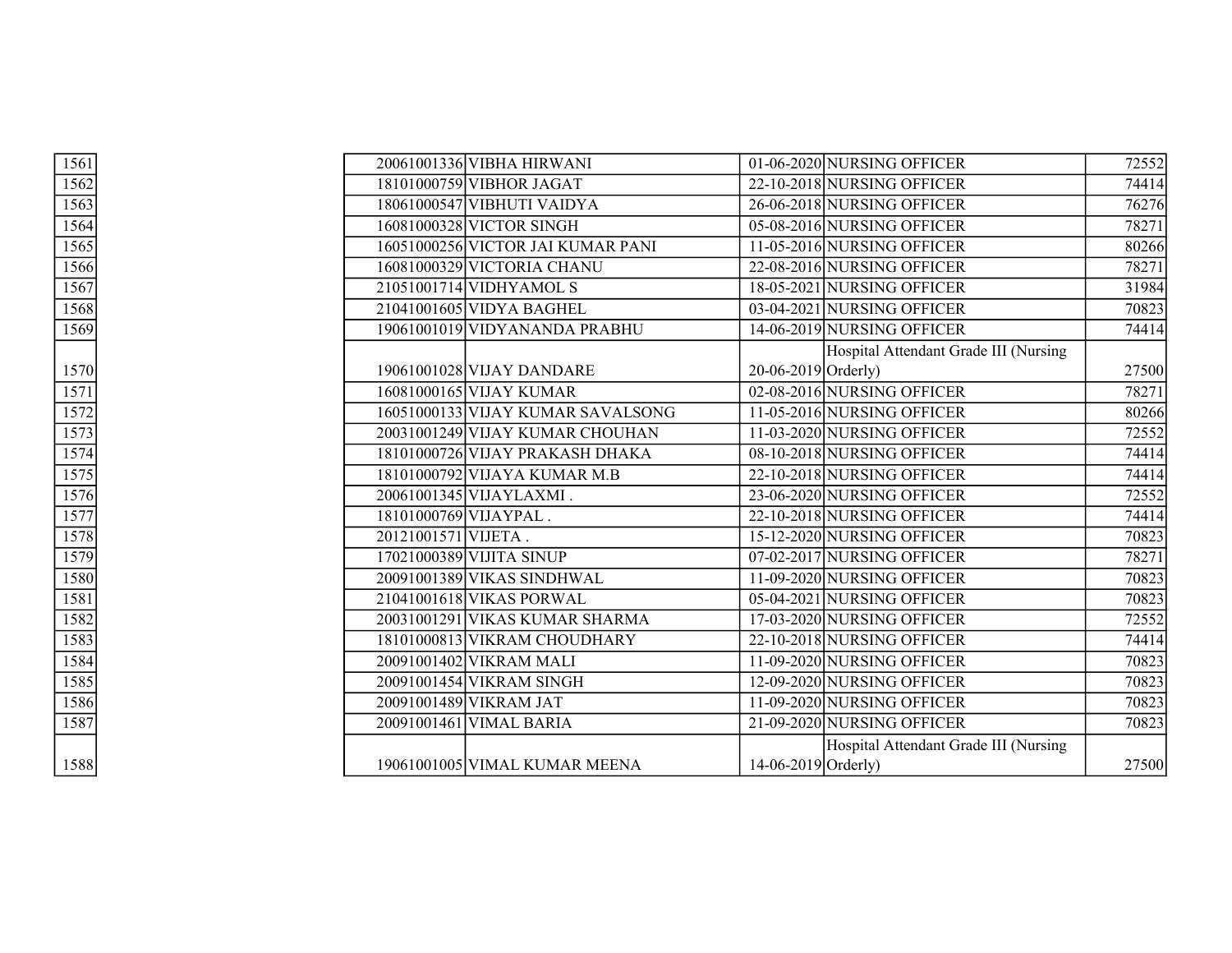| 1561 |                     | 20061001336 VIBHA HIRWANI         |                       | 01-06-2020 NURSING OFFICER            | 72552 |
|------|---------------------|-----------------------------------|-----------------------|---------------------------------------|-------|
| 1562 |                     | 18101000759 VIBHOR JAGAT          |                       | 22-10-2018 NURSING OFFICER            | 74414 |
| 1563 |                     | 18061000547 VIBHUTI VAIDYA        |                       | 26-06-2018 NURSING OFFICER            | 76276 |
| 1564 |                     | 16081000328 VICTOR SINGH          |                       | 05-08-2016 NURSING OFFICER            | 78271 |
| 1565 |                     | 16051000256 VICTOR JAI KUMAR PANI |                       | 11-05-2016 NURSING OFFICER            | 80266 |
| 1566 |                     | 16081000329 VICTORIA CHANU        |                       | 22-08-2016 NURSING OFFICER            | 78271 |
| 1567 |                     | 21051001714 VIDHYAMOL S           |                       | 18-05-2021 NURSING OFFICER            | 31984 |
| 1568 |                     | 21041001605 VIDYA BAGHEL          |                       | 03-04-2021 NURSING OFFICER            | 70823 |
| 1569 |                     | 19061001019 VIDYANANDA PRABHU     |                       | 14-06-2019 NURSING OFFICER            | 74414 |
|      |                     |                                   |                       | Hospital Attendant Grade III (Nursing |       |
| 1570 |                     | 19061001028 VIJAY DANDARE         | 20-06-2019 Orderly)   |                                       | 27500 |
| 1571 |                     | 16081000165 VIJAY KUMAR           |                       | 02-08-2016 NURSING OFFICER            | 78271 |
| 1572 |                     | 16051000133 VIJAY KUMAR SAVALSONG |                       | 11-05-2016 NURSING OFFICER            | 80266 |
| 1573 |                     | 20031001249 VIJAY KUMAR CHOUHAN   |                       | 11-03-2020 NURSING OFFICER            | 72552 |
| 1574 |                     | 18101000726 VIJAY PRAKASH DHAKA   |                       | 08-10-2018 NURSING OFFICER            | 74414 |
| 1575 |                     | 18101000792 VIJAYA KUMAR M.B      |                       | 22-10-2018 NURSING OFFICER            | 74414 |
| 1576 |                     | 20061001345 VIJAYLAXMI.           |                       | 23-06-2020 NURSING OFFICER            | 72552 |
| 1577 |                     | 18101000769 VIJAYPAL.             |                       | 22-10-2018 NURSING OFFICER            | 74414 |
| 1578 | 20121001571 VIJETA. |                                   |                       | 15-12-2020 NURSING OFFICER            | 70823 |
| 1579 |                     | 17021000389 VIJITA SINUP          |                       | 07-02-2017 NURSING OFFICER            | 78271 |
| 1580 |                     | 20091001389 VIKAS SINDHWAL        |                       | 11-09-2020 NURSING OFFICER            | 70823 |
| 1581 |                     | 21041001618 VIKAS PORWAL          |                       | 05-04-2021 NURSING OFFICER            | 70823 |
| 1582 |                     | 20031001291 VIKAS KUMAR SHARMA    |                       | 17-03-2020 NURSING OFFICER            | 72552 |
| 1583 |                     | 18101000813 VIKRAM CHOUDHARY      |                       | 22-10-2018 NURSING OFFICER            | 74414 |
| 1584 |                     | 20091001402 VIKRAM MALI           |                       | 11-09-2020 NURSING OFFICER            | 70823 |
| 1585 |                     | 20091001454 VIKRAM SINGH          |                       | 12-09-2020 NURSING OFFICER            | 70823 |
| 1586 |                     | 20091001489 VIKRAM JAT            |                       | 11-09-2020 NURSING OFFICER            | 70823 |
| 1587 |                     | 20091001461 VIMAL BARIA           |                       | 21-09-2020 NURSING OFFICER            | 70823 |
|      |                     |                                   |                       | Hospital Attendant Grade III (Nursing |       |
| 1588 |                     | 19061001005 VIMAL KUMAR MEENA     | $14-06-2019$ Orderly) |                                       | 27500 |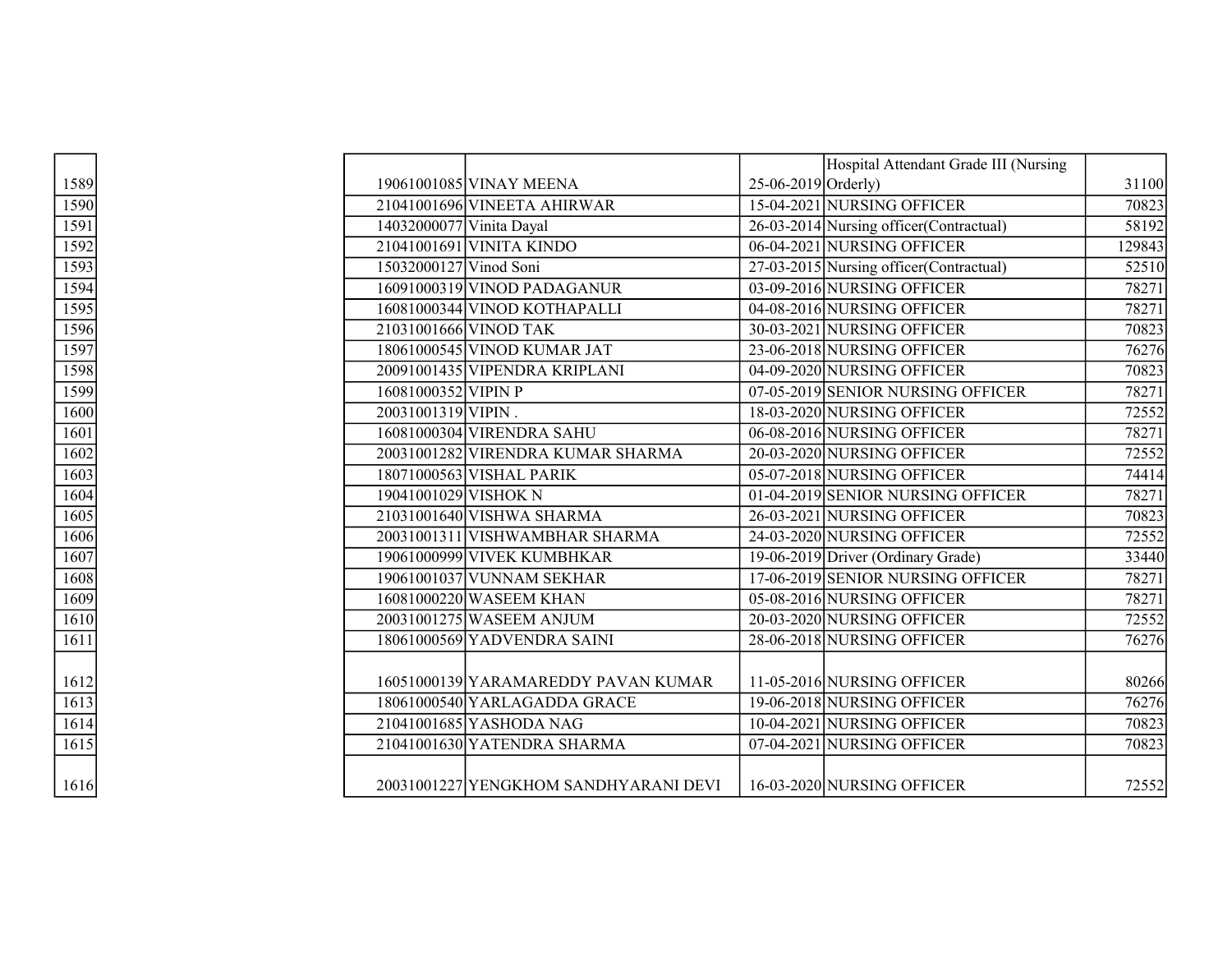|      |                          |                                       |                       | Hospital Attendant Grade III (Nursing    |        |
|------|--------------------------|---------------------------------------|-----------------------|------------------------------------------|--------|
| 1589 |                          | 19061001085 VINAY MEENA               | $25-06-2019$ Orderly) |                                          | 31100  |
| 1590 |                          | 21041001696 VINEETA AHIRWAR           |                       | 15-04-2021 NURSING OFFICER               | 70823  |
| 1591 | 14032000077 Vinita Dayal |                                       |                       | 26-03-2014 Nursing officer(Contractual)  | 58192  |
| 1592 |                          | 21041001691 VINITA KINDO              |                       | 06-04-2021 NURSING OFFICER               | 129843 |
| 1593 | 15032000127 Vinod Soni   |                                       |                       | 27-03-2015 Nursing officer (Contractual) | 52510  |
| 1594 |                          | 16091000319 VINOD PADAGANUR           |                       | 03-09-2016 NURSING OFFICER               | 78271  |
| 1595 |                          | 16081000344 VINOD KOTHAPALLI          |                       | 04-08-2016 NURSING OFFICER               | 78271  |
| 1596 |                          | 21031001666 VINOD TAK                 |                       | 30-03-2021 NURSING OFFICER               | 70823  |
| 1597 |                          | 18061000545 VINOD KUMAR JAT           |                       | 23-06-2018 NURSING OFFICER               | 76276  |
| 1598 |                          | 20091001435 VIPENDRA KRIPLANI         |                       | 04-09-2020 NURSING OFFICER               | 70823  |
| 1599 | 16081000352 VIPIN P      |                                       |                       | 07-05-2019 SENIOR NURSING OFFICER        | 78271  |
| 1600 | 20031001319 VIPIN.       |                                       |                       | 18-03-2020 NURSING OFFICER               | 72552  |
| 1601 |                          | 16081000304 VIRENDRA SAHU             |                       | 06-08-2016 NURSING OFFICER               | 78271  |
| 1602 |                          | 20031001282 VIRENDRA KUMAR SHARMA     |                       | 20-03-2020 NURSING OFFICER               | 72552  |
| 1603 |                          | 18071000563 VISHAL PARIK              |                       | 05-07-2018 NURSING OFFICER               | 74414  |
| 1604 | 19041001029 VISHOK N     |                                       |                       | 01-04-2019 SENIOR NURSING OFFICER        | 78271  |
| 1605 |                          | 21031001640 VISHWA SHARMA             |                       | 26-03-2021 NURSING OFFICER               | 70823  |
| 1606 |                          | 20031001311 VISHWAMBHAR SHARMA        |                       | 24-03-2020 NURSING OFFICER               | 72552  |
| 1607 |                          | 19061000999 VIVEK KUMBHKAR            |                       | 19-06-2019 Driver (Ordinary Grade)       | 33440  |
| 1608 |                          | 19061001037 VUNNAM SEKHAR             |                       | 17-06-2019 SENIOR NURSING OFFICER        | 78271  |
| 1609 |                          | 16081000220 WASEEM KHAN               |                       | 05-08-2016 NURSING OFFICER               | 78271  |
| 1610 |                          | 20031001275 WASEEM ANJUM              |                       | 20-03-2020 NURSING OFFICER               | 72552  |
| 1611 |                          | 18061000569 YADVENDRA SAINI           |                       | 28-06-2018 NURSING OFFICER               | 76276  |
|      |                          |                                       |                       |                                          |        |
| 1612 |                          | 16051000139 YARAMAREDDY PAVAN KUMAR   |                       | 11-05-2016 NURSING OFFICER               | 80266  |
| 1613 |                          | 18061000540 YARLAGADDA GRACE          |                       | 19-06-2018 NURSING OFFICER               | 76276  |
| 1614 |                          | 21041001685 YASHODA NAG               |                       | 10-04-2021 NURSING OFFICER               | 70823  |
| 1615 |                          | 21041001630 YATENDRA SHARMA           |                       | 07-04-2021 NURSING OFFICER               | 70823  |
|      |                          |                                       |                       |                                          |        |
| 1616 |                          | 20031001227 YENGKHOM SANDHYARANI DEVI |                       | 16-03-2020 NURSING OFFICER               | 72552  |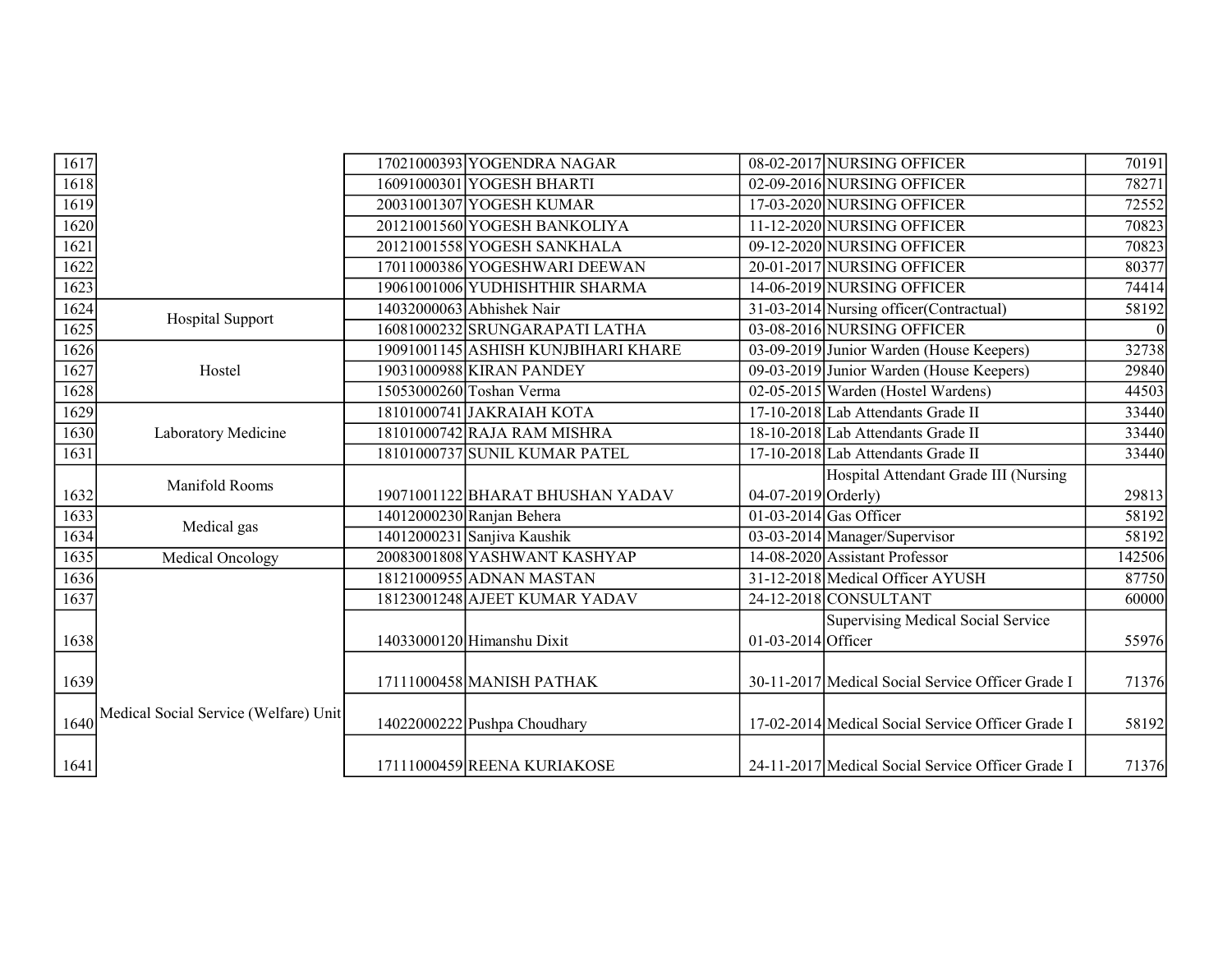| 1617 |                                       | 17021000393 YOGENDRA NAGAR          |                      | 08-02-2017 NURSING OFFICER                        | 70191  |
|------|---------------------------------------|-------------------------------------|----------------------|---------------------------------------------------|--------|
| 1618 |                                       | 16091000301 YOGESH BHARTI           |                      | 02-09-2016 NURSING OFFICER                        | 78271  |
| 1619 |                                       | 20031001307 YOGESH KUMAR            |                      | 17-03-2020 NURSING OFFICER                        | 72552  |
| 1620 |                                       | 20121001560 YOGESH BANKOLIYA        |                      | 11-12-2020 NURSING OFFICER                        | 70823  |
| 1621 |                                       | 20121001558 YOGESH SANKHALA         |                      | 09-12-2020 NURSING OFFICER                        | 70823  |
| 1622 |                                       | 17011000386 YOGESHWARI DEEWAN       |                      | 20-01-2017 NURSING OFFICER                        | 80377  |
| 1623 |                                       | 19061001006 YUDHISHTHIR SHARMA      |                      | 14-06-2019 NURSING OFFICER                        | 74414  |
| 1624 | Hospital Support                      | 14032000063 Abhishek Nair           |                      | 31-03-2014 Nursing officer (Contractual)          | 58192  |
| 1625 |                                       | 16081000232 SRUNGARAPATI LATHA      |                      | 03-08-2016 NURSING OFFICER                        |        |
| 1626 |                                       | 19091001145 ASHISH KUNJBIHARI KHARE |                      | 03-09-2019 Junior Warden (House Keepers)          | 32738  |
| 1627 | Hostel                                | 19031000988 KIRAN PANDEY            |                      | 09-03-2019 Junior Warden (House Keepers)          | 29840  |
| 1628 |                                       | 15053000260 Toshan Verma            |                      | 02-05-2015 Warden (Hostel Wardens)                | 44503  |
| 1629 |                                       | 18101000741 JAKRAIAH KOTA           |                      | 17-10-2018 Lab Attendants Grade II                | 33440  |
| 1630 | Laboratory Medicine                   | 18101000742 RAJA RAM MISHRA         |                      | 18-10-2018 Lab Attendants Grade II                | 33440  |
| 1631 |                                       | 18101000737 SUNIL KUMAR PATEL       |                      | 17-10-2018 Lab Attendants Grade II                | 33440  |
|      |                                       |                                     |                      |                                                   |        |
|      |                                       |                                     |                      | Hospital Attendant Grade III (Nursing             |        |
| 1632 | Manifold Rooms                        | 19071001122 BHARAT BHUSHAN YADAV    | 04-07-2019 Orderly)  |                                                   | 29813  |
| 1633 |                                       | 14012000230 Ranjan Behera           |                      | $01-03-2014$ Gas Officer                          | 58192  |
| 1634 | Medical gas                           | 14012000231 Sanjiva Kaushik         |                      | 03-03-2014 Manager/Supervisor                     | 58192  |
| 1635 | Medical Oncology                      | 20083001808 YASHWANT KASHYAP        |                      | 14-08-2020 Assistant Professor                    | 142506 |
| 1636 |                                       | 18121000955 ADNAN MASTAN            |                      | 31-12-2018 Medical Officer AYUSH                  | 87750  |
| 1637 |                                       | 18123001248 AJEET KUMAR YADAV       |                      | 24-12-2018 CONSULTANT                             | 60000  |
|      |                                       |                                     |                      | Supervising Medical Social Service                |        |
| 1638 |                                       | 14033000120 Himanshu Dixit          | $01-03-2014$ Officer |                                                   | 55976  |
|      |                                       |                                     |                      |                                                   |        |
| 1639 |                                       | 17111000458 MANISH PATHAK           |                      | 30-11-2017 Medical Social Service Officer Grade I | 71376  |
|      | Medical Social Service (Welfare) Unit |                                     |                      |                                                   |        |
| 1640 |                                       | 14022000222 Pushpa Choudhary        |                      | 17-02-2014 Medical Social Service Officer Grade I | 58192  |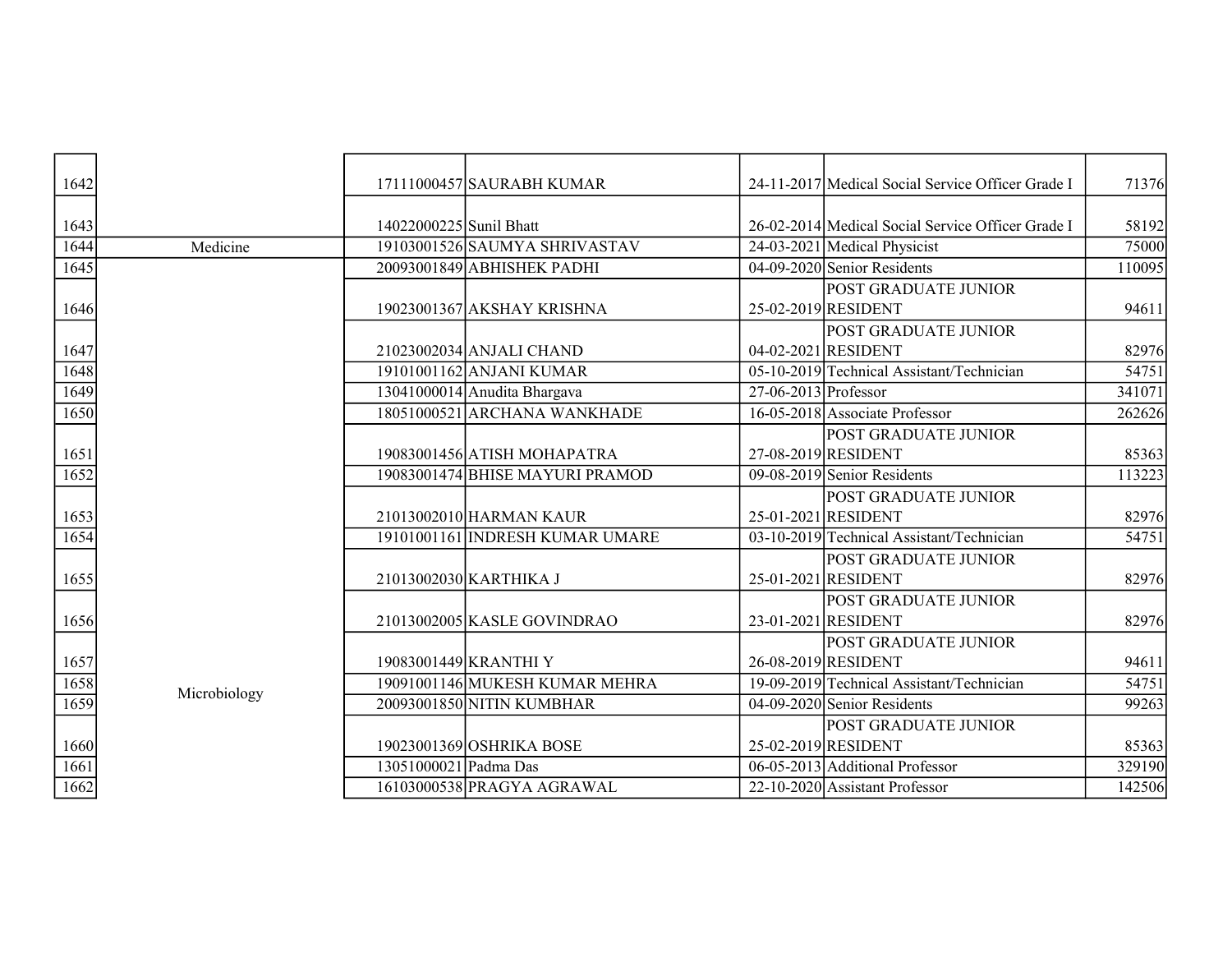| 1642 |              |                         | 17111000457 SAURABH KUMAR       |                        | 24-11-2017 Medical Social Service Officer Grade I  | 71376  |
|------|--------------|-------------------------|---------------------------------|------------------------|----------------------------------------------------|--------|
| 1643 |              | 14022000225 Sunil Bhatt |                                 |                        | 26-02-2014 Medical Social Service Officer Grade I  | 58192  |
| 1644 | Medicine     |                         | 19103001526 SAUMYA SHRIVASTAV   |                        | 24-03-2021 Medical Physicist                       | 75000  |
| 1645 |              |                         | 20093001849 ABHISHEK PADHI      |                        | $04-09-2020$ Senior Residents                      | 110095 |
| 1646 |              |                         | 19023001367 AKSHAY KRISHNA      |                        | <b>POST GRADUATE JUNIOR</b><br>25-02-2019 RESIDENT | 94611  |
| 1647 |              |                         | 21023002034 ANJALI CHAND        |                        | <b>POST GRADUATE JUNIOR</b><br>04-02-2021 RESIDENT | 82976  |
| 1648 |              |                         | 19101001162 ANJANI KUMAR        |                        | 05-10-2019 Technical Assistant/Technician          | 54751  |
| 1649 |              |                         | 13041000014 Anudita Bhargava    | $27-06-2013$ Professor |                                                    | 341071 |
| 1650 |              |                         | 18051000521 ARCHANA WANKHADE    |                        | 16-05-2018 Associate Professor                     | 262626 |
| 1651 |              |                         | 19083001456 ATISH MOHAPATRA     |                        | POST GRADUATE JUNIOR<br>27-08-2019 RESIDENT        | 85363  |
| 1652 |              |                         | 19083001474 BHISE MAYURI PRAMOD |                        | $09-08-2019$ Senior Residents                      | 113223 |
| 1653 |              |                         | 21013002010 HARMAN KAUR         |                        | <b>POST GRADUATE JUNIOR</b><br>25-01-2021 RESIDENT | 82976  |
| 1654 |              |                         | 19101001161 INDRESH KUMAR UMARE |                        | 03-10-2019 Technical Assistant/Technician          | 54751  |
| 1655 |              |                         | 21013002030 KARTHIKA J          |                        | POST GRADUATE JUNIOR<br>25-01-2021 RESIDENT        | 82976  |
| 1656 |              |                         | 21013002005 KASLE GOVINDRAO     |                        | <b>POST GRADUATE JUNIOR</b><br>23-01-2021 RESIDENT | 82976  |
| 1657 |              |                         | 19083001449 KRANTHI Y           |                        | <b>POST GRADUATE JUNIOR</b><br>26-08-2019 RESIDENT | 94611  |
| 1658 | Microbiology |                         | 19091001146 MUKESH KUMAR MEHRA  |                        | 19-09-2019 Technical Assistant/Technician          | 54751  |
| 1659 |              |                         | 20093001850 NITIN KUMBHAR       |                        | 04-09-2020 Senior Residents                        | 99263  |
| 1660 |              |                         | 19023001369 OSHRIKA BOSE        |                        | POST GRADUATE JUNIOR<br>25-02-2019 RESIDENT        | 85363  |
| 1661 |              | 13051000021 Padma Das   |                                 |                        | 06-05-2013 Additional Professor                    | 329190 |
| 1662 |              |                         | 16103000538 PRAGYA AGRAWAL      |                        | 22-10-2020 Assistant Professor                     | 142506 |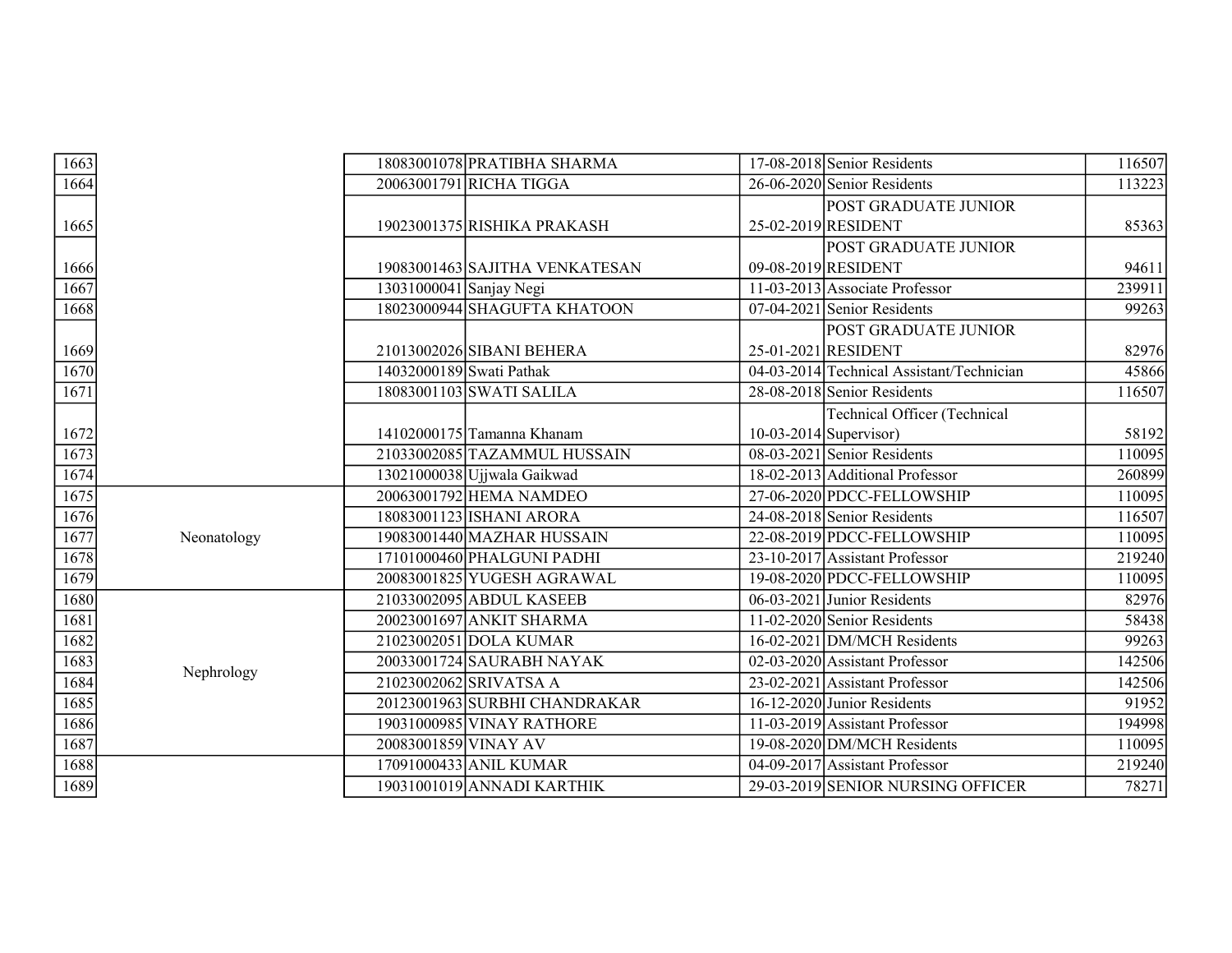| 1663 |             |                          | 18083001078 PRATIBHA SHARMA    |                          | 17-08-2018 Senior Residents                        | 116507 |
|------|-------------|--------------------------|--------------------------------|--------------------------|----------------------------------------------------|--------|
| 1664 |             |                          | 20063001791 RICHA TIGGA        |                          | 26-06-2020 Senior Residents                        | 113223 |
| 1665 |             |                          | 19023001375 RISHIKA PRAKASH    |                          | POST GRADUATE JUNIOR<br>25-02-2019 RESIDENT        | 85363  |
|      |             |                          |                                |                          | POST GRADUATE JUNIOR                               |        |
| 1666 |             |                          | 19083001463 SAJITHA VENKATESAN |                          | 09-08-2019 RESIDENT                                | 94611  |
| 1667 |             | 13031000041 Sanjay Negi  |                                |                          | 11-03-2013 Associate Professor                     | 239911 |
| 1668 |             |                          | 18023000944 SHAGUFTA KHATOON   |                          | $07-04-2021$ Senior Residents                      | 99263  |
| 1669 |             |                          | 21013002026 SIBANI BEHERA      |                          | <b>POST GRADUATE JUNIOR</b><br>25-01-2021 RESIDENT | 82976  |
| 1670 |             | 14032000189 Swati Pathak |                                |                          | 04-03-2014 Technical Assistant/Technician          | 45866  |
| 1671 |             |                          | 18083001103 SWATI SALILA       |                          | 28-08-2018 Senior Residents                        | 116507 |
|      |             |                          |                                |                          | <b>Technical Officer (Technical</b>                |        |
| 1672 |             |                          | 14102000175 Tamanna Khanam     | $10-03-2014$ Supervisor) |                                                    | 58192  |
| 1673 |             |                          | 21033002085 TAZAMMUL HUSSAIN   |                          | 08-03-2021 Senior Residents                        | 110095 |
| 1674 |             |                          | 13021000038 Ujjwala Gaikwad    |                          | 18-02-2013 Additional Professor                    | 260899 |
| 1675 |             |                          | 20063001792 HEMA NAMDEO        |                          | 27-06-2020 PDCC-FELLOWSHIP                         | 110095 |
| 1676 |             |                          | 18083001123 ISHANI ARORA       |                          | 24-08-2018 Senior Residents                        | 116507 |
| 1677 | Neonatology |                          | 19083001440 MAZHAR HUSSAIN     |                          | 22-08-2019 PDCC-FELLOWSHIP                         | 110095 |
| 1678 |             |                          | 17101000460 PHALGUNI PADHI     |                          | 23-10-2017 Assistant Professor                     | 219240 |
| 1679 |             |                          | 20083001825 YUGESH AGRAWAL     |                          | 19-08-2020 PDCC-FELLOWSHIP                         | 110095 |
| 1680 |             |                          | 21033002095 ABDUL KASEEB       |                          | $06-03-2021$ Junior Residents                      | 82976  |
| 1681 |             |                          | 20023001697 ANKIT SHARMA       |                          | 11-02-2020 Senior Residents                        | 58438  |
| 1682 |             |                          | 21023002051 DOLA KUMAR         |                          | $16-02-2021$ DM/MCH Residents                      | 99263  |
| 1683 | Nephrology  |                          | 20033001724 SAURABH NAYAK      |                          | 02-03-2020 Assistant Professor                     | 142506 |
| 1684 |             |                          | 21023002062 SRIVATSA A         |                          | 23-02-2021 Assistant Professor                     | 142506 |
| 1685 |             |                          | 20123001963 SURBHI CHANDRAKAR  |                          | 16-12-2020 Junior Residents                        | 91952  |
| 1686 |             |                          | 19031000985 VINAY RATHORE      |                          | $\overline{11-03-2019}$ Assistant Professor        | 194998 |
| 1687 |             | 20083001859 VINAY AV     |                                |                          | 19-08-2020 DM/MCH Residents                        | 110095 |
| 1688 |             |                          | 17091000433 ANIL KUMAR         |                          | 04-09-2017 Assistant Professor                     | 219240 |
| 1689 |             |                          | 19031001019 ANNADI KARTHIK     |                          | 29-03-2019 SENIOR NURSING OFFICER                  | 78271  |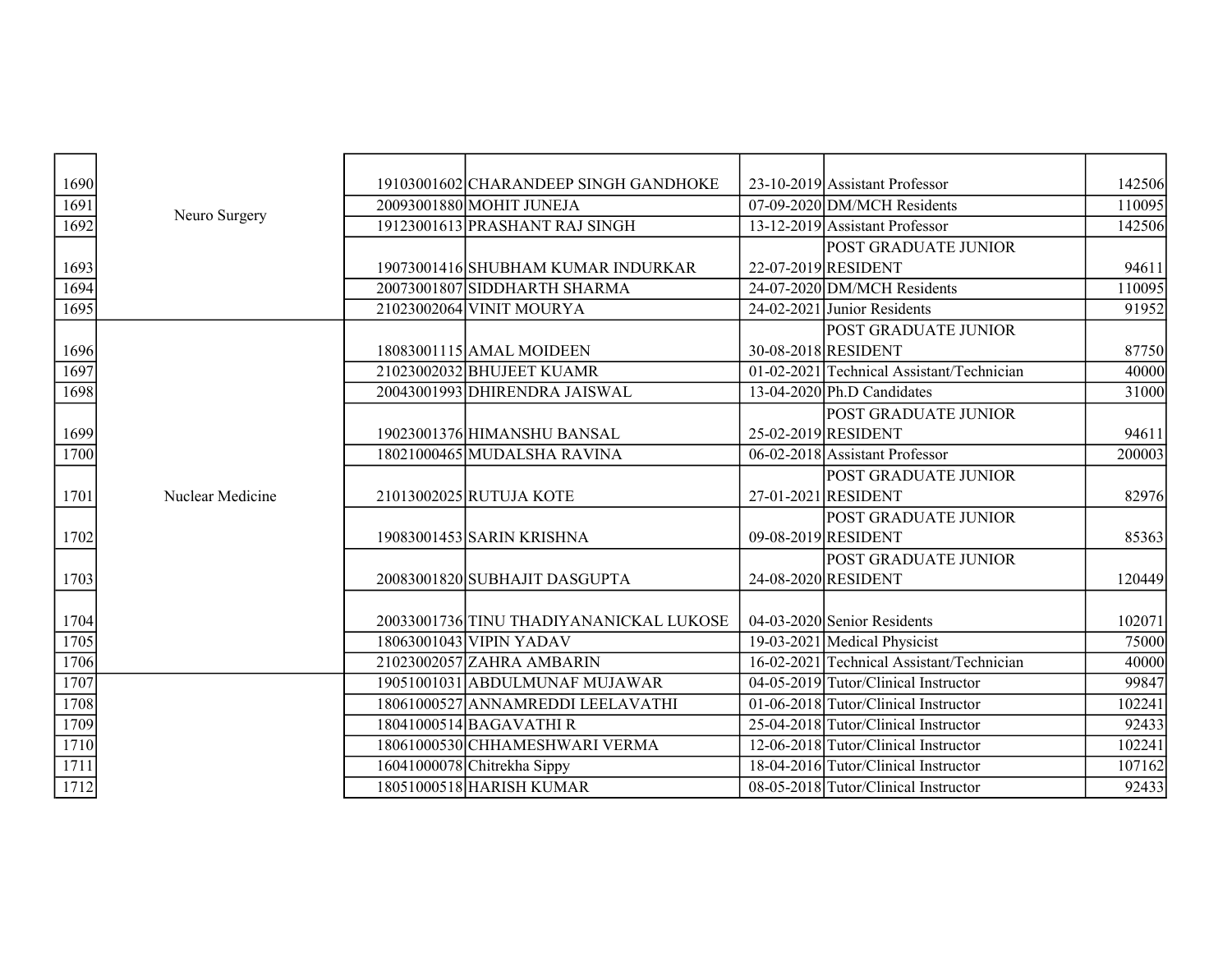| 1690 |                  | 19103001602 CHARANDEEP SINGH GANDHOKE   | 23-10-2019 Assistant Professor            | 142506 |
|------|------------------|-----------------------------------------|-------------------------------------------|--------|
| 1691 |                  | 20093001880 MOHIT JUNEJA                | $07-09-2020$ DM/MCH Residents             | 110095 |
| 1692 | Neuro Surgery    | 19123001613 PRASHANT RAJ SINGH          | 13-12-2019 Assistant Professor            | 142506 |
|      |                  |                                         | POST GRADUATE JUNIOR                      |        |
| 1693 |                  | 19073001416 SHUBHAM KUMAR INDURKAR      | 22-07-2019 RESIDENT                       | 94611  |
| 1694 |                  | 20073001807 SIDDHARTH SHARMA            | $24-07-2020$ DM/MCH Residents             | 110095 |
| 1695 |                  | 21023002064 VINIT MOURYA                | 24-02-2021 Junior Residents               | 91952  |
|      |                  |                                         | POST GRADUATE JUNIOR                      |        |
| 1696 |                  | 18083001115 AMAL MOIDEEN                | 30-08-2018 RESIDENT                       | 87750  |
| 1697 |                  | 21023002032 BHUJEET KUAMR               | 01-02-2021 Technical Assistant/Technician | 40000  |
| 1698 |                  | 20043001993 DHIRENDRA JAISWAL           | $13-04-2020$ Ph.D Candidates              | 31000  |
|      |                  |                                         | POST GRADUATE JUNIOR                      |        |
| 1699 |                  | 19023001376 HIMANSHU BANSAL             | 25-02-2019 RESIDENT                       | 94611  |
| 1700 |                  | 18021000465 MUDALSHA RAVINA             | 06-02-2018 Assistant Professor            | 200003 |
|      |                  |                                         | POST GRADUATE JUNIOR                      |        |
| 1701 | Nuclear Medicine | 21013002025 RUTUJA KOTE                 | 27-01-2021 RESIDENT                       | 82976  |
|      |                  |                                         | POST GRADUATE JUNIOR                      |        |
| 1702 |                  | 19083001453 SARIN KRISHNA               | 09-08-2019 RESIDENT                       | 85363  |
|      |                  |                                         | POST GRADUATE JUNIOR                      |        |
| 1703 |                  | 20083001820 SUBHAJIT DASGUPTA           | 24-08-2020 RESIDENT                       | 120449 |
|      |                  |                                         |                                           |        |
| 1704 |                  | 20033001736 TINU THADIYANANICKAL LUKOSE | 04-03-2020 Senior Residents               | 102071 |
| 1705 |                  | 18063001043 VIPIN YADAV                 | 19-03-2021 Medical Physicist              | 75000  |
| 1706 |                  | 21023002057 ZAHRA AMBARIN               | 16-02-2021 Technical Assistant/Technician | 40000  |
| 1707 |                  | 19051001031 ABDULMUNAF MUJAWAR          | 04-05-2019 Tutor/Clinical Instructor      | 99847  |
| 1708 |                  | 18061000527 ANNAMREDDI LEELAVATHI       | 01-06-2018 Tutor/Clinical Instructor      | 102241 |
| 1709 |                  | 18041000514 BAGAVATHIR                  | 25-04-2018 Tutor/Clinical Instructor      | 92433  |
| 1710 |                  | 18061000530 CHHAMESHWARI VERMA          | 12-06-2018 Tutor/Clinical Instructor      | 102241 |
| 1711 |                  | 16041000078 Chitrekha Sippy             | 18-04-2016 Tutor/Clinical Instructor      | 107162 |
| 1712 |                  | 18051000518 HARISH KUMAR                | 08-05-2018 Tutor/Clinical Instructor      | 92433  |
|      |                  |                                         |                                           |        |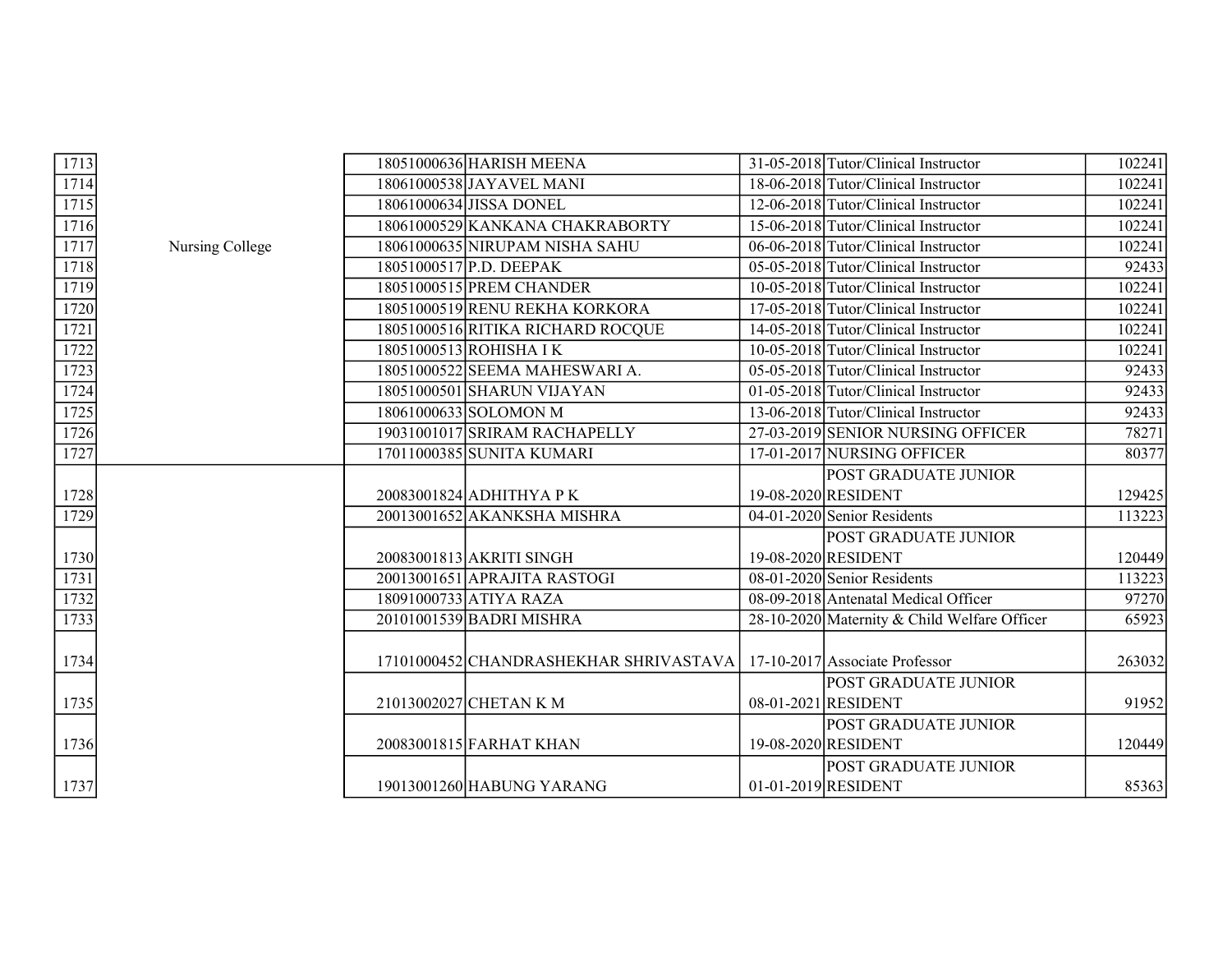| 1713                |                 | 18051000636 HARISH MEENA               | 31-05-2018 Tutor/Clinical Instructor         | 102241 |
|---------------------|-----------------|----------------------------------------|----------------------------------------------|--------|
| 1714                |                 | 18061000538 JAYAVEL MANI               | 18-06-2018 Tutor/Clinical Instructor         | 102241 |
| $\frac{1715}{ }$    |                 | 18061000634 JISSA DONEL                | 12-06-2018 Tutor/Clinical Instructor         | 102241 |
| 1716                |                 | 18061000529 KANKANA CHAKRABORTY        | 15-06-2018 Tutor/Clinical Instructor         | 102241 |
| 1717                | Nursing College | 18061000635 NIRUPAM NISHA SAHU         | 06-06-2018 Tutor/Clinical Instructor         | 102241 |
| 1718                |                 | 18051000517 P.D. DEEPAK                | 05-05-2018 Tutor/Clinical Instructor         | 92433  |
| $\frac{1719}{ }$    |                 | 18051000515 PREM CHANDER               | 10-05-2018 Tutor/Clinical Instructor         | 102241 |
| 1720                |                 | 18051000519 RENU REKHA KORKORA         | 17-05-2018 Tutor/Clinical Instructor         | 102241 |
| $\frac{1721}{2}$    |                 | 18051000516 RITIKA RICHARD ROCQUE      | 14-05-2018 Tutor/Clinical Instructor         | 102241 |
| 1722                |                 | 18051000513 ROHISHA I K                | 10-05-2018 Tutor/Clinical Instructor         | 102241 |
| $\overline{1723}$   |                 | 18051000522 SEEMA MAHESWARI A.         | 05-05-2018 Tutor/Clinical Instructor         | 92433  |
|                     |                 | 18051000501 SHARUN VIJAYAN             | 01-05-2018 Tutor/Clinical Instructor         | 92433  |
| $\frac{1724}{1725}$ |                 | 18061000633 SOLOMON M                  | 13-06-2018 Tutor/Clinical Instructor         | 92433  |
| 1726                |                 | 19031001017 SRIRAM RACHAPELLY          | 27-03-2019 SENIOR NURSING OFFICER            | 78271  |
| 1727                |                 | 17011000385 SUNITA KUMARI              | 17-01-2017 NURSING OFFICER                   | 80377  |
|                     |                 |                                        | <b>POST GRADUATE JUNIOR</b>                  |        |
| 1728                |                 | 20083001824 ADHITHYA P K               | 19-08-2020 RESIDENT                          | 129425 |
| $\frac{1729}{ }$    |                 | 20013001652 AKANKSHA MISHRA            | 04-01-2020 Senior Residents                  | 113223 |
|                     |                 |                                        | <b>POST GRADUATE JUNIOR</b>                  |        |
| 1730                |                 | 20083001813 AKRITI SINGH               | 19-08-2020 RESIDENT                          | 120449 |
| $\frac{1731}{x}$    |                 | 20013001651 APRAJITA RASTOGI           | 08-01-2020 Senior Residents                  | 113223 |
| 1732                |                 | 18091000733 ATIYA RAZA                 | 08-09-2018 Antenatal Medical Officer         | 97270  |
| 1733                |                 | 20101001539 BADRI MISHRA               | 28-10-2020 Maternity & Child Welfare Officer | 65923  |
|                     |                 |                                        |                                              |        |
| 1734                |                 | 17101000452 CHANDRASHEKHAR SHRIVASTAVA | 17-10-2017 Associate Professor               | 263032 |
|                     |                 |                                        | <b>POST GRADUATE JUNIOR</b>                  |        |
| 1735                |                 | 21013002027 CHETAN K M                 | 08-01-2021 RESIDENT                          | 91952  |
|                     |                 |                                        | POST GRADUATE JUNIOR                         |        |
| <u>1736</u>         |                 | 20083001815 FARHAT KHAN                | 19-08-2020 RESIDENT                          | 120449 |
|                     |                 |                                        | <b>POST GRADUATE JUNIOR</b>                  |        |
| 1737                |                 | 19013001260 HABUNG YARANG              | $01-01-2019$ RESIDENT                        | 85363  |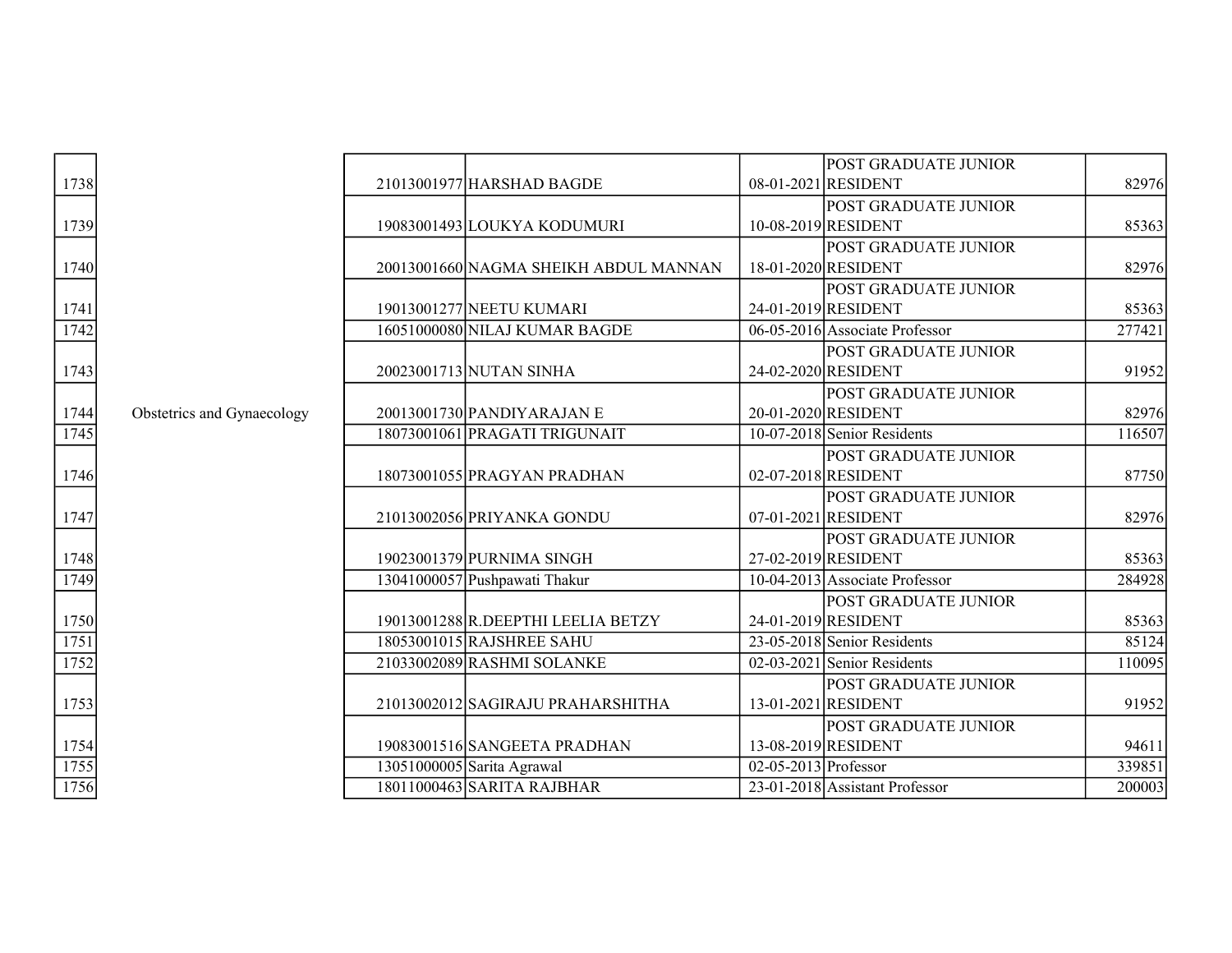|                  |                            |                                       |                        | <b>POST GRADUATE JUNIOR</b>      |        |
|------------------|----------------------------|---------------------------------------|------------------------|----------------------------------|--------|
| 1738             |                            | 21013001977 HARSHAD BAGDE             |                        | 08-01-2021 RESIDENT              | 82976  |
|                  |                            |                                       |                        | <b>POST GRADUATE JUNIOR</b>      |        |
| 1739             |                            | 19083001493 LOUKYA KODUMURI           |                        | 10-08-2019 RESIDENT              | 85363  |
|                  |                            |                                       |                        | POST GRADUATE JUNIOR             |        |
| 1740             |                            | 20013001660 NAGMA SHEIKH ABDUL MANNAN |                        | 18-01-2020 RESIDENT              | 82976  |
|                  |                            |                                       |                        | POST GRADUATE JUNIOR             |        |
| 1741             |                            | 19013001277 NEETU KUMARI              |                        | 24-01-2019 RESIDENT              | 85363  |
| 1742             |                            | 16051000080 NILAJ KUMAR BAGDE         |                        | 06-05-2016 Associate Professor   | 277421 |
|                  |                            |                                       |                        | POST GRADUATE JUNIOR             |        |
| 1743             |                            | 20023001713 NUTAN SINHA               |                        | 24-02-2020 RESIDENT              | 91952  |
|                  |                            |                                       |                        | <b>POST GRADUATE JUNIOR</b>      |        |
| 1744             | Obstetrics and Gynaecology | 20013001730 PANDIYARAJAN E            |                        | 20-01-2020 RESIDENT              | 82976  |
| 1745             |                            | 18073001061 PRAGATI TRIGUNAIT         |                        | 10-07-2018 Senior Residents      | 116507 |
|                  |                            |                                       |                        | <b>POST GRADUATE JUNIOR</b>      |        |
| 1746             |                            | 18073001055 PRAGYAN PRADHAN           |                        | 02-07-2018 RESIDENT              | 87750  |
|                  |                            |                                       |                        | POST GRADUATE JUNIOR             |        |
| 1747             |                            | 21013002056 PRIYANKA GONDU            |                        | 07-01-2021 RESIDENT              | 82976  |
|                  |                            |                                       |                        | POST GRADUATE JUNIOR             |        |
| 1748             |                            | 19023001379 PURNIMA SINGH             |                        | 27-02-2019 RESIDENT              | 85363  |
| 1749             |                            | 13041000057 Pushpawati Thakur         |                        | $10-04-2013$ Associate Professor | 284928 |
|                  |                            |                                       |                        | POST GRADUATE JUNIOR             |        |
| 1750             |                            | 19013001288 R.DEEPTHI LEELIA BETZY    |                        | 24-01-2019 RESIDENT              | 85363  |
| 1751             |                            | 18053001015 RAJSHREE SAHU             |                        | 23-05-2018 Senior Residents      | 85124  |
| 1752             |                            | 21033002089 RASHMI SOLANKE            |                        | $02-03-2021$ Senior Residents    | 110095 |
|                  |                            |                                       |                        | POST GRADUATE JUNIOR             |        |
| 1753             |                            | 21013002012 SAGIRAJU PRAHARSHITHA     |                        | 13-01-2021 RESIDENT              | 91952  |
|                  |                            |                                       |                        | <b>POST GRADUATE JUNIOR</b>      |        |
| 1754             |                            | 19083001516 SANGEETA PRADHAN          |                        | 13-08-2019 RESIDENT              | 94611  |
| $\frac{1755}{ }$ |                            | 13051000005 Sarita Agrawal            | $02-05-2013$ Professor |                                  | 339851 |
| 1756             |                            | 18011000463 SARITA RAJBHAR            |                        | 23-01-2018 Assistant Professor   | 200003 |
|                  |                            |                                       |                        |                                  |        |

| <u>1738</u>                        |  |
|------------------------------------|--|
| $\frac{1739}{2}$                   |  |
| <u>1740</u>                        |  |
| $\frac{1741}{1742}$                |  |
| <u>1743</u>                        |  |
| $\frac{1744}{2}$<br>1745           |  |
| $\frac{1746}{2}$                   |  |
| 1747                               |  |
| $\frac{1748}{1749}$                |  |
| 50<br>$\frac{1750}{1751}$          |  |
|                                    |  |
| $\overline{17}$<br>$\overline{52}$ |  |
| 1753                               |  |
| $\frac{1754}{1755}$                |  |
|                                    |  |
|                                    |  |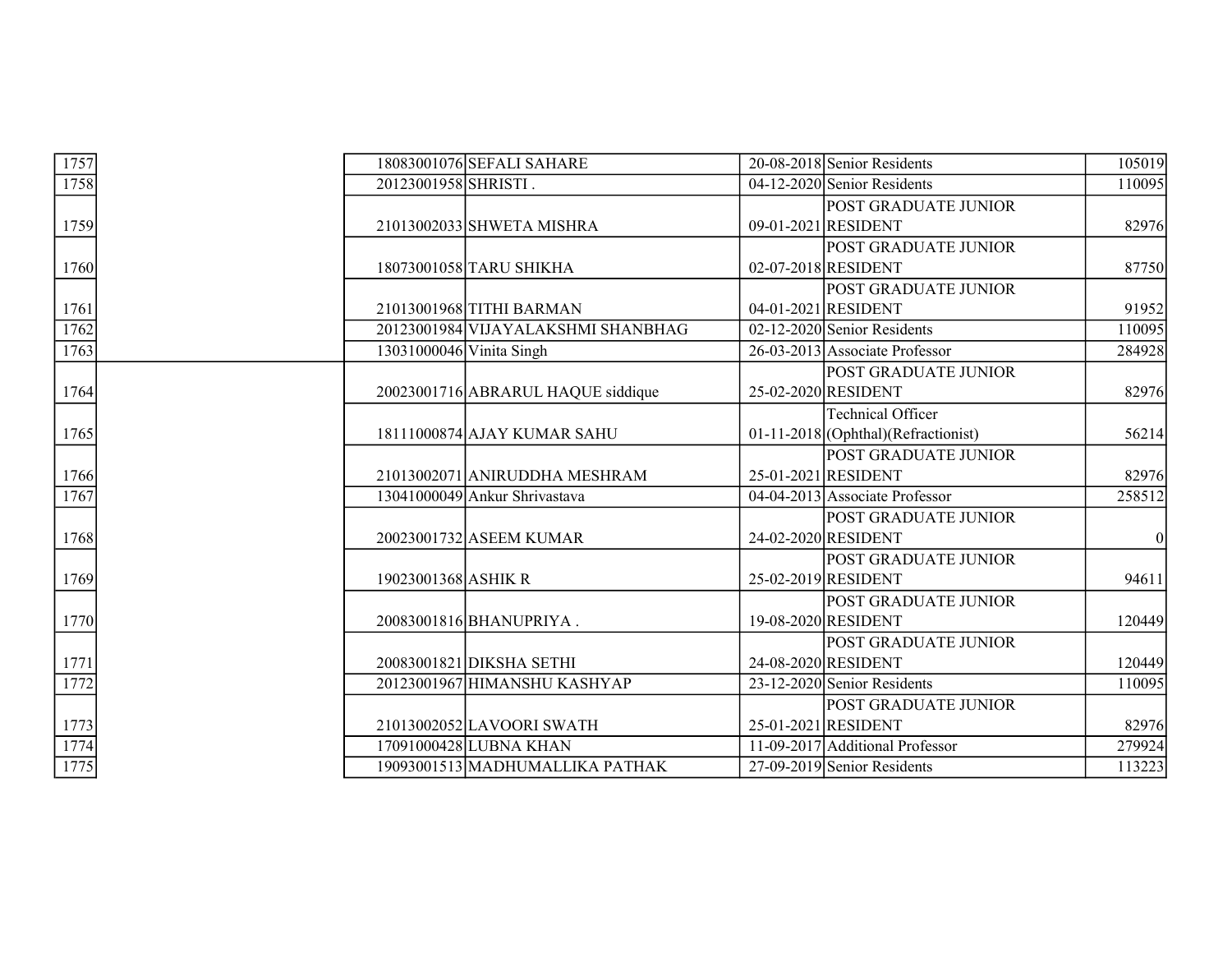| 1757 |                     | 18083001076 SEFALI SAHARE          | 20-08-2018 Senior Residents           | 105019 |
|------|---------------------|------------------------------------|---------------------------------------|--------|
| 1758 |                     | 20123001958 SHRISTI.               | 04-12-2020 Senior Residents           | 110095 |
|      |                     |                                    | POST GRADUATE JUNIOR                  |        |
| 1759 |                     | 21013002033 SHWETA MISHRA          | 09-01-2021 RESIDENT                   | 82976  |
|      |                     |                                    | POST GRADUATE JUNIOR                  |        |
| 1760 |                     | 18073001058 TARU SHIKHA            | 02-07-2018 RESIDENT                   | 87750  |
|      |                     |                                    | <b>POST GRADUATE JUNIOR</b>           |        |
| 1761 |                     | 21013001968 TITHI BARMAN           | 04-01-2021 RESIDENT                   | 91952  |
| 1762 |                     | 20123001984 VIJAYALAKSHMI SHANBHAG | $02-12-2020$ Senior Residents         | 110095 |
| 1763 |                     | 13031000046 Vinita Singh           | 26-03-2013 Associate Professor        | 284928 |
|      |                     |                                    | POST GRADUATE JUNIOR                  |        |
| 1764 |                     | 20023001716 ABRARUL HAQUE siddique | 25-02-2020 RESIDENT                   | 82976  |
|      |                     |                                    | <b>Technical Officer</b>              |        |
| 1765 |                     | 18111000874 AJAY KUMAR SAHU        | $01-11-2018$ (Ophthal)(Refractionist) | 56214  |
|      |                     |                                    | <b>POST GRADUATE JUNIOR</b>           |        |
| 1766 |                     | 21013002071 ANIRUDDHA MESHRAM      | 25-01-2021 RESIDENT                   | 82976  |
| 1767 |                     | 13041000049 Ankur Shrivastava      | 04-04-2013 Associate Professor        | 258512 |
|      |                     |                                    | POST GRADUATE JUNIOR                  |        |
| 1768 |                     | 20023001732 ASEEM KUMAR            | 24-02-2020 RESIDENT                   |        |
|      |                     |                                    | POST GRADUATE JUNIOR                  |        |
| 1769 | 19023001368 ASHIK R |                                    | 25-02-2019 RESIDENT                   | 94611  |
|      |                     |                                    | <b>POST GRADUATE JUNIOR</b>           |        |
| 1770 |                     | 20083001816 BHANUPRIYA.            | 19-08-2020 RESIDENT                   | 120449 |
|      |                     |                                    | POST GRADUATE JUNIOR                  |        |
| 1771 |                     | 20083001821 DIKSHA SETHI           | 24-08-2020 RESIDENT                   | 120449 |
| 1772 |                     | 20123001967 HIMANSHU KASHYAP       | 23-12-2020 Senior Residents           | 110095 |
|      |                     |                                    | POST GRADUATE JUNIOR                  |        |
| 1773 |                     | 21013002052 LAVOORI SWATH          | 25-01-2021 RESIDENT                   | 82976  |
| 1774 |                     | 17091000428 LUBNA KHAN             | 11-09-2017 Additional Professor       | 279924 |
| 1775 |                     | 19093001513 MADHUMALLIKA PATHAK    | 27-09-2019 Senior Residents           | 113223 |
|      |                     |                                    |                                       |        |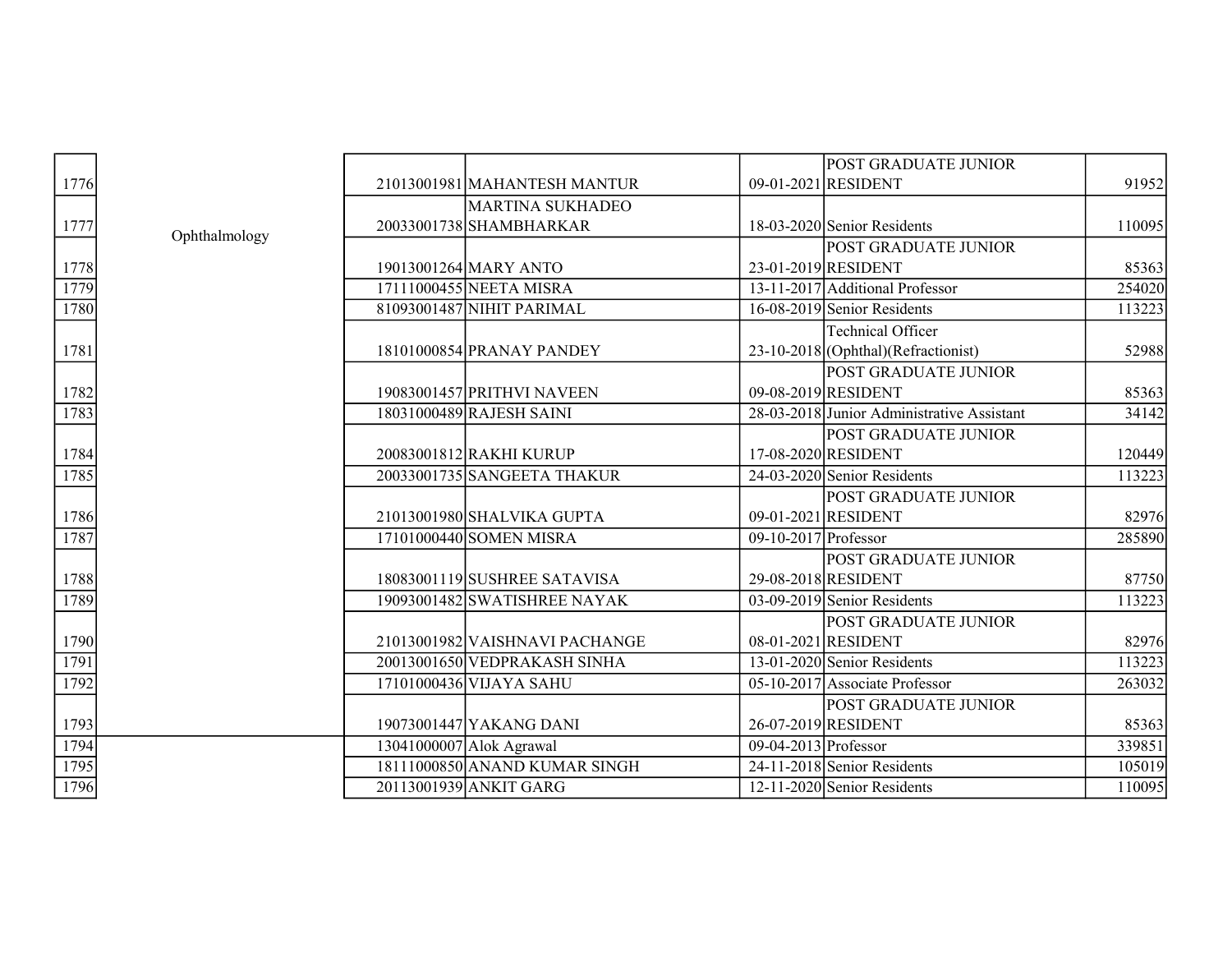|      |               |                                |                        | <b>POST GRADUATE JUNIOR</b>                |        |
|------|---------------|--------------------------------|------------------------|--------------------------------------------|--------|
| 1776 |               | 21013001981 MAHANTESH MANTUR   |                        | 09-01-2021 RESIDENT                        | 91952  |
|      |               | <b>MARTINA SUKHADEO</b>        |                        |                                            |        |
| 1777 |               | 20033001738 SHAMBHARKAR        |                        | 18-03-2020 Senior Residents                | 110095 |
|      | Ophthalmology |                                |                        | <b>POST GRADUATE JUNIOR</b>                |        |
| 1778 |               | 19013001264 MARY ANTO          |                        | 23-01-2019 RESIDENT                        | 85363  |
| 1779 |               | 17111000455 NEETA MISRA        |                        | 13-11-2017 Additional Professor            | 254020 |
| 1780 |               | 81093001487 NIHIT PARIMAL      |                        | 16-08-2019 Senior Residents                | 113223 |
|      |               |                                |                        | Technical Officer                          |        |
|      |               | 18101000854 PRANAY PANDEY      |                        | 23-10-2018 (Ophthal) (Refractionist)       | 52988  |
| 1781 |               |                                |                        |                                            |        |
|      |               |                                |                        | <b>POST GRADUATE JUNIOR</b>                |        |
| 1782 |               | 19083001457 PRITHVI NAVEEN     |                        | 09-08-2019 RESIDENT                        | 85363  |
| 1783 |               | 18031000489 RAJESH SAINI       |                        | 28-03-2018 Junior Administrative Assistant | 34142  |
|      |               |                                |                        | <b>POST GRADUATE JUNIOR</b>                |        |
| 1784 |               | 20083001812 RAKHI KURUP        |                        | 17-08-2020 RESIDENT                        | 120449 |
| 1785 |               | 20033001735 SANGEETA THAKUR    |                        | 24-03-2020 Senior Residents                | 113223 |
|      |               |                                |                        | <b>POST GRADUATE JUNIOR</b>                |        |
| 1786 |               | 21013001980 SHALVIKA GUPTA     |                        | 09-01-2021 RESIDENT                        | 82976  |
| 1787 |               | 17101000440 SOMEN MISRA        | $09-10-2017$ Professor |                                            | 285890 |
|      |               |                                |                        | <b>POST GRADUATE JUNIOR</b>                |        |
| 1788 |               | 18083001119 SUSHREE SATAVISA   |                        | 29-08-2018 RESIDENT                        | 87750  |
| 1789 |               | 19093001482 SWATISHREE NAYAK   |                        | $03-09-2019$ Senior Residents              | 113223 |
|      |               |                                |                        | <b>POST GRADUATE JUNIOR</b>                |        |
| 1790 |               | 21013001982 VAISHNAVI PACHANGE |                        | 08-01-2021 RESIDENT                        | 82976  |
| 1791 |               | 20013001650 VEDPRAKASH SINHA   |                        | $13-01-2020$ Senior Residents              | 113223 |
| 1792 |               | 17101000436 VIJAYA SAHU        |                        | 05-10-2017 Associate Professor             | 263032 |
|      |               |                                |                        | <b>POST GRADUATE JUNIOR</b>                |        |
| 1793 |               | 19073001447 YAKANG DANI        |                        | 26-07-2019 RESIDENT                        | 85363  |
| 1794 |               | 13041000007 Alok Agrawal       | $09-04-2013$ Professor |                                            | 339851 |
| 1795 |               | 18111000850 ANAND KUMAR SINGH  |                        | 24-11-2018 Senior Residents                | 105019 |
| 1796 |               | 20113001939 ANKIT GARG         |                        | $12-11-2020$ Senior Residents              | 110095 |
|      |               |                                |                        |                                            |        |

| 1776                                 |  |
|--------------------------------------|--|
| 177                                  |  |
|                                      |  |
| 1778<br>1779                         |  |
| 1780                                 |  |
| 1781                                 |  |
| 1782<br>1783                         |  |
| $\frac{1784}{1785}$                  |  |
| 1786<br>1787                         |  |
| $\frac{1788}{2}$<br>$\frac{1789}{2}$ |  |
| $\frac{1790}{1791}$                  |  |
| $1\overline{792}$<br>1793            |  |
| $\frac{1794}{1795}$                  |  |
|                                      |  |
| 1796                                 |  |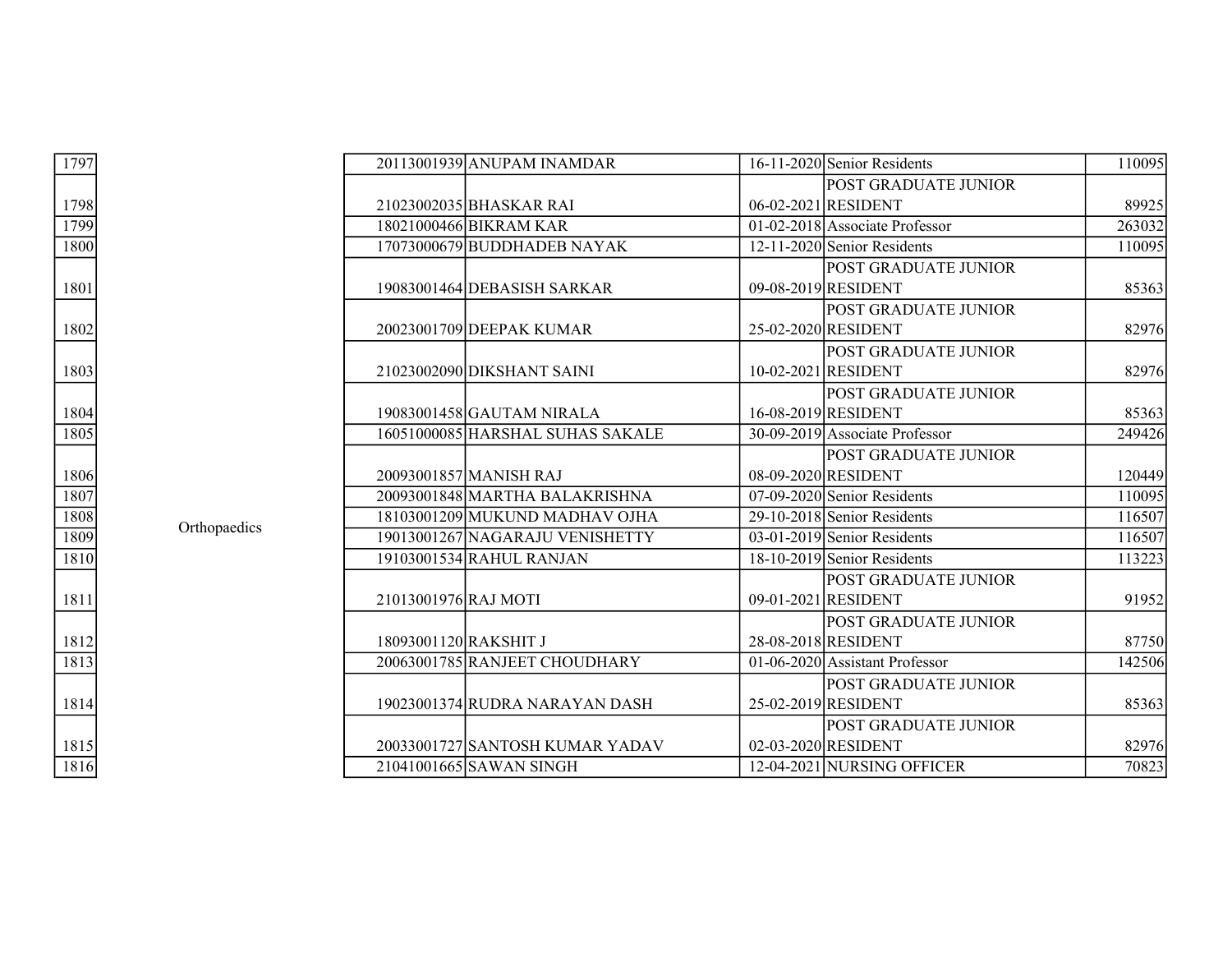| 1797 |              |                       | 20113001939 ANUPAM INAMDAR       | 16-11-2020 Senior Residents    | 110095 |
|------|--------------|-----------------------|----------------------------------|--------------------------------|--------|
|      |              |                       |                                  | <b>POST GRADUATE JUNIOR</b>    |        |
| 1798 |              |                       | 21023002035 BHASKAR RAI          | 06-02-2021 RESIDENT            | 89925  |
| 1799 |              |                       | 18021000466 BIKRAM KAR           | 01-02-2018 Associate Professor | 263032 |
| 1800 |              |                       | 17073000679 BUDDHADEB NAYAK      | 12-11-2020 Senior Residents    | 110095 |
|      |              |                       |                                  | POST GRADUATE JUNIOR           |        |
| 1801 |              |                       | 19083001464 DEBASISH SARKAR      | 09-08-2019 RESIDENT            | 85363  |
|      |              |                       |                                  | POST GRADUATE JUNIOR           |        |
| 1802 |              |                       | 20023001709 DEEPAK KUMAR         | 25-02-2020 RESIDENT            | 82976  |
|      |              |                       |                                  | <b>POST GRADUATE JUNIOR</b>    |        |
| 1803 |              |                       | 21023002090 DIKSHANT SAINI       | 10-02-2021 RESIDENT            | 82976  |
|      |              |                       |                                  | <b>POST GRADUATE JUNIOR</b>    |        |
| 1804 |              |                       | 19083001458 GAUTAM NIRALA        | 16-08-2019 RESIDENT            | 85363  |
| 1805 |              |                       | 16051000085 HARSHAL SUHAS SAKALE | 30-09-2019 Associate Professor | 249426 |
|      |              |                       |                                  | POST GRADUATE JUNIOR           |        |
| 1806 |              |                       | 20093001857 MANISH RAJ           | 08-09-2020 RESIDENT            | 120449 |
| 1807 |              |                       | 20093001848 MARTHA BALAKRISHNA   | 07-09-2020 Senior Residents    | 110095 |
| 1808 |              |                       | 18103001209 MUKUND MADHAV OJHA   | 29-10-2018 Senior Residents    | 116507 |
| 1809 | Orthopaedics |                       | 19013001267 NAGARAJU VENISHETTY  | $03-01-2019$ Senior Residents  | 116507 |
| 1810 |              |                       | 19103001534 RAHUL RANJAN         | 18-10-2019 Senior Residents    | 113223 |
|      |              |                       |                                  | <b>POST GRADUATE JUNIOR</b>    |        |
| 1811 |              | 21013001976 RAJ MOTI  |                                  | 09-01-2021 RESIDENT            | 91952  |
|      |              |                       |                                  | <b>POST GRADUATE JUNIOR</b>    |        |
| 1812 |              | 18093001120 RAKSHIT J |                                  | 28-08-2018 RESIDENT            | 87750  |
| 1813 |              |                       | 20063001785 RANJEET CHOUDHARY    | 01-06-2020 Assistant Professor | 142506 |
|      |              |                       |                                  | <b>POST GRADUATE JUNIOR</b>    |        |
| 1814 |              |                       | 19023001374 RUDRA NARAYAN DASH   | 25-02-2019 RESIDENT            | 85363  |
|      |              |                       |                                  | <b>POST GRADUATE JUNIOR</b>    |        |
| 1815 |              |                       | 20033001727 SANTOSH KUMAR YADAV  | 02-03-2020 RESIDENT            | 82976  |
| 1816 |              |                       | 21041001665 SAWAN SINGH          | 12-04-2021 NURSING OFFICER     | 70823  |

| $\frac{1798}{1799}$ |  |
|---------------------|--|
|                     |  |
| 1800                |  |
| 1801                |  |
| 1802                |  |
| 1803                |  |
| 1804                |  |
| 1805                |  |
| 1806                |  |
| $\frac{1}{1807}$    |  |
| 1808                |  |
| $\frac{1809}{1809}$ |  |
| 1810                |  |
| 1811                |  |
| $\frac{1812}{1813}$ |  |
|                     |  |
| 1814                |  |
| <u>1815</u>         |  |
| 1816                |  |
|                     |  |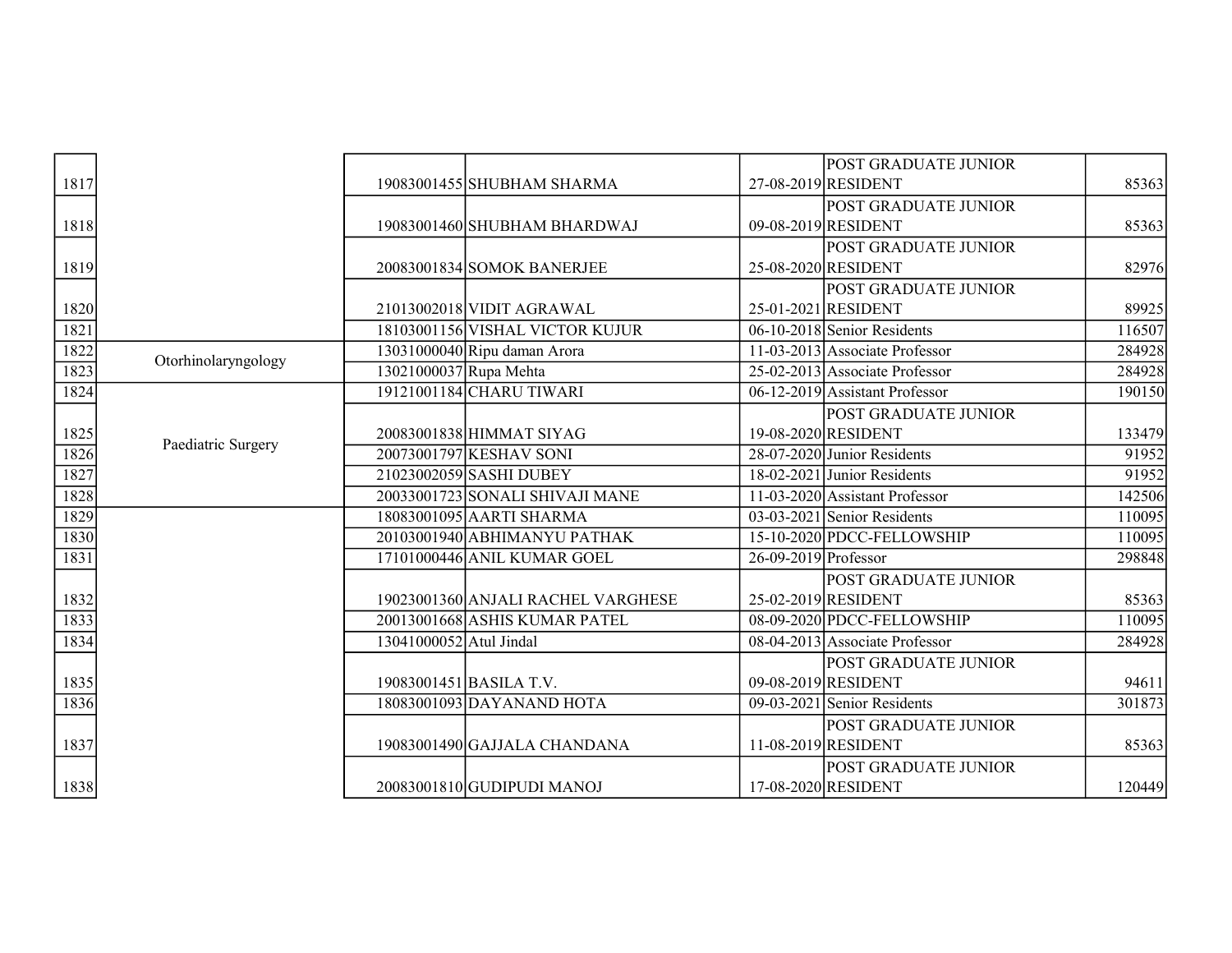|      |                     |                         |                                    |                      | POST GRADUATE JUNIOR           |        |
|------|---------------------|-------------------------|------------------------------------|----------------------|--------------------------------|--------|
| 1817 |                     |                         | 19083001455 SHUBHAM SHARMA         |                      | 27-08-2019 RESIDENT            | 85363  |
|      |                     |                         |                                    |                      | POST GRADUATE JUNIOR           |        |
| 1818 |                     |                         | 19083001460 SHUBHAM BHARDWAJ       |                      | 09-08-2019 RESIDENT            | 85363  |
|      |                     |                         |                                    |                      | <b>POST GRADUATE JUNIOR</b>    |        |
| 1819 |                     |                         | 20083001834 SOMOK BANERJEE         |                      | 25-08-2020 RESIDENT            | 82976  |
|      |                     |                         |                                    |                      | POST GRADUATE JUNIOR           |        |
| 1820 |                     |                         | 21013002018 VIDIT AGRAWAL          |                      | 25-01-2021 RESIDENT            | 89925  |
| 1821 |                     |                         | 18103001156 VISHAL VICTOR KUJUR    |                      | 06-10-2018 Senior Residents    | 116507 |
| 1822 | Otorhinolaryngology |                         | 13031000040 Ripu daman Arora       |                      | 11-03-2013 Associate Professor | 284928 |
| 1823 |                     | 13021000037 Rupa Mehta  |                                    |                      | 25-02-2013 Associate Professor | 284928 |
| 1824 |                     |                         | 19121001184 CHARU TIWARI           |                      | 06-12-2019 Assistant Professor | 190150 |
|      |                     |                         |                                    |                      | POST GRADUATE JUNIOR           |        |
| 1825 |                     |                         | 20083001838 HIMMAT SIYAG           |                      | 19-08-2020 RESIDENT            | 133479 |
| 1826 | Paediatric Surgery  |                         | 20073001797 KESHAV SONI            |                      | 28-07-2020 Junior Residents    | 91952  |
| 1827 |                     |                         | 21023002059 SASHI DUBEY            |                      | $18-02-2021$ Junior Residents  | 91952  |
| 1828 |                     |                         | 20033001723 SONALI SHIVAJI MANE    |                      | 11-03-2020 Assistant Professor | 142506 |
| 1829 |                     |                         | 18083001095 AARTI SHARMA           |                      | $03-03-2021$ Senior Residents  | 110095 |
| 1830 |                     |                         | 20103001940 ABHIMANYU PATHAK       |                      | 15-10-2020 PDCC-FELLOWSHIP     | 110095 |
| 1831 |                     |                         | 17101000446 ANIL KUMAR GOEL        | 26-09-2019 Professor |                                | 298848 |
|      |                     |                         |                                    |                      | POST GRADUATE JUNIOR           |        |
| 1832 |                     |                         | 19023001360 ANJALI RACHEL VARGHESE |                      | 25-02-2019 RESIDENT            | 85363  |
| 1833 |                     |                         | 20013001668 ASHIS KUMAR PATEL      |                      | 08-09-2020 PDCC-FELLOWSHIP     | 110095 |
| 1834 |                     | 13041000052 Atul Jindal |                                    |                      | 08-04-2013 Associate Professor | 284928 |
|      |                     |                         |                                    |                      | <b>POST GRADUATE JUNIOR</b>    |        |
| 1835 |                     |                         | 19083001451 BASILA T.V.            |                      | 09-08-2019 RESIDENT            | 94611  |
| 1836 |                     |                         | 18083001093 DAYANAND HOTA          |                      | $09-03-2021$ Senior Residents  | 301873 |
|      |                     |                         |                                    |                      | <b>POST GRADUATE JUNIOR</b>    |        |
| 1837 |                     |                         | 19083001490 GAJJALA CHANDANA       |                      | 11-08-2019 RESIDENT            | 85363  |
|      |                     |                         |                                    |                      | POST GRADUATE JUNIOR           |        |
| 1838 |                     |                         | 20083001810 GUDIPUDI MANOJ         |                      | 17-08-2020 RESIDENT            | 120449 |
|      |                     |                         |                                    |                      |                                |        |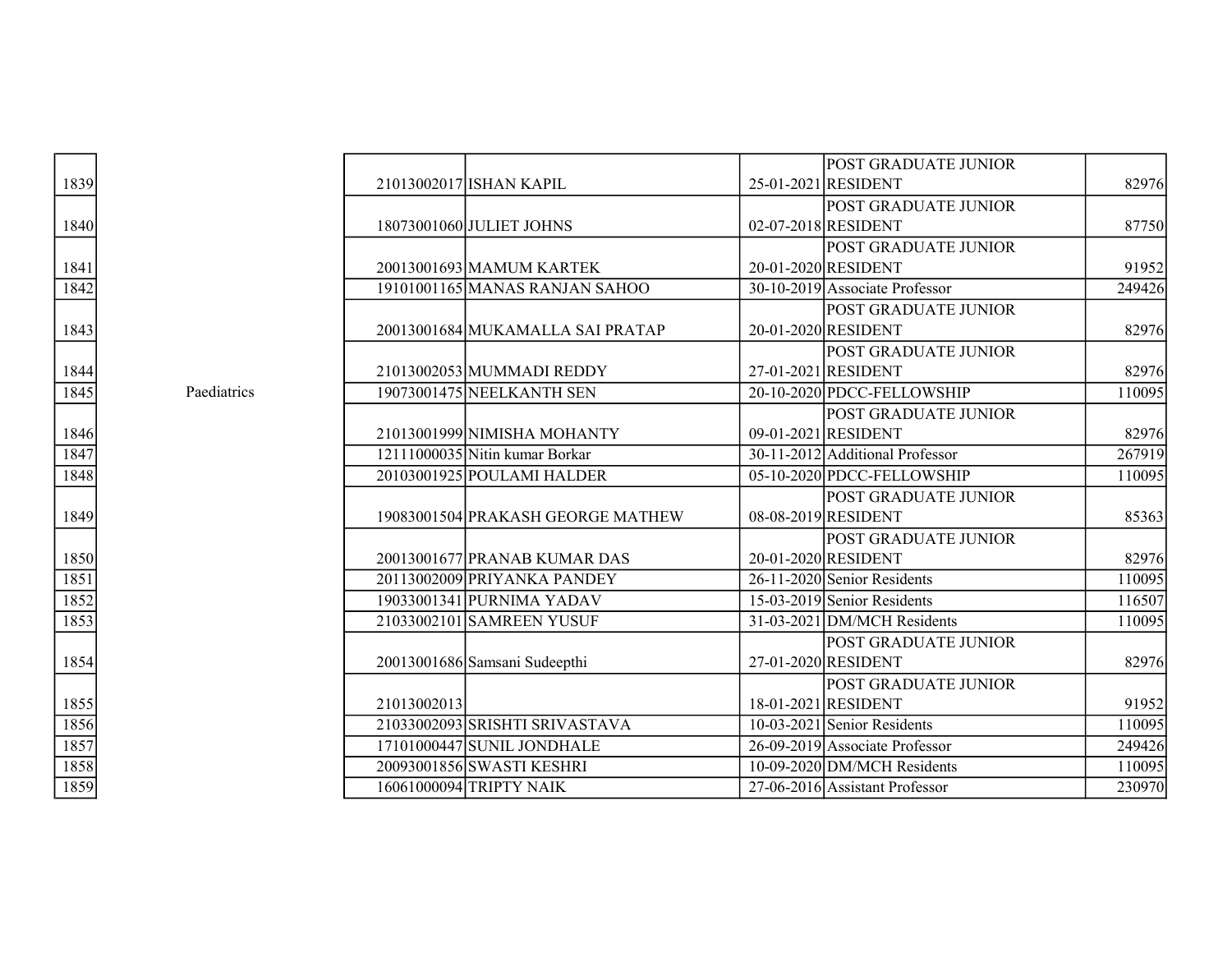|      |             |             |                                   | <b>POST GRADUATE JUNIOR</b>               |        |
|------|-------------|-------------|-----------------------------------|-------------------------------------------|--------|
| 1839 |             |             | 21013002017 ISHAN KAPIL           | 25-01-2021 RESIDENT                       | 82976  |
|      |             |             |                                   | <b>POST GRADUATE JUNIOR</b>               |        |
| 1840 |             |             | 18073001060 JULIET JOHNS          | 02-07-2018 RESIDENT                       | 87750  |
|      |             |             |                                   | POST GRADUATE JUNIOR                      |        |
| 1841 |             |             | 20013001693 MAMUM KARTEK          | 20-01-2020 RESIDENT                       | 91952  |
| 1842 |             |             | 19101001165 MANAS RANJAN SAHOO    | 30-10-2019 Associate Professor            | 249426 |
|      |             |             |                                   | POST GRADUATE JUNIOR                      |        |
| 1843 |             |             | 20013001684 MUKAMALLA SAI PRATAP  | 20-01-2020 RESIDENT                       | 82976  |
|      |             |             |                                   | <b>POST GRADUATE JUNIOR</b>               |        |
| 1844 |             |             | 21013002053 MUMMADI REDDY         | 27-01-2021 RESIDENT                       | 82976  |
| 1845 | Paediatrics |             | 19073001475 NEELKANTH SEN         | 20-10-2020 PDCC-FELLOWSHIP                | 110095 |
|      |             |             |                                   | POST GRADUATE JUNIOR                      |        |
| 1846 |             |             | 21013001999 NIMISHA MOHANTY       | 09-01-2021 RESIDENT                       | 82976  |
| 1847 |             |             | 12111000035 Nitin kumar Borkar    | 30-11-2012 Additional Professor           | 267919 |
| 1848 |             |             | 20103001925 POULAMI HALDER        | 05-10-2020 PDCC-FELLOWSHIP                | 110095 |
|      |             |             |                                   | POST GRADUATE JUNIOR                      |        |
| 1849 |             |             | 19083001504 PRAKASH GEORGE MATHEW | 08-08-2019 RESIDENT                       | 85363  |
|      |             |             |                                   | <b>POST GRADUATE JUNIOR</b>               |        |
| 1850 |             |             | 20013001677 PRANAB KUMAR DAS      | 20-01-2020 RESIDENT                       | 82976  |
| 1851 |             |             | 20113002009 PRIYANKA PANDEY       | $\overline{26-1}$ 1-2020 Senior Residents | 110095 |
| 1852 |             |             | 19033001341 PURNIMA YADAV         | 15-03-2019 Senior Residents               | 116507 |
| 1853 |             |             | 21033002101 SAMREEN YUSUF         | 31-03-2021 DM/MCH Residents               | 110095 |
|      |             |             |                                   | POST GRADUATE JUNIOR                      |        |
| 1854 |             |             | 20013001686 Samsani Sudeepthi     | 27-01-2020 RESIDENT                       | 82976  |
|      |             |             |                                   | POST GRADUATE JUNIOR                      |        |
| 1855 |             | 21013002013 |                                   | 18-01-2021 RESIDENT                       | 91952  |
| 1856 |             |             | 21033002093 SRISHTI SRIVASTAVA    | 10-03-2021 Senior Residents               | 110095 |
| 1857 |             |             | 17101000447 SUNIL JONDHALE        | 26-09-2019 Associate Professor            | 249426 |
| 1858 |             |             | 20093001856 SWASTI KESHRI         | 10-09-2020 DM/MCH Residents               | 110095 |
| 1859 |             |             | 16061000094 TRIPTY NAIK           | 27-06-2016 Assistant Professor            | 230970 |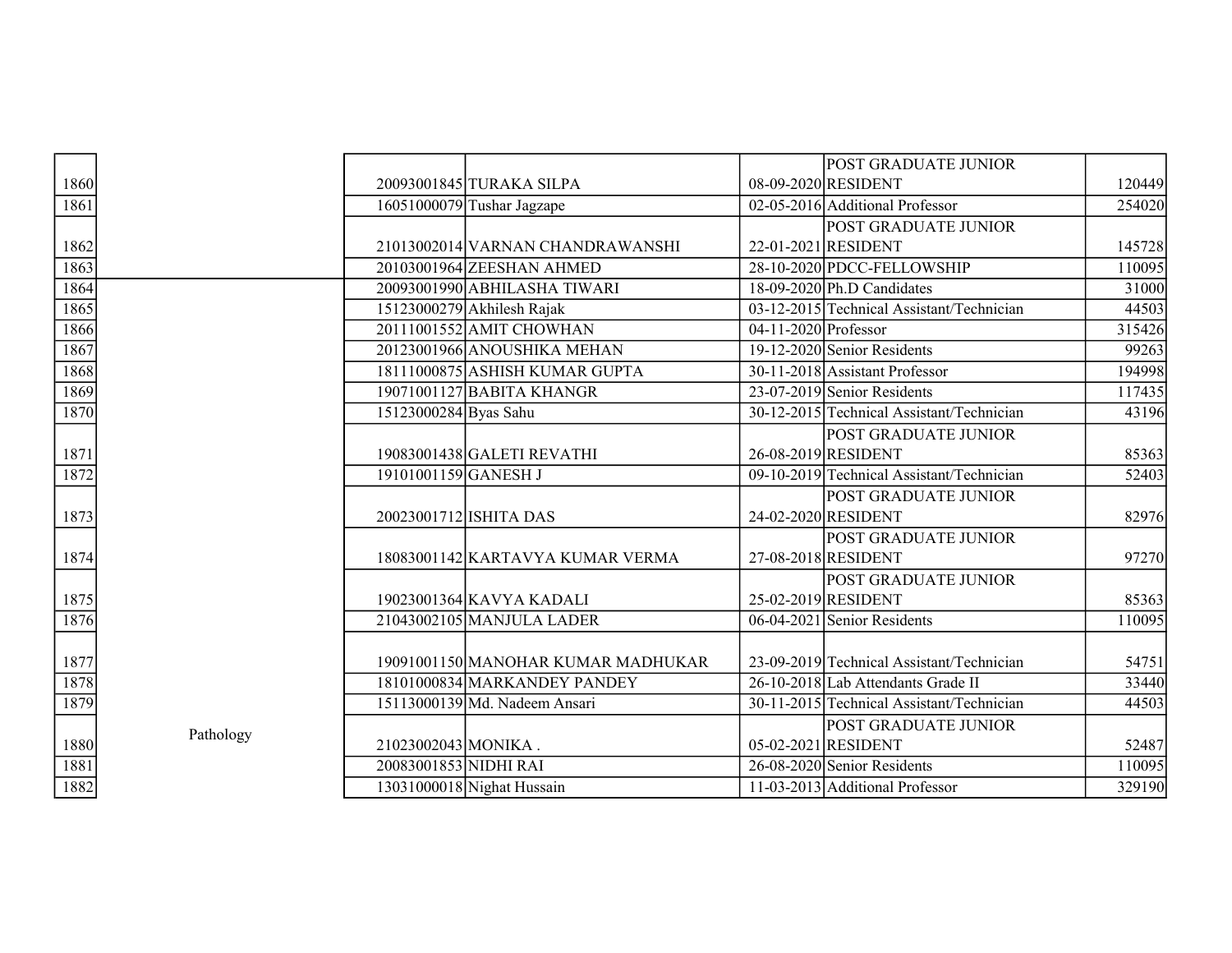|      |           |                       |                                    |                        | <b>POST GRADUATE JUNIOR</b>               |        |
|------|-----------|-----------------------|------------------------------------|------------------------|-------------------------------------------|--------|
| 1860 |           |                       | 20093001845 TURAKA SILPA           |                        | 08-09-2020 RESIDENT                       | 120449 |
| 1861 |           |                       | $16051000079$ Tushar Jagzape       |                        | 02-05-2016 Additional Professor           | 254020 |
|      |           |                       |                                    |                        | <b>POST GRADUATE JUNIOR</b>               |        |
| 1862 |           |                       | 21013002014 VARNAN CHANDRAWANSHI   |                        | 22-01-2021 RESIDENT                       | 145728 |
| 1863 |           |                       | 20103001964 ZEESHAN AHMED          |                        | 28-10-2020 PDCC-FELLOWSHIP                | 110095 |
| 1864 |           |                       | 20093001990 ABHILASHA TIWARI       |                        | 18-09-2020 Ph.D Candidates                | 31000  |
| 1865 |           |                       | 15123000279 Akhilesh Rajak         |                        | 03-12-2015 Technical Assistant/Technician | 44503  |
| 1866 |           |                       | 20111001552 AMIT CHOWHAN           | $04-11-2020$ Professor |                                           | 315426 |
| 1867 |           |                       | 20123001966 ANOUSHIKA MEHAN        |                        | 19-12-2020 Senior Residents               | 99263  |
| 1868 |           |                       | 18111000875 ASHISH KUMAR GUPTA     |                        | 30-11-2018 Assistant Professor            | 194998 |
| 1869 |           |                       | 19071001127 BABITA KHANGR          |                        | $23-07-2019$ Senior Residents             | 117435 |
| 1870 |           | 15123000284 Byas Sahu |                                    |                        | 30-12-2015 Technical Assistant/Technician | 43196  |
|      |           |                       |                                    |                        | POST GRADUATE JUNIOR                      |        |
| 1871 |           |                       | 19083001438 GALETI REVATHI         |                        | 26-08-2019 RESIDENT                       | 85363  |
| 1872 |           | 19101001159 GANESH J  |                                    |                        | 09-10-2019 Technical Assistant/Technician | 52403  |
|      |           |                       |                                    |                        | POST GRADUATE JUNIOR                      |        |
| 1873 |           |                       | 20023001712 ISHITA DAS             |                        | 24-02-2020 RESIDENT                       | 82976  |
|      |           |                       |                                    |                        | <b>POST GRADUATE JUNIOR</b>               |        |
| 1874 |           |                       | 18083001142 KARTAVYA KUMAR VERMA   |                        | 27-08-2018 RESIDENT                       | 97270  |
|      |           |                       |                                    |                        | <b>POST GRADUATE JUNIOR</b>               |        |
| 1875 |           |                       | 19023001364 KAVYA KADALI           |                        | 25-02-2019 RESIDENT                       | 85363  |
| 1876 |           |                       | 21043002105 MANJULA LADER          |                        | 06-04-2021 Senior Residents               | 110095 |
|      |           |                       |                                    |                        |                                           |        |
| 1877 |           |                       | 19091001150 MANOHAR KUMAR MADHUKAR |                        | 23-09-2019 Technical Assistant/Technician | 54751  |
| 1878 |           |                       | 18101000834 MARKANDEY PANDEY       |                        | 26-10-2018 Lab Attendants Grade II        | 33440  |
| 1879 |           |                       | 15113000139 Md. Nadeem Ansari      |                        | 30-11-2015 Technical Assistant/Technician | 44503  |
|      |           |                       |                                    |                        | <b>POST GRADUATE JUNIOR</b>               |        |
| 1880 | Pathology | 21023002043 MONIKA.   |                                    |                        | 05-02-2021 RESIDENT                       | 52487  |
| 1881 |           | 20083001853 NIDHI RAI |                                    |                        | 26-08-2020 Senior Residents               | 110095 |
| 1882 |           |                       | 13031000018 Nighat Hussain         |                        | 11-03-2013 Additional Professor           | 329190 |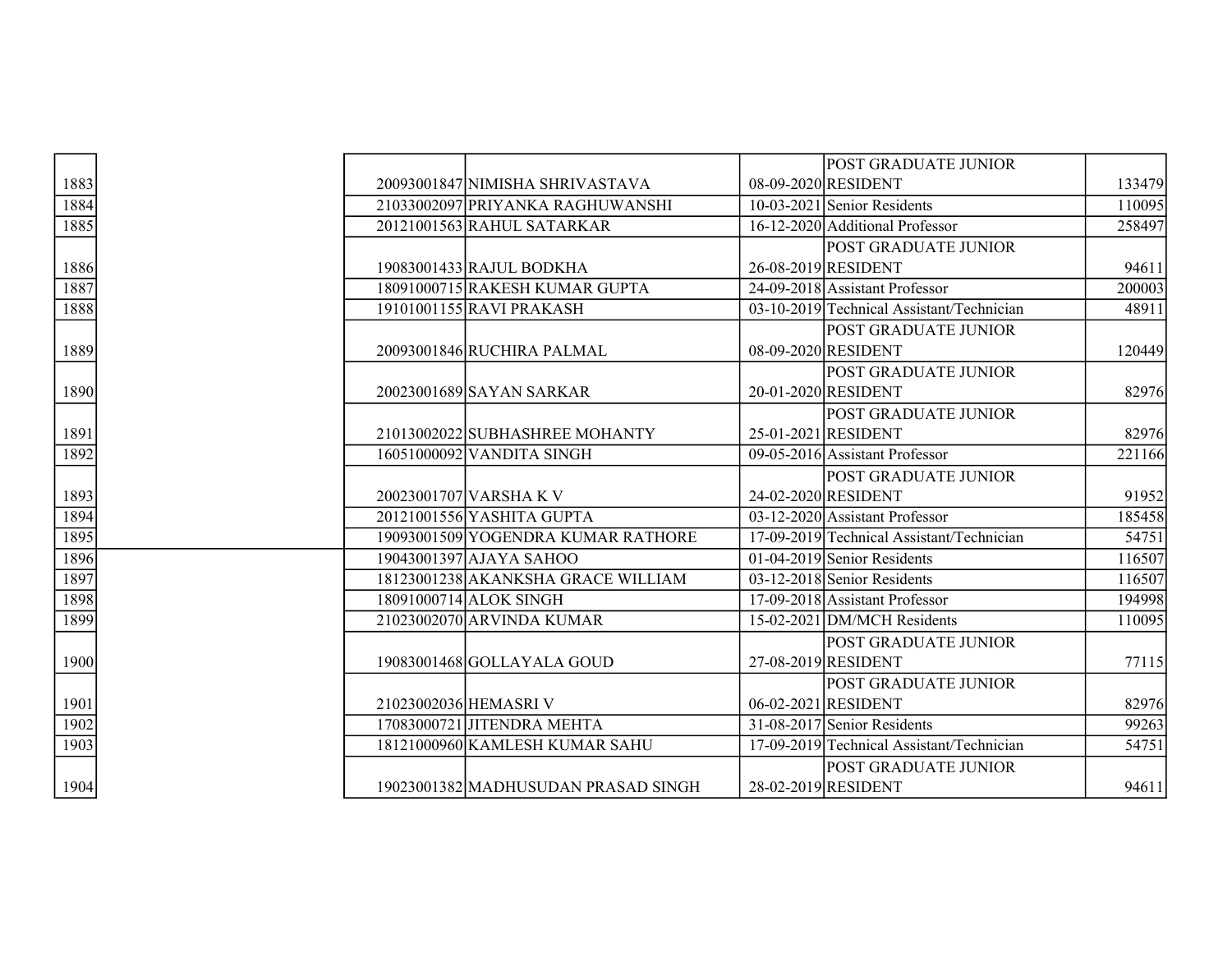|      |                       |                                     | <b>POST GRADUATE JUNIOR</b>                  |        |
|------|-----------------------|-------------------------------------|----------------------------------------------|--------|
| 1883 |                       | 20093001847 NIMISHA SHRIVASTAVA     | 08-09-2020 RESIDENT                          | 133479 |
| 1884 |                       | 21033002097 PRIYANKA RAGHUWANSHI    | 10-03-2021 Senior Residents                  | 110095 |
| 1885 |                       | 20121001563 RAHUL SATARKAR          | 16-12-2020 Additional Professor              | 258497 |
|      |                       |                                     | <b>POST GRADUATE JUNIOR</b>                  |        |
| 1886 |                       | 19083001433 RAJUL BODKHA            | 26-08-2019 RESIDENT                          | 94611  |
| 1887 |                       | 18091000715 RAKESH KUMAR GUPTA      | 24-09-2018 Assistant Professor               | 200003 |
| 1888 |                       | 19101001155 RAVI PRAKASH            | 03-10-2019 Technical Assistant/Technician    | 48911  |
|      |                       |                                     | <b>POST GRADUATE JUNIOR</b>                  |        |
| 1889 |                       | 20093001846 RUCHIRA PALMAL          | 08-09-2020 RESIDENT                          | 120449 |
|      |                       |                                     | <b>POST GRADUATE JUNIOR</b>                  |        |
| 1890 |                       | 20023001689 SAYAN SARKAR            | 20-01-2020 RESIDENT                          | 82976  |
|      |                       |                                     | <b>POST GRADUATE JUNIOR</b>                  |        |
| 1891 |                       | 21013002022 SUBHASHREE MOHANTY      | 25-01-2021 RESIDENT                          | 82976  |
| 1892 |                       | 16051000092 VANDITA SINGH           | 09-05-2016 Assistant Professor               | 221166 |
|      |                       |                                     | <b>POST GRADUATE JUNIOR</b>                  |        |
| 1893 |                       | 20023001707 VARSHAK V               | 24-02-2020 RESIDENT                          | 91952  |
| 1894 |                       | 20121001556 YASHITA GUPTA           | $\overline{03-12}$ -2020 Assistant Professor | 185458 |
| 1895 |                       | 19093001509 YOGENDRA KUMAR RATHORE  | 17-09-2019 Technical Assistant/Technician    | 54751  |
| 1896 |                       | 19043001397 AJAYA SAHOO             | 01-04-2019 Senior Residents                  | 116507 |
| 1897 |                       | 18123001238 AKANKSHA GRACE WILLIAM  | 03-12-2018 Senior Residents                  | 116507 |
| 1898 |                       | 18091000714 ALOK SINGH              | 17-09-2018 Assistant Professor               | 194998 |
| 1899 |                       | 21023002070 ARVINDA KUMAR           | 15-02-2021 DM/MCH Residents                  | 110095 |
|      |                       |                                     | <b>POST GRADUATE JUNIOR</b>                  |        |
| 1900 |                       | 19083001468 GOLLAYALA GOUD          | 27-08-2019 RESIDENT                          | 77115  |
|      |                       |                                     | <b>POST GRADUATE JUNIOR</b>                  |        |
| 1901 | 21023002036 HEMASRI V |                                     | 06-02-2021 RESIDENT                          | 82976  |
| 1902 |                       | 17083000721 JITENDRA MEHTA          | 31-08-2017 Senior Residents                  | 99263  |
| 1903 |                       | 18121000960 KAMLESH KUMAR SAHU      | 17-09-2019 Technical Assistant/Technician    | 54751  |
|      |                       |                                     | <b>POST GRADUATE JUNIOR</b>                  |        |
| 1904 |                       | 19023001382 MADHUSUDAN PRASAD SINGH | 28-02-2019 RESIDENT                          | 94611  |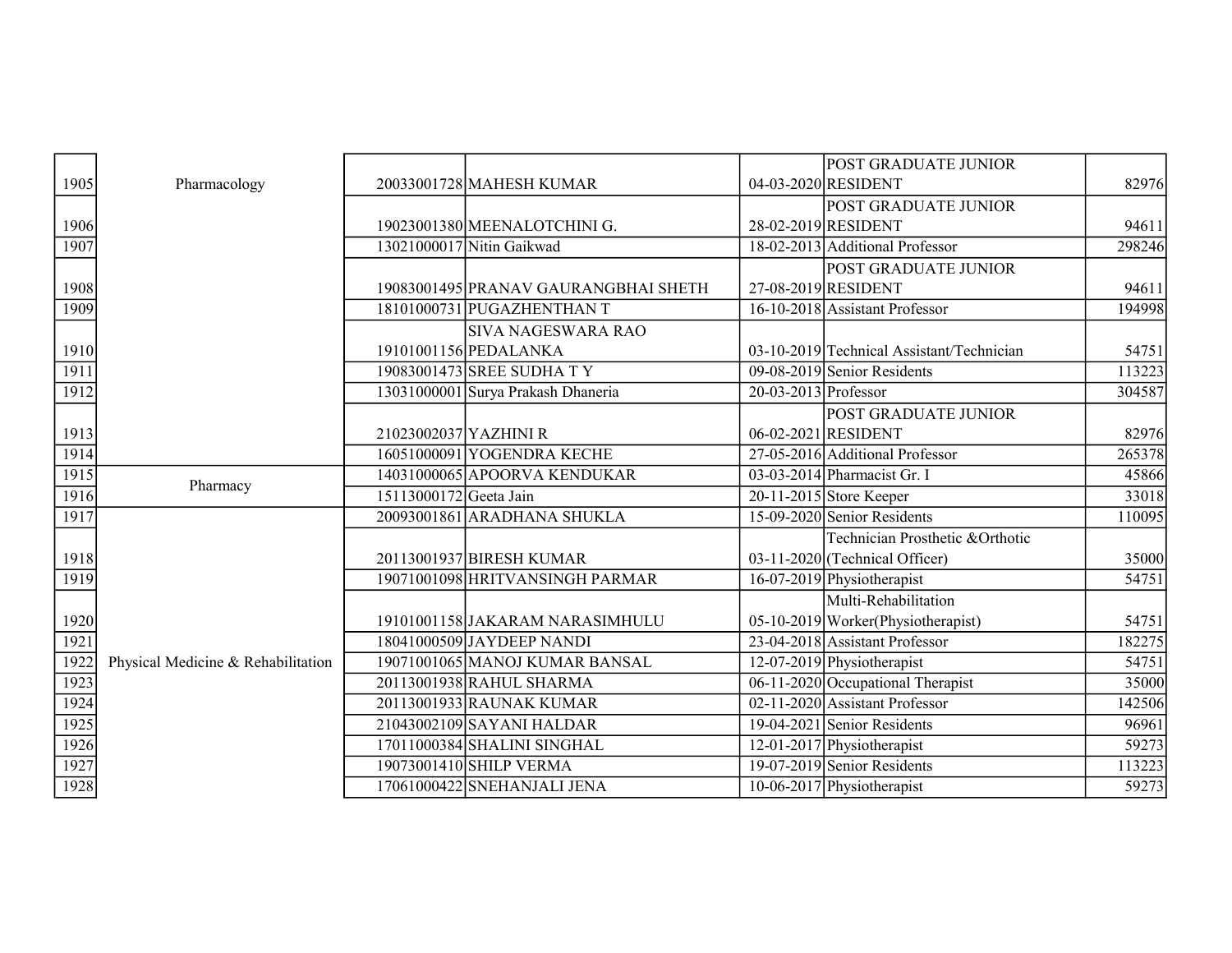|      |                                    |                        |                                      |                        | POST GRADUATE JUNIOR                      |        |
|------|------------------------------------|------------------------|--------------------------------------|------------------------|-------------------------------------------|--------|
| 1905 | Pharmacology                       |                        | 20033001728 MAHESH KUMAR             |                        | 04-03-2020 RESIDENT                       | 82976  |
|      |                                    |                        |                                      |                        | POST GRADUATE JUNIOR                      |        |
| 1906 |                                    |                        | 19023001380 MEENALOTCHINI G.         |                        | 28-02-2019 RESIDENT                       | 94611  |
| 1907 |                                    |                        | 13021000017 Nitin Gaikwad            |                        | 18-02-2013 Additional Professor           | 298246 |
|      |                                    |                        |                                      |                        | POST GRADUATE JUNIOR                      |        |
| 1908 |                                    |                        | 19083001495 PRANAV GAURANGBHAI SHETH |                        | 27-08-2019 RESIDENT                       | 94611  |
| 1909 |                                    |                        | 18101000731 PUGAZHENTHAN T           |                        | 16-10-2018 Assistant Professor            | 194998 |
|      |                                    |                        | <b>SIVA NAGESWARA RAO</b>            |                        |                                           |        |
| 1910 |                                    |                        | 19101001156 PEDALANKA                |                        | 03-10-2019 Technical Assistant/Technician | 54751  |
| 1911 |                                    |                        | 19083001473 SREE SUDHA TY            |                        | 09-08-2019 Senior Residents               | 113223 |
| 1912 |                                    |                        | 13031000001 Surya Prakash Dhaneria   | $20-03-2013$ Professor |                                           | 304587 |
|      |                                    |                        |                                      |                        | POST GRADUATE JUNIOR                      |        |
| 1913 |                                    | 21023002037 YAZHINI R  |                                      |                        | 06-02-2021 RESIDENT                       | 82976  |
| 1914 |                                    |                        | 16051000091 YOGENDRA KECHE           |                        | 27-05-2016 Additional Professor           | 265378 |
| 1915 | Pharmacy                           |                        | 14031000065 APOORVA KENDUKAR         |                        | 03-03-2014 Pharmacist Gr. I               | 45866  |
| 1916 |                                    | 15113000172 Geeta Jain |                                      |                        | $20-11-2015$ Store Keeper                 | 33018  |
| 1917 |                                    |                        | 20093001861 ARADHANA SHUKLA          |                        | 15-09-2020 Senior Residents               | 110095 |
|      |                                    |                        |                                      |                        | Technician Prosthetic &Orthotic           |        |
| 1918 |                                    |                        | 20113001937 BIRESH KUMAR             |                        | $03-11-2020$ (Technical Officer)          | 35000  |
| 1919 |                                    |                        | 19071001098 HRITVANSINGH PARMAR      |                        | $16-07-2019$ Physiotherapist              | 54751  |
|      |                                    |                        |                                      |                        | Multi-Rehabilitation                      |        |
| 1920 |                                    |                        | 19101001158 JAKARAM NARASIMHULU      |                        | 05-10-2019 Worker (Physiotherapist)       | 54751  |
| 1921 |                                    |                        | 18041000509 JAYDEEP NANDI            |                        | 23-04-2018 Assistant Professor            | 182275 |
| 1922 | Physical Medicine & Rehabilitation |                        | 19071001065 MANOJ KUMAR BANSAL       |                        | 12-07-2019 Physiotherapist                | 54751  |
| 1923 |                                    |                        | 20113001938 RAHUL SHARMA             |                        | 06-11-2020 Occupational Therapist         | 35000  |
| 1924 |                                    |                        | 20113001933 RAUNAK KUMAR             |                        | 02-11-2020 Assistant Professor            | 142506 |
| 1925 |                                    |                        | 21043002109 SAYANI HALDAR            |                        | $19-04-2021$ Senior Residents             | 96961  |
| 1926 |                                    |                        | 17011000384 SHALINI SINGHAL          |                        | 12-01-2017 Physiotherapist                | 59273  |
| 1927 |                                    |                        | 19073001410 SHILP VERMA              |                        | 19-07-2019 Senior Residents               | 113223 |
| 1928 |                                    |                        | 17061000422 SNEHANJALI JENA          |                        | $10-06-2017$ Physiotherapist              | 59273  |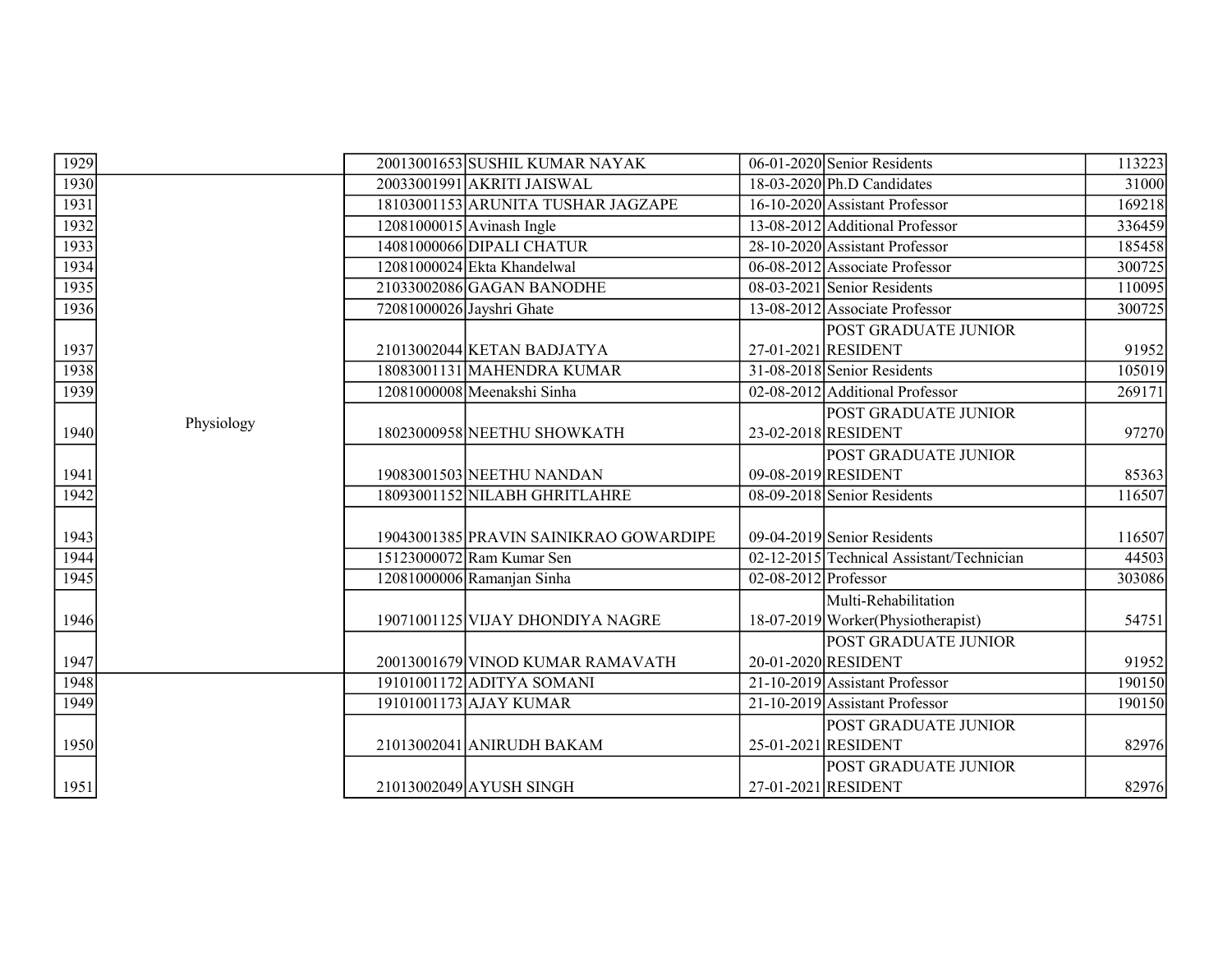| 1929 |            | 20013001653 SUSHIL KUMAR NAYAK         | 06-01-2020 Senior Residents               | 113223 |
|------|------------|----------------------------------------|-------------------------------------------|--------|
| 1930 |            | 20033001991 AKRITI JAISWAL             | $18-03-2020$ Ph.D Candidates              | 31000  |
| 1931 |            | 18103001153 ARUNITA TUSHAR JAGZAPE     | 16-10-2020 Assistant Professor            | 169218 |
| 1932 |            | $12081000015$ Avinash Ingle            | 13-08-2012 Additional Professor           | 336459 |
| 1933 |            | 14081000066 DIPALI CHATUR              | 28-10-2020 Assistant Professor            | 185458 |
| 1934 |            | 12081000024 Ekta Khandelwal            | 06-08-2012 Associate Professor            | 300725 |
| 1935 |            | 21033002086 GAGAN BANODHE              | 08-03-2021 Senior Residents               | 110095 |
| 1936 |            | 72081000026 Jayshri Ghate              | 13-08-2012 Associate Professor            | 300725 |
|      |            |                                        | <b>POST GRADUATE JUNIOR</b>               |        |
| 1937 |            | 21013002044 KETAN BADJATYA             | 27-01-2021 RESIDENT                       | 91952  |
| 1938 |            | 18083001131 MAHENDRA KUMAR             | 31-08-2018 Senior Residents               | 105019 |
| 1939 |            | 12081000008 Meenakshi Sinha            | 02-08-2012 Additional Professor           | 269171 |
|      | Physiology |                                        | POST GRADUATE JUNIOR                      |        |
| 1940 |            | 18023000958 NEETHU SHOWKATH            | 23-02-2018 RESIDENT                       | 97270  |
|      |            |                                        | POST GRADUATE JUNIOR                      |        |
| 1941 |            | 19083001503 NEETHU NANDAN              | 09-08-2019 RESIDENT                       | 85363  |
| 1942 |            | 18093001152 NILABH GHRITLAHRE          | 08-09-2018 Senior Residents               | 116507 |
|      |            |                                        |                                           |        |
| 1943 |            | 19043001385 PRAVIN SAINIKRAO GOWARDIPE | 09-04-2019 Senior Residents               | 116507 |
| 1944 |            | 15123000072 Ram Kumar Sen              | 02-12-2015 Technical Assistant/Technician | 44503  |
| 1945 |            | 12081000006 Ramanjan Sinha             | $02-08-2012$ Professor                    | 303086 |
|      |            |                                        | Multi-Rehabilitation                      |        |
| 1946 |            | 19071001125 VIJAY DHONDIYA NAGRE       | 18-07-2019 Worker (Physiotherapist)       | 54751  |
|      |            |                                        | <b>POST GRADUATE JUNIOR</b>               |        |
| 1947 |            | 20013001679 VINOD KUMAR RAMAVATH       | 20-01-2020 RESIDENT                       | 91952  |
| 1948 |            | 19101001172 ADITYA SOMANI              | 21-10-2019 Assistant Professor            | 190150 |
| 1949 |            | 19101001173 AJAY KUMAR                 | 21-10-2019 Assistant Professor            | 190150 |
|      |            |                                        | <b>POST GRADUATE JUNIOR</b>               |        |
| 1950 |            | 21013002041 ANIRUDH BAKAM              | 25-01-2021 RESIDENT                       | 82976  |
|      |            |                                        | <b>POST GRADUATE JUNIOR</b>               |        |
| 1951 |            | 21013002049 AYUSH SINGH                | 27-01-2021 RESIDENT                       | 82976  |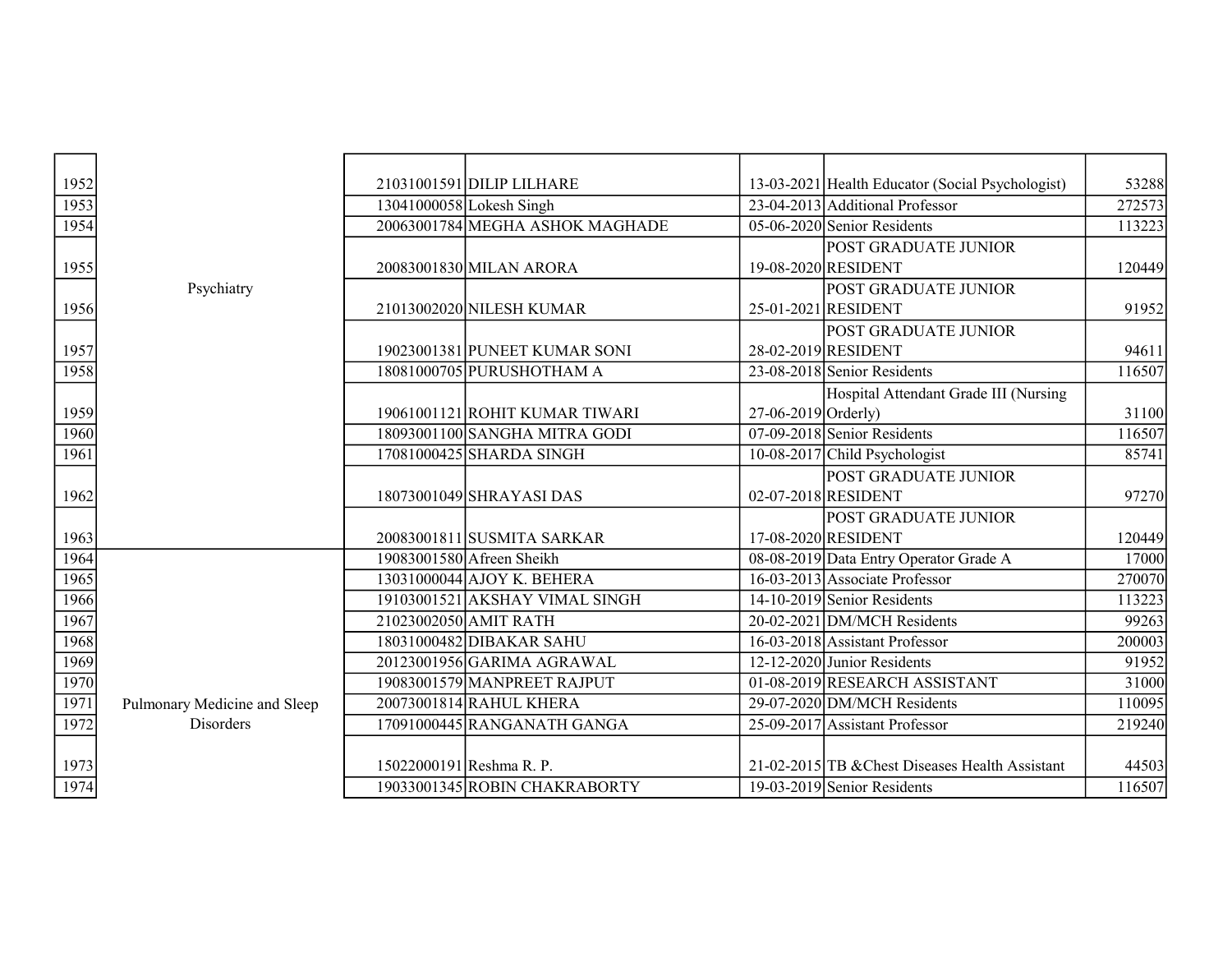| 1952 |                              | 21031001591 DILIP LILHARE       |                       | 13-03-2021 Health Educator (Social Psychologist) | 53288  |
|------|------------------------------|---------------------------------|-----------------------|--------------------------------------------------|--------|
| 1953 |                              | 13041000058 Lokesh Singh        |                       | 23-04-2013 Additional Professor                  | 272573 |
| 1954 |                              | 20063001784 MEGHA ASHOK MAGHADE |                       | 05-06-2020 Senior Residents                      | 113223 |
|      |                              |                                 |                       | <b>POST GRADUATE JUNIOR</b>                      |        |
| 1955 |                              | 20083001830 MILAN ARORA         |                       | 19-08-2020 RESIDENT                              | 120449 |
|      | Psychiatry                   |                                 |                       | <b>POST GRADUATE JUNIOR</b>                      |        |
| 1956 |                              | 21013002020 NILESH KUMAR        |                       | 25-01-2021 RESIDENT                              | 91952  |
|      |                              |                                 |                       | POST GRADUATE JUNIOR                             |        |
| 1957 |                              | 19023001381 PUNEET KUMAR SONI   |                       | 28-02-2019 RESIDENT                              | 94611  |
| 1958 |                              | 18081000705 PURUSHOTHAM A       |                       | 23-08-2018 Senior Residents                      | 116507 |
|      |                              |                                 |                       | Hospital Attendant Grade III (Nursing            |        |
| 1959 |                              | 19061001121 ROHIT KUMAR TIWARI  | $27-06-2019$ Orderly) |                                                  | 31100  |
| 1960 |                              | 18093001100 SANGHA MITRA GODI   |                       | 07-09-2018 Senior Residents                      | 116507 |
| 1961 |                              | 17081000425 SHARDA SINGH        |                       | 10-08-2017 Child Psychologist                    | 85741  |
|      |                              |                                 |                       | <b>POST GRADUATE JUNIOR</b>                      |        |
| 1962 |                              | 18073001049 SHRAYASI DAS        |                       | 02-07-2018 RESIDENT                              | 97270  |
|      |                              |                                 |                       | POST GRADUATE JUNIOR                             |        |
| 1963 |                              | 20083001811 SUSMITA SARKAR      |                       | 17-08-2020 RESIDENT                              | 120449 |
| 1964 |                              | 19083001580 Afreen Sheikh       |                       | 08-08-2019 Data Entry Operator Grade A           | 17000  |
| 1965 |                              | 13031000044 AJOY K. BEHERA      |                       | 16-03-2013 Associate Professor                   | 270070 |
| 1966 |                              | 19103001521 AKSHAY VIMAL SINGH  |                       | 14-10-2019 Senior Residents                      | 113223 |
| 1967 |                              | 21023002050 AMIT RATH           |                       | 20-02-2021 DM/MCH Residents                      | 99263  |
| 1968 |                              | 18031000482 DIBAKAR SAHU        |                       | 16-03-2018 Assistant Professor                   | 200003 |
| 1969 |                              | 20123001956 GARIMA AGRAWAL      |                       | 12-12-2020 Junior Residents                      | 91952  |
| 1970 |                              | 19083001579 MANPREET RAJPUT     |                       | 01-08-2019 RESEARCH ASSISTANT                    | 31000  |
| 1971 | Pulmonary Medicine and Sleep | 20073001814 RAHUL KHERA         |                       | 29-07-2020 DM/MCH Residents                      | 110095 |
| 1972 | Disorders                    | 17091000445 RANGANATH GANGA     |                       | 25-09-2017 Assistant Professor                   | 219240 |
|      |                              |                                 |                       |                                                  |        |
| 1973 |                              | 15022000191 Reshma R. P.        |                       | 21-02-2015 TB & Chest Diseases Health Assistant  | 44503  |
| 1974 |                              | 19033001345 ROBIN CHAKRABORTY   |                       | $19-03-2019$ Senior Residents                    | 116507 |
|      |                              |                                 |                       |                                                  |        |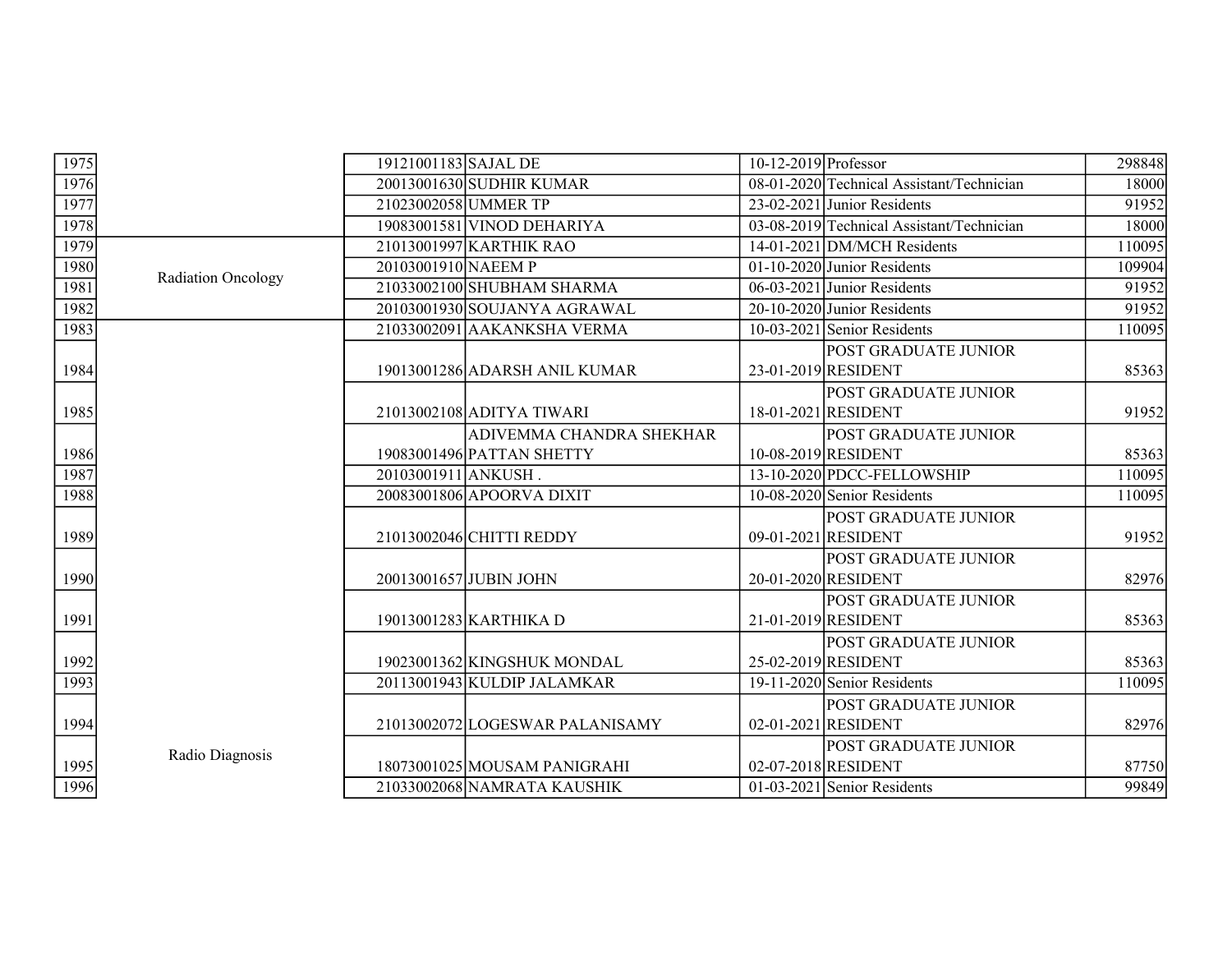| 1975 |                    | 19121001183 SAJAL DE |                                 | $10-12-2019$ Professor |                                                    | 298848 |
|------|--------------------|----------------------|---------------------------------|------------------------|----------------------------------------------------|--------|
| 1976 |                    |                      | 20013001630 SUDHIR KUMAR        |                        | 08-01-2020 Technical Assistant/Technician          | 18000  |
| 1977 |                    | 21023002058 UMMER TP |                                 |                        | 23-02-2021 Junior Residents                        | 91952  |
| 1978 |                    |                      | 19083001581 VINOD DEHARIYA      |                        | 03-08-2019 Technical Assistant/Technician          | 18000  |
| 1979 |                    |                      | 21013001997 KARTHIK RAO         |                        | $14-01-2021$ DM/MCH Residents                      | 110095 |
| 1980 | Radiation Oncology | 20103001910 NAEEM P  |                                 |                        | 01-10-2020 Junior Residents                        | 109904 |
| 1981 |                    |                      | 21033002100 SHUBHAM SHARMA      |                        | $06-03-2021$ Junior Residents                      | 91952  |
| 1982 |                    |                      | 20103001930 SOUJANYA AGRAWAL    |                        | 20-10-2020 Junior Residents                        | 91952  |
| 1983 |                    |                      | 21033002091 AAKANKSHA VERMA     |                        | $10-03-2021$ Senior Residents                      | 110095 |
| 1984 |                    |                      | 19013001286 ADARSH ANIL KUMAR   |                        | POST GRADUATE JUNIOR<br>23-01-2019 RESIDENT        | 85363  |
| 1985 |                    |                      | 21013002108 ADITYA TIWARI       |                        | <b>POST GRADUATE JUNIOR</b><br>18-01-2021 RESIDENT | 91952  |
|      |                    |                      | ADIVEMMA CHANDRA SHEKHAR        |                        | POST GRADUATE JUNIOR                               |        |
| 1986 |                    |                      | 19083001496 PATTAN SHETTY       |                        | 10-08-2019 RESIDENT                                | 85363  |
| 1987 |                    | 20103001911 ANKUSH.  |                                 |                        | 13-10-2020 PDCC-FELLOWSHIP                         | 110095 |
| 1988 |                    |                      | 20083001806 APOORVA DIXIT       |                        | 10-08-2020 Senior Residents                        | 110095 |
|      |                    |                      |                                 |                        | POST GRADUATE JUNIOR                               |        |
| 1989 |                    |                      | 21013002046 CHITTI REDDY        |                        | 09-01-2021 RESIDENT                                | 91952  |
| 1990 |                    |                      | 20013001657 JUBIN JOHN          |                        | POST GRADUATE JUNIOR<br>20-01-2020 RESIDENT        | 82976  |
|      |                    |                      |                                 |                        | POST GRADUATE JUNIOR                               |        |
| 1991 |                    |                      | 19013001283 KARTHIKA D          |                        | 21-01-2019 RESIDENT                                | 85363  |
| 1992 |                    |                      | 19023001362 KINGSHUK MONDAL     |                        | POST GRADUATE JUNIOR<br>25-02-2019 RESIDENT        | 85363  |
| 1993 |                    |                      | 20113001943 KULDIP JALAMKAR     |                        | $19-11-2020$ Senior Residents                      | 110095 |
| 1994 |                    |                      | 21013002072 LOGESWAR PALANISAMY |                        | POST GRADUATE JUNIOR<br>02-01-2021 RESIDENT        | 82976  |
|      |                    |                      |                                 |                        | <b>POST GRADUATE JUNIOR</b>                        |        |
| 1995 | Radio Diagnosis    |                      | 18073001025 MOUSAM PANIGRAHI    |                        | 02-07-2018 RESIDENT                                | 87750  |
| 1996 |                    |                      | 21033002068 NAMRATA KAUSHIK     |                        | $01-03-2021$ Senior Residents                      | 99849  |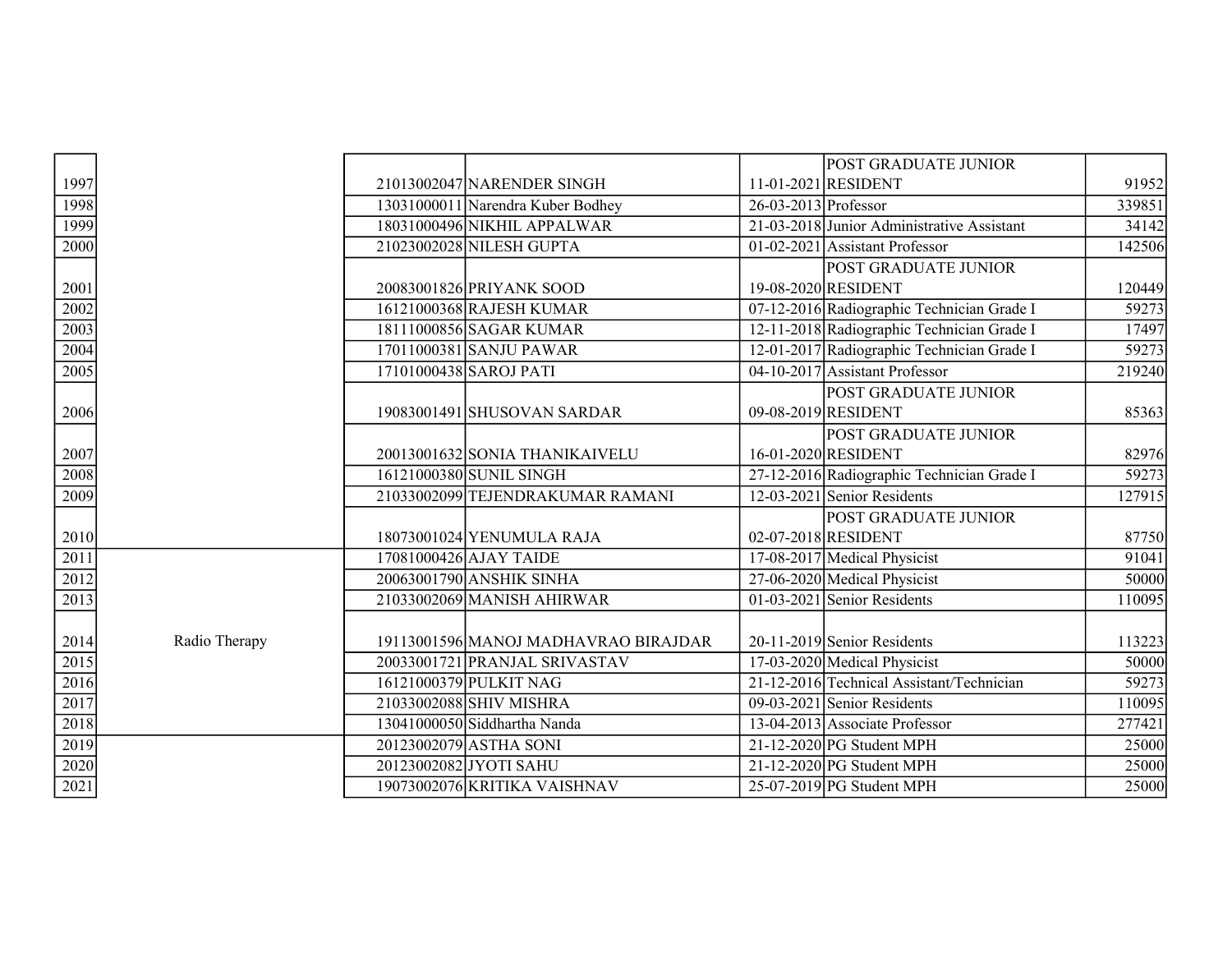|      |               |                         |                                      |                        | <b>POST GRADUATE JUNIOR</b>                |                    |
|------|---------------|-------------------------|--------------------------------------|------------------------|--------------------------------------------|--------------------|
| 1997 |               |                         | 21013002047 NARENDER SINGH           |                        | 11-01-2021 RESIDENT                        | 91952              |
| 1998 |               |                         | 13031000011 Narendra Kuber Bodhey    | $26-03-2013$ Professor |                                            | 339851             |
| 1999 |               |                         | 18031000496 NIKHIL APPALWAR          |                        | 21-03-2018 Junior Administrative Assistant | 34142              |
| 2000 |               |                         | 21023002028 NILESH GUPTA             |                        | 01-02-2021 Assistant Professor             | 142506             |
|      |               |                         |                                      |                        | <b>POST GRADUATE JUNIOR</b>                |                    |
| 2001 |               |                         | 20083001826 PRIYANK SOOD             |                        | 19-08-2020 RESIDENT                        | 120449             |
| 2002 |               |                         | 16121000368 RAJESH KUMAR             |                        | 07-12-2016 Radiographic Technician Grade I | 59273              |
| 2003 |               |                         | 18111000856 SAGAR KUMAR              |                        | 12-11-2018 Radiographic Technician Grade I | 17497              |
| 2004 |               |                         | 17011000381 SANJU PAWAR              |                        | 12-01-2017 Radiographic Technician Grade I | 59273              |
| 2005 |               | 17101000438 SAROJ PATI  |                                      |                        | 04-10-2017 Assistant Professor             | 219240             |
|      |               |                         |                                      |                        | <b>POST GRADUATE JUNIOR</b>                |                    |
| 2006 |               |                         | 19083001491 SHUSOVAN SARDAR          |                        | 09-08-2019 RESIDENT                        | 85363              |
|      |               |                         |                                      |                        | <b>POST GRADUATE JUNIOR</b>                |                    |
| 2007 |               |                         | 20013001632 SONIA THANIKAIVELU       |                        | 16-01-2020 RESIDENT                        | 82976              |
| 2008 |               | 16121000380 SUNIL SINGH |                                      |                        | 27-12-2016 Radiographic Technician Grade I | $\overline{59273}$ |
| 2009 |               |                         | 21033002099 TEJENDRAKUMAR RAMANI     |                        | 12-03-2021 Senior Residents                | 127915             |
|      |               |                         |                                      |                        | <b>POST GRADUATE JUNIOR</b>                |                    |
| 2010 |               |                         | 18073001024 YENUMULA RAJA            |                        | 02-07-2018 RESIDENT                        | 87750              |
| 2011 |               | 17081000426 AJAY TAIDE  |                                      |                        | 17-08-2017 Medical Physicist               | 91041              |
| 2012 |               |                         | 20063001790 ANSHIK SINHA             |                        | 27-06-2020 Medical Physicist               | 50000              |
| 2013 |               |                         | 21033002069 MANISH AHIRWAR           |                        | 01-03-2021 Senior Residents                | 110095             |
|      |               |                         |                                      |                        |                                            |                    |
| 2014 | Radio Therapy |                         | 19113001596 MANOJ MADHAVRAO BIRAJDAR |                        | 20-11-2019 Senior Residents                | 113223             |
| 2015 |               |                         | 20033001721 PRANJAL SRIVASTAV        |                        | 17-03-2020 Medical Physicist               | 50000              |
| 2016 |               | 16121000379 PULKIT NAG  |                                      |                        | 21-12-2016 Technical Assistant/Technician  | 59273              |
| 2017 |               | 21033002088 SHIV MISHRA |                                      |                        | $09-03-2021$ Senior Residents              | 110095             |
| 2018 |               |                         | 13041000050 Siddhartha Nanda         |                        | 13-04-2013 Associate Professor             | 277421             |
| 2019 |               | 20123002079 ASTHA SONI  |                                      |                        | $21-12-2020$ PG Student MPH                | 25000              |
| 2020 |               | 20123002082 JYOTI SAHU  |                                      |                        | $21-12-2020$ PG Student MPH                | 25000              |
| 2021 |               |                         | 19073002076 KRITIKA VAISHNAV         |                        | 25-07-2019 PG Student MPH                  | 25000              |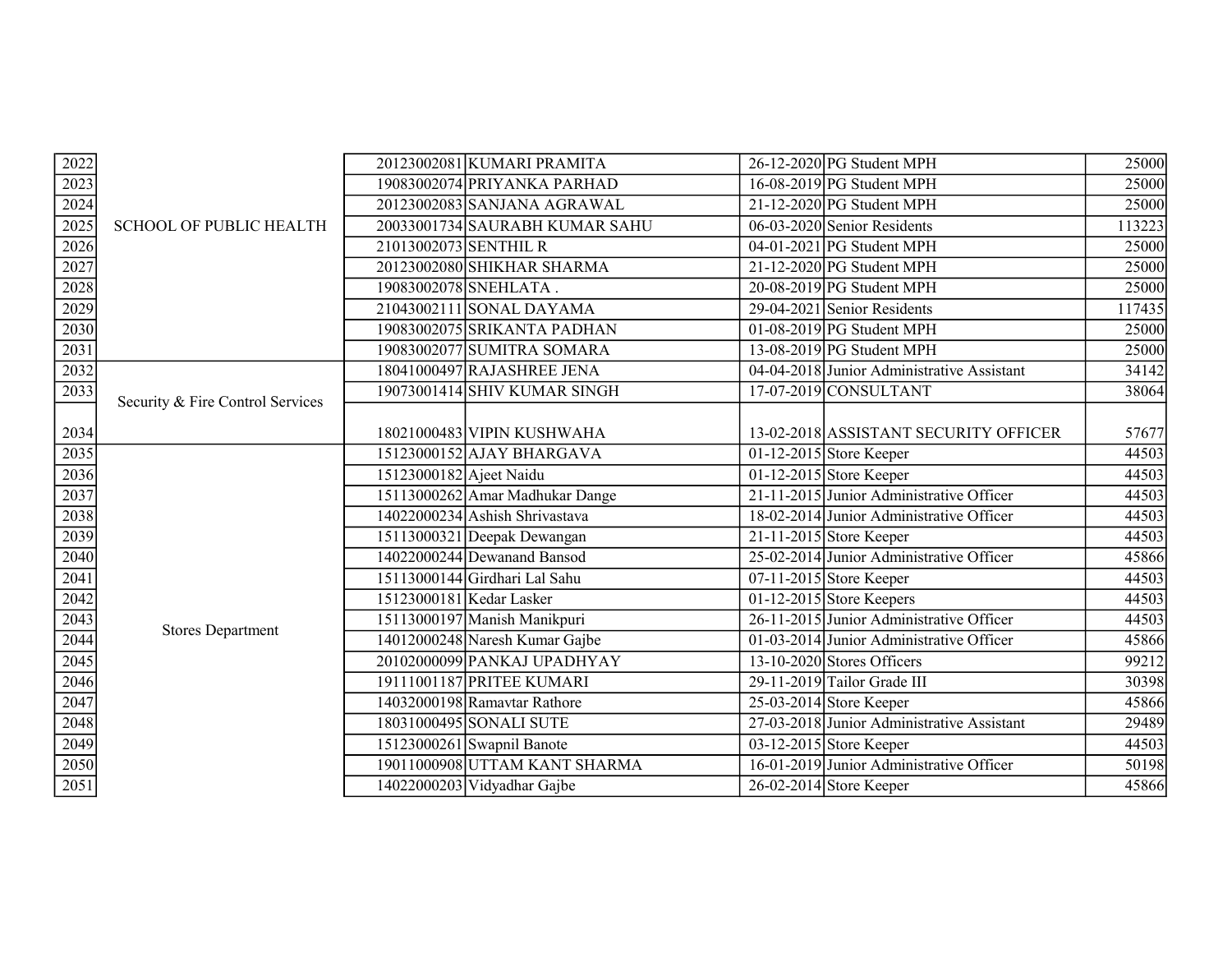| 2022              |                                  |                          | 20123002081 KUMARI PRAMITA      | 26-12-2020 PG Student MPH                  | 25000  |
|-------------------|----------------------------------|--------------------------|---------------------------------|--------------------------------------------|--------|
| 2023              |                                  |                          | 19083002074 PRIYANKA PARHAD     | $16-08-2019$ PG Student MPH                | 25000  |
| 2024              |                                  |                          | 20123002083 SANJANA AGRAWAL     | $21-12-2020$ PG Student MPH                | 25000  |
| 2025              | <b>SCHOOL OF PUBLIC HEALTH</b>   |                          | 20033001734 SAURABH KUMAR SAHU  | 06-03-2020 Senior Residents                | 113223 |
| 2026              |                                  | 21013002073 SENTHIL R    |                                 | 04-01-2021 PG Student MPH                  | 25000  |
| 2027              |                                  |                          | 20123002080 SHIKHAR SHARMA      | $21-12-2020$ PG Student MPH                | 25000  |
| 2028              |                                  |                          | 19083002078 SNEHLATA.           | $20-08-2019$ PG Student MPH                | 25000  |
| 2029              |                                  |                          | 21043002111 SONAL DAYAMA        | 29-04-2021 Senior Residents                | 117435 |
| 2030              |                                  |                          | 19083002075 SRIKANTA PADHAN     | $01-08-2019$ PG Student MPH                | 25000  |
| 2031              |                                  |                          | 19083002077 SUMITRA SOMARA      | $13-08-2019$ PG Student MPH                | 25000  |
| 2032              |                                  |                          | 18041000497 RAJASHREE JENA      | 04-04-2018 Junior Administrative Assistant | 34142  |
| 2033              |                                  |                          | 19073001414 SHIV KUMAR SINGH    | 17-07-2019 CONSULTANT                      | 38064  |
|                   | Security & Fire Control Services |                          |                                 |                                            |        |
| 2034              |                                  |                          | 18021000483 VIPIN KUSHWAHA      | 13-02-2018 ASSISTANT SECURITY OFFICER      | 57677  |
| 2035              |                                  |                          | 15123000152 AJAY BHARGAVA       | 01-12-2015 Store Keeper                    | 44503  |
| 2036              |                                  | 15123000182 Ajeet Naidu  |                                 | 01-12-2015 Store Keeper                    | 44503  |
| 2037              |                                  |                          | 15113000262 Amar Madhukar Dange | 21-11-2015 Junior Administrative Officer   | 44503  |
| 2038              |                                  |                          | 14022000234 Ashish Shrivastava  | 18-02-2014 Junior Administrative Officer   | 44503  |
| 2039              |                                  |                          | 15113000321 Deepak Dewangan     | 21-11-2015 Store Keeper                    | 44503  |
| 2040              |                                  |                          | 14022000244 Dewanand Bansod     | 25-02-2014 Junior Administrative Officer   | 45866  |
| 2041              |                                  |                          | 15113000144 Girdhari Lal Sahu   | 07-11-2015 Store Keeper                    | 44503  |
| 2042              |                                  | 15123000181 Kedar Lasker |                                 | 01-12-2015 Store Keepers                   | 44503  |
| 2043              | <b>Stores Department</b>         |                          | 15113000197 Manish Manikpuri    | 26-11-2015 Junior Administrative Officer   | 44503  |
| 2044              |                                  |                          | 14012000248 Naresh Kumar Gajbe  | $01-03-2014$ Junior Administrative Officer | 45866  |
| 2045              |                                  |                          | 20102000099 PANKAJ UPADHYAY     | 13-10-2020 Stores Officers                 | 99212  |
| 2046              |                                  |                          | 19111001187 PRITEE KUMARI       | 29-11-2019 Tailor Grade III                | 30398  |
| 2047              |                                  |                          | 14032000198 Ramavtar Rathore    | $25-03-2014$ Store Keeper                  | 45866  |
| 2048              |                                  |                          | 18031000495 SONALI SUTE         | 27-03-2018 Junior Administrative Assistant | 29489  |
| 2049              |                                  |                          | 15123000261 Swapnil Banote      | 03-12-2015 Store Keeper                    | 44503  |
| 2050              |                                  |                          | 19011000908 UTTAM KANT SHARMA   | 16-01-2019 Junior Administrative Officer   | 50198  |
| $\overline{2051}$ |                                  |                          | 14022000203 Vidyadhar Gajbe     | 26-02-2014 Store Keeper                    | 45866  |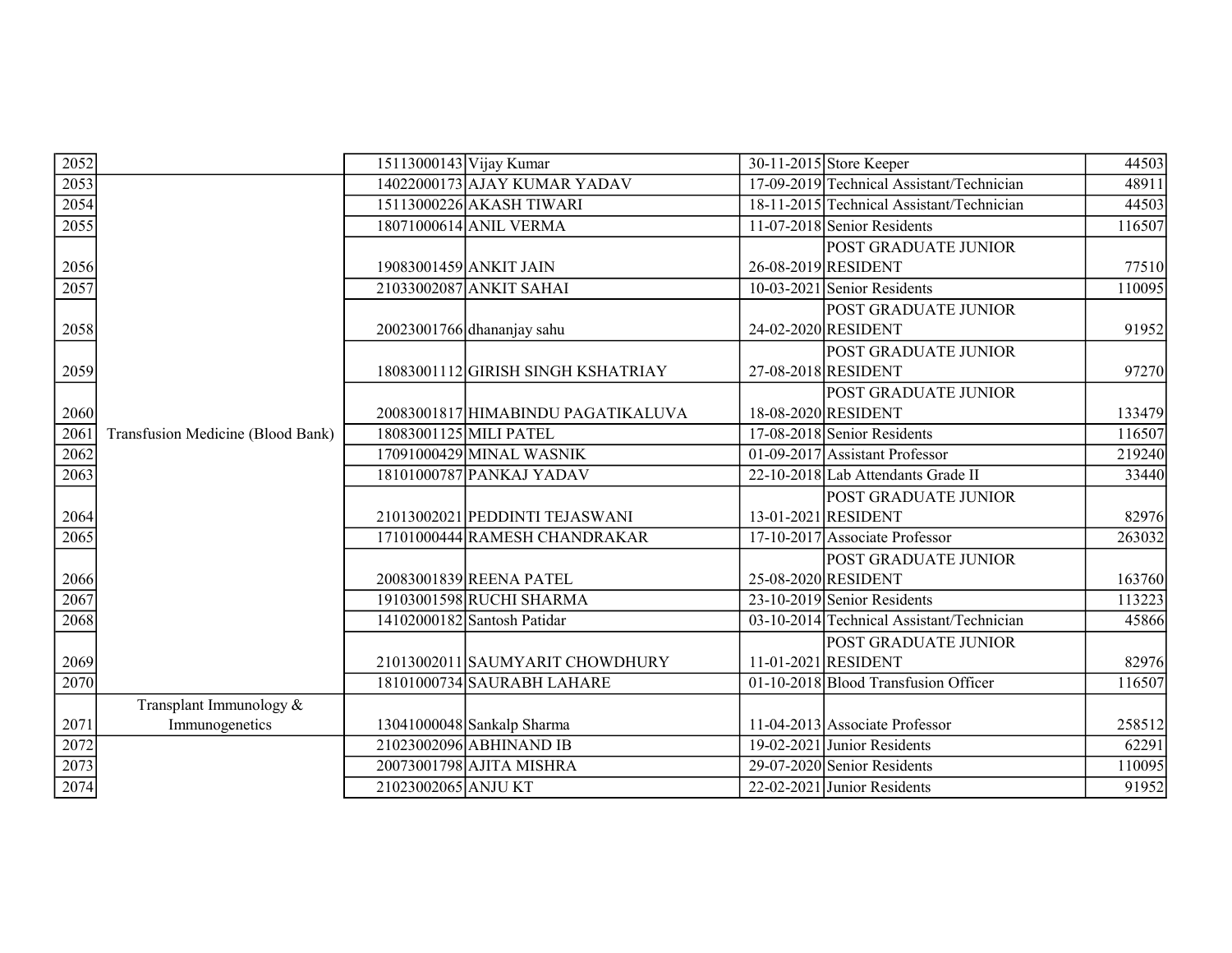| 2052              |                                   | 15113000143 Vijay Kumar |                                    | 30-11-2015 Store Keeper                   | 44503  |
|-------------------|-----------------------------------|-------------------------|------------------------------------|-------------------------------------------|--------|
| 2053              |                                   |                         | 14022000173 AJAY KUMAR YADAV       | 17-09-2019 Technical Assistant/Technician | 48911  |
| 2054              |                                   |                         | 15113000226 AKASH TIWARI           | 18-11-2015 Technical Assistant/Technician | 44503  |
| 2055              |                                   |                         | 18071000614 ANIL VERMA             | 11-07-2018 Senior Residents               | 116507 |
|                   |                                   |                         |                                    | POST GRADUATE JUNIOR                      |        |
| 2056              |                                   | 19083001459 ANKIT JAIN  |                                    | 26-08-2019 RESIDENT                       | 77510  |
| 2057              |                                   |                         | 21033002087 ANKIT SAHAI            | $10-03-2021$ Senior Residents             | 110095 |
|                   |                                   |                         |                                    | POST GRADUATE JUNIOR                      |        |
| 2058              |                                   |                         | 20023001766 dhananjay sahu         | 24-02-2020 RESIDENT                       | 91952  |
|                   |                                   |                         |                                    | POST GRADUATE JUNIOR                      |        |
| 2059              |                                   |                         | 18083001112 GIRISH SINGH KSHATRIAY | 27-08-2018 RESIDENT                       | 97270  |
|                   |                                   |                         |                                    | POST GRADUATE JUNIOR                      |        |
| 2060              |                                   |                         | 20083001817 HIMABINDU PAGATIKALUVA | 18-08-2020 RESIDENT                       | 133479 |
| 2061              | Transfusion Medicine (Blood Bank) | 18083001125 MILI PATEL  |                                    | 17-08-2018 Senior Residents               | 116507 |
| 2062              |                                   |                         | 17091000429 MINAL WASNIK           | $01-09-2017$ Assistant Professor          | 219240 |
| 2063              |                                   |                         | 18101000787 PANKAJ YADAV           | 22-10-2018 Lab Attendants Grade II        | 33440  |
|                   |                                   |                         |                                    | POST GRADUATE JUNIOR                      |        |
| 2064              |                                   |                         | 21013002021 PEDDINTI TEJASWANI     | 13-01-2021 RESIDENT                       | 82976  |
| $\overline{2065}$ |                                   |                         | 17101000444 RAMESH CHANDRAKAR      | 17-10-2017 Associate Professor            | 263032 |
|                   |                                   |                         |                                    | POST GRADUATE JUNIOR                      |        |
| 2066              |                                   |                         | 20083001839 REENA PATEL            | 25-08-2020 RESIDENT                       | 163760 |
| 2067              |                                   |                         | 19103001598 RUCHI SHARMA           | 23-10-2019 Senior Residents               | 113223 |
| 2068              |                                   |                         | 14102000182 Santosh Patidar        | 03-10-2014 Technical Assistant/Technician | 45866  |
|                   |                                   |                         |                                    | POST GRADUATE JUNIOR                      |        |
| 2069              |                                   |                         | 21013002011 SAUMYARIT CHOWDHURY    | 11-01-2021 RESIDENT                       | 82976  |
| 2070              |                                   |                         | 18101000734 SAURABH LAHARE         | 01-10-2018 Blood Transfusion Officer      | 116507 |
|                   | Transplant Immunology &           |                         |                                    |                                           |        |
| 2071              | Immunogenetics                    |                         | 13041000048 Sankalp Sharma         | 11-04-2013 Associate Professor            | 258512 |
| 2072              |                                   |                         | 21023002096 ABHINAND IB            | 19-02-2021 Junior Residents               | 62291  |
| 2073              |                                   |                         | 20073001798 AJITA MISHRA           | 29-07-2020 Senior Residents               | 110095 |
| 2074              |                                   | 21023002065 ANJU KT     |                                    | $22-02-2021$ Junior Residents             | 91952  |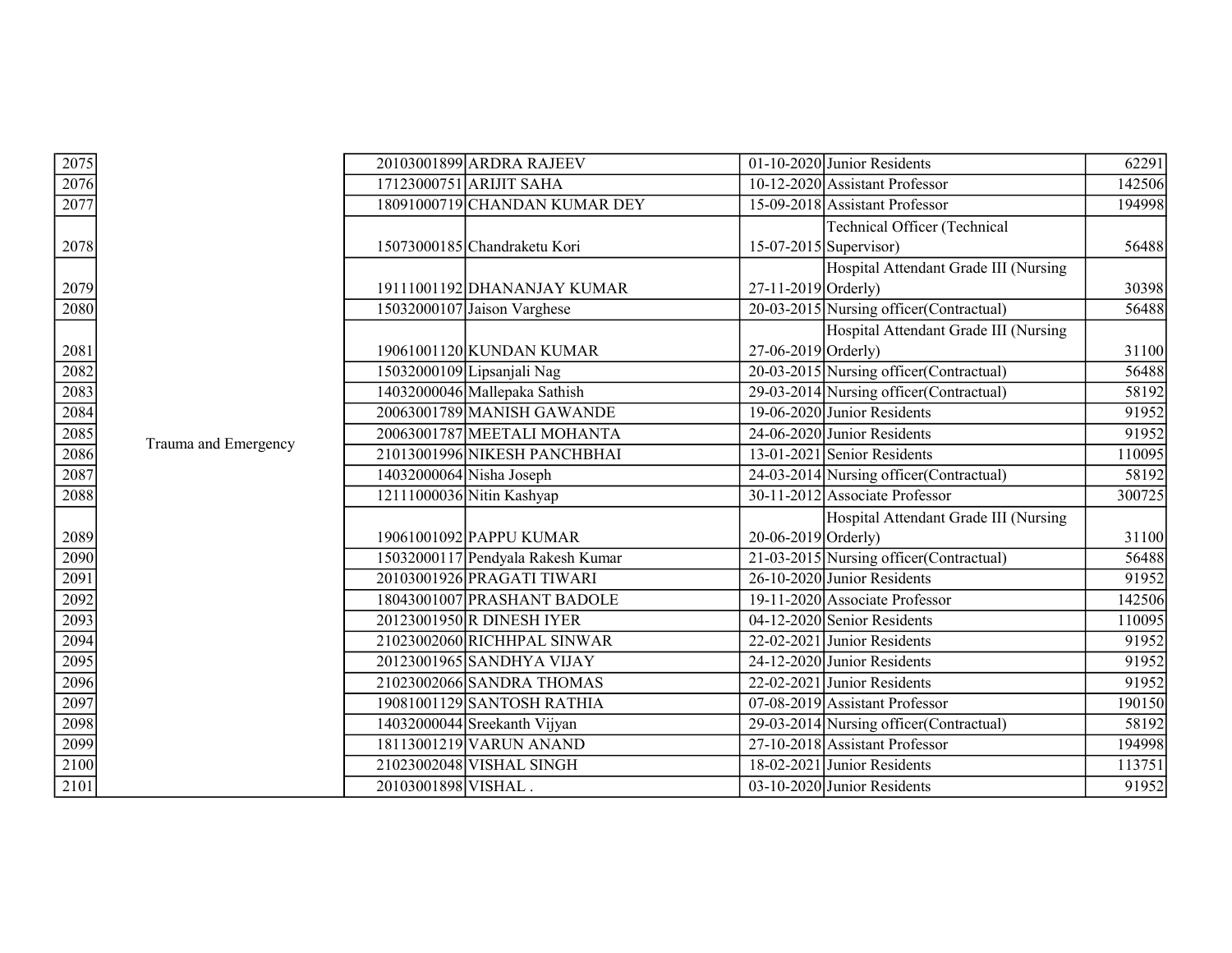| 2075                                 |                      | 20103001899 ARDRA RAJEEV          |                       | 01-10-2020 Junior Residents              | 62291  |
|--------------------------------------|----------------------|-----------------------------------|-----------------------|------------------------------------------|--------|
| $\frac{2076}{2077}$                  |                      | 17123000751 ARIJIT SAHA           |                       | 10-12-2020 Assistant Professor           | 142506 |
|                                      |                      | 18091000719 CHANDAN KUMAR DEY     |                       | 15-09-2018 Assistant Professor           | 194998 |
|                                      |                      |                                   |                       | <b>Technical Officer (Technical</b>      |        |
| 2078                                 |                      | 15073000185 Chandraketu Kori      |                       | $15-07-2015$ Supervisor)                 | 56488  |
|                                      |                      |                                   |                       | Hospital Attendant Grade III (Nursing    |        |
| 2079                                 |                      | 19111001192 DHANANJAY KUMAR       | 27-11-2019 Orderly)   |                                          | 30398  |
| 2080                                 |                      | 15032000107 Jaison Varghese       |                       | 20-03-2015 Nursing officer (Contractual) | 56488  |
|                                      |                      |                                   |                       | Hospital Attendant Grade III (Nursing    |        |
| 2081                                 |                      | 19061001120 KUNDAN KUMAR          | $27-06-2019$ Orderly) |                                          | 31100  |
| 2082                                 |                      | 15032000109 Lipsanjali Nag        |                       | 20-03-2015 Nursing officer (Contractual) | 56488  |
| $\frac{2083}{2084}$                  |                      | 14032000046 Mallepaka Sathish     |                       | 29-03-2014 Nursing officer (Contractual) | 58192  |
|                                      |                      | 20063001789 MANISH GAWANDE        |                       | 19-06-2020 Junior Residents              | 91952  |
|                                      | Trauma and Emergency | 20063001787 MEETALI MOHANTA       |                       | 24-06-2020 Junior Residents              | 91952  |
| 2086                                 |                      | 21013001996 NIKESH PANCHBHAI      |                       | $13-01-2021$ Senior Residents            | 110095 |
| 2087                                 |                      | 14032000064 Nisha Joseph          |                       | 24-03-2014 Nursing officer (Contractual) | 58192  |
| 2088                                 |                      | 12111000036 Nitin Kashyap         |                       | 30-11-2012 Associate Professor           | 300725 |
|                                      |                      |                                   |                       | Hospital Attendant Grade III (Nursing    |        |
| 2089                                 |                      | 19061001092 PAPPU KUMAR           | $20-06-2019$ Orderly) |                                          | 31100  |
| 2090                                 |                      | 15032000117 Pendyala Rakesh Kumar |                       | 21-03-2015 Nursing officer (Contractual) | 56488  |
| 2091                                 |                      | 20103001926 PRAGATI TIWARI        |                       | 26-10-2020 Junior Residents              | 91952  |
| 2092                                 |                      | 18043001007 PRASHANT BADOLE       |                       | 19-11-2020 Associate Professor           | 142506 |
| 2093                                 |                      | 20123001950 R DINESH IYER         |                       | 04-12-2020 Senior Residents              | 110095 |
| 2094                                 |                      | 21023002060 RICHHPAL SINWAR       |                       | $22-02-2021$ Junior Residents            | 91952  |
|                                      |                      | 20123001965 SANDHYA VIJAY         |                       | 24-12-2020 Junior Residents              | 91952  |
| $\frac{1}{2095}$ $\frac{2096}{2097}$ |                      | 21023002066 SANDRA THOMAS         |                       | 22-02-2021 Junior Residents              | 91952  |
|                                      |                      | 19081001129 SANTOSH RATHIA        |                       | 07-08-2019 Assistant Professor           | 190150 |
| 2098                                 |                      | 14032000044 Sreekanth Vijyan      |                       | 29-03-2014 Nursing officer (Contractual) | 58192  |
| 2099                                 |                      | 18113001219 VARUN ANAND           |                       | 27-10-2018 Assistant Professor           | 194998 |
| 2100                                 |                      | 21023002048 VISHAL SINGH          |                       | 18-02-2021 Junior Residents              | 113751 |
| $\frac{1}{2101}$                     |                      | 20103001898 VISHAL.               |                       | 03-10-2020 Junior Residents              | 91952  |